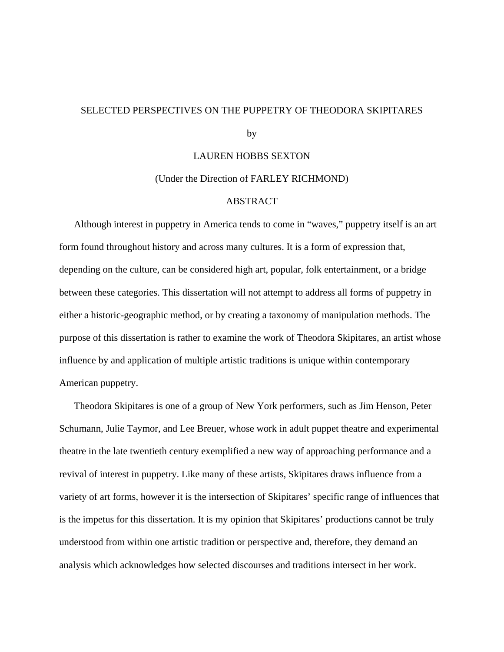## SELECTED PERSPECTIVES ON THE PUPPETRY OF THEODORA SKIPITARES

by

#### LAUREN HOBBS SEXTON

#### (Under the Direction of FARLEY RICHMOND)

## ABSTRACT

Although interest in puppetry in America tends to come in "waves," puppetry itself is an art form found throughout history and across many cultures. It is a form of expression that, depending on the culture, can be considered high art, popular, folk entertainment, or a bridge between these categories. This dissertation will not attempt to address all forms of puppetry in either a historic-geographic method, or by creating a taxonomy of manipulation methods. The purpose of this dissertation is rather to examine the work of Theodora Skipitares, an artist whose influence by and application of multiple artistic traditions is unique within contemporary American puppetry.

Theodora Skipitares is one of a group of New York performers, such as Jim Henson, Peter Schumann, Julie Taymor, and Lee Breuer, whose work in adult puppet theatre and experimental theatre in the late twentieth century exemplified a new way of approaching performance and a revival of interest in puppetry. Like many of these artists, Skipitares draws influence from a variety of art forms, however it is the intersection of Skipitares' specific range of influences that is the impetus for this dissertation. It is my opinion that Skipitares' productions cannot be truly understood from within one artistic tradition or perspective and, therefore, they demand an analysis which acknowledges how selected discourses and traditions intersect in her work.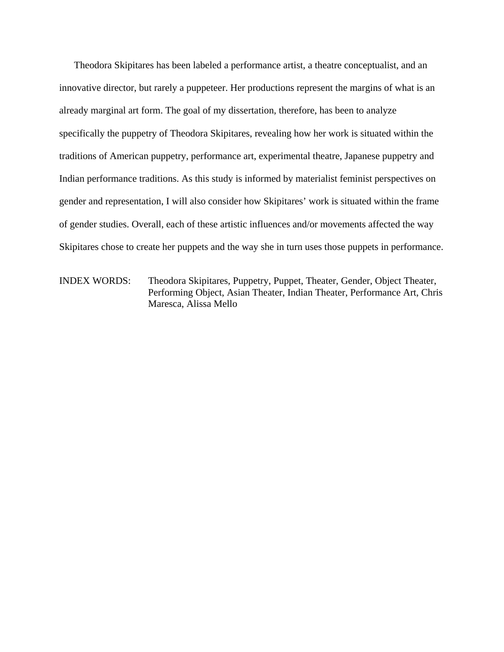Theodora Skipitares has been labeled a performance artist, a theatre conceptualist, and an innovative director, but rarely a puppeteer. Her productions represent the margins of what is an already marginal art form. The goal of my dissertation, therefore, has been to analyze specifically the puppetry of Theodora Skipitares, revealing how her work is situated within the traditions of American puppetry, performance art, experimental theatre, Japanese puppetry and Indian performance traditions. As this study is informed by materialist feminist perspectives on gender and representation, I will also consider how Skipitares' work is situated within the frame of gender studies. Overall, each of these artistic influences and/or movements affected the way Skipitares chose to create her puppets and the way she in turn uses those puppets in performance.

INDEX WORDS: Theodora Skipitares, Puppetry, Puppet, Theater, Gender, Object Theater, Performing Object, Asian Theater, Indian Theater, Performance Art, Chris Maresca, Alissa Mello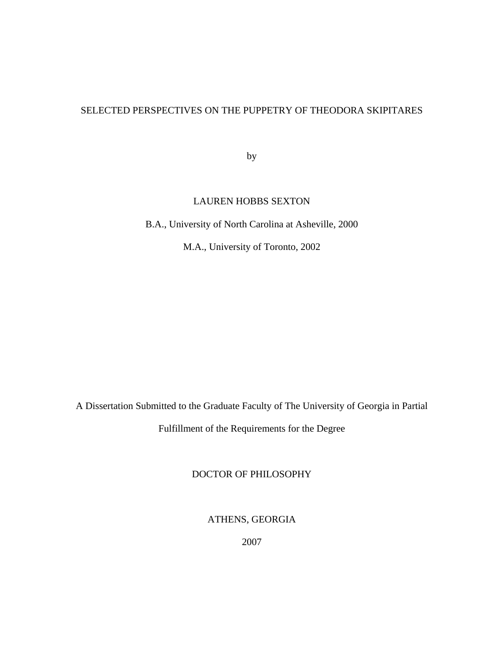# SELECTED PERSPECTIVES ON THE PUPPETRY OF THEODORA SKIPITARES

by

## LAUREN HOBBS SEXTON

B.A., University of North Carolina at Asheville, 2000

M.A., University of Toronto, 2002

A Dissertation Submitted to the Graduate Faculty of The University of Georgia in Partial

Fulfillment of the Requirements for the Degree

## DOCTOR OF PHILOSOPHY

ATHENS, GEORGIA

2007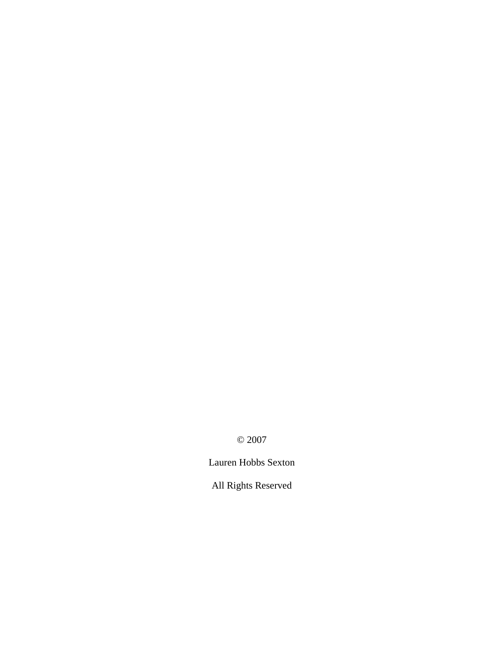© 2007

Lauren Hobbs Sexton

All Rights Reserved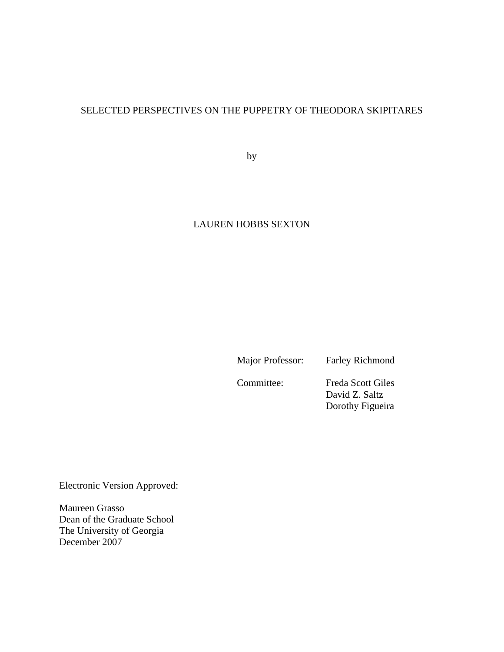# SELECTED PERSPECTIVES ON THE PUPPETRY OF THEODORA SKIPITARES

by

# LAUREN HOBBS SEXTON

Major Professor: Farley Richmond

Committee: Freda Scott Giles David Z. Saltz Dorothy Figueira

Electronic Version Approved:

Maureen Grasso Dean of the Graduate School The University of Georgia December 2007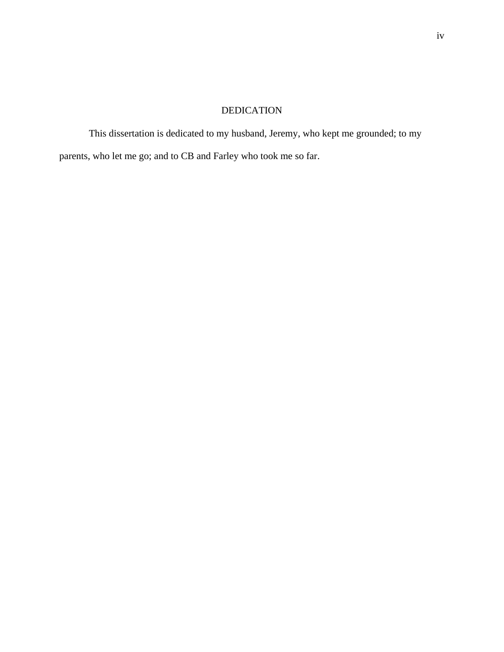# DEDICATION

This dissertation is dedicated to my husband, Jeremy, who kept me grounded; to my parents, who let me go; and to CB and Farley who took me so far.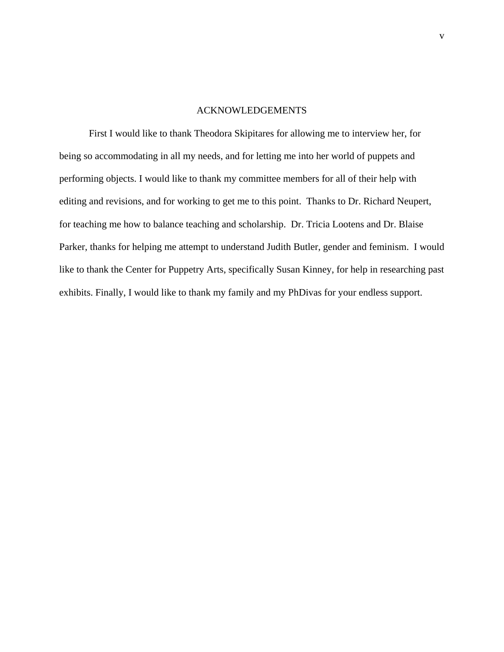## ACKNOWLEDGEMENTS

First I would like to thank Theodora Skipitares for allowing me to interview her, for being so accommodating in all my needs, and for letting me into her world of puppets and performing objects. I would like to thank my committee members for all of their help with editing and revisions, and for working to get me to this point. Thanks to Dr. Richard Neupert, for teaching me how to balance teaching and scholarship. Dr. Tricia Lootens and Dr. Blaise Parker, thanks for helping me attempt to understand Judith Butler, gender and feminism. I would like to thank the Center for Puppetry Arts, specifically Susan Kinney, for help in researching past exhibits. Finally, I would like to thank my family and my PhDivas for your endless support.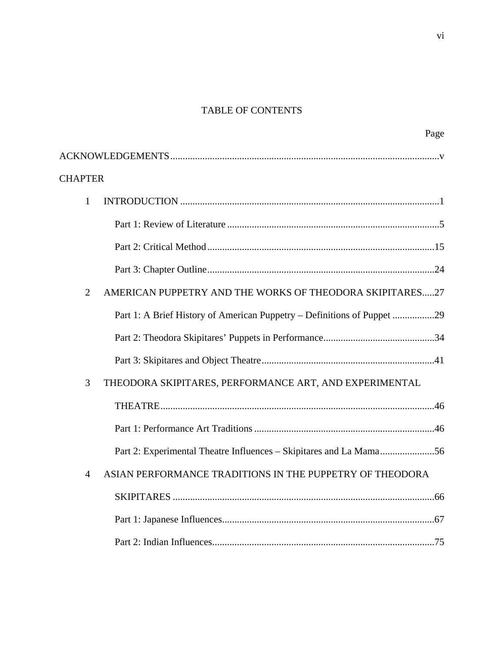# TABLE OF CONTENTS

|                | Page                                                                    |
|----------------|-------------------------------------------------------------------------|
|                |                                                                         |
| <b>CHAPTER</b> |                                                                         |
| $\mathbf{1}$   |                                                                         |
|                |                                                                         |
|                |                                                                         |
|                |                                                                         |
| $\overline{2}$ | AMERICAN PUPPETRY AND THE WORKS OF THEODORA SKIPITARES27                |
|                | Part 1: A Brief History of American Puppetry – Definitions of Puppet 29 |
|                |                                                                         |
|                |                                                                         |
| 3              | THEODORA SKIPITARES, PERFORMANCE ART, AND EXPERIMENTAL                  |
|                |                                                                         |
|                |                                                                         |
|                | Part 2: Experimental Theatre Influences - Skipitares and La Mama56      |
| 4              | ASIAN PERFORMANCE TRADITIONS IN THE PUPPETRY OF THEODORA                |
|                |                                                                         |
|                |                                                                         |
|                |                                                                         |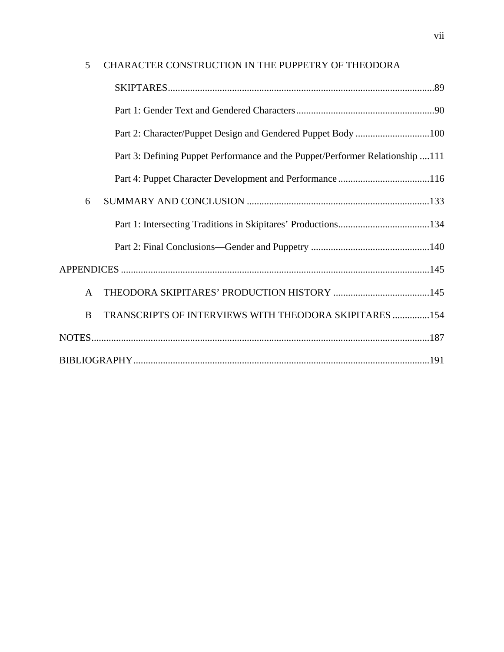| 5            | CHARACTER CONSTRUCTION IN THE PUPPETRY OF THEODORA                            |  |
|--------------|-------------------------------------------------------------------------------|--|
|              |                                                                               |  |
|              |                                                                               |  |
|              |                                                                               |  |
|              | Part 3: Defining Puppet Performance and the Puppet/Performer Relationship 111 |  |
|              |                                                                               |  |
| 6            |                                                                               |  |
|              |                                                                               |  |
|              |                                                                               |  |
|              |                                                                               |  |
| $\mathbf{A}$ |                                                                               |  |
| B            | TRANSCRIPTS OF INTERVIEWS WITH THEODORA SKIPITARES 154                        |  |
|              |                                                                               |  |
|              |                                                                               |  |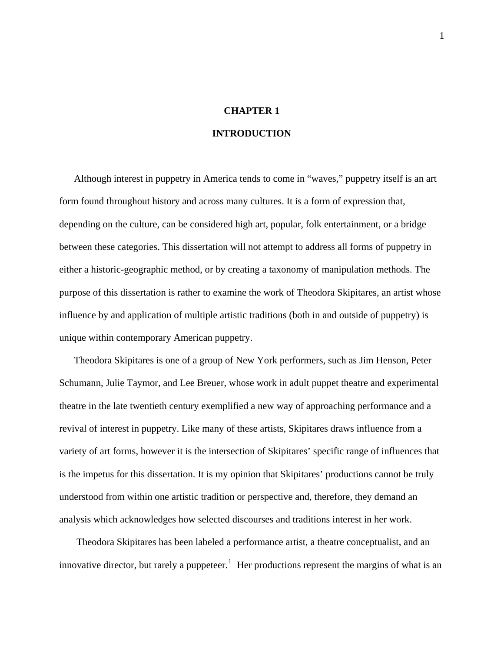# **CHAPTER 1**

## **INTRODUCTION**

Although interest in puppetry in America tends to come in "waves," puppetry itself is an art form found throughout history and across many cultures. It is a form of expression that, depending on the culture, can be considered high art, popular, folk entertainment, or a bridge between these categories. This dissertation will not attempt to address all forms of puppetry in either a historic-geographic method, or by creating a taxonomy of manipulation methods. The purpose of this dissertation is rather to examine the work of Theodora Skipitares, an artist whose influence by and application of multiple artistic traditions (both in and outside of puppetry) is unique within contemporary American puppetry.

Theodora Skipitares is one of a group of New York performers, such as Jim Henson, Peter Schumann, Julie Taymor, and Lee Breuer, whose work in adult puppet theatre and experimental theatre in the late twentieth century exemplified a new way of approaching performance and a revival of interest in puppetry. Like many of these artists, Skipitares draws influence from a variety of art forms, however it is the intersection of Skipitares' specific range of influences that is the impetus for this dissertation. It is my opinion that Skipitares' productions cannot be truly understood from within one artistic tradition or perspective and, therefore, they demand an analysis which acknowledges how selected discourses and traditions interest in her work.

 Theodora Skipitares has been labeled a performance artist, a theatre conceptualist, and an innovative director, but rarely a puppeteer.<sup>[1](#page-195-0)</sup> Her productions represent the margins of what is an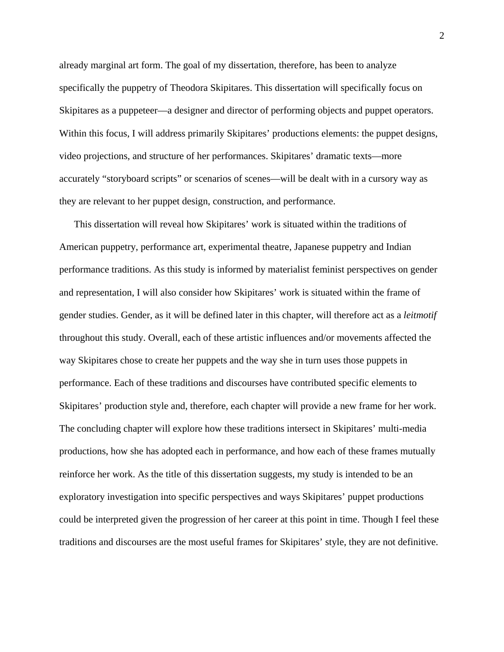already marginal art form. The goal of my dissertation, therefore, has been to analyze specifically the puppetry of Theodora Skipitares. This dissertation will specifically focus on Skipitares as a puppeteer—a designer and director of performing objects and puppet operators. Within this focus, I will address primarily Skipitares' productions elements: the puppet designs, video projections, and structure of her performances. Skipitares' dramatic texts—more accurately "storyboard scripts" or scenarios of scenes—will be dealt with in a cursory way as they are relevant to her puppet design, construction, and performance.

This dissertation will reveal how Skipitares' work is situated within the traditions of American puppetry, performance art, experimental theatre, Japanese puppetry and Indian performance traditions. As this study is informed by materialist feminist perspectives on gender and representation, I will also consider how Skipitares' work is situated within the frame of gender studies. Gender, as it will be defined later in this chapter, will therefore act as a *leitmotif* throughout this study. Overall, each of these artistic influences and/or movements affected the way Skipitares chose to create her puppets and the way she in turn uses those puppets in performance. Each of these traditions and discourses have contributed specific elements to Skipitares' production style and, therefore, each chapter will provide a new frame for her work. The concluding chapter will explore how these traditions intersect in Skipitares' multi-media productions, how she has adopted each in performance, and how each of these frames mutually reinforce her work. As the title of this dissertation suggests, my study is intended to be an exploratory investigation into specific perspectives and ways Skipitares' puppet productions could be interpreted given the progression of her career at this point in time. Though I feel these traditions and discourses are the most useful frames for Skipitares' style, they are not definitive.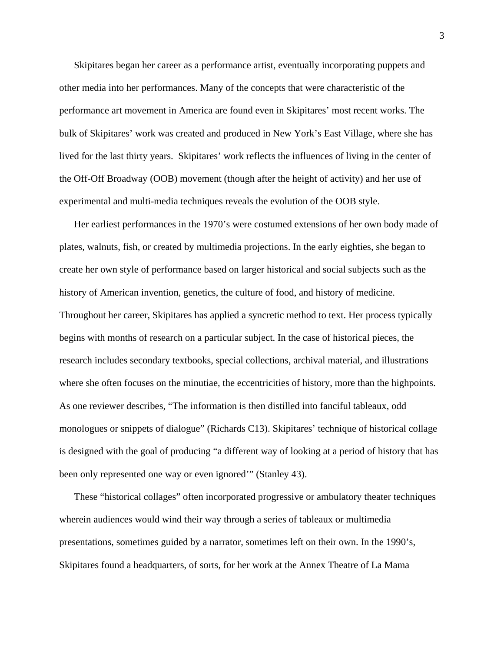Skipitares began her career as a performance artist, eventually incorporating puppets and other media into her performances. Many of the concepts that were characteristic of the performance art movement in America are found even in Skipitares' most recent works. The bulk of Skipitares' work was created and produced in New York's East Village, where she has lived for the last thirty years. Skipitares' work reflects the influences of living in the center of the Off-Off Broadway (OOB) movement (though after the height of activity) and her use of experimental and multi-media techniques reveals the evolution of the OOB style.

Her earliest performances in the 1970's were costumed extensions of her own body made of plates, walnuts, fish, or created by multimedia projections. In the early eighties, she began to create her own style of performance based on larger historical and social subjects such as the history of American invention, genetics, the culture of food, and history of medicine. Throughout her career, Skipitares has applied a syncretic method to text. Her process typically begins with months of research on a particular subject. In the case of historical pieces, the research includes secondary textbooks, special collections, archival material, and illustrations where she often focuses on the minutiae, the eccentricities of history, more than the highpoints. As one reviewer describes, "The information is then distilled into fanciful tableaux, odd monologues or snippets of dialogue" (Richards C13). Skipitares' technique of historical collage is designed with the goal of producing "a different way of looking at a period of history that has been only represented one way or even ignored'" (Stanley 43).

These "historical collages" often incorporated progressive or ambulatory theater techniques wherein audiences would wind their way through a series of tableaux or multimedia presentations, sometimes guided by a narrator, sometimes left on their own. In the 1990's, Skipitares found a headquarters, of sorts, for her work at the Annex Theatre of La Mama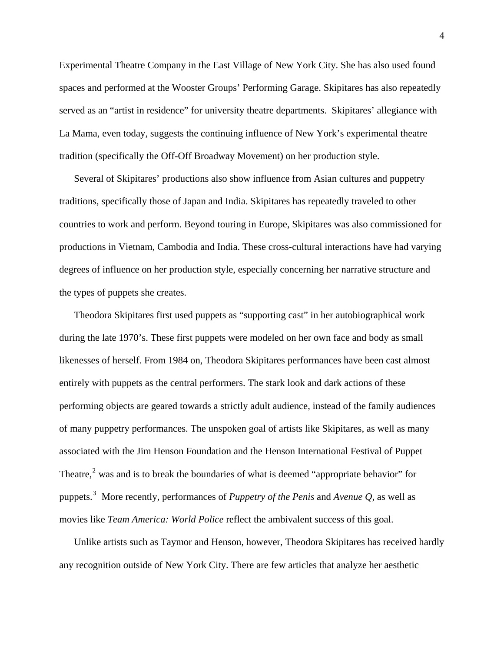Experimental Theatre Company in the East Village of New York City. She has also used found spaces and performed at the Wooster Groups' Performing Garage. Skipitares has also repeatedly served as an "artist in residence" for university theatre departments. Skipitares' allegiance with La Mama, even today, suggests the continuing influence of New York's experimental theatre tradition (specifically the Off-Off Broadway Movement) on her production style.

Several of Skipitares' productions also show influence from Asian cultures and puppetry traditions, specifically those of Japan and India. Skipitares has repeatedly traveled to other countries to work and perform. Beyond touring in Europe, Skipitares was also commissioned for productions in Vietnam, Cambodia and India. These cross-cultural interactions have had varying degrees of influence on her production style, especially concerning her narrative structure and the types of puppets she creates.

Theodora Skipitares first used puppets as "supporting cast" in her autobiographical work during the late 1970's. These first puppets were modeled on her own face and body as small likenesses of herself. From 1984 on, Theodora Skipitares performances have been cast almost entirely with puppets as the central performers. The stark look and dark actions of these performing objects are geared towards a strictly adult audience, instead of the family audiences of many puppetry performances. The unspoken goal of artists like Skipitares, as well as many associated with the Jim Henson Foundation and the Henson International Festival of Puppet Theatre, $2$  was and is to break the boundaries of what is deemed "appropriate behavior" for puppets.[3](#page-195-1) More recently, performances of *Puppetry of the Penis* and *Avenue Q,* as well as movies like *Team America: World Police* reflect the ambivalent success of this goal.

Unlike artists such as Taymor and Henson, however, Theodora Skipitares has received hardly any recognition outside of New York City. There are few articles that analyze her aesthetic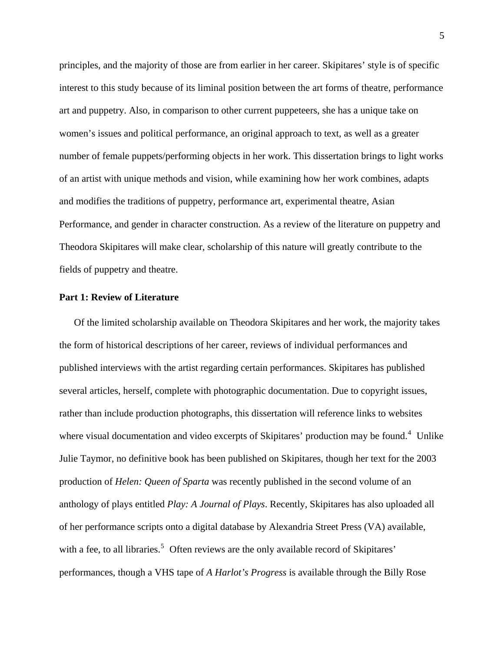principles, and the majority of those are from earlier in her career. Skipitares' style is of specific interest to this study because of its liminal position between the art forms of theatre, performance art and puppetry. Also, in comparison to other current puppeteers, she has a unique take on women's issues and political performance, an original approach to text, as well as a greater number of female puppets/performing objects in her work. This dissertation brings to light works of an artist with unique methods and vision, while examining how her work combines, adapts and modifies the traditions of puppetry, performance art, experimental theatre, Asian Performance, and gender in character construction. As a review of the literature on puppetry and Theodora Skipitares will make clear, scholarship of this nature will greatly contribute to the fields of puppetry and theatre.

## **Part 1: Review of Literature**

Of the limited scholarship available on Theodora Skipitares and her work, the majority takes the form of historical descriptions of her career, reviews of individual performances and published interviews with the artist regarding certain performances. Skipitares has published several articles, herself, complete with photographic documentation. Due to copyright issues, rather than include production photographs, this dissertation will reference links to websites where visual documentation and video excerpts of Skipitares' production may be found. $4$  Unlike Julie Taymor, no definitive book has been published on Skipitares, though her text for the 2003 production of *Helen: Queen of Sparta* was recently published in the second volume of an anthology of plays entitled *Play: A Journal of Plays*. Recently, Skipitares has also uploaded all of her performance scripts onto a digital database by Alexandria Street Press (VA) available, with a fee, to all libraries.<sup>[5](#page-195-1)</sup> Often reviews are the only available record of Skipitares' performances, though a VHS tape of *A Harlot's Progress* is available through the Billy Rose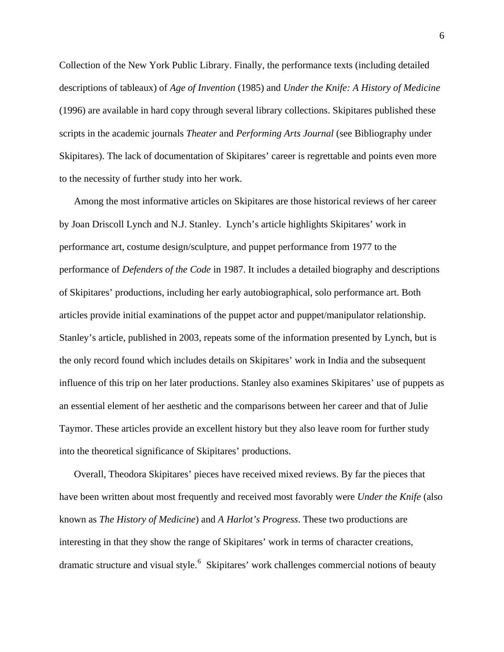Collection of the New York Public Library. Finally, the performance texts (including detailed descriptions of tableaux) of *Age of Invention* (1985) and *Under the Knife: A History of Medicine* (1996) are available in hard copy through several library collections. Skipitares published these scripts in the academic journals *Theater* and *Performing Arts Journal* (see Bibliography under Skipitares). The lack of documentation of Skipitares' career is regrettable and points even more to the necessity of further study into her work.

Among the most informative articles on Skipitares are those historical reviews of her career by Joan Driscoll Lynch and N.J. Stanley. Lynch's article highlights Skipitares' work in performance art, costume design/sculpture, and puppet performance from 1977 to the performance of *Defenders of the Code* in 1987. It includes a detailed biography and descriptions of Skipitares' productions, including her early autobiographical, solo performance art. Both articles provide initial examinations of the puppet actor and puppet/manipulator relationship. Stanley's article, published in 2003, repeats some of the information presented by Lynch, but is the only record found which includes details on Skipitares' work in India and the subsequent influence of this trip on her later productions. Stanley also examines Skipitares' use of puppets as an essential element of her aesthetic and the comparisons between her career and that of Julie Taymor. These articles provide an excellent history but they also leave room for further study into the theoretical significance of Skipitares' productions.

Overall, Theodora Skipitares' pieces have received mixed reviews. By far the pieces that have been written about most frequently and received most favorably were *Under the Knife* (also known as *The History of Medicine*) and *A Harlot's Progress*. These two productions are interesting in that they show the range of Skipitares' work in terms of character creations, dramatic structure and visual style.<sup>[6](#page-195-1)</sup> Skipitares' work challenges commercial notions of beauty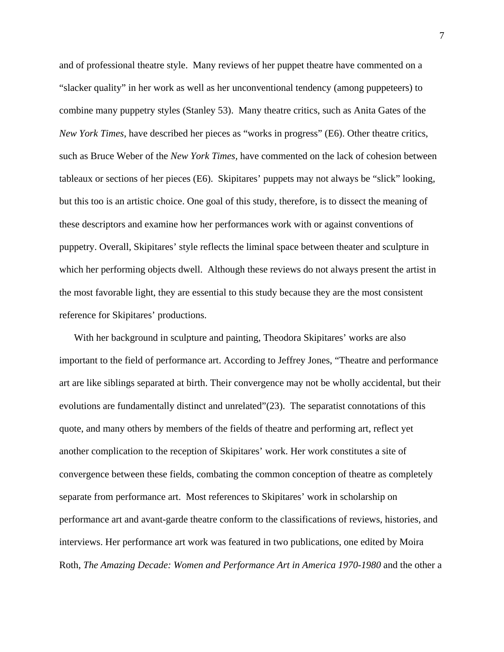and of professional theatre style. Many reviews of her puppet theatre have commented on a "slacker quality" in her work as well as her unconventional tendency (among puppeteers) to combine many puppetry styles (Stanley 53). Many theatre critics, such as Anita Gates of the *New York Times*, have described her pieces as "works in progress" (E6). Other theatre critics, such as Bruce Weber of the *New York Times,* have commented on the lack of cohesion between tableaux or sections of her pieces (E6). Skipitares' puppets may not always be "slick" looking, but this too is an artistic choice. One goal of this study, therefore, is to dissect the meaning of these descriptors and examine how her performances work with or against conventions of puppetry. Overall, Skipitares' style reflects the liminal space between theater and sculpture in which her performing objects dwell. Although these reviews do not always present the artist in the most favorable light, they are essential to this study because they are the most consistent reference for Skipitares' productions.

With her background in sculpture and painting, Theodora Skipitares' works are also important to the field of performance art. According to Jeffrey Jones, "Theatre and performance art are like siblings separated at birth. Their convergence may not be wholly accidental, but their evolutions are fundamentally distinct and unrelated"(23). The separatist connotations of this quote, and many others by members of the fields of theatre and performing art, reflect yet another complication to the reception of Skipitares' work. Her work constitutes a site of convergence between these fields, combating the common conception of theatre as completely separate from performance art. Most references to Skipitares' work in scholarship on performance art and avant-garde theatre conform to the classifications of reviews, histories, and interviews. Her performance art work was featured in two publications, one edited by Moira Roth, *The Amazing Decade: Women and Performance Art in America 1970-1980* and the other a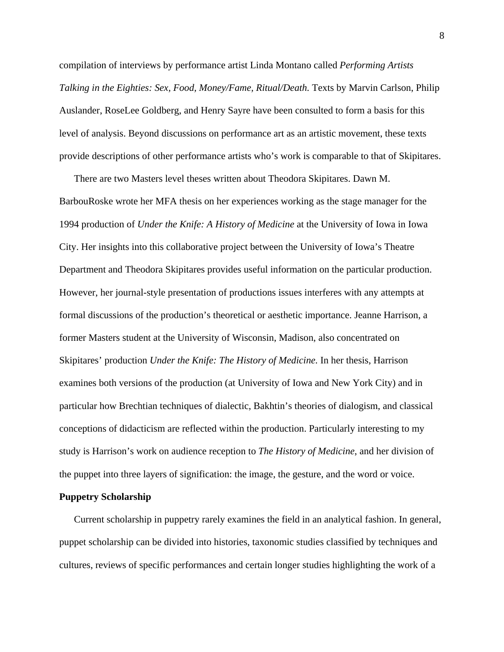compilation of interviews by performance artist Linda Montano called *Performing Artists Talking in the Eighties: Sex, Food, Money/Fame, Ritual/Death.* Texts by Marvin Carlson, Philip Auslander, RoseLee Goldberg, and Henry Sayre have been consulted to form a basis for this level of analysis. Beyond discussions on performance art as an artistic movement, these texts provide descriptions of other performance artists who's work is comparable to that of Skipitares.

There are two Masters level theses written about Theodora Skipitares. Dawn M. BarbouRoske wrote her MFA thesis on her experiences working as the stage manager for the 1994 production of *Under the Knife: A History of Medicine* at the University of Iowa in Iowa City. Her insights into this collaborative project between the University of Iowa's Theatre Department and Theodora Skipitares provides useful information on the particular production. However, her journal-style presentation of productions issues interferes with any attempts at formal discussions of the production's theoretical or aesthetic importance. Jeanne Harrison, a former Masters student at the University of Wisconsin, Madison, also concentrated on Skipitares' production *Under the Knife: The History of Medicine.* In her thesis, Harrison examines both versions of the production (at University of Iowa and New York City) and in particular how Brechtian techniques of dialectic, Bakhtin's theories of dialogism, and classical conceptions of didacticism are reflected within the production. Particularly interesting to my study is Harrison's work on audience reception to *The History of Medicine*, and her division of the puppet into three layers of signification: the image, the gesture, and the word or voice.

## **Puppetry Scholarship**

Current scholarship in puppetry rarely examines the field in an analytical fashion. In general, puppet scholarship can be divided into histories, taxonomic studies classified by techniques and cultures, reviews of specific performances and certain longer studies highlighting the work of a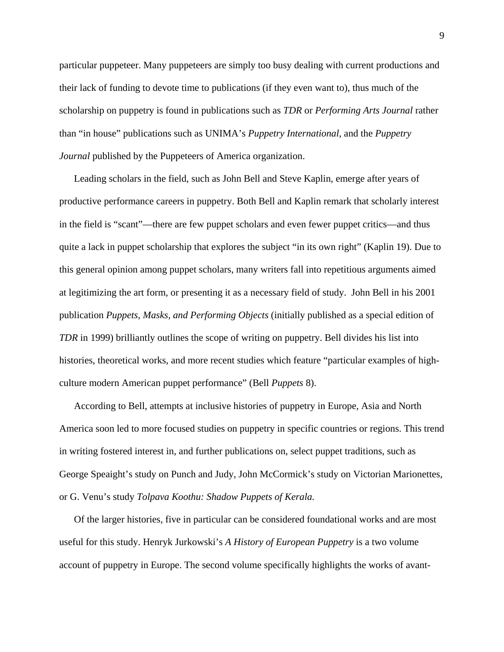particular puppeteer. Many puppeteers are simply too busy dealing with current productions and their lack of funding to devote time to publications (if they even want to), thus much of the scholarship on puppetry is found in publications such as *TDR* or *Performing Arts Journal* rather than "in house" publications such as UNIMA's *Puppetry International*, and the *Puppetry Journal* published by the Puppeteers of America organization.

Leading scholars in the field, such as John Bell and Steve Kaplin, emerge after years of productive performance careers in puppetry. Both Bell and Kaplin remark that scholarly interest in the field is "scant"—there are few puppet scholars and even fewer puppet critics—and thus quite a lack in puppet scholarship that explores the subject "in its own right" (Kaplin 19). Due to this general opinion among puppet scholars, many writers fall into repetitious arguments aimed at legitimizing the art form, or presenting it as a necessary field of study. John Bell in his 2001 publication *Puppets, Masks, and Performing Objects* (initially published as a special edition of *TDR* in 1999) brilliantly outlines the scope of writing on puppetry. Bell divides his list into histories, theoretical works, and more recent studies which feature "particular examples of highculture modern American puppet performance" (Bell *Puppets* 8).

According to Bell, attempts at inclusive histories of puppetry in Europe, Asia and North America soon led to more focused studies on puppetry in specific countries or regions. This trend in writing fostered interest in, and further publications on, select puppet traditions, such as George Speaight's study on Punch and Judy, John McCormick's study on Victorian Marionettes, or G. Venu's study *Tolpava Koothu: Shadow Puppets of Kerala.* 

Of the larger histories, five in particular can be considered foundational works and are most useful for this study. Henryk Jurkowski's *A History of European Puppetry* is a two volume account of puppetry in Europe. The second volume specifically highlights the works of avant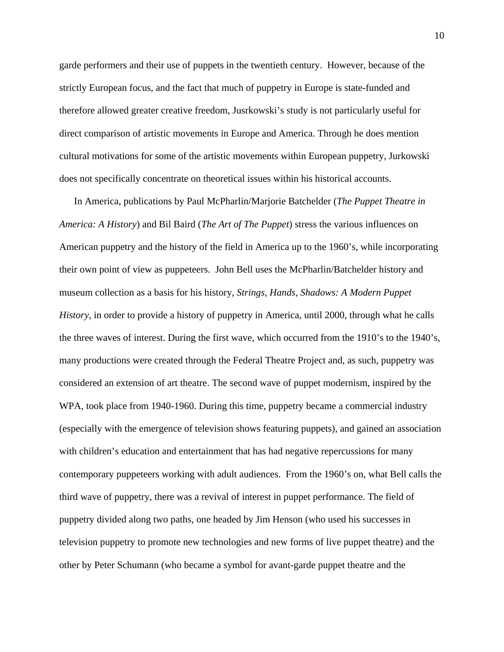garde performers and their use of puppets in the twentieth century. However, because of the strictly European focus, and the fact that much of puppetry in Europe is state-funded and therefore allowed greater creative freedom, Jusrkowski's study is not particularly useful for direct comparison of artistic movements in Europe and America. Through he does mention cultural motivations for some of the artistic movements within European puppetry, Jurkowski does not specifically concentrate on theoretical issues within his historical accounts.

In America, publications by Paul McPharlin/Marjorie Batchelder (*The Puppet Theatre in America: A History*) and Bil Baird (*The Art of The Puppet*) stress the various influences on American puppetry and the history of the field in America up to the 1960's, while incorporating their own point of view as puppeteers. John Bell uses the McPharlin/Batchelder history and museum collection as a basis for his history, *Strings, Hands, Shadows: A Modern Puppet History,* in order to provide a history of puppetry in America, until 2000, through what he calls the three waves of interest. During the first wave, which occurred from the 1910's to the 1940's, many productions were created through the Federal Theatre Project and, as such, puppetry was considered an extension of art theatre. The second wave of puppet modernism, inspired by the WPA, took place from 1940-1960. During this time, puppetry became a commercial industry (especially with the emergence of television shows featuring puppets), and gained an association with children's education and entertainment that has had negative repercussions for many contemporary puppeteers working with adult audiences. From the 1960's on, what Bell calls the third wave of puppetry, there was a revival of interest in puppet performance. The field of puppetry divided along two paths, one headed by Jim Henson (who used his successes in television puppetry to promote new technologies and new forms of live puppet theatre) and the other by Peter Schumann (who became a symbol for avant-garde puppet theatre and the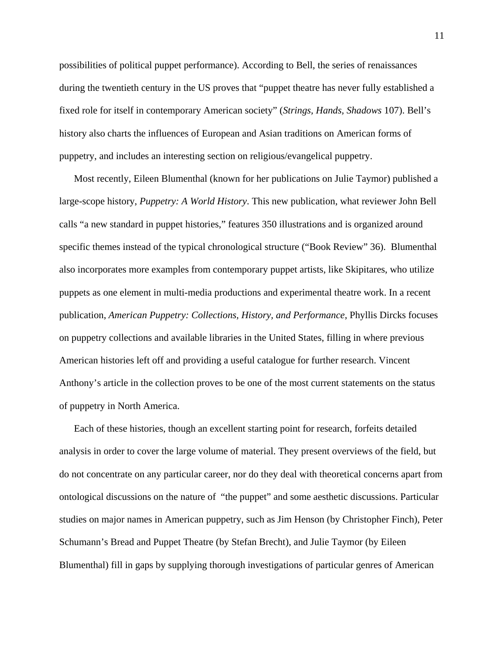possibilities of political puppet performance). According to Bell, the series of renaissances during the twentieth century in the US proves that "puppet theatre has never fully established a fixed role for itself in contemporary American society" (*Strings, Hands, Shadows* 107). Bell's history also charts the influences of European and Asian traditions on American forms of puppetry, and includes an interesting section on religious/evangelical puppetry.

Most recently, Eileen Blumenthal (known for her publications on Julie Taymor) published a large-scope history, *Puppetry: A World History*. This new publication, what reviewer John Bell calls "a new standard in puppet histories," features 350 illustrations and is organized around specific themes instead of the typical chronological structure ("Book Review" 36). Blumenthal also incorporates more examples from contemporary puppet artists, like Skipitares, who utilize puppets as one element in multi-media productions and experimental theatre work. In a recent publication, *American Puppetry: Collections, History, and Performance*, Phyllis Dircks focuses on puppetry collections and available libraries in the United States, filling in where previous American histories left off and providing a useful catalogue for further research. Vincent Anthony's article in the collection proves to be one of the most current statements on the status of puppetry in North America.

Each of these histories, though an excellent starting point for research, forfeits detailed analysis in order to cover the large volume of material. They present overviews of the field, but do not concentrate on any particular career, nor do they deal with theoretical concerns apart from ontological discussions on the nature of "the puppet" and some aesthetic discussions. Particular studies on major names in American puppetry, such as Jim Henson (by Christopher Finch), Peter Schumann's Bread and Puppet Theatre (by Stefan Brecht), and Julie Taymor (by Eileen Blumenthal) fill in gaps by supplying thorough investigations of particular genres of American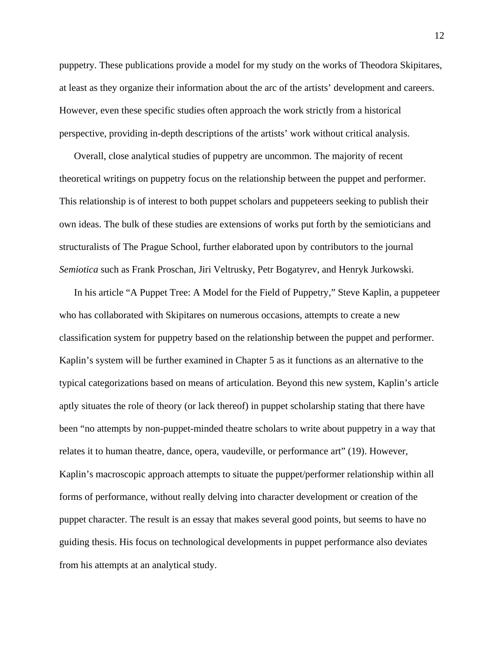puppetry. These publications provide a model for my study on the works of Theodora Skipitares, at least as they organize their information about the arc of the artists' development and careers. However, even these specific studies often approach the work strictly from a historical perspective, providing in-depth descriptions of the artists' work without critical analysis.

Overall, close analytical studies of puppetry are uncommon. The majority of recent theoretical writings on puppetry focus on the relationship between the puppet and performer. This relationship is of interest to both puppet scholars and puppeteers seeking to publish their own ideas. The bulk of these studies are extensions of works put forth by the semioticians and structuralists of The Prague School, further elaborated upon by contributors to the journal *Semiotica* such as Frank Proschan, Jiri Veltrusky, Petr Bogatyrev, and Henryk Jurkowski.

In his article "A Puppet Tree: A Model for the Field of Puppetry," Steve Kaplin, a puppeteer who has collaborated with Skipitares on numerous occasions, attempts to create a new classification system for puppetry based on the relationship between the puppet and performer. Kaplin's system will be further examined in Chapter 5 as it functions as an alternative to the typical categorizations based on means of articulation. Beyond this new system, Kaplin's article aptly situates the role of theory (or lack thereof) in puppet scholarship stating that there have been "no attempts by non-puppet-minded theatre scholars to write about puppetry in a way that relates it to human theatre, dance, opera, vaudeville, or performance art" (19). However, Kaplin's macroscopic approach attempts to situate the puppet/performer relationship within all forms of performance, without really delving into character development or creation of the puppet character. The result is an essay that makes several good points, but seems to have no guiding thesis. His focus on technological developments in puppet performance also deviates from his attempts at an analytical study.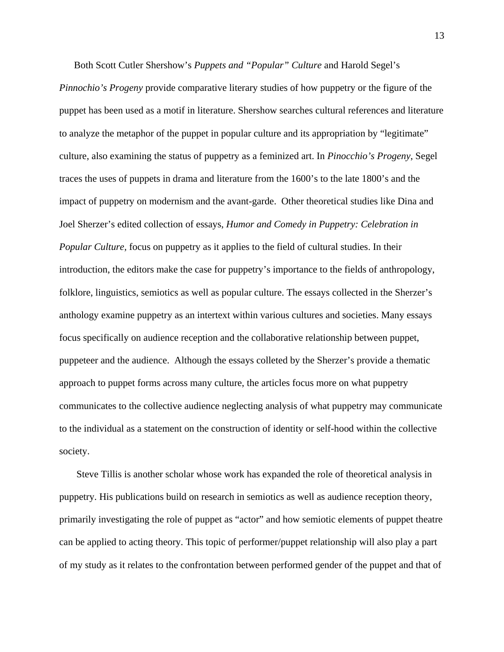Both Scott Cutler Shershow's *Puppets and "Popular" Culture* and Harold Segel's *Pinnochio's Progeny* provide comparative literary studies of how puppetry or the figure of the puppet has been used as a motif in literature. Shershow searches cultural references and literature to analyze the metaphor of the puppet in popular culture and its appropriation by "legitimate" culture, also examining the status of puppetry as a feminized art. In *Pinocchio's Progeny*, Segel traces the uses of puppets in drama and literature from the 1600's to the late 1800's and the impact of puppetry on modernism and the avant-garde. Other theoretical studies like Dina and Joel Sherzer's edited collection of essays, *Humor and Comedy in Puppetry: Celebration in Popular Culture,* focus on puppetry as it applies to the field of cultural studies. In their introduction, the editors make the case for puppetry's importance to the fields of anthropology, folklore, linguistics, semiotics as well as popular culture. The essays collected in the Sherzer's anthology examine puppetry as an intertext within various cultures and societies. Many essays focus specifically on audience reception and the collaborative relationship between puppet, puppeteer and the audience. Although the essays colleted by the Sherzer's provide a thematic approach to puppet forms across many culture, the articles focus more on what puppetry communicates to the collective audience neglecting analysis of what puppetry may communicate to the individual as a statement on the construction of identity or self-hood within the collective society.

 Steve Tillis is another scholar whose work has expanded the role of theoretical analysis in puppetry. His publications build on research in semiotics as well as audience reception theory, primarily investigating the role of puppet as "actor" and how semiotic elements of puppet theatre can be applied to acting theory. This topic of performer/puppet relationship will also play a part of my study as it relates to the confrontation between performed gender of the puppet and that of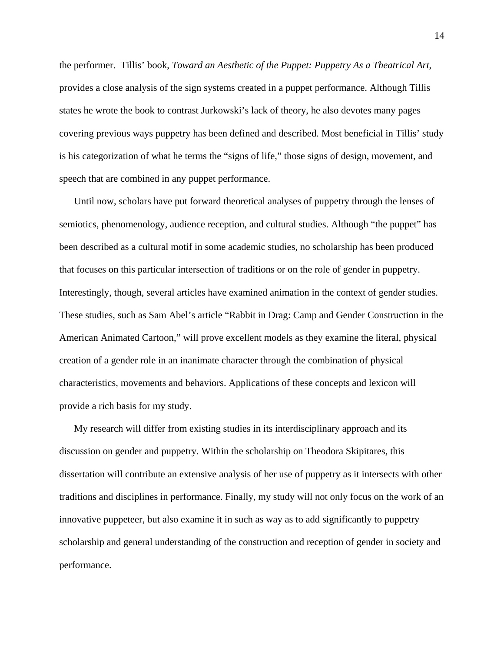the performer. Tillis' book, *Toward an Aesthetic of the Puppet: Puppetry As a Theatrical Art*, provides a close analysis of the sign systems created in a puppet performance. Although Tillis states he wrote the book to contrast Jurkowski's lack of theory, he also devotes many pages covering previous ways puppetry has been defined and described. Most beneficial in Tillis' study is his categorization of what he terms the "signs of life," those signs of design, movement, and speech that are combined in any puppet performance.

Until now, scholars have put forward theoretical analyses of puppetry through the lenses of semiotics, phenomenology, audience reception, and cultural studies. Although "the puppet" has been described as a cultural motif in some academic studies, no scholarship has been produced that focuses on this particular intersection of traditions or on the role of gender in puppetry. Interestingly, though, several articles have examined animation in the context of gender studies. These studies, such as Sam Abel's article "Rabbit in Drag: Camp and Gender Construction in the American Animated Cartoon," will prove excellent models as they examine the literal, physical creation of a gender role in an inanimate character through the combination of physical characteristics, movements and behaviors. Applications of these concepts and lexicon will provide a rich basis for my study.

My research will differ from existing studies in its interdisciplinary approach and its discussion on gender and puppetry. Within the scholarship on Theodora Skipitares, this dissertation will contribute an extensive analysis of her use of puppetry as it intersects with other traditions and disciplines in performance. Finally, my study will not only focus on the work of an innovative puppeteer, but also examine it in such as way as to add significantly to puppetry scholarship and general understanding of the construction and reception of gender in society and performance.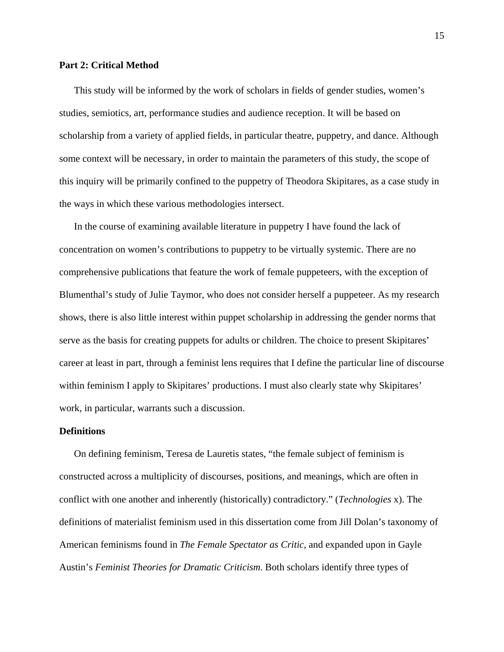## **Part 2: Critical Method**

This study will be informed by the work of scholars in fields of gender studies, women's studies, semiotics, art, performance studies and audience reception. It will be based on scholarship from a variety of applied fields, in particular theatre, puppetry, and dance. Although some context will be necessary, in order to maintain the parameters of this study, the scope of this inquiry will be primarily confined to the puppetry of Theodora Skipitares, as a case study in the ways in which these various methodologies intersect.

In the course of examining available literature in puppetry I have found the lack of concentration on women's contributions to puppetry to be virtually systemic. There are no comprehensive publications that feature the work of female puppeteers, with the exception of Blumenthal's study of Julie Taymor, who does not consider herself a puppeteer. As my research shows, there is also little interest within puppet scholarship in addressing the gender norms that serve as the basis for creating puppets for adults or children. The choice to present Skipitares' career at least in part, through a feminist lens requires that I define the particular line of discourse within feminism I apply to Skipitares' productions. I must also clearly state why Skipitares' work, in particular, warrants such a discussion.

## **Definitions**

On defining feminism, Teresa de Lauretis states, "the female subject of feminism is constructed across a multiplicity of discourses, positions, and meanings, which are often in conflict with one another and inherently (historically) contradictory." (*Technologies* x). The definitions of materialist feminism used in this dissertation come from Jill Dolan's taxonomy of American feminisms found in *The Female Spectator as Critic*, and expanded upon in Gayle Austin's *Feminist Theories for Dramatic Criticism*. Both scholars identify three types of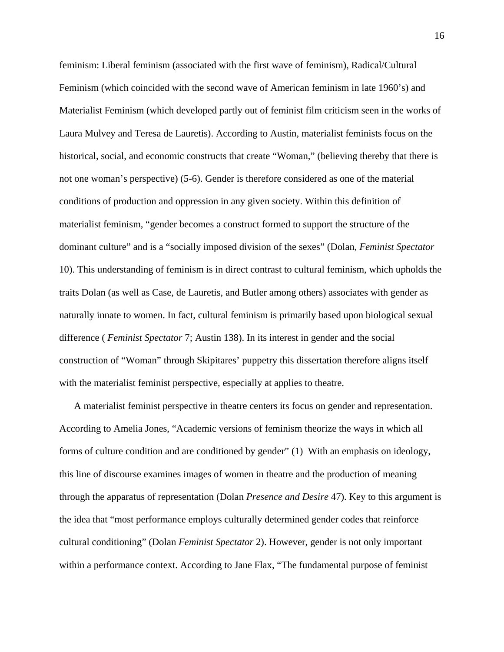feminism: Liberal feminism (associated with the first wave of feminism), Radical/Cultural Feminism (which coincided with the second wave of American feminism in late 1960's) and Materialist Feminism (which developed partly out of feminist film criticism seen in the works of Laura Mulvey and Teresa de Lauretis). According to Austin, materialist feminists focus on the historical, social, and economic constructs that create "Woman," (believing thereby that there is not one woman's perspective) (5-6). Gender is therefore considered as one of the material conditions of production and oppression in any given society. Within this definition of materialist feminism, "gender becomes a construct formed to support the structure of the dominant culture" and is a "socially imposed division of the sexes" (Dolan, *Feminist Spectator* 10). This understanding of feminism is in direct contrast to cultural feminism, which upholds the traits Dolan (as well as Case, de Lauretis, and Butler among others) associates with gender as naturally innate to women. In fact, cultural feminism is primarily based upon biological sexual difference ( *Feminist Spectator* 7; Austin 138). In its interest in gender and the social construction of "Woman" through Skipitares' puppetry this dissertation therefore aligns itself with the materialist feminist perspective, especially at applies to theatre.

A materialist feminist perspective in theatre centers its focus on gender and representation. According to Amelia Jones, "Academic versions of feminism theorize the ways in which all forms of culture condition and are conditioned by gender" (1) With an emphasis on ideology, this line of discourse examines images of women in theatre and the production of meaning through the apparatus of representation (Dolan *Presence and Desire* 47). Key to this argument is the idea that "most performance employs culturally determined gender codes that reinforce cultural conditioning" (Dolan *Feminist Spectator* 2). However, gender is not only important within a performance context. According to Jane Flax, "The fundamental purpose of feminist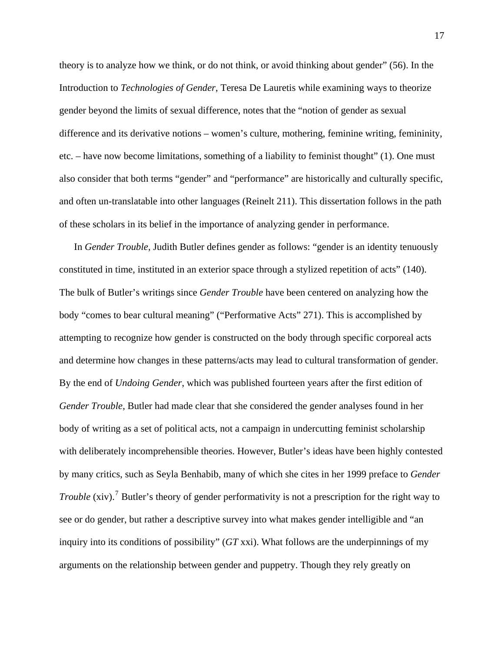theory is to analyze how we think, or do not think, or avoid thinking about gender" (56). In the Introduction to *Technologies of Gender*, Teresa De Lauretis while examining ways to theorize gender beyond the limits of sexual difference, notes that the "notion of gender as sexual difference and its derivative notions – women's culture, mothering, feminine writing, femininity, etc. – have now become limitations, something of a liability to feminist thought" (1). One must also consider that both terms "gender" and "performance" are historically and culturally specific, and often un-translatable into other languages (Reinelt 211). This dissertation follows in the path of these scholars in its belief in the importance of analyzing gender in performance.

In *Gender Trouble*, Judith Butler defines gender as follows: "gender is an identity tenuously constituted in time, instituted in an exterior space through a stylized repetition of acts" (140). The bulk of Butler's writings since *Gender Trouble* have been centered on analyzing how the body "comes to bear cultural meaning" ("Performative Acts" 271). This is accomplished by attempting to recognize how gender is constructed on the body through specific corporeal acts and determine how changes in these patterns/acts may lead to cultural transformation of gender. By the end of *Undoing Gender*, which was published fourteen years after the first edition of *Gender Trouble*, Butler had made clear that she considered the gender analyses found in her body of writing as a set of political acts, not a campaign in undercutting feminist scholarship with deliberately incomprehensible theories. However, Butler's ideas have been highly contested by many critics, such as Seyla Benhabib, many of which she cites in her 1999 preface to *Gender Trouble* (xiv).<sup>[7](#page-195-1)</sup> Butler's theory of gender performativity is not a prescription for the right way to see or do gender, but rather a descriptive survey into what makes gender intelligible and "an inquiry into its conditions of possibility" (*GT* xxi). What follows are the underpinnings of my arguments on the relationship between gender and puppetry. Though they rely greatly on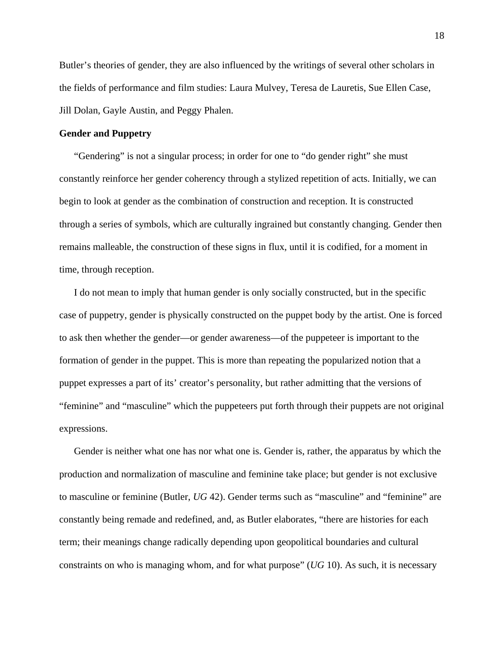Butler's theories of gender, they are also influenced by the writings of several other scholars in the fields of performance and film studies: Laura Mulvey, Teresa de Lauretis, Sue Ellen Case, Jill Dolan, Gayle Austin, and Peggy Phalen.

## **Gender and Puppetry**

"Gendering" is not a singular process; in order for one to "do gender right" she must constantly reinforce her gender coherency through a stylized repetition of acts. Initially, we can begin to look at gender as the combination of construction and reception. It is constructed through a series of symbols, which are culturally ingrained but constantly changing. Gender then remains malleable, the construction of these signs in flux, until it is codified, for a moment in time, through reception.

I do not mean to imply that human gender is only socially constructed, but in the specific case of puppetry, gender is physically constructed on the puppet body by the artist. One is forced to ask then whether the gender—or gender awareness—of the puppeteer is important to the formation of gender in the puppet. This is more than repeating the popularized notion that a puppet expresses a part of its' creator's personality, but rather admitting that the versions of "feminine" and "masculine" which the puppeteers put forth through their puppets are not original expressions.

Gender is neither what one has nor what one is. Gender is, rather, the apparatus by which the production and normalization of masculine and feminine take place; but gender is not exclusive to masculine or feminine (Butler, *UG* 42). Gender terms such as "masculine" and "feminine" are constantly being remade and redefined, and, as Butler elaborates, "there are histories for each term; their meanings change radically depending upon geopolitical boundaries and cultural constraints on who is managing whom, and for what purpose" (*UG* 10). As such, it is necessary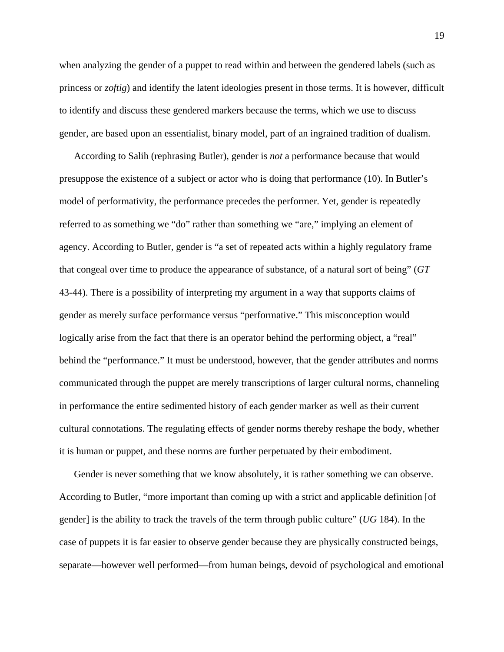when analyzing the gender of a puppet to read within and between the gendered labels (such as princess or *zoftig*) and identify the latent ideologies present in those terms. It is however, difficult to identify and discuss these gendered markers because the terms, which we use to discuss gender, are based upon an essentialist, binary model, part of an ingrained tradition of dualism.

According to Salih (rephrasing Butler), gender is *not* a performance because that would presuppose the existence of a subject or actor who is doing that performance (10). In Butler's model of performativity, the performance precedes the performer. Yet, gender is repeatedly referred to as something we "do" rather than something we "are," implying an element of agency. According to Butler, gender is "a set of repeated acts within a highly regulatory frame that congeal over time to produce the appearance of substance, of a natural sort of being" (*GT*  43-44). There is a possibility of interpreting my argument in a way that supports claims of gender as merely surface performance versus "performative." This misconception would logically arise from the fact that there is an operator behind the performing object, a "real" behind the "performance." It must be understood, however, that the gender attributes and norms communicated through the puppet are merely transcriptions of larger cultural norms, channeling in performance the entire sedimented history of each gender marker as well as their current cultural connotations. The regulating effects of gender norms thereby reshape the body, whether it is human or puppet, and these norms are further perpetuated by their embodiment.

Gender is never something that we know absolutely, it is rather something we can observe. According to Butler, "more important than coming up with a strict and applicable definition [of gender] is the ability to track the travels of the term through public culture" (*UG* 184). In the case of puppets it is far easier to observe gender because they are physically constructed beings, separate—however well performed—from human beings, devoid of psychological and emotional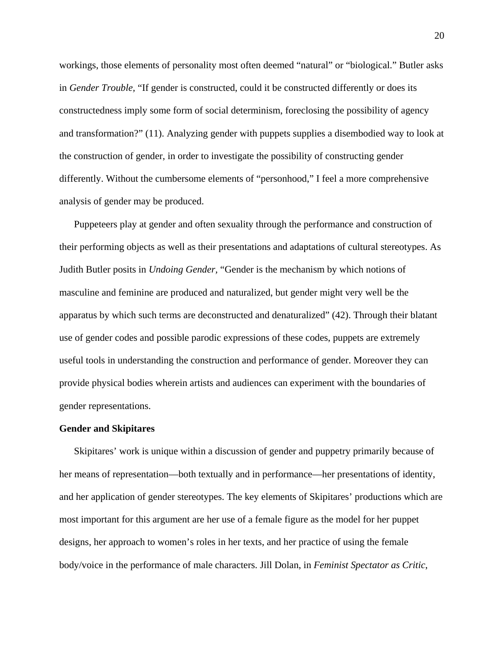workings, those elements of personality most often deemed "natural" or "biological." Butler asks in *Gender Trouble,* "If gender is constructed, could it be constructed differently or does its constructedness imply some form of social determinism, foreclosing the possibility of agency and transformation?" (11). Analyzing gender with puppets supplies a disembodied way to look at the construction of gender, in order to investigate the possibility of constructing gender differently. Without the cumbersome elements of "personhood," I feel a more comprehensive analysis of gender may be produced.

Puppeteers play at gender and often sexuality through the performance and construction of their performing objects as well as their presentations and adaptations of cultural stereotypes. As Judith Butler posits in *Undoing Gender,* "Gender is the mechanism by which notions of masculine and feminine are produced and naturalized, but gender might very well be the apparatus by which such terms are deconstructed and denaturalized" (42). Through their blatant use of gender codes and possible parodic expressions of these codes, puppets are extremely useful tools in understanding the construction and performance of gender. Moreover they can provide physical bodies wherein artists and audiences can experiment with the boundaries of gender representations.

#### **Gender and Skipitares**

Skipitares' work is unique within a discussion of gender and puppetry primarily because of her means of representation—both textually and in performance—her presentations of identity, and her application of gender stereotypes. The key elements of Skipitares' productions which are most important for this argument are her use of a female figure as the model for her puppet designs, her approach to women's roles in her texts, and her practice of using the female body/voice in the performance of male characters. Jill Dolan, in *Feminist Spectator as Critic*,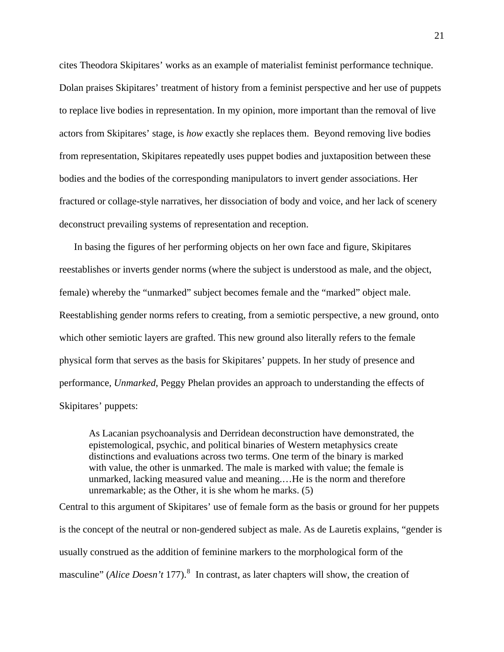cites Theodora Skipitares' works as an example of materialist feminist performance technique. Dolan praises Skipitares' treatment of history from a feminist perspective and her use of puppets to replace live bodies in representation. In my opinion, more important than the removal of live actors from Skipitares' stage, is *how* exactly she replaces them. Beyond removing live bodies from representation, Skipitares repeatedly uses puppet bodies and juxtaposition between these bodies and the bodies of the corresponding manipulators to invert gender associations. Her fractured or collage-style narratives, her dissociation of body and voice, and her lack of scenery deconstruct prevailing systems of representation and reception.

In basing the figures of her performing objects on her own face and figure, Skipitares reestablishes or inverts gender norms (where the subject is understood as male, and the object, female) whereby the "unmarked" subject becomes female and the "marked" object male. Reestablishing gender norms refers to creating, from a semiotic perspective, a new ground, onto which other semiotic layers are grafted. This new ground also literally refers to the female physical form that serves as the basis for Skipitares' puppets. In her study of presence and performance, *Unmarked*, Peggy Phelan provides an approach to understanding the effects of Skipitares' puppets:

As Lacanian psychoanalysis and Derridean deconstruction have demonstrated, the epistemological, psychic, and political binaries of Western metaphysics create distinctions and evaluations across two terms. One term of the binary is marked with value, the other is unmarked. The male is marked with value; the female is unmarked, lacking measured value and meaning.…He is the norm and therefore unremarkable; as the Other, it is she whom he marks. (5)

Central to this argument of Skipitares' use of female form as the basis or ground for her puppets is the concept of the neutral or non-gendered subject as male. As de Lauretis explains, "gender is usually construed as the addition of feminine markers to the morphological form of the masculine" (*Alice Doesn't* 177).<sup>[8](#page-196-0)</sup> In contrast, as later chapters will show, the creation of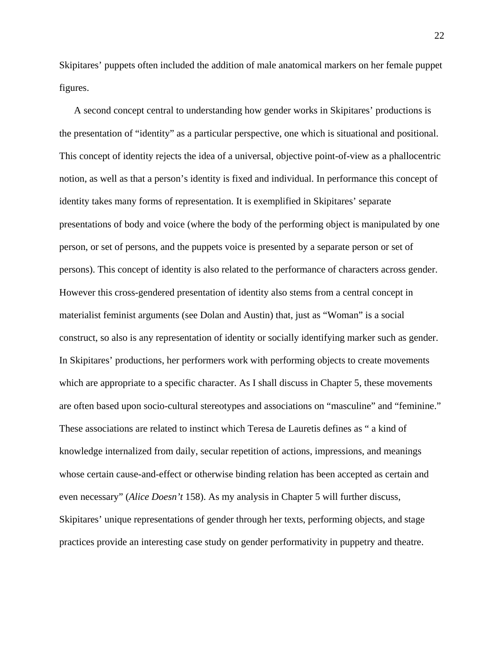Skipitares' puppets often included the addition of male anatomical markers on her female puppet figures.

A second concept central to understanding how gender works in Skipitares' productions is the presentation of "identity" as a particular perspective, one which is situational and positional. This concept of identity rejects the idea of a universal, objective point-of-view as a phallocentric notion, as well as that a person's identity is fixed and individual. In performance this concept of identity takes many forms of representation. It is exemplified in Skipitares' separate presentations of body and voice (where the body of the performing object is manipulated by one person, or set of persons, and the puppets voice is presented by a separate person or set of persons). This concept of identity is also related to the performance of characters across gender. However this cross-gendered presentation of identity also stems from a central concept in materialist feminist arguments (see Dolan and Austin) that, just as "Woman" is a social construct, so also is any representation of identity or socially identifying marker such as gender. In Skipitares' productions, her performers work with performing objects to create movements which are appropriate to a specific character. As I shall discuss in Chapter 5, these movements are often based upon socio-cultural stereotypes and associations on "masculine" and "feminine." These associations are related to instinct which Teresa de Lauretis defines as " a kind of knowledge internalized from daily, secular repetition of actions, impressions, and meanings whose certain cause-and-effect or otherwise binding relation has been accepted as certain and even necessary" (*Alice Doesn't* 158). As my analysis in Chapter 5 will further discuss, Skipitares' unique representations of gender through her texts, performing objects, and stage practices provide an interesting case study on gender performativity in puppetry and theatre.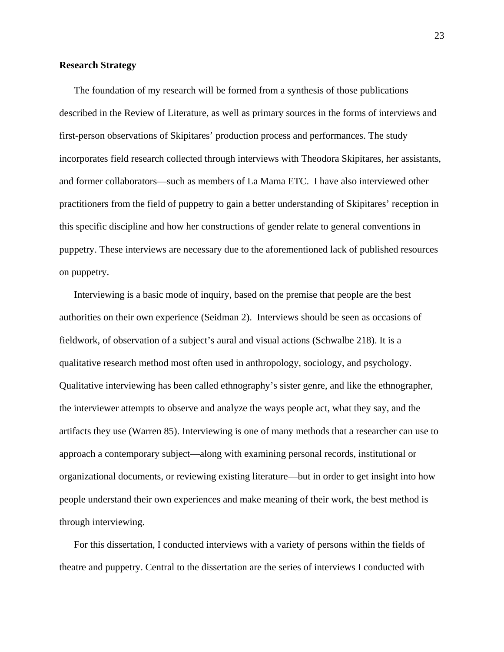#### **Research Strategy**

The foundation of my research will be formed from a synthesis of those publications described in the Review of Literature, as well as primary sources in the forms of interviews and first-person observations of Skipitares' production process and performances. The study incorporates field research collected through interviews with Theodora Skipitares, her assistants, and former collaborators—such as members of La Mama ETC. I have also interviewed other practitioners from the field of puppetry to gain a better understanding of Skipitares' reception in this specific discipline and how her constructions of gender relate to general conventions in puppetry. These interviews are necessary due to the aforementioned lack of published resources on puppetry.

Interviewing is a basic mode of inquiry, based on the premise that people are the best authorities on their own experience (Seidman 2). Interviews should be seen as occasions of fieldwork, of observation of a subject's aural and visual actions (Schwalbe 218). It is a qualitative research method most often used in anthropology, sociology, and psychology. Qualitative interviewing has been called ethnography's sister genre, and like the ethnographer, the interviewer attempts to observe and analyze the ways people act, what they say, and the artifacts they use (Warren 85). Interviewing is one of many methods that a researcher can use to approach a contemporary subject—along with examining personal records, institutional or organizational documents, or reviewing existing literature—but in order to get insight into how people understand their own experiences and make meaning of their work, the best method is through interviewing.

For this dissertation, I conducted interviews with a variety of persons within the fields of theatre and puppetry. Central to the dissertation are the series of interviews I conducted with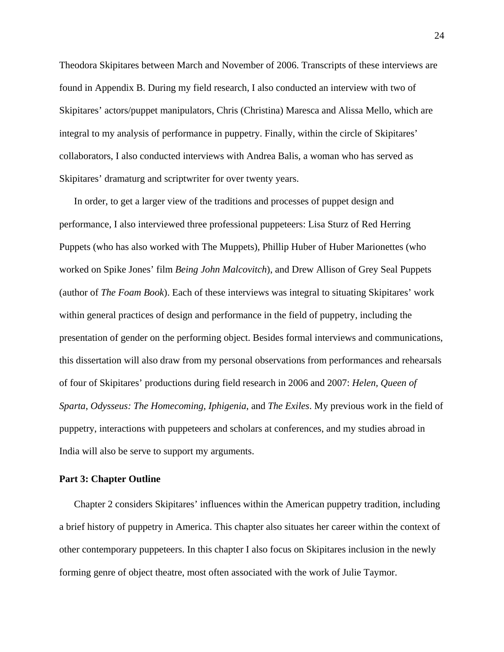Theodora Skipitares between March and November of 2006. Transcripts of these interviews are found in Appendix B. During my field research, I also conducted an interview with two of Skipitares' actors/puppet manipulators, Chris (Christina) Maresca and Alissa Mello, which are integral to my analysis of performance in puppetry. Finally, within the circle of Skipitares' collaborators, I also conducted interviews with Andrea Balis, a woman who has served as Skipitares' dramaturg and scriptwriter for over twenty years.

In order, to get a larger view of the traditions and processes of puppet design and performance, I also interviewed three professional puppeteers: Lisa Sturz of Red Herring Puppets (who has also worked with The Muppets), Phillip Huber of Huber Marionettes (who worked on Spike Jones' film *Being John Malcovitch*), and Drew Allison of Grey Seal Puppets (author of *The Foam Book*). Each of these interviews was integral to situating Skipitares' work within general practices of design and performance in the field of puppetry, including the presentation of gender on the performing object. Besides formal interviews and communications, this dissertation will also draw from my personal observations from performances and rehearsals of four of Skipitares' productions during field research in 2006 and 2007: *Helen, Queen of Sparta*, *Odysseus: The Homecoming*, *Iphigenia*, and *The Exiles*. My previous work in the field of puppetry, interactions with puppeteers and scholars at conferences, and my studies abroad in India will also be serve to support my arguments.

## **Part 3: Chapter Outline**

Chapter 2 considers Skipitares' influences within the American puppetry tradition, including a brief history of puppetry in America. This chapter also situates her career within the context of other contemporary puppeteers. In this chapter I also focus on Skipitares inclusion in the newly forming genre of object theatre, most often associated with the work of Julie Taymor.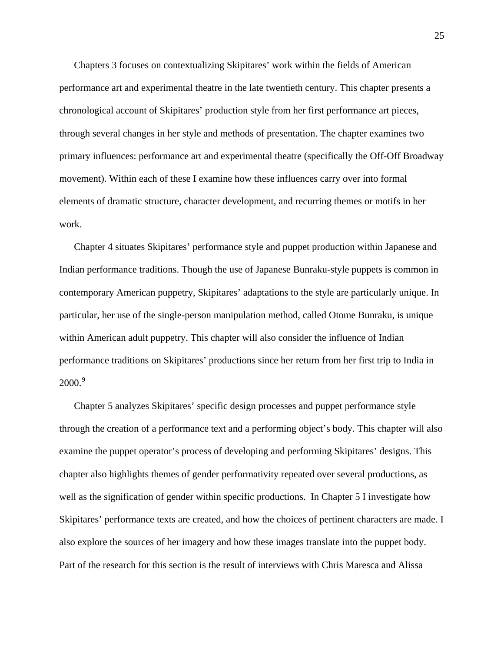Chapters 3 focuses on contextualizing Skipitares' work within the fields of American performance art and experimental theatre in the late twentieth century. This chapter presents a chronological account of Skipitares' production style from her first performance art pieces, through several changes in her style and methods of presentation. The chapter examines two primary influences: performance art and experimental theatre (specifically the Off-Off Broadway movement). Within each of these I examine how these influences carry over into formal elements of dramatic structure, character development, and recurring themes or motifs in her work.

Chapter 4 situates Skipitares' performance style and puppet production within Japanese and Indian performance traditions. Though the use of Japanese Bunraku-style puppets is common in contemporary American puppetry, Skipitares' adaptations to the style are particularly unique. In particular, her use of the single-person manipulation method, called Otome Bunraku, is unique within American adult puppetry. This chapter will also consider the influence of Indian performance traditions on Skipitares' productions since her return from her first trip to India in  $2000.<sup>9</sup>$  $2000.<sup>9</sup>$  $2000.<sup>9</sup>$ 

Chapter 5 analyzes Skipitares' specific design processes and puppet performance style through the creation of a performance text and a performing object's body. This chapter will also examine the puppet operator's process of developing and performing Skipitares' designs. This chapter also highlights themes of gender performativity repeated over several productions, as well as the signification of gender within specific productions. In Chapter 5 I investigate how Skipitares' performance texts are created, and how the choices of pertinent characters are made. I also explore the sources of her imagery and how these images translate into the puppet body. Part of the research for this section is the result of interviews with Chris Maresca and Alissa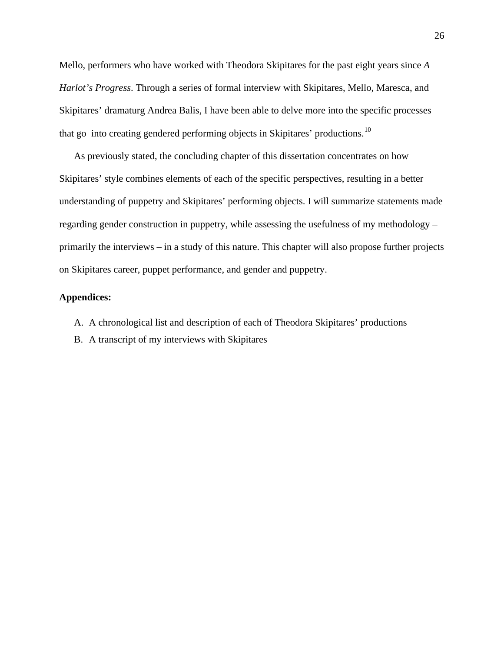Mello, performers who have worked with Theodora Skipitares for the past eight years since *A Harlot's Progress*. Through a series of formal interview with Skipitares, Mello, Maresca, and Skipitares' dramaturg Andrea Balis, I have been able to delve more into the specific processes that go into creating gendered performing objects in Skipitares' productions.<sup>[10](#page-196-0)</sup>

As previously stated, the concluding chapter of this dissertation concentrates on how Skipitares' style combines elements of each of the specific perspectives, resulting in a better understanding of puppetry and Skipitares' performing objects. I will summarize statements made regarding gender construction in puppetry, while assessing the usefulness of my methodology – primarily the interviews – in a study of this nature. This chapter will also propose further projects on Skipitares career, puppet performance, and gender and puppetry.

## **Appendices:**

A. A chronological list and description of each of Theodora Skipitares' productions

B. A transcript of my interviews with Skipitares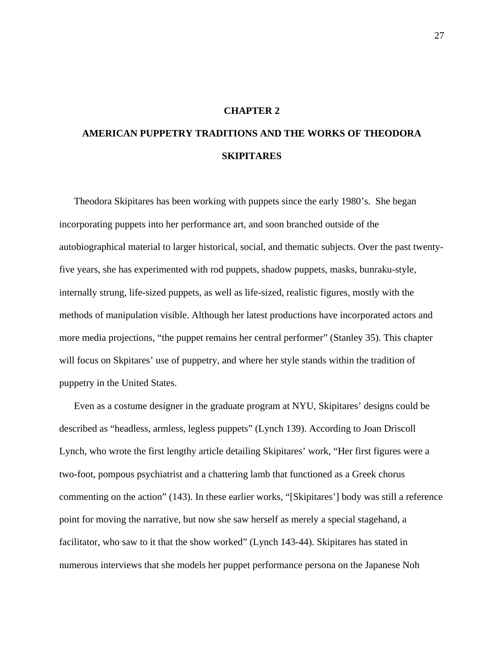## **CHAPTER 2**

# **AMERICAN PUPPETRY TRADITIONS AND THE WORKS OF THEODORA SKIPITARES**

Theodora Skipitares has been working with puppets since the early 1980's. She began incorporating puppets into her performance art, and soon branched outside of the autobiographical material to larger historical, social, and thematic subjects. Over the past twentyfive years, she has experimented with rod puppets, shadow puppets, masks, bunraku-style, internally strung, life-sized puppets, as well as life-sized, realistic figures, mostly with the methods of manipulation visible. Although her latest productions have incorporated actors and more media projections, "the puppet remains her central performer" (Stanley 35). This chapter will focus on Skpitares' use of puppetry, and where her style stands within the tradition of puppetry in the United States.

Even as a costume designer in the graduate program at NYU, Skipitares' designs could be described as "headless, armless, legless puppets" (Lynch 139). According to Joan Driscoll Lynch, who wrote the first lengthy article detailing Skipitares' work, "Her first figures were a two-foot, pompous psychiatrist and a chattering lamb that functioned as a Greek chorus commenting on the action" (143). In these earlier works, "[Skipitares'] body was still a reference point for moving the narrative, but now she saw herself as merely a special stagehand, a facilitator, who saw to it that the show worked" (Lynch 143-44). Skipitares has stated in numerous interviews that she models her puppet performance persona on the Japanese Noh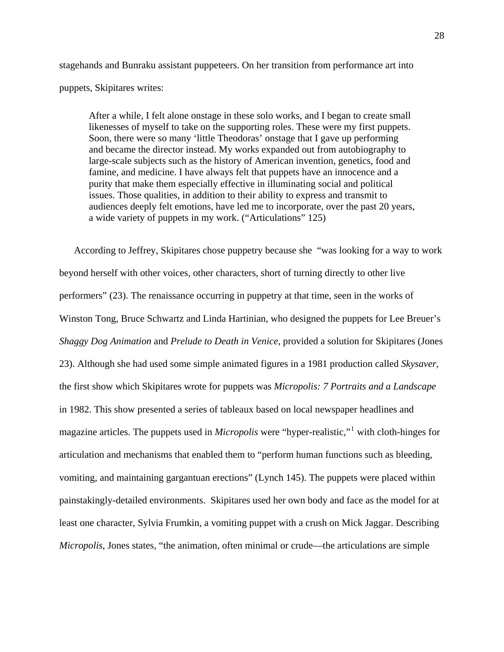stagehands and Bunraku assistant puppeteers. On her transition from performance art into puppets, Skipitares writes:

After a while, I felt alone onstage in these solo works, and I began to create small likenesses of myself to take on the supporting roles. These were my first puppets. Soon, there were so many 'little Theodoras' onstage that I gave up performing and became the director instead. My works expanded out from autobiography to large-scale subjects such as the history of American invention, genetics, food and famine, and medicine. I have always felt that puppets have an innocence and a purity that make them especially effective in illuminating social and political issues. Those qualities, in addition to their ability to express and transmit to audiences deeply felt emotions, have led me to incorporate, over the past 20 years, a wide variety of puppets in my work. ("Articulations" 125)

According to Jeffrey, Skipitares chose puppetry because she "was looking for a way to work beyond herself with other voices, other characters, short of turning directly to other live performers" (23). The renaissance occurring in puppetry at that time, seen in the works of Winston Tong, Bruce Schwartz and Linda Hartinian, who designed the puppets for Lee Breuer's *Shaggy Dog Animation* and *Prelude to Death in Venice*, provided a solution for Skipitares (Jones 23). Although she had used some simple animated figures in a 1981 production called *Skysaver*, the first show which Skipitares wrote for puppets was *Micropolis: 7 Portraits and a Landscape* in 1982. This show presented a series of tableaux based on local newspaper headlines and magazine articles. The puppets used in *Micropolis* were "hyper-realistic,"[1](#page-196-0) with cloth-hinges for articulation and mechanisms that enabled them to "perform human functions such as bleeding, vomiting, and maintaining gargantuan erections" (Lynch 145). The puppets were placed within painstakingly-detailed environments. Skipitares used her own body and face as the model for at least one character, Sylvia Frumkin, a vomiting puppet with a crush on Mick Jaggar. Describing *Micropolis*, Jones states, "the animation, often minimal or crude—the articulations are simple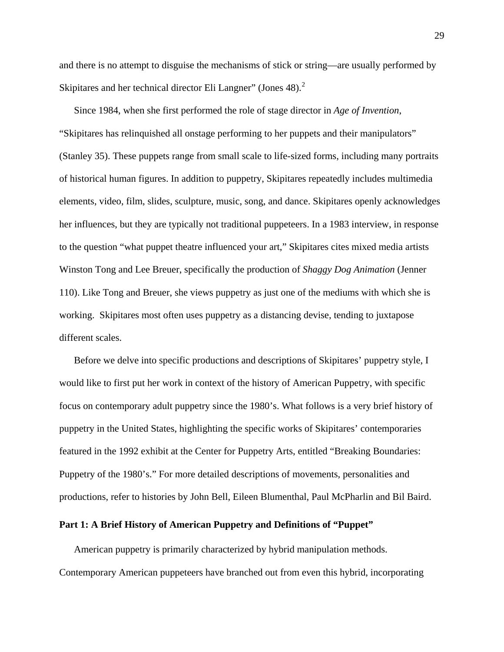and there is no attempt to disguise the mechanisms of stick or string—are usually performed by Skipitares and her technical director Eli Langner" (Jones 48). $2$ 

Since 1984, when she first performed the role of stage director in *Age of Invention*, "Skipitares has relinquished all onstage performing to her puppets and their manipulators" (Stanley 35). These puppets range from small scale to life-sized forms, including many portraits of historical human figures. In addition to puppetry, Skipitares repeatedly includes multimedia elements, video, film, slides, sculpture, music, song, and dance. Skipitares openly acknowledges her influences, but they are typically not traditional puppeteers. In a 1983 interview, in response to the question "what puppet theatre influenced your art," Skipitares cites mixed media artists Winston Tong and Lee Breuer, specifically the production of *Shaggy Dog Animation* (Jenner 110). Like Tong and Breuer, she views puppetry as just one of the mediums with which she is working. Skipitares most often uses puppetry as a distancing devise, tending to juxtapose different scales.

Before we delve into specific productions and descriptions of Skipitares' puppetry style, I would like to first put her work in context of the history of American Puppetry, with specific focus on contemporary adult puppetry since the 1980's. What follows is a very brief history of puppetry in the United States, highlighting the specific works of Skipitares' contemporaries featured in the 1992 exhibit at the Center for Puppetry Arts, entitled "Breaking Boundaries: Puppetry of the 1980's." For more detailed descriptions of movements, personalities and productions, refer to histories by John Bell, Eileen Blumenthal, Paul McPharlin and Bil Baird.

# **Part 1: A Brief History of American Puppetry and Definitions of "Puppet"**

American puppetry is primarily characterized by hybrid manipulation methods. Contemporary American puppeteers have branched out from even this hybrid, incorporating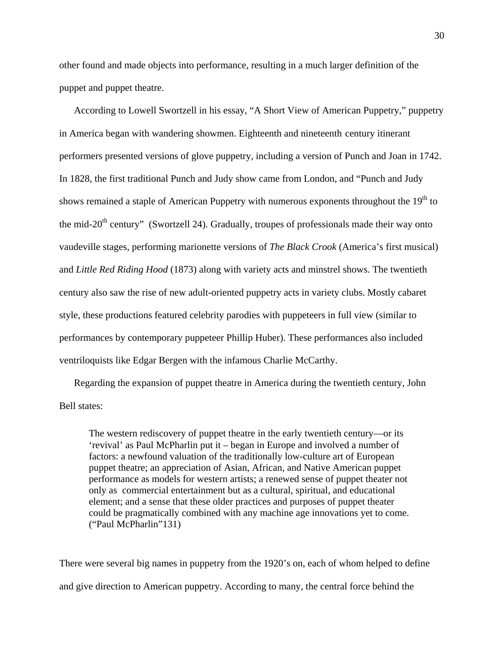other found and made objects into performance, resulting in a much larger definition of the puppet and puppet theatre.

According to Lowell Swortzell in his essay, "A Short View of American Puppetry," puppetry in America began with wandering showmen. Eighteenth and nineteenth century itinerant performers presented versions of glove puppetry, including a version of Punch and Joan in 1742. In 1828, the first traditional Punch and Judy show came from London, and "Punch and Judy shows remained a staple of American Puppetry with numerous exponents throughout the  $19<sup>th</sup>$  to the mid-20<sup>th</sup> century" (Swortzell 24). Gradually, troupes of professionals made their way onto vaudeville stages, performing marionette versions of *The Black Crook* (America's first musical) and *Little Red Riding Hood* (1873) along with variety acts and minstrel shows. The twentieth century also saw the rise of new adult-oriented puppetry acts in variety clubs. Mostly cabaret style, these productions featured celebrity parodies with puppeteers in full view (similar to performances by contemporary puppeteer Phillip Huber). These performances also included ventriloquists like Edgar Bergen with the infamous Charlie McCarthy.

Regarding the expansion of puppet theatre in America during the twentieth century, John Bell states:

The western rediscovery of puppet theatre in the early twentieth century—or its 'revival' as Paul McPharlin put it – began in Europe and involved a number of factors: a newfound valuation of the traditionally low-culture art of European puppet theatre; an appreciation of Asian, African, and Native American puppet performance as models for western artists; a renewed sense of puppet theater not only as commercial entertainment but as a cultural, spiritual, and educational element; and a sense that these older practices and purposes of puppet theater could be pragmatically combined with any machine age innovations yet to come. ("Paul McPharlin"131)

There were several big names in puppetry from the 1920's on, each of whom helped to define and give direction to American puppetry. According to many, the central force behind the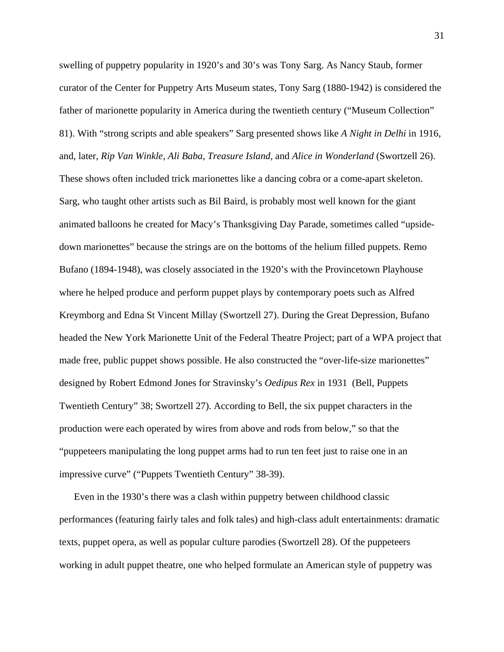swelling of puppetry popularity in 1920's and 30's was Tony Sarg. As Nancy Staub, former curator of the Center for Puppetry Arts Museum states, Tony Sarg (1880-1942) is considered the father of marionette popularity in America during the twentieth century ("Museum Collection" 81). With "strong scripts and able speakers" Sarg presented shows like *A Night in Delhi* in 1916, and, later, *Rip Van Winkle, Ali Baba, Treasure Island,* and *Alice in Wonderland* (Swortzell 26). These shows often included trick marionettes like a dancing cobra or a come-apart skeleton. Sarg, who taught other artists such as Bil Baird, is probably most well known for the giant animated balloons he created for Macy's Thanksgiving Day Parade, sometimes called "upsidedown marionettes" because the strings are on the bottoms of the helium filled puppets. Remo Bufano (1894-1948), was closely associated in the 1920's with the Provincetown Playhouse where he helped produce and perform puppet plays by contemporary poets such as Alfred Kreymborg and Edna St Vincent Millay (Swortzell 27). During the Great Depression, Bufano headed the New York Marionette Unit of the Federal Theatre Project; part of a WPA project that made free, public puppet shows possible. He also constructed the "over-life-size marionettes" designed by Robert Edmond Jones for Stravinsky's *Oedipus Rex* in 1931 (Bell, Puppets Twentieth Century" 38; Swortzell 27). According to Bell, the six puppet characters in the production were each operated by wires from above and rods from below," so that the "puppeteers manipulating the long puppet arms had to run ten feet just to raise one in an impressive curve" ("Puppets Twentieth Century" 38-39).

Even in the 1930's there was a clash within puppetry between childhood classic performances (featuring fairly tales and folk tales) and high-class adult entertainments: dramatic texts, puppet opera, as well as popular culture parodies (Swortzell 28). Of the puppeteers working in adult puppet theatre, one who helped formulate an American style of puppetry was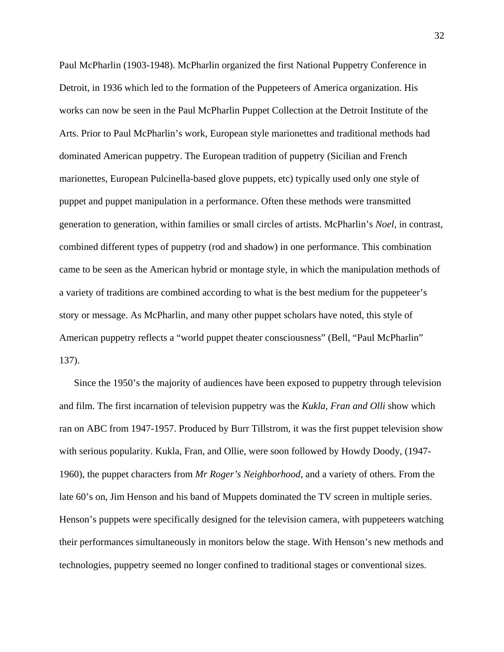Paul McPharlin (1903-1948). McPharlin organized the first National Puppetry Conference in Detroit, in 1936 which led to the formation of the Puppeteers of America organization. His works can now be seen in the Paul McPharlin Puppet Collection at the Detroit Institute of the Arts. Prior to Paul McPharlin's work, European style marionettes and traditional methods had dominated American puppetry. The European tradition of puppetry (Sicilian and French marionettes, European Pulcinella-based glove puppets, etc) typically used only one style of puppet and puppet manipulation in a performance. Often these methods were transmitted generation to generation, within families or small circles of artists. McPharlin's *Noel*, in contrast, combined different types of puppetry (rod and shadow) in one performance. This combination came to be seen as the American hybrid or montage style, in which the manipulation methods of a variety of traditions are combined according to what is the best medium for the puppeteer's story or message. As McPharlin, and many other puppet scholars have noted, this style of American puppetry reflects a "world puppet theater consciousness" (Bell, "Paul McPharlin" 137).

Since the 1950's the majority of audiences have been exposed to puppetry through television and film. The first incarnation of television puppetry was the *Kukla, Fran and Olli* show which ran on ABC from 1947-1957. Produced by Burr Tillstrom, it was the first puppet television show with serious popularity. Kukla, Fran, and Ollie, were soon followed by Howdy Doody, (1947- 1960), the puppet characters from *Mr Roger's Neighborhood*, and a variety of others. From the late 60's on, Jim Henson and his band of Muppets dominated the TV screen in multiple series. Henson's puppets were specifically designed for the television camera, with puppeteers watching their performances simultaneously in monitors below the stage. With Henson's new methods and technologies, puppetry seemed no longer confined to traditional stages or conventional sizes.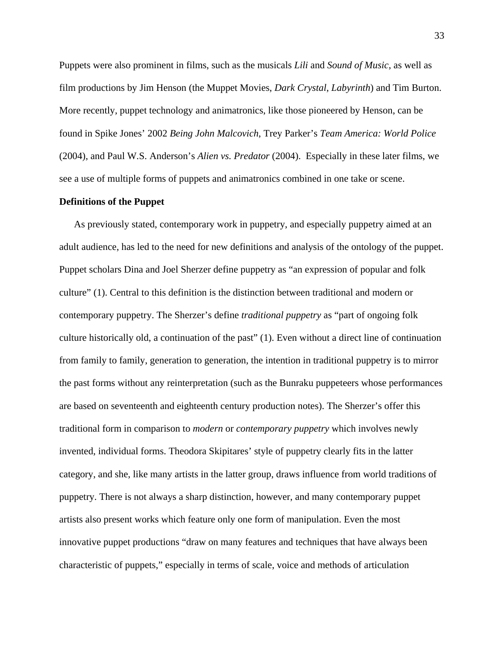Puppets were also prominent in films, such as the musicals *Lili* and *Sound of Music*, as well as film productions by Jim Henson (the Muppet Movies, *Dark Crystal*, *Labyrinth*) and Tim Burton. More recently, puppet technology and animatronics, like those pioneered by Henson, can be found in Spike Jones' 2002 *Being John Malcovich*, Trey Parker's *Team America: World Police* (2004), and Paul W.S. Anderson's *Alien vs. Predator* (2004). Especially in these later films, we see a use of multiple forms of puppets and animatronics combined in one take or scene.

# **Definitions of the Puppet**

As previously stated, contemporary work in puppetry, and especially puppetry aimed at an adult audience, has led to the need for new definitions and analysis of the ontology of the puppet. Puppet scholars Dina and Joel Sherzer define puppetry as "an expression of popular and folk culture" (1). Central to this definition is the distinction between traditional and modern or contemporary puppetry. The Sherzer's define *traditional puppetry* as "part of ongoing folk culture historically old, a continuation of the past" (1). Even without a direct line of continuation from family to family, generation to generation, the intention in traditional puppetry is to mirror the past forms without any reinterpretation (such as the Bunraku puppeteers whose performances are based on seventeenth and eighteenth century production notes). The Sherzer's offer this traditional form in comparison to *modern* or *contemporary puppetry* which involves newly invented, individual forms. Theodora Skipitares' style of puppetry clearly fits in the latter category, and she, like many artists in the latter group, draws influence from world traditions of puppetry. There is not always a sharp distinction, however, and many contemporary puppet artists also present works which feature only one form of manipulation. Even the most innovative puppet productions "draw on many features and techniques that have always been characteristic of puppets," especially in terms of scale, voice and methods of articulation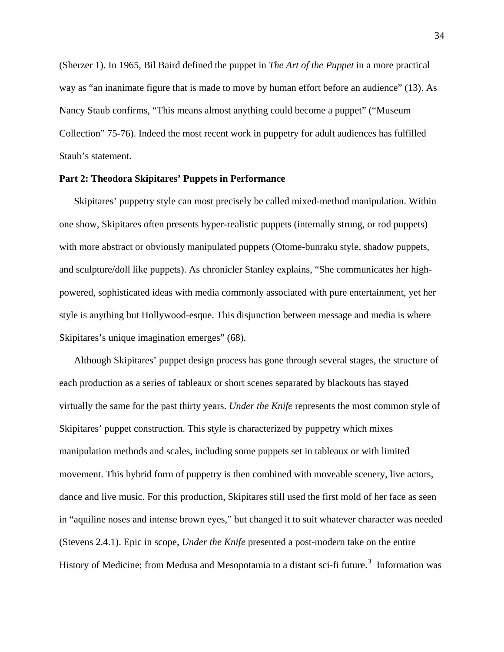(Sherzer 1). In 1965, Bil Baird defined the puppet in *The Art of the Puppet* in a more practical way as "an inanimate figure that is made to move by human effort before an audience" (13). As Nancy Staub confirms, "This means almost anything could become a puppet" ("Museum Collection" 75-76). Indeed the most recent work in puppetry for adult audiences has fulfilled Staub's statement.

## **Part 2: Theodora Skipitares' Puppets in Performance**

Skipitares' puppetry style can most precisely be called mixed-method manipulation. Within one show, Skipitares often presents hyper-realistic puppets (internally strung, or rod puppets) with more abstract or obviously manipulated puppets (Otome-bunraku style, shadow puppets, and sculpture/doll like puppets). As chronicler Stanley explains, "She communicates her highpowered, sophisticated ideas with media commonly associated with pure entertainment, yet her style is anything but Hollywood-esque. This disjunction between message and media is where Skipitares's unique imagination emerges" (68).

Although Skipitares' puppet design process has gone through several stages, the structure of each production as a series of tableaux or short scenes separated by blackouts has stayed virtually the same for the past thirty years. *Under the Knife* represents the most common style of Skipitares' puppet construction. This style is characterized by puppetry which mixes manipulation methods and scales, including some puppets set in tableaux or with limited movement. This hybrid form of puppetry is then combined with moveable scenery, live actors, dance and live music. For this production, Skipitares still used the first mold of her face as seen in "aquiline noses and intense brown eyes," but changed it to suit whatever character was needed (Stevens 2.4.1). Epic in scope, *Under the Knife* presented a post-modern take on the entire History of Medicine; from Medusa and Mesopotamia to a distant sci-fi future.<sup>[3](#page-196-0)</sup> Information was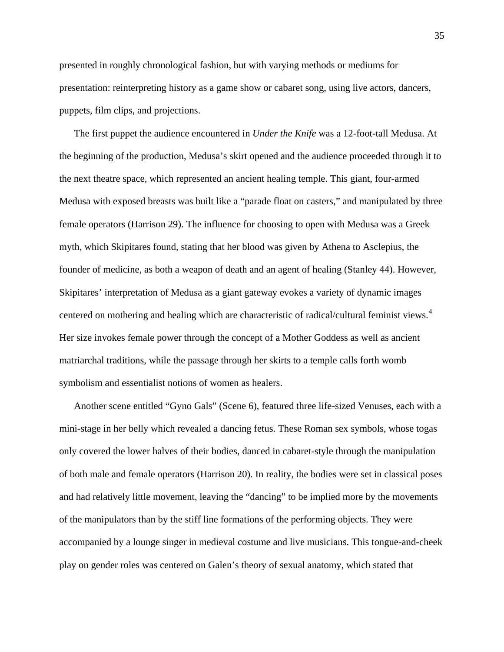presented in roughly chronological fashion, but with varying methods or mediums for presentation: reinterpreting history as a game show or cabaret song, using live actors, dancers, puppets, film clips, and projections.

The first puppet the audience encountered in *Under the Knife* was a 12-foot-tall Medusa. At the beginning of the production, Medusa's skirt opened and the audience proceeded through it to the next theatre space, which represented an ancient healing temple. This giant, four-armed Medusa with exposed breasts was built like a "parade float on casters," and manipulated by three female operators (Harrison 29). The influence for choosing to open with Medusa was a Greek myth, which Skipitares found, stating that her blood was given by Athena to Asclepius, the founder of medicine, as both a weapon of death and an agent of healing (Stanley 44). However, Skipitares' interpretation of Medusa as a giant gateway evokes a variety of dynamic images centered on mothering and healing which are characteristic of radical/cultural feminist views.<sup>[4](#page-196-0)</sup> Her size invokes female power through the concept of a Mother Goddess as well as ancient matriarchal traditions, while the passage through her skirts to a temple calls forth womb symbolism and essentialist notions of women as healers.

Another scene entitled "Gyno Gals" (Scene 6), featured three life-sized Venuses, each with a mini-stage in her belly which revealed a dancing fetus. These Roman sex symbols, whose togas only covered the lower halves of their bodies, danced in cabaret-style through the manipulation of both male and female operators (Harrison 20). In reality, the bodies were set in classical poses and had relatively little movement, leaving the "dancing" to be implied more by the movements of the manipulators than by the stiff line formations of the performing objects. They were accompanied by a lounge singer in medieval costume and live musicians. This tongue-and-cheek play on gender roles was centered on Galen's theory of sexual anatomy, which stated that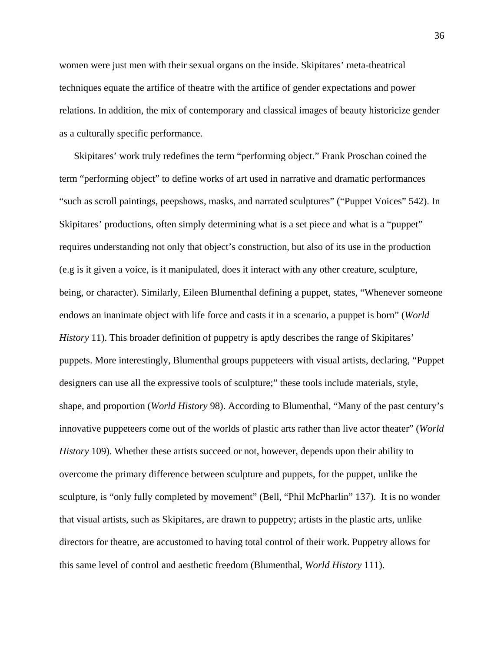women were just men with their sexual organs on the inside. Skipitares' meta-theatrical techniques equate the artifice of theatre with the artifice of gender expectations and power relations. In addition, the mix of contemporary and classical images of beauty historicize gender as a culturally specific performance.

Skipitares' work truly redefines the term "performing object." Frank Proschan coined the term "performing object" to define works of art used in narrative and dramatic performances "such as scroll paintings, peepshows, masks, and narrated sculptures" ("Puppet Voices" 542). In Skipitares' productions, often simply determining what is a set piece and what is a "puppet" requires understanding not only that object's construction, but also of its use in the production (e.g is it given a voice, is it manipulated, does it interact with any other creature, sculpture, being, or character). Similarly, Eileen Blumenthal defining a puppet, states, "Whenever someone endows an inanimate object with life force and casts it in a scenario, a puppet is born" (*World History* 11). This broader definition of puppetry is aptly describes the range of Skipitares' puppets. More interestingly, Blumenthal groups puppeteers with visual artists, declaring, "Puppet designers can use all the expressive tools of sculpture;" these tools include materials, style, shape, and proportion (*World History* 98). According to Blumenthal, "Many of the past century's innovative puppeteers come out of the worlds of plastic arts rather than live actor theater" (*World History* 109). Whether these artists succeed or not, however, depends upon their ability to overcome the primary difference between sculpture and puppets, for the puppet, unlike the sculpture, is "only fully completed by movement" (Bell, "Phil McPharlin" 137). It is no wonder that visual artists, such as Skipitares, are drawn to puppetry; artists in the plastic arts, unlike directors for theatre, are accustomed to having total control of their work. Puppetry allows for this same level of control and aesthetic freedom (Blumenthal, *World History* 111).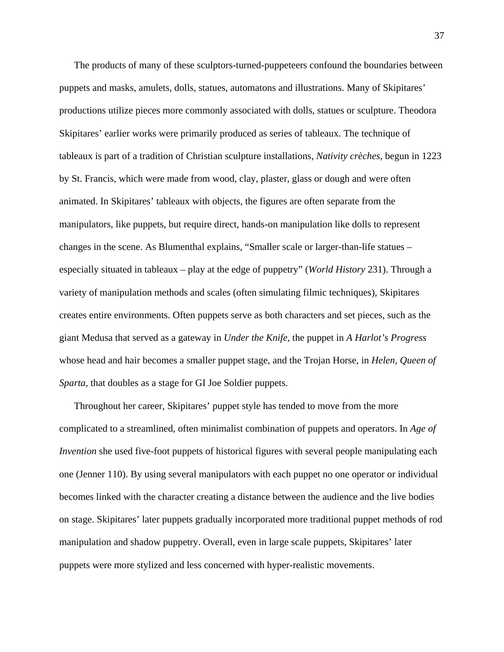The products of many of these sculptors-turned-puppeteers confound the boundaries between puppets and masks, amulets, dolls, statues, automatons and illustrations. Many of Skipitares' productions utilize pieces more commonly associated with dolls, statues or sculpture. Theodora Skipitares' earlier works were primarily produced as series of tableaux. The technique of tableaux is part of a tradition of Christian sculpture installations, *Nativity crèches*, begun in 1223 by St. Francis, which were made from wood, clay, plaster, glass or dough and were often animated. In Skipitares' tableaux with objects, the figures are often separate from the manipulators, like puppets, but require direct, hands-on manipulation like dolls to represent changes in the scene. As Blumenthal explains, "Smaller scale or larger-than-life statues – especially situated in tableaux – play at the edge of puppetry" (*World History* 231). Through a variety of manipulation methods and scales (often simulating filmic techniques), Skipitares creates entire environments. Often puppets serve as both characters and set pieces, such as the giant Medusa that served as a gateway in *Under the Knife*, the puppet in *A Harlot's Progress* whose head and hair becomes a smaller puppet stage, and the Trojan Horse, in *Helen, Queen of Sparta*, that doubles as a stage for GI Joe Soldier puppets.

Throughout her career, Skipitares' puppet style has tended to move from the more complicated to a streamlined, often minimalist combination of puppets and operators. In *Age of Invention* she used five-foot puppets of historical figures with several people manipulating each one (Jenner 110). By using several manipulators with each puppet no one operator or individual becomes linked with the character creating a distance between the audience and the live bodies on stage. Skipitares' later puppets gradually incorporated more traditional puppet methods of rod manipulation and shadow puppetry. Overall, even in large scale puppets, Skipitares' later puppets were more stylized and less concerned with hyper-realistic movements.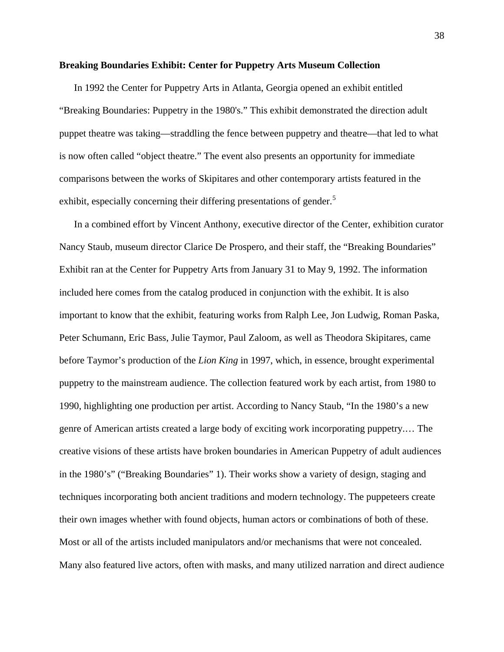## **Breaking Boundaries Exhibit: Center for Puppetry Arts Museum Collection**

In 1992 the Center for Puppetry Arts in Atlanta, Georgia opened an exhibit entitled "Breaking Boundaries: Puppetry in the 1980's." This exhibit demonstrated the direction adult puppet theatre was taking—straddling the fence between puppetry and theatre—that led to what is now often called "object theatre." The event also presents an opportunity for immediate comparisons between the works of Skipitares and other contemporary artists featured in the exhibit, especially concerning their differing presentations of gender.<sup>[5](#page-196-0)</sup>

In a combined effort by Vincent Anthony, executive director of the Center, exhibition curator Nancy Staub, museum director Clarice De Prospero, and their staff, the "Breaking Boundaries" Exhibit ran at the Center for Puppetry Arts from January 31 to May 9, 1992. The information included here comes from the catalog produced in conjunction with the exhibit. It is also important to know that the exhibit, featuring works from Ralph Lee, Jon Ludwig, Roman Paska, Peter Schumann, Eric Bass, Julie Taymor, Paul Zaloom, as well as Theodora Skipitares, came before Taymor's production of the *Lion King* in 1997, which, in essence, brought experimental puppetry to the mainstream audience. The collection featured work by each artist, from 1980 to 1990, highlighting one production per artist. According to Nancy Staub, "In the 1980's a new genre of American artists created a large body of exciting work incorporating puppetry.… The creative visions of these artists have broken boundaries in American Puppetry of adult audiences in the 1980's" ("Breaking Boundaries" 1). Their works show a variety of design, staging and techniques incorporating both ancient traditions and modern technology. The puppeteers create their own images whether with found objects, human actors or combinations of both of these. Most or all of the artists included manipulators and/or mechanisms that were not concealed. Many also featured live actors, often with masks, and many utilized narration and direct audience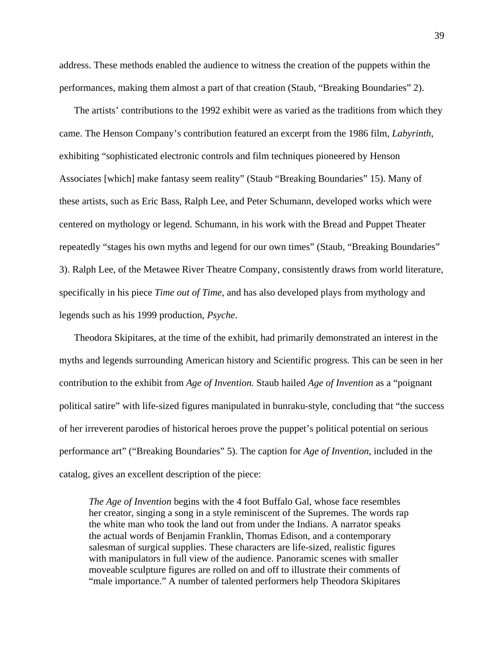address. These methods enabled the audience to witness the creation of the puppets within the performances, making them almost a part of that creation (Staub, "Breaking Boundaries" 2).

The artists' contributions to the 1992 exhibit were as varied as the traditions from which they came. The Henson Company's contribution featured an excerpt from the 1986 film, *Labyrinth*, exhibiting "sophisticated electronic controls and film techniques pioneered by Henson Associates [which] make fantasy seem reality" (Staub "Breaking Boundaries" 15). Many of these artists, such as Eric Bass, Ralph Lee, and Peter Schumann, developed works which were centered on mythology or legend. Schumann, in his work with the Bread and Puppet Theater repeatedly "stages his own myths and legend for our own times" (Staub, "Breaking Boundaries" 3). Ralph Lee, of the Metawee River Theatre Company, consistently draws from world literature, specifically in his piece *Time out of Time*, and has also developed plays from mythology and legends such as his 1999 production, *Psyche*.

Theodora Skipitares, at the time of the exhibit, had primarily demonstrated an interest in the myths and legends surrounding American history and Scientific progress. This can be seen in her contribution to the exhibit from *Age of Invention.* Staub hailed *Age of Invention* as a "poignant political satire" with life-sized figures manipulated in bunraku-style, concluding that "the success of her irreverent parodies of historical heroes prove the puppet's political potential on serious performance art" ("Breaking Boundaries" 5). The caption for *Age of Invention*, included in the catalog, gives an excellent description of the piece:

*The Age of Invention* begins with the 4 foot Buffalo Gal, whose face resembles her creator, singing a song in a style reminiscent of the Supremes. The words rap the white man who took the land out from under the Indians. A narrator speaks the actual words of Benjamin Franklin, Thomas Edison, and a contemporary salesman of surgical supplies. These characters are life-sized, realistic figures with manipulators in full view of the audience. Panoramic scenes with smaller moveable sculpture figures are rolled on and off to illustrate their comments of "male importance." A number of talented performers help Theodora Skipitares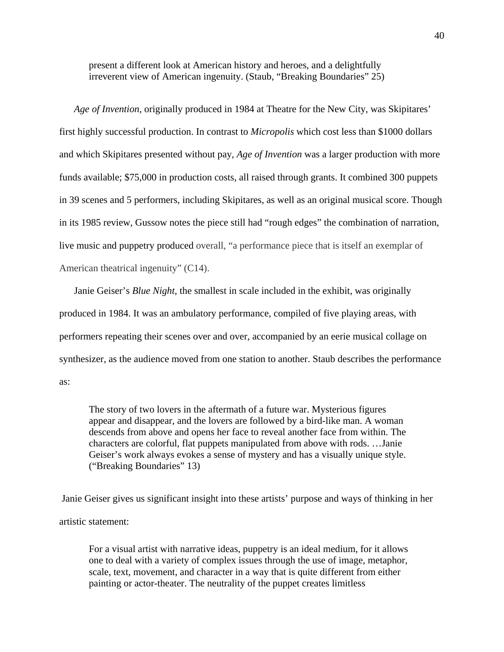present a different look at American history and heroes, and a delightfully irreverent view of American ingenuity. (Staub, "Breaking Boundaries" 25)

*Age of Invention*, originally produced in 1984 at Theatre for the New City, was Skipitares' first highly successful production. In contrast to *Micropolis* which cost less than \$1000 dollars and which Skipitares presented without pay, *Age of Invention* was a larger production with more funds available; \$75,000 in production costs, all raised through grants. It combined 300 puppets in 39 scenes and 5 performers, including Skipitares, as well as an original musical score. Though in its 1985 review, Gussow notes the piece still had "rough edges" the combination of narration, live music and puppetry produced overall, "a performance piece that is itself an exemplar of American theatrical ingenuity" (C14).

Janie Geiser's *Blue Night*, the smallest in scale included in the exhibit, was originally produced in 1984. It was an ambulatory performance, compiled of five playing areas, with performers repeating their scenes over and over, accompanied by an eerie musical collage on synthesizer, as the audience moved from one station to another. Staub describes the performance as:

The story of two lovers in the aftermath of a future war. Mysterious figures appear and disappear, and the lovers are followed by a bird-like man. A woman descends from above and opens her face to reveal another face from within. The characters are colorful, flat puppets manipulated from above with rods. …Janie Geiser's work always evokes a sense of mystery and has a visually unique style. ("Breaking Boundaries" 13)

 Janie Geiser gives us significant insight into these artists' purpose and ways of thinking in her artistic statement:

For a visual artist with narrative ideas, puppetry is an ideal medium, for it allows one to deal with a variety of complex issues through the use of image, metaphor, scale, text, movement, and character in a way that is quite different from either painting or actor-theater. The neutrality of the puppet creates limitless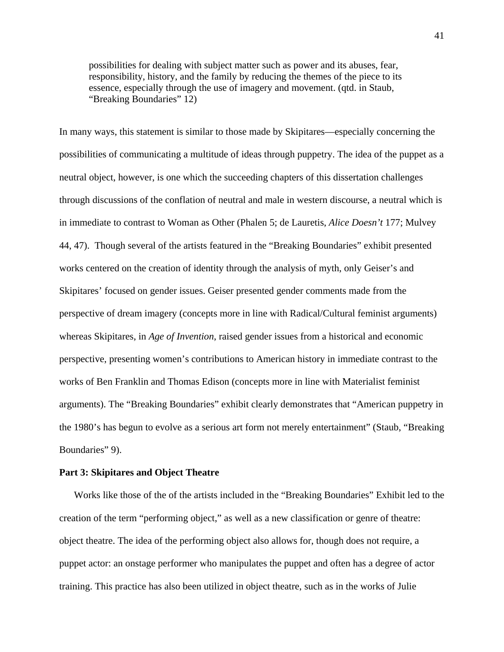possibilities for dealing with subject matter such as power and its abuses, fear, responsibility, history, and the family by reducing the themes of the piece to its essence, especially through the use of imagery and movement. (qtd. in Staub, "Breaking Boundaries" 12)

In many ways, this statement is similar to those made by Skipitares—especially concerning the possibilities of communicating a multitude of ideas through puppetry. The idea of the puppet as a neutral object, however, is one which the succeeding chapters of this dissertation challenges through discussions of the conflation of neutral and male in western discourse, a neutral which is in immediate to contrast to Woman as Other (Phalen 5; de Lauretis, *Alice Doesn't* 177; Mulvey 44, 47). Though several of the artists featured in the "Breaking Boundaries" exhibit presented works centered on the creation of identity through the analysis of myth, only Geiser's and Skipitares' focused on gender issues. Geiser presented gender comments made from the perspective of dream imagery (concepts more in line with Radical/Cultural feminist arguments) whereas Skipitares, in *Age of Invention*, raised gender issues from a historical and economic perspective, presenting women's contributions to American history in immediate contrast to the works of Ben Franklin and Thomas Edison (concepts more in line with Materialist feminist arguments). The "Breaking Boundaries" exhibit clearly demonstrates that "American puppetry in the 1980's has begun to evolve as a serious art form not merely entertainment" (Staub, "Breaking Boundaries" 9).

# **Part 3: Skipitares and Object Theatre**

Works like those of the of the artists included in the "Breaking Boundaries" Exhibit led to the creation of the term "performing object," as well as a new classification or genre of theatre: object theatre. The idea of the performing object also allows for, though does not require, a puppet actor: an onstage performer who manipulates the puppet and often has a degree of actor training. This practice has also been utilized in object theatre, such as in the works of Julie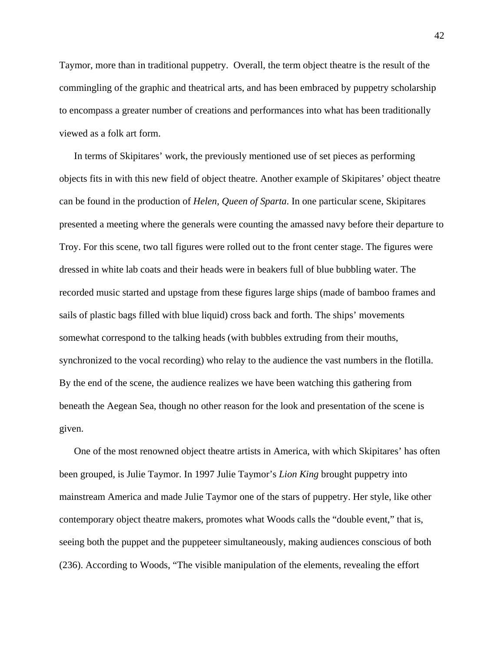Taymor, more than in traditional puppetry. Overall, the term object theatre is the result of the commingling of the graphic and theatrical arts, and has been embraced by puppetry scholarship to encompass a greater number of creations and performances into what has been traditionally viewed as a folk art form.

In terms of Skipitares' work, the previously mentioned use of set pieces as performing objects fits in with this new field of object theatre. Another example of Skipitares' object theatre can be found in the production of *Helen, Queen of Sparta*. In one particular scene, Skipitares presented a meeting where the generals were counting the amassed navy before their departure to Troy. For this scene, two tall figures were rolled out to the front center stage. The figures were dressed in white lab coats and their heads were in beakers full of blue bubbling water. The recorded music started and upstage from these figures large ships (made of bamboo frames and sails of plastic bags filled with blue liquid) cross back and forth. The ships' movements somewhat correspond to the talking heads (with bubbles extruding from their mouths, synchronized to the vocal recording) who relay to the audience the vast numbers in the flotilla. By the end of the scene, the audience realizes we have been watching this gathering from beneath the Aegean Sea, though no other reason for the look and presentation of the scene is given.

One of the most renowned object theatre artists in America, with which Skipitares' has often been grouped, is Julie Taymor. In 1997 Julie Taymor's *Lion King* brought puppetry into mainstream America and made Julie Taymor one of the stars of puppetry. Her style, like other contemporary object theatre makers, promotes what Woods calls the "double event," that is, seeing both the puppet and the puppeteer simultaneously, making audiences conscious of both (236). According to Woods, "The visible manipulation of the elements, revealing the effort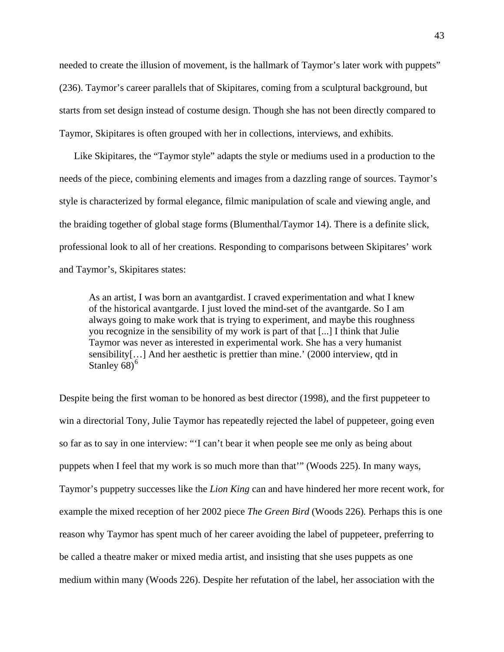needed to create the illusion of movement, is the hallmark of Taymor's later work with puppets" (236). Taymor's career parallels that of Skipitares, coming from a sculptural background, but starts from set design instead of costume design. Though she has not been directly compared to Taymor, Skipitares is often grouped with her in collections, interviews, and exhibits.

Like Skipitares, the "Taymor style" adapts the style or mediums used in a production to the needs of the piece, combining elements and images from a dazzling range of sources. Taymor's style is characterized by formal elegance, filmic manipulation of scale and viewing angle, and the braiding together of global stage forms (Blumenthal/Taymor 14). There is a definite slick, professional look to all of her creations. Responding to comparisons between Skipitares' work and Taymor's, Skipitares states:

As an artist, I was born an avantgardist. I craved experimentation and what I knew of the historical avantgarde. I just loved the mind-set of the avantgarde. So I am always going to make work that is trying to experiment, and maybe this roughness you recognize in the sensibility of my work is part of that [...] I think that Julie Taymor was never as interested in experimental work. She has a very humanist sensibility[…] And her aesthetic is prettier than mine.' (2000 interview, qtd in Stanley  $68$  $68$ <sup>6</sup>

Despite being the first woman to be honored as best director (1998), and the first puppeteer to win a directorial Tony, Julie Taymor has repeatedly rejected the label of puppeteer, going even so far as to say in one interview: "'I can't bear it when people see me only as being about puppets when I feel that my work is so much more than that'" (Woods 225). In many ways, Taymor's puppetry successes like the *Lion King* can and have hindered her more recent work, for example the mixed reception of her 2002 piece *The Green Bird* (Woods 226)*.* Perhaps this is one reason why Taymor has spent much of her career avoiding the label of puppeteer, preferring to be called a theatre maker or mixed media artist, and insisting that she uses puppets as one medium within many (Woods 226). Despite her refutation of the label, her association with the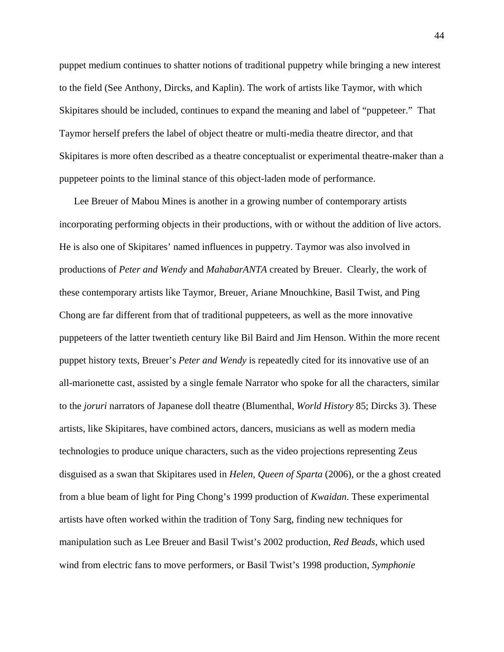puppet medium continues to shatter notions of traditional puppetry while bringing a new interest to the field (See Anthony, Dircks, and Kaplin). The work of artists like Taymor, with which Skipitares should be included, continues to expand the meaning and label of "puppeteer." That Taymor herself prefers the label of object theatre or multi-media theatre director, and that Skipitares is more often described as a theatre conceptualist or experimental theatre-maker than a puppeteer points to the liminal stance of this object-laden mode of performance.

Lee Breuer of Mabou Mines is another in a growing number of contemporary artists incorporating performing objects in their productions, with or without the addition of live actors. He is also one of Skipitares' named influences in puppetry. Taymor was also involved in productions of *Peter and Wendy* and *MahabarANTA* created by Breuer. Clearly, the work of these contemporary artists like Taymor, Breuer, Ariane Mnouchkine, Basil Twist, and Ping Chong are far different from that of traditional puppeteers, as well as the more innovative puppeteers of the latter twentieth century like Bil Baird and Jim Henson. Within the more recent puppet history texts, Breuer's *Peter and Wendy* is repeatedly cited for its innovative use of an all-marionette cast, assisted by a single female Narrator who spoke for all the characters, similar to the *joruri* narrators of Japanese doll theatre (Blumenthal, *World History* 85; Dircks 3). These artists, like Skipitares, have combined actors, dancers, musicians as well as modern media technologies to produce unique characters, such as the video projections representing Zeus disguised as a swan that Skipitares used in *Helen, Queen of Sparta* (2006), or the a ghost created from a blue beam of light for Ping Chong's 1999 production of *Kwaidan*. These experimental artists have often worked within the tradition of Tony Sarg, finding new techniques for manipulation such as Lee Breuer and Basil Twist's 2002 production, *Red Beads*, which used wind from electric fans to move performers, or Basil Twist's 1998 production, *Symphonie*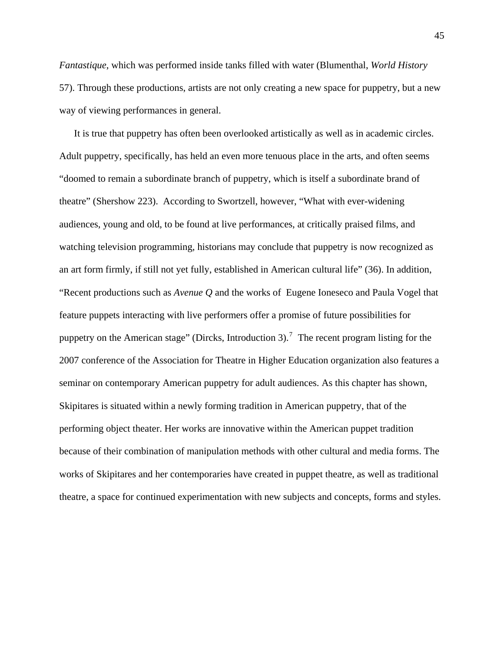*Fantastique*, which was performed inside tanks filled with water (Blumenthal, *World History* 57). Through these productions, artists are not only creating a new space for puppetry, but a new way of viewing performances in general.

It is true that puppetry has often been overlooked artistically as well as in academic circles. Adult puppetry, specifically, has held an even more tenuous place in the arts, and often seems "doomed to remain a subordinate branch of puppetry, which is itself a subordinate brand of theatre" (Shershow 223). According to Swortzell, however, "What with ever-widening audiences, young and old, to be found at live performances, at critically praised films, and watching television programming, historians may conclude that puppetry is now recognized as an art form firmly, if still not yet fully, established in American cultural life" (36). In addition, "Recent productions such as *Avenue Q* and the works of Eugene Ioneseco and Paula Vogel that feature puppets interacting with live performers offer a promise of future possibilities for puppetry on the American stage" (Dircks, Introduction 3).<sup>[7](#page-196-0)</sup> The recent program listing for the 2007 conference of the Association for Theatre in Higher Education organization also features a seminar on contemporary American puppetry for adult audiences. As this chapter has shown, Skipitares is situated within a newly forming tradition in American puppetry, that of the performing object theater. Her works are innovative within the American puppet tradition because of their combination of manipulation methods with other cultural and media forms. The works of Skipitares and her contemporaries have created in puppet theatre, as well as traditional theatre, a space for continued experimentation with new subjects and concepts, forms and styles.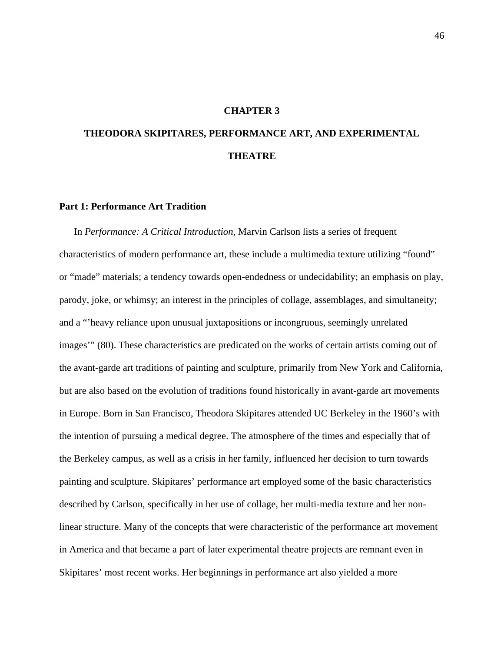# **CHAPTER 3**

# **THEODORA SKIPITARES, PERFORMANCE ART, AND EXPERIMENTAL THEATRE**

#### **Part 1: Performance Art Tradition**

In *Performance: A Critical Introduction*, Marvin Carlson lists a series of frequent characteristics of modern performance art, these include a multimedia texture utilizing "found" or "made" materials; a tendency towards open-endedness or undecidability; an emphasis on play, parody, joke, or whimsy; an interest in the principles of collage, assemblages, and simultaneity; and a "'heavy reliance upon unusual juxtapositions or incongruous, seemingly unrelated images'" (80). These characteristics are predicated on the works of certain artists coming out of the avant-garde art traditions of painting and sculpture, primarily from New York and California, but are also based on the evolution of traditions found historically in avant-garde art movements in Europe. Born in San Francisco, Theodora Skipitares attended UC Berkeley in the 1960's with the intention of pursuing a medical degree. The atmosphere of the times and especially that of the Berkeley campus, as well as a crisis in her family, influenced her decision to turn towards painting and sculpture. Skipitares' performance art employed some of the basic characteristics described by Carlson, specifically in her use of collage, her multi-media texture and her nonlinear structure. Many of the concepts that were characteristic of the performance art movement in America and that became a part of later experimental theatre projects are remnant even in Skipitares' most recent works. Her beginnings in performance art also yielded a more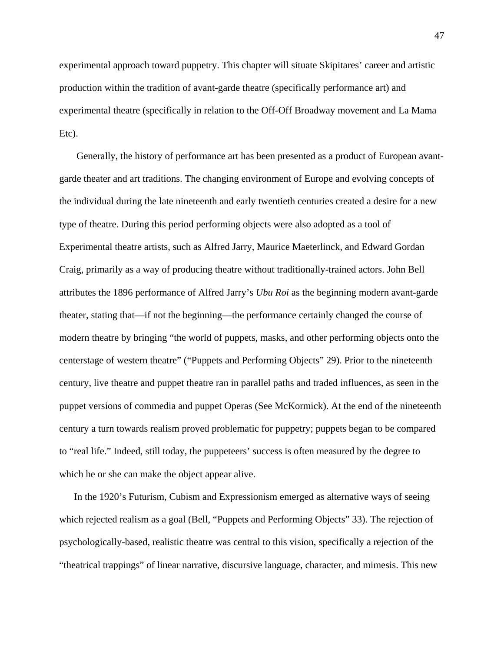experimental approach toward puppetry. This chapter will situate Skipitares' career and artistic production within the tradition of avant-garde theatre (specifically performance art) and experimental theatre (specifically in relation to the Off-Off Broadway movement and La Mama Etc).

 Generally, the history of performance art has been presented as a product of European avantgarde theater and art traditions. The changing environment of Europe and evolving concepts of the individual during the late nineteenth and early twentieth centuries created a desire for a new type of theatre. During this period performing objects were also adopted as a tool of Experimental theatre artists, such as Alfred Jarry, Maurice Maeterlinck, and Edward Gordan Craig, primarily as a way of producing theatre without traditionally-trained actors. John Bell attributes the 1896 performance of Alfred Jarry's *Ubu Roi* as the beginning modern avant-garde theater, stating that—if not the beginning—the performance certainly changed the course of modern theatre by bringing "the world of puppets, masks, and other performing objects onto the centerstage of western theatre" ("Puppets and Performing Objects" 29). Prior to the nineteenth century, live theatre and puppet theatre ran in parallel paths and traded influences, as seen in the puppet versions of commedia and puppet Operas (See McKormick). At the end of the nineteenth century a turn towards realism proved problematic for puppetry; puppets began to be compared to "real life." Indeed, still today, the puppeteers' success is often measured by the degree to which he or she can make the object appear alive.

In the 1920's Futurism, Cubism and Expressionism emerged as alternative ways of seeing which rejected realism as a goal (Bell, "Puppets and Performing Objects" 33). The rejection of psychologically-based, realistic theatre was central to this vision, specifically a rejection of the "theatrical trappings" of linear narrative, discursive language, character, and mimesis. This new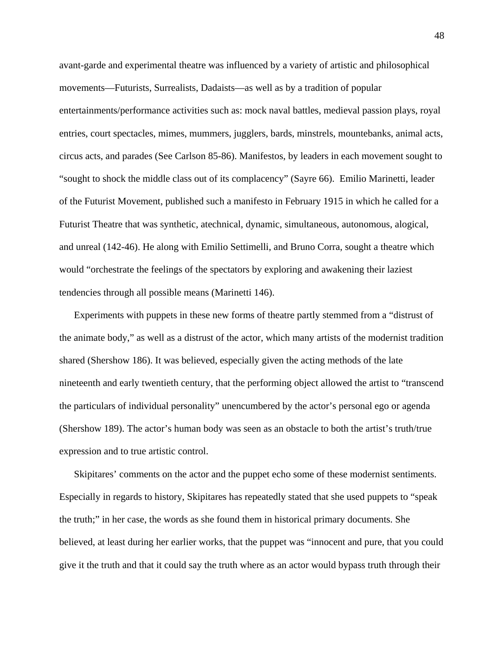avant-garde and experimental theatre was influenced by a variety of artistic and philosophical movements—Futurists, Surrealists, Dadaists—as well as by a tradition of popular entertainments/performance activities such as: mock naval battles, medieval passion plays, royal entries, court spectacles, mimes, mummers, jugglers, bards, minstrels, mountebanks, animal acts, circus acts, and parades (See Carlson 85-86). Manifestos, by leaders in each movement sought to "sought to shock the middle class out of its complacency" (Sayre 66). Emilio Marinetti, leader of the Futurist Movement, published such a manifesto in February 1915 in which he called for a Futurist Theatre that was synthetic, atechnical, dynamic, simultaneous, autonomous, alogical, and unreal (142-46). He along with Emilio Settimelli, and Bruno Corra, sought a theatre which would "orchestrate the feelings of the spectators by exploring and awakening their laziest tendencies through all possible means (Marinetti 146).

Experiments with puppets in these new forms of theatre partly stemmed from a "distrust of the animate body," as well as a distrust of the actor, which many artists of the modernist tradition shared (Shershow 186). It was believed, especially given the acting methods of the late nineteenth and early twentieth century, that the performing object allowed the artist to "transcend the particulars of individual personality" unencumbered by the actor's personal ego or agenda (Shershow 189). The actor's human body was seen as an obstacle to both the artist's truth/true expression and to true artistic control.

Skipitares' comments on the actor and the puppet echo some of these modernist sentiments. Especially in regards to history, Skipitares has repeatedly stated that she used puppets to "speak the truth;" in her case, the words as she found them in historical primary documents. She believed, at least during her earlier works, that the puppet was "innocent and pure, that you could give it the truth and that it could say the truth where as an actor would bypass truth through their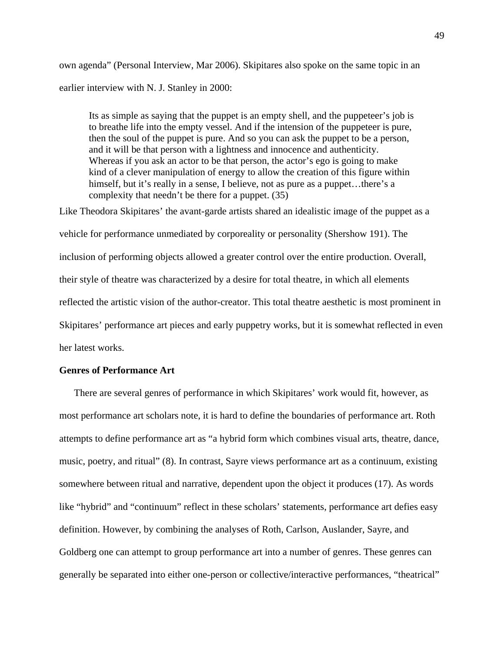own agenda" (Personal Interview, Mar 2006). Skipitares also spoke on the same topic in an earlier interview with N. J. Stanley in 2000:

Its as simple as saying that the puppet is an empty shell, and the puppeteer's job is to breathe life into the empty vessel. And if the intension of the puppeteer is pure, then the soul of the puppet is pure. And so you can ask the puppet to be a person, and it will be that person with a lightness and innocence and authenticity. Whereas if you ask an actor to be that person, the actor's ego is going to make kind of a clever manipulation of energy to allow the creation of this figure within himself, but it's really in a sense, I believe, not as pure as a puppet...there's a complexity that needn't be there for a puppet. (35)

Like Theodora Skipitares' the avant-garde artists shared an idealistic image of the puppet as a vehicle for performance unmediated by corporeality or personality (Shershow 191). The inclusion of performing objects allowed a greater control over the entire production. Overall, their style of theatre was characterized by a desire for total theatre, in which all elements reflected the artistic vision of the author-creator. This total theatre aesthetic is most prominent in Skipitares' performance art pieces and early puppetry works, but it is somewhat reflected in even her latest works.

# **Genres of Performance Art**

There are several genres of performance in which Skipitares' work would fit, however, as most performance art scholars note, it is hard to define the boundaries of performance art. Roth attempts to define performance art as "a hybrid form which combines visual arts, theatre, dance, music, poetry, and ritual" (8). In contrast, Sayre views performance art as a continuum, existing somewhere between ritual and narrative, dependent upon the object it produces (17). As words like "hybrid" and "continuum" reflect in these scholars' statements, performance art defies easy definition. However, by combining the analyses of Roth, Carlson, Auslander, Sayre, and Goldberg one can attempt to group performance art into a number of genres. These genres can generally be separated into either one-person or collective/interactive performances, "theatrical"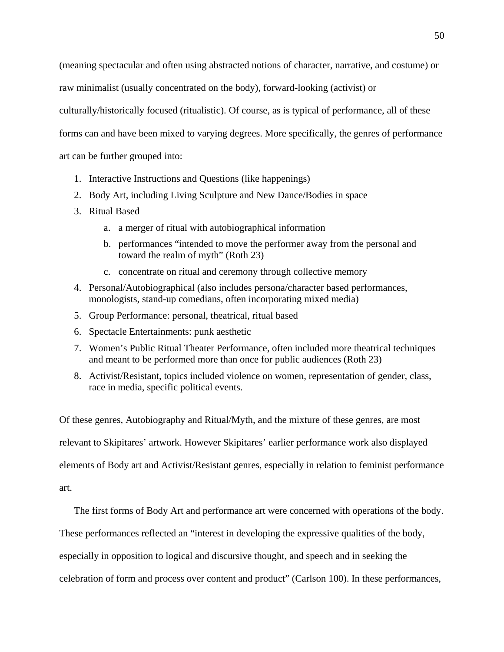(meaning spectacular and often using abstracted notions of character, narrative, and costume) or raw minimalist (usually concentrated on the body), forward-looking (activist) or culturally/historically focused (ritualistic). Of course, as is typical of performance, all of these forms can and have been mixed to varying degrees. More specifically, the genres of performance art can be further grouped into:

- 1. Interactive Instructions and Questions (like happenings)
- 2. Body Art, including Living Sculpture and New Dance/Bodies in space
- 3. Ritual Based
	- a. a merger of ritual with autobiographical information
	- b. performances "intended to move the performer away from the personal and toward the realm of myth" (Roth 23)
	- c. concentrate on ritual and ceremony through collective memory
- 4. Personal/Autobiographical (also includes persona/character based performances, monologists, stand-up comedians, often incorporating mixed media)
- 5. Group Performance: personal, theatrical, ritual based
- 6. Spectacle Entertainments: punk aesthetic
- 7. Women's Public Ritual Theater Performance, often included more theatrical techniques and meant to be performed more than once for public audiences (Roth 23)
- 8. Activist/Resistant, topics included violence on women, representation of gender, class, race in media, specific political events.

Of these genres, Autobiography and Ritual/Myth, and the mixture of these genres, are most relevant to Skipitares' artwork. However Skipitares' earlier performance work also displayed elements of Body art and Activist/Resistant genres, especially in relation to feminist performance art.

The first forms of Body Art and performance art were concerned with operations of the body.

These performances reflected an "interest in developing the expressive qualities of the body,

especially in opposition to logical and discursive thought, and speech and in seeking the

celebration of form and process over content and product" (Carlson 100). In these performances,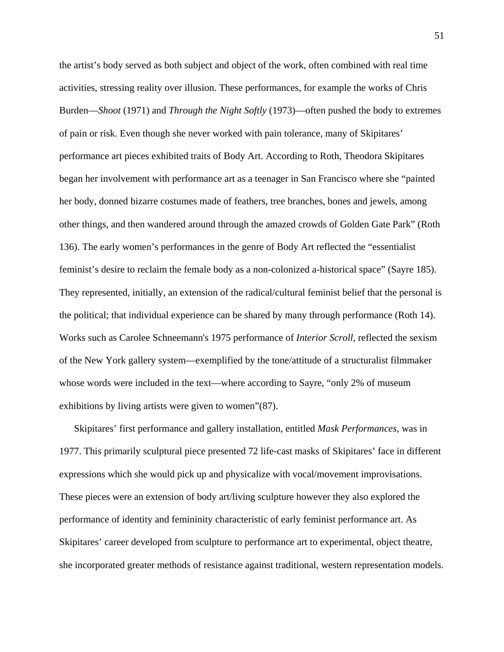the artist's body served as both subject and object of the work, often combined with real time activities, stressing reality over illusion. These performances, for example the works of Chris Burden—*Shoot* (1971) and *Through the Night Softly* (1973)—often pushed the body to extremes of pain or risk. Even though she never worked with pain tolerance, many of Skipitares' performance art pieces exhibited traits of Body Art. According to Roth, Theodora Skipitares began her involvement with performance art as a teenager in San Francisco where she "painted her body, donned bizarre costumes made of feathers, tree branches, bones and jewels, among other things, and then wandered around through the amazed crowds of Golden Gate Park" (Roth 136). The early women's performances in the genre of Body Art reflected the "essentialist feminist's desire to reclaim the female body as a non-colonized a-historical space" (Sayre 185). They represented, initially, an extension of the radical/cultural feminist belief that the personal is the political; that individual experience can be shared by many through performance (Roth 14). Works such as Carolee Schneemann's 1975 performance of *Interior Scroll*, reflected the sexism of the New York gallery system—exemplified by the tone/attitude of a structuralist filmmaker whose words were included in the text—where according to Sayre, "only 2% of museum exhibitions by living artists were given to women"(87).

Skipitares' first performance and gallery installation, entitled *Mask Performances*, was in 1977. This primarily sculptural piece presented 72 life-cast masks of Skipitares' face in different expressions which she would pick up and physicalize with vocal/movement improvisations. These pieces were an extension of body art/living sculpture however they also explored the performance of identity and femininity characteristic of early feminist performance art. As Skipitares' career developed from sculpture to performance art to experimental, object theatre, she incorporated greater methods of resistance against traditional, western representation models.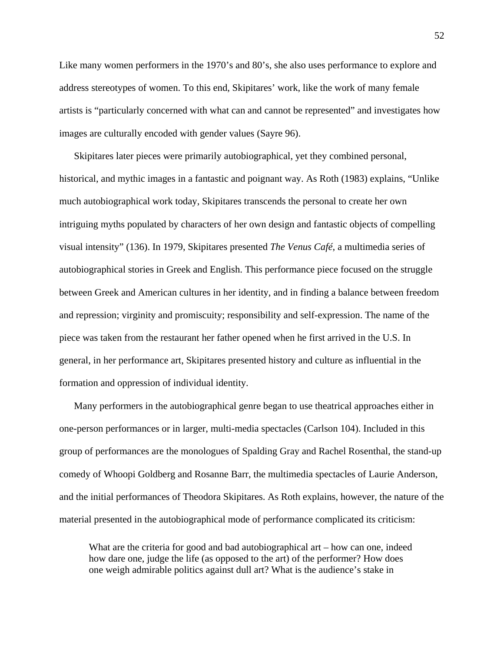Like many women performers in the 1970's and 80's, she also uses performance to explore and address stereotypes of women. To this end, Skipitares' work, like the work of many female artists is "particularly concerned with what can and cannot be represented" and investigates how images are culturally encoded with gender values (Sayre 96).

Skipitares later pieces were primarily autobiographical, yet they combined personal, historical, and mythic images in a fantastic and poignant way. As Roth (1983) explains, "Unlike much autobiographical work today, Skipitares transcends the personal to create her own intriguing myths populated by characters of her own design and fantastic objects of compelling visual intensity" (136). In 1979, Skipitares presented *The Venus Café*, a multimedia series of autobiographical stories in Greek and English. This performance piece focused on the struggle between Greek and American cultures in her identity, and in finding a balance between freedom and repression; virginity and promiscuity; responsibility and self-expression. The name of the piece was taken from the restaurant her father opened when he first arrived in the U.S. In general, in her performance art, Skipitares presented history and culture as influential in the formation and oppression of individual identity.

Many performers in the autobiographical genre began to use theatrical approaches either in one-person performances or in larger, multi-media spectacles (Carlson 104). Included in this group of performances are the monologues of Spalding Gray and Rachel Rosenthal, the stand-up comedy of Whoopi Goldberg and Rosanne Barr, the multimedia spectacles of Laurie Anderson, and the initial performances of Theodora Skipitares. As Roth explains, however, the nature of the material presented in the autobiographical mode of performance complicated its criticism:

What are the criteria for good and bad autobiographical art – how can one, indeed how dare one, judge the life (as opposed to the art) of the performer? How does one weigh admirable politics against dull art? What is the audience's stake in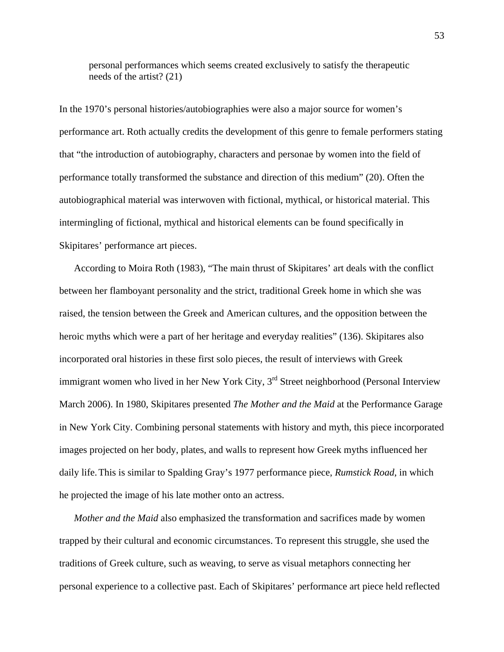personal performances which seems created exclusively to satisfy the therapeutic needs of the artist? (21)

In the 1970's personal histories/autobiographies were also a major source for women's performance art. Roth actually credits the development of this genre to female performers stating that "the introduction of autobiography, characters and personae by women into the field of performance totally transformed the substance and direction of this medium" (20). Often the autobiographical material was interwoven with fictional, mythical, or historical material. This intermingling of fictional, mythical and historical elements can be found specifically in Skipitares' performance art pieces.

According to Moira Roth (1983), "The main thrust of Skipitares' art deals with the conflict between her flamboyant personality and the strict, traditional Greek home in which she was raised, the tension between the Greek and American cultures, and the opposition between the heroic myths which were a part of her heritage and everyday realities" (136). Skipitares also incorporated oral histories in these first solo pieces, the result of interviews with Greek immigrant women who lived in her New York City,  $3<sup>rd</sup>$  Street neighborhood (Personal Interview March 2006). In 1980, Skipitares presented *The Mother and the Maid* at the Performance Garage in New York City. Combining personal statements with history and myth, this piece incorporated images projected on her body, plates, and walls to represent how Greek myths influenced her daily life.This is similar to Spalding Gray's 1977 performance piece, *Rumstick Road*, in which he projected the image of his late mother onto an actress.

*Mother and the Maid* also emphasized the transformation and sacrifices made by women trapped by their cultural and economic circumstances. To represent this struggle, she used the traditions of Greek culture, such as weaving, to serve as visual metaphors connecting her personal experience to a collective past. Each of Skipitares' performance art piece held reflected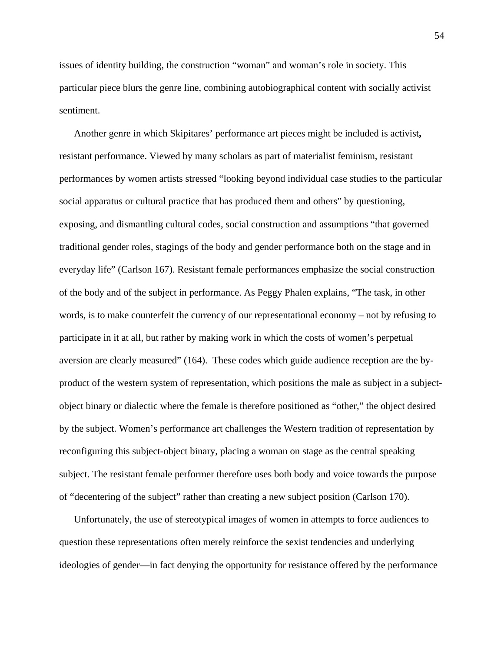issues of identity building, the construction "woman" and woman's role in society. This particular piece blurs the genre line, combining autobiographical content with socially activist sentiment.

Another genre in which Skipitares' performance art pieces might be included is activist**,** resistant performance. Viewed by many scholars as part of materialist feminism, resistant performances by women artists stressed "looking beyond individual case studies to the particular social apparatus or cultural practice that has produced them and others" by questioning, exposing, and dismantling cultural codes, social construction and assumptions "that governed traditional gender roles, stagings of the body and gender performance both on the stage and in everyday life" (Carlson 167). Resistant female performances emphasize the social construction of the body and of the subject in performance. As Peggy Phalen explains, "The task, in other words, is to make counterfeit the currency of our representational economy – not by refusing to participate in it at all, but rather by making work in which the costs of women's perpetual aversion are clearly measured" (164). These codes which guide audience reception are the byproduct of the western system of representation, which positions the male as subject in a subjectobject binary or dialectic where the female is therefore positioned as "other," the object desired by the subject. Women's performance art challenges the Western tradition of representation by reconfiguring this subject-object binary, placing a woman on stage as the central speaking subject. The resistant female performer therefore uses both body and voice towards the purpose of "decentering of the subject" rather than creating a new subject position (Carlson 170).

Unfortunately, the use of stereotypical images of women in attempts to force audiences to question these representations often merely reinforce the sexist tendencies and underlying ideologies of gender—in fact denying the opportunity for resistance offered by the performance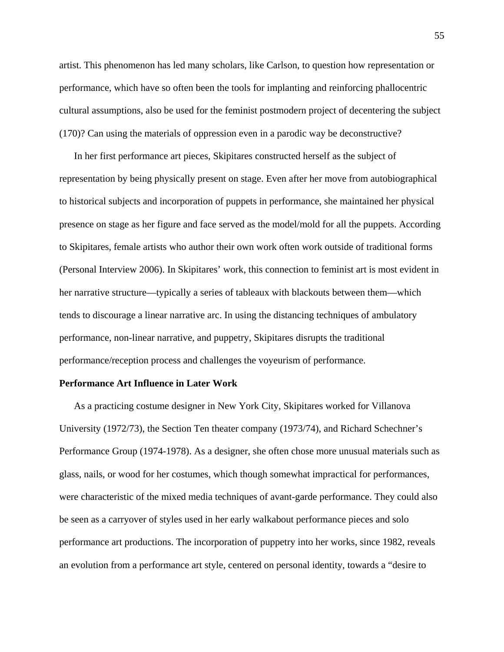artist. This phenomenon has led many scholars, like Carlson, to question how representation or performance, which have so often been the tools for implanting and reinforcing phallocentric cultural assumptions, also be used for the feminist postmodern project of decentering the subject (170)? Can using the materials of oppression even in a parodic way be deconstructive?

In her first performance art pieces, Skipitares constructed herself as the subject of representation by being physically present on stage. Even after her move from autobiographical to historical subjects and incorporation of puppets in performance, she maintained her physical presence on stage as her figure and face served as the model/mold for all the puppets. According to Skipitares, female artists who author their own work often work outside of traditional forms (Personal Interview 2006). In Skipitares' work, this connection to feminist art is most evident in her narrative structure—typically a series of tableaux with blackouts between them—which tends to discourage a linear narrative arc. In using the distancing techniques of ambulatory performance, non-linear narrative, and puppetry, Skipitares disrupts the traditional performance/reception process and challenges the voyeurism of performance.

## **Performance Art Influence in Later Work**

As a practicing costume designer in New York City, Skipitares worked for Villanova University (1972/73), the Section Ten theater company (1973/74), and Richard Schechner's Performance Group (1974-1978). As a designer, she often chose more unusual materials such as glass, nails, or wood for her costumes, which though somewhat impractical for performances, were characteristic of the mixed media techniques of avant-garde performance. They could also be seen as a carryover of styles used in her early walkabout performance pieces and solo performance art productions. The incorporation of puppetry into her works, since 1982, reveals an evolution from a performance art style, centered on personal identity, towards a "desire to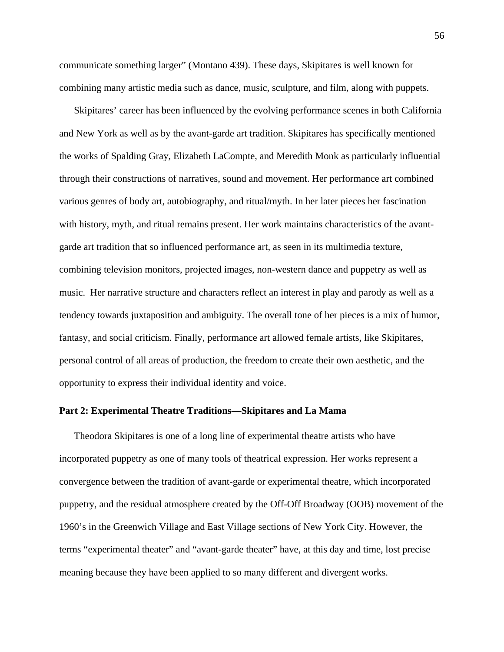communicate something larger" (Montano 439). These days, Skipitares is well known for combining many artistic media such as dance, music, sculpture, and film, along with puppets.

Skipitares' career has been influenced by the evolving performance scenes in both California and New York as well as by the avant-garde art tradition. Skipitares has specifically mentioned the works of Spalding Gray, Elizabeth LaCompte, and Meredith Monk as particularly influential through their constructions of narratives, sound and movement. Her performance art combined various genres of body art, autobiography, and ritual/myth. In her later pieces her fascination with history, myth, and ritual remains present. Her work maintains characteristics of the avantgarde art tradition that so influenced performance art, as seen in its multimedia texture, combining television monitors, projected images, non-western dance and puppetry as well as music. Her narrative structure and characters reflect an interest in play and parody as well as a tendency towards juxtaposition and ambiguity. The overall tone of her pieces is a mix of humor, fantasy, and social criticism. Finally, performance art allowed female artists, like Skipitares, personal control of all areas of production, the freedom to create their own aesthetic, and the opportunity to express their individual identity and voice.

## **Part 2: Experimental Theatre Traditions—Skipitares and La Mama**

Theodora Skipitares is one of a long line of experimental theatre artists who have incorporated puppetry as one of many tools of theatrical expression. Her works represent a convergence between the tradition of avant-garde or experimental theatre, which incorporated puppetry, and the residual atmosphere created by the Off-Off Broadway (OOB) movement of the 1960's in the Greenwich Village and East Village sections of New York City. However, the terms "experimental theater" and "avant-garde theater" have, at this day and time, lost precise meaning because they have been applied to so many different and divergent works.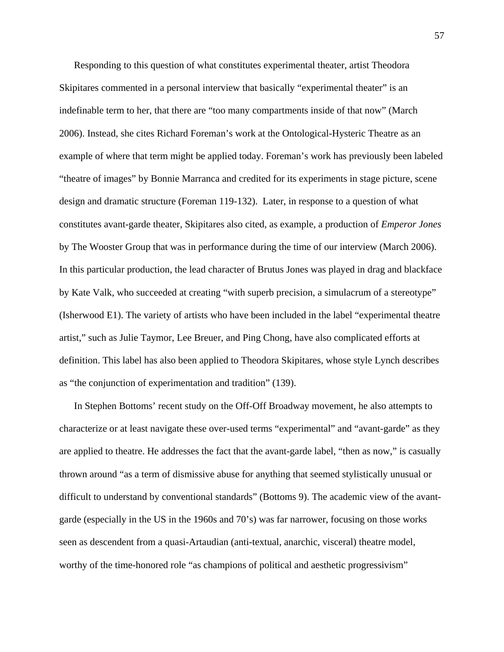Responding to this question of what constitutes experimental theater, artist Theodora Skipitares commented in a personal interview that basically "experimental theater" is an indefinable term to her, that there are "too many compartments inside of that now" (March 2006). Instead, she cites Richard Foreman's work at the Ontological-Hysteric Theatre as an example of where that term might be applied today. Foreman's work has previously been labeled "theatre of images" by Bonnie Marranca and credited for its experiments in stage picture, scene design and dramatic structure (Foreman 119-132). Later, in response to a question of what constitutes avant-garde theater, Skipitares also cited, as example, a production of *Emperor Jones* by The Wooster Group that was in performance during the time of our interview (March 2006). In this particular production, the lead character of Brutus Jones was played in drag and blackface by Kate Valk, who succeeded at creating "with superb precision, a simulacrum of a stereotype" (Isherwood E1). The variety of artists who have been included in the label "experimental theatre artist," such as Julie Taymor, Lee Breuer, and Ping Chong, have also complicated efforts at definition. This label has also been applied to Theodora Skipitares, whose style Lynch describes as "the conjunction of experimentation and tradition" (139).

In Stephen Bottoms' recent study on the Off-Off Broadway movement, he also attempts to characterize or at least navigate these over-used terms "experimental" and "avant-garde" as they are applied to theatre. He addresses the fact that the avant-garde label, "then as now," is casually thrown around "as a term of dismissive abuse for anything that seemed stylistically unusual or difficult to understand by conventional standards" (Bottoms 9). The academic view of the avantgarde (especially in the US in the 1960s and 70's) was far narrower, focusing on those works seen as descendent from a quasi-Artaudian (anti-textual, anarchic, visceral) theatre model, worthy of the time-honored role "as champions of political and aesthetic progressivism"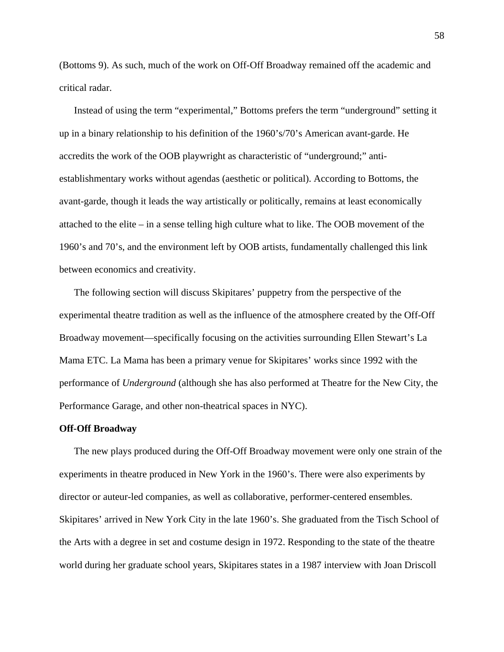(Bottoms 9). As such, much of the work on Off-Off Broadway remained off the academic and critical radar.

Instead of using the term "experimental," Bottoms prefers the term "underground" setting it up in a binary relationship to his definition of the 1960's/70's American avant-garde. He accredits the work of the OOB playwright as characteristic of "underground;" antiestablishmentary works without agendas (aesthetic or political). According to Bottoms, the avant-garde, though it leads the way artistically or politically, remains at least economically attached to the elite – in a sense telling high culture what to like. The OOB movement of the 1960's and 70's, and the environment left by OOB artists, fundamentally challenged this link between economics and creativity.

The following section will discuss Skipitares' puppetry from the perspective of the experimental theatre tradition as well as the influence of the atmosphere created by the Off-Off Broadway movement—specifically focusing on the activities surrounding Ellen Stewart's La Mama ETC. La Mama has been a primary venue for Skipitares' works since 1992 with the performance of *Underground* (although she has also performed at Theatre for the New City, the Performance Garage, and other non-theatrical spaces in NYC).

## **Off-Off Broadway**

The new plays produced during the Off-Off Broadway movement were only one strain of the experiments in theatre produced in New York in the 1960's. There were also experiments by director or auteur-led companies, as well as collaborative, performer-centered ensembles. Skipitares' arrived in New York City in the late 1960's. She graduated from the Tisch School of the Arts with a degree in set and costume design in 1972. Responding to the state of the theatre world during her graduate school years, Skipitares states in a 1987 interview with Joan Driscoll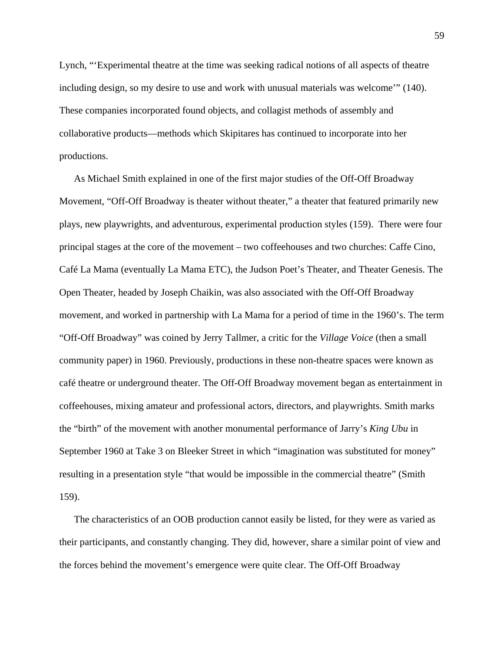Lynch, "'Experimental theatre at the time was seeking radical notions of all aspects of theatre including design, so my desire to use and work with unusual materials was welcome'" (140). These companies incorporated found objects, and collagist methods of assembly and collaborative products—methods which Skipitares has continued to incorporate into her productions.

As Michael Smith explained in one of the first major studies of the Off-Off Broadway Movement, "Off-Off Broadway is theater without theater," a theater that featured primarily new plays, new playwrights, and adventurous, experimental production styles (159). There were four principal stages at the core of the movement – two coffeehouses and two churches: Caffe Cino, Café La Mama (eventually La Mama ETC), the Judson Poet's Theater, and Theater Genesis. The Open Theater, headed by Joseph Chaikin, was also associated with the Off-Off Broadway movement, and worked in partnership with La Mama for a period of time in the 1960's. The term "Off-Off Broadway" was coined by Jerry Tallmer, a critic for the *Village Voice* (then a small community paper) in 1960. Previously, productions in these non-theatre spaces were known as café theatre or underground theater. The Off-Off Broadway movement began as entertainment in coffeehouses, mixing amateur and professional actors, directors, and playwrights. Smith marks the "birth" of the movement with another monumental performance of Jarry's *King Ubu* in September 1960 at Take 3 on Bleeker Street in which "imagination was substituted for money" resulting in a presentation style "that would be impossible in the commercial theatre" (Smith 159).

The characteristics of an OOB production cannot easily be listed, for they were as varied as their participants, and constantly changing. They did, however, share a similar point of view and the forces behind the movement's emergence were quite clear. The Off-Off Broadway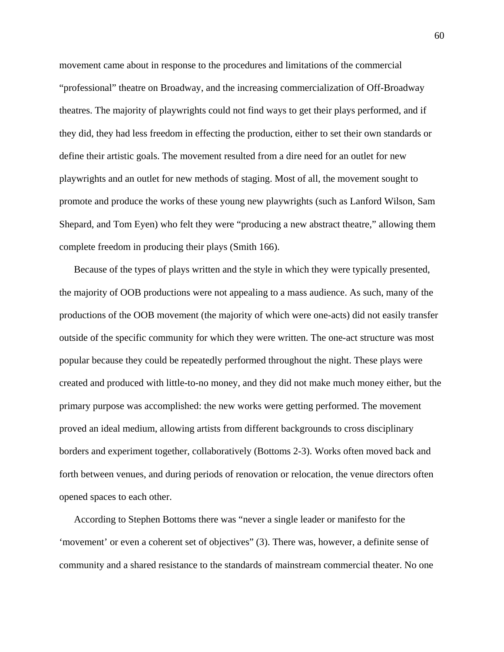movement came about in response to the procedures and limitations of the commercial "professional" theatre on Broadway, and the increasing commercialization of Off-Broadway theatres. The majority of playwrights could not find ways to get their plays performed, and if they did, they had less freedom in effecting the production, either to set their own standards or define their artistic goals. The movement resulted from a dire need for an outlet for new playwrights and an outlet for new methods of staging. Most of all, the movement sought to promote and produce the works of these young new playwrights (such as Lanford Wilson, Sam Shepard, and Tom Eyen) who felt they were "producing a new abstract theatre," allowing them complete freedom in producing their plays (Smith 166).

Because of the types of plays written and the style in which they were typically presented, the majority of OOB productions were not appealing to a mass audience. As such, many of the productions of the OOB movement (the majority of which were one-acts) did not easily transfer outside of the specific community for which they were written. The one-act structure was most popular because they could be repeatedly performed throughout the night. These plays were created and produced with little-to-no money, and they did not make much money either, but the primary purpose was accomplished: the new works were getting performed. The movement proved an ideal medium, allowing artists from different backgrounds to cross disciplinary borders and experiment together, collaboratively (Bottoms 2-3). Works often moved back and forth between venues, and during periods of renovation or relocation, the venue directors often opened spaces to each other.

According to Stephen Bottoms there was "never a single leader or manifesto for the 'movement' or even a coherent set of objectives" (3). There was, however, a definite sense of community and a shared resistance to the standards of mainstream commercial theater. No one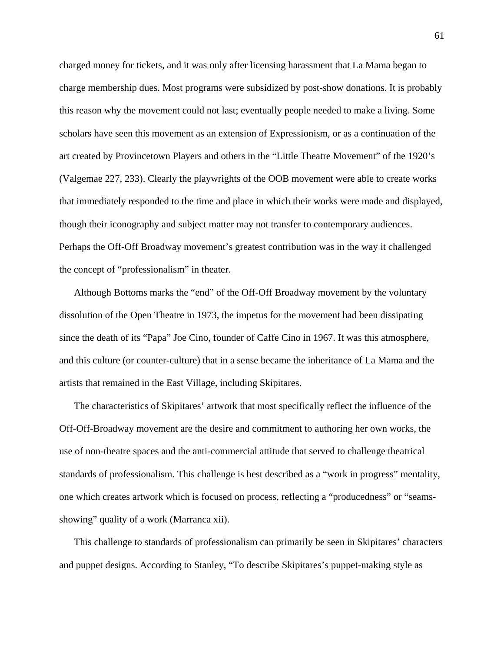charged money for tickets, and it was only after licensing harassment that La Mama began to charge membership dues. Most programs were subsidized by post-show donations. It is probably this reason why the movement could not last; eventually people needed to make a living. Some scholars have seen this movement as an extension of Expressionism, or as a continuation of the art created by Provincetown Players and others in the "Little Theatre Movement" of the 1920's (Valgemae 227, 233). Clearly the playwrights of the OOB movement were able to create works that immediately responded to the time and place in which their works were made and displayed, though their iconography and subject matter may not transfer to contemporary audiences. Perhaps the Off-Off Broadway movement's greatest contribution was in the way it challenged the concept of "professionalism" in theater.

Although Bottoms marks the "end" of the Off-Off Broadway movement by the voluntary dissolution of the Open Theatre in 1973, the impetus for the movement had been dissipating since the death of its "Papa" Joe Cino, founder of Caffe Cino in 1967. It was this atmosphere, and this culture (or counter-culture) that in a sense became the inheritance of La Mama and the artists that remained in the East Village, including Skipitares.

The characteristics of Skipitares' artwork that most specifically reflect the influence of the Off-Off-Broadway movement are the desire and commitment to authoring her own works, the use of non-theatre spaces and the anti-commercial attitude that served to challenge theatrical standards of professionalism. This challenge is best described as a "work in progress" mentality, one which creates artwork which is focused on process, reflecting a "producedness" or "seamsshowing" quality of a work (Marranca xii).

This challenge to standards of professionalism can primarily be seen in Skipitares' characters and puppet designs. According to Stanley, "To describe Skipitares's puppet-making style as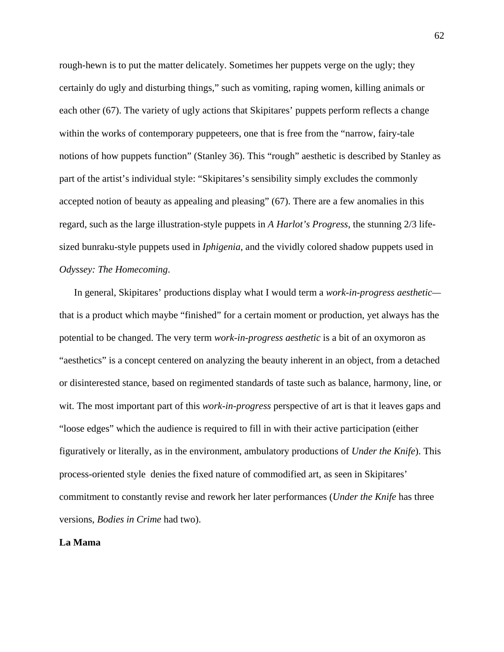rough-hewn is to put the matter delicately. Sometimes her puppets verge on the ugly; they certainly do ugly and disturbing things," such as vomiting, raping women, killing animals or each other (67). The variety of ugly actions that Skipitares' puppets perform reflects a change within the works of contemporary puppeteers, one that is free from the "narrow, fairy-tale notions of how puppets function" (Stanley 36). This "rough" aesthetic is described by Stanley as part of the artist's individual style: "Skipitares's sensibility simply excludes the commonly accepted notion of beauty as appealing and pleasing" (67). There are a few anomalies in this regard, such as the large illustration-style puppets in *A Harlot's Progress*, the stunning 2/3 lifesized bunraku-style puppets used in *Iphigenia*, and the vividly colored shadow puppets used in *Odyssey: The Homecoming*.

In general, Skipitares' productions display what I would term a *work-in-progress aesthetic* that is a product which maybe "finished" for a certain moment or production, yet always has the potential to be changed. The very term *work-in-progress aesthetic* is a bit of an oxymoron as "aesthetics" is a concept centered on analyzing the beauty inherent in an object, from a detached or disinterested stance, based on regimented standards of taste such as balance, harmony, line, or wit. The most important part of this *work-in-progress* perspective of art is that it leaves gaps and "loose edges" which the audience is required to fill in with their active participation (either figuratively or literally, as in the environment, ambulatory productions of *Under the Knife*). This process-oriented style denies the fixed nature of commodified art, as seen in Skipitares' commitment to constantly revise and rework her later performances (*Under the Knife* has three versions, *Bodies in Crime* had two).

# **La Mama**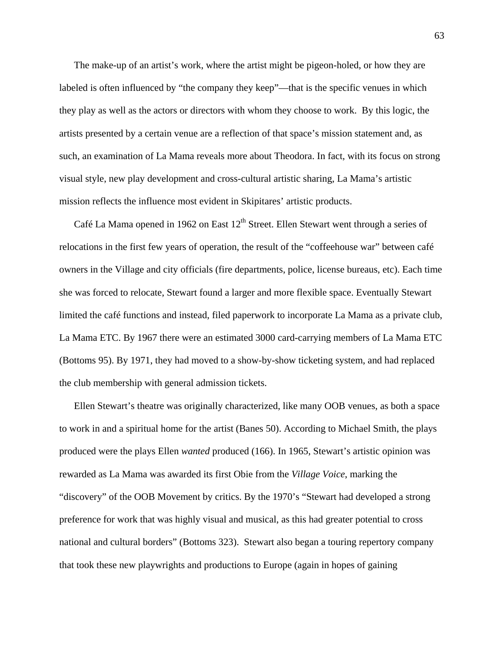The make-up of an artist's work, where the artist might be pigeon-holed, or how they are labeled is often influenced by "the company they keep"—that is the specific venues in which they play as well as the actors or directors with whom they choose to work. By this logic, the artists presented by a certain venue are a reflection of that space's mission statement and, as such, an examination of La Mama reveals more about Theodora. In fact, with its focus on strong visual style, new play development and cross-cultural artistic sharing, La Mama's artistic mission reflects the influence most evident in Skipitares' artistic products.

Café La Mama opened in 1962 on East  $12<sup>th</sup>$  Street. Ellen Stewart went through a series of relocations in the first few years of operation, the result of the "coffeehouse war" between café owners in the Village and city officials (fire departments, police, license bureaus, etc). Each time she was forced to relocate, Stewart found a larger and more flexible space. Eventually Stewart limited the café functions and instead, filed paperwork to incorporate La Mama as a private club, La Mama ETC. By 1967 there were an estimated 3000 card-carrying members of La Mama ETC (Bottoms 95). By 1971, they had moved to a show-by-show ticketing system, and had replaced the club membership with general admission tickets.

Ellen Stewart's theatre was originally characterized, like many OOB venues, as both a space to work in and a spiritual home for the artist (Banes 50). According to Michael Smith, the plays produced were the plays Ellen *wanted* produced (166). In 1965, Stewart's artistic opinion was rewarded as La Mama was awarded its first Obie from the *Village Voice*, marking the "discovery" of the OOB Movement by critics. By the 1970's "Stewart had developed a strong preference for work that was highly visual and musical, as this had greater potential to cross national and cultural borders" (Bottoms 323). Stewart also began a touring repertory company that took these new playwrights and productions to Europe (again in hopes of gaining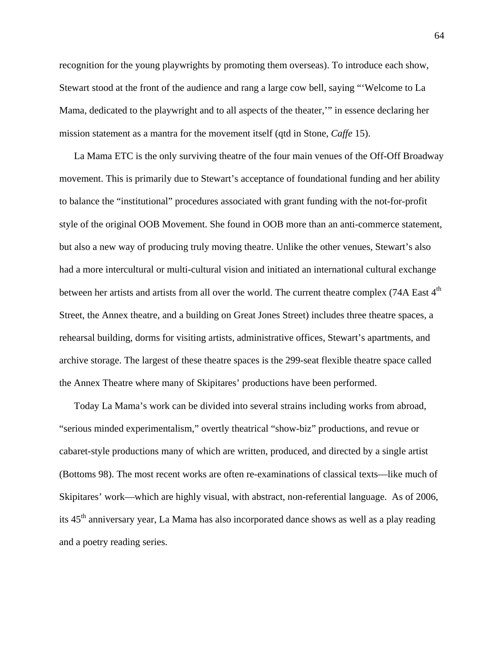recognition for the young playwrights by promoting them overseas). To introduce each show, Stewart stood at the front of the audience and rang a large cow bell, saying "'Welcome to La Mama, dedicated to the playwright and to all aspects of the theater,'" in essence declaring her mission statement as a mantra for the movement itself (qtd in Stone, *Caffe* 15).

La Mama ETC is the only surviving theatre of the four main venues of the Off-Off Broadway movement. This is primarily due to Stewart's acceptance of foundational funding and her ability to balance the "institutional" procedures associated with grant funding with the not-for-profit style of the original OOB Movement. She found in OOB more than an anti-commerce statement, but also a new way of producing truly moving theatre. Unlike the other venues, Stewart's also had a more intercultural or multi-cultural vision and initiated an international cultural exchange between her artists and artists from all over the world. The current theatre complex (74A East 4<sup>th</sup> Street, the Annex theatre, and a building on Great Jones Street) includes three theatre spaces, a rehearsal building, dorms for visiting artists, administrative offices, Stewart's apartments, and archive storage. The largest of these theatre spaces is the 299-seat flexible theatre space called the Annex Theatre where many of Skipitares' productions have been performed.

Today La Mama's work can be divided into several strains including works from abroad, "serious minded experimentalism," overtly theatrical "show-biz" productions, and revue or cabaret-style productions many of which are written, produced, and directed by a single artist (Bottoms 98). The most recent works are often re-examinations of classical texts—like much of Skipitares' work—which are highly visual, with abstract, non-referential language. As of 2006, its 45<sup>th</sup> anniversary year, La Mama has also incorporated dance shows as well as a play reading and a poetry reading series.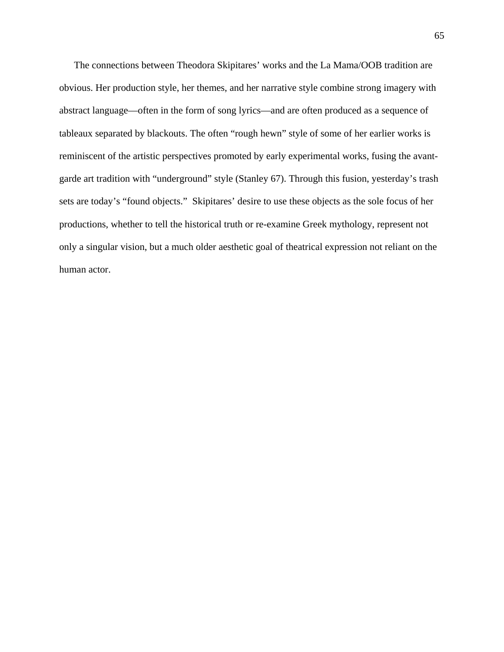The connections between Theodora Skipitares' works and the La Mama/OOB tradition are obvious. Her production style, her themes, and her narrative style combine strong imagery with abstract language—often in the form of song lyrics—and are often produced as a sequence of tableaux separated by blackouts. The often "rough hewn" style of some of her earlier works is reminiscent of the artistic perspectives promoted by early experimental works, fusing the avantgarde art tradition with "underground" style (Stanley 67). Through this fusion, yesterday's trash sets are today's "found objects." Skipitares' desire to use these objects as the sole focus of her productions, whether to tell the historical truth or re-examine Greek mythology, represent not only a singular vision, but a much older aesthetic goal of theatrical expression not reliant on the human actor.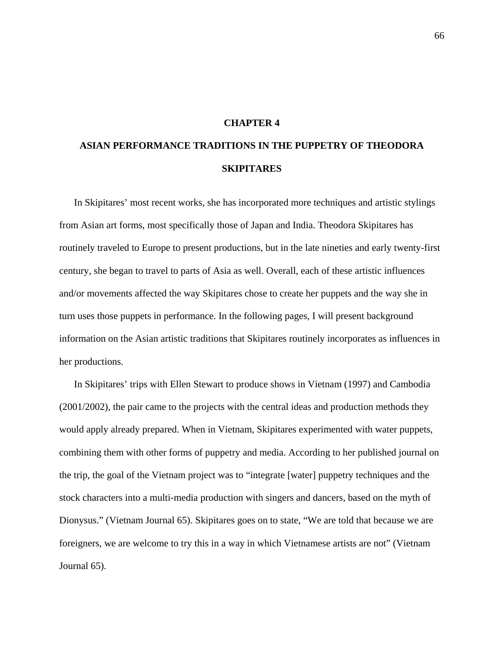# **CHAPTER 4**

# **ASIAN PERFORMANCE TRADITIONS IN THE PUPPETRY OF THEODORA SKIPITARES**

In Skipitares' most recent works, she has incorporated more techniques and artistic stylings from Asian art forms, most specifically those of Japan and India. Theodora Skipitares has routinely traveled to Europe to present productions, but in the late nineties and early twenty-first century, she began to travel to parts of Asia as well. Overall, each of these artistic influences and/or movements affected the way Skipitares chose to create her puppets and the way she in turn uses those puppets in performance. In the following pages, I will present background information on the Asian artistic traditions that Skipitares routinely incorporates as influences in her productions.

In Skipitares' trips with Ellen Stewart to produce shows in Vietnam (1997) and Cambodia (2001/2002), the pair came to the projects with the central ideas and production methods they would apply already prepared. When in Vietnam, Skipitares experimented with water puppets, combining them with other forms of puppetry and media. According to her published journal on the trip, the goal of the Vietnam project was to "integrate [water] puppetry techniques and the stock characters into a multi-media production with singers and dancers, based on the myth of Dionysus." (Vietnam Journal 65). Skipitares goes on to state, "We are told that because we are foreigners, we are welcome to try this in a way in which Vietnamese artists are not" (Vietnam Journal 65).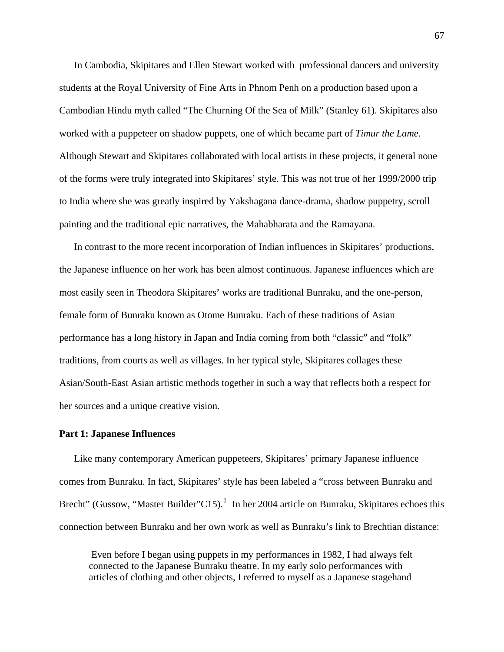In Cambodia, Skipitares and Ellen Stewart worked with professional dancers and university students at the Royal University of Fine Arts in Phnom Penh on a production based upon a Cambodian Hindu myth called "The Churning Of the Sea of Milk" (Stanley 61). Skipitares also worked with a puppeteer on shadow puppets, one of which became part of *Timur the Lame*. Although Stewart and Skipitares collaborated with local artists in these projects, it general none of the forms were truly integrated into Skipitares' style. This was not true of her 1999/2000 trip to India where she was greatly inspired by Yakshagana dance-drama, shadow puppetry, scroll painting and the traditional epic narratives, the Mahabharata and the Ramayana.

In contrast to the more recent incorporation of Indian influences in Skipitares' productions, the Japanese influence on her work has been almost continuous. Japanese influences which are most easily seen in Theodora Skipitares' works are traditional Bunraku, and the one-person, female form of Bunraku known as Otome Bunraku. Each of these traditions of Asian performance has a long history in Japan and India coming from both "classic" and "folk" traditions, from courts as well as villages. In her typical style, Skipitares collages these Asian/South-East Asian artistic methods together in such a way that reflects both a respect for her sources and a unique creative vision.

#### **Part 1: Japanese Influences**

Like many contemporary American puppeteers, Skipitares' primary Japanese influence comes from Bunraku. In fact, Skipitares' style has been labeled a "cross between Bunraku and Brecht" (Gussow, "Master Builder"C[1](#page-196-0)5).<sup>1</sup> In her 2004 article on Bunraku, Skipitares echoes this connection between Bunraku and her own work as well as Bunraku's link to Brechtian distance:

 Even before I began using puppets in my performances in 1982, I had always felt connected to the Japanese Bunraku theatre. In my early solo performances with articles of clothing and other objects, I referred to myself as a Japanese stagehand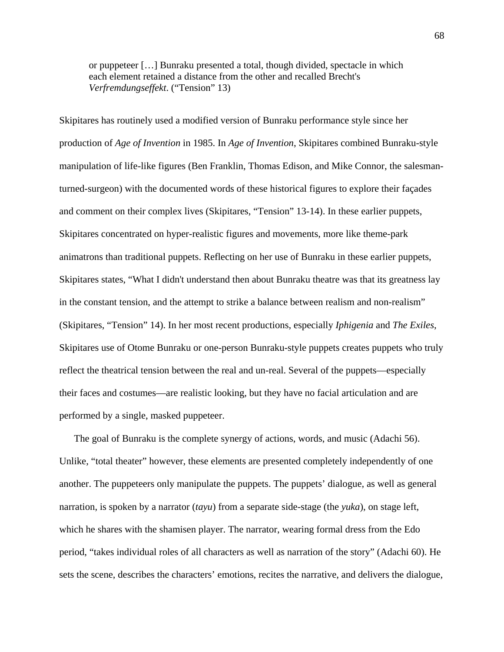or puppeteer […] Bunraku presented a total, though divided, spectacle in which each element retained a distance from the other and recalled Brecht's *Verfremdungseffekt*. ("Tension" 13)

Skipitares has routinely used a modified version of Bunraku performance style since her production of *Age of Invention* in 1985. In *Age of Invention*, Skipitares combined Bunraku-style manipulation of life-like figures (Ben Franklin, Thomas Edison, and Mike Connor, the salesmanturned-surgeon) with the documented words of these historical figures to explore their façades and comment on their complex lives (Skipitares, "Tension" 13-14). In these earlier puppets, Skipitares concentrated on hyper-realistic figures and movements, more like theme-park animatrons than traditional puppets. Reflecting on her use of Bunraku in these earlier puppets, Skipitares states, "What I didn't understand then about Bunraku theatre was that its greatness lay in the constant tension, and the attempt to strike a balance between realism and non-realism" (Skipitares, "Tension" 14). In her most recent productions, especially *Iphigenia* and *The Exiles*, Skipitares use of Otome Bunraku or one-person Bunraku-style puppets creates puppets who truly reflect the theatrical tension between the real and un-real. Several of the puppets—especially their faces and costumes—are realistic looking, but they have no facial articulation and are performed by a single, masked puppeteer.

The goal of Bunraku is the complete synergy of actions, words, and music (Adachi 56). Unlike, "total theater" however, these elements are presented completely independently of one another. The puppeteers only manipulate the puppets. The puppets' dialogue, as well as general narration, is spoken by a narrator (*tayu*) from a separate side-stage (the *yuka*), on stage left, which he shares with the shamisen player. The narrator, wearing formal dress from the Edo period, "takes individual roles of all characters as well as narration of the story" (Adachi 60). He sets the scene, describes the characters' emotions, recites the narrative, and delivers the dialogue,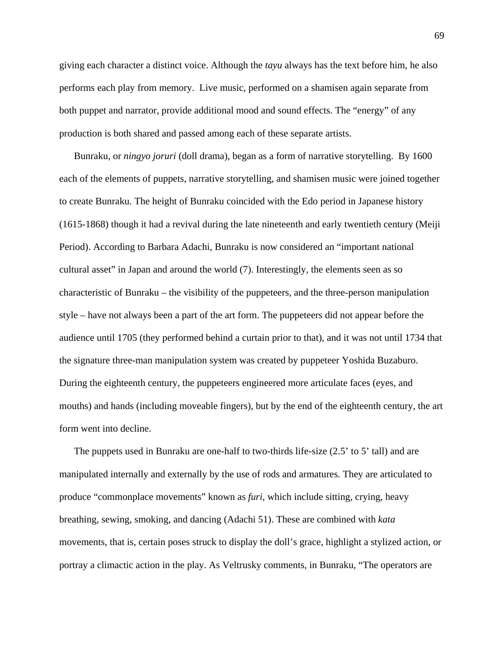giving each character a distinct voice. Although the *tayu* always has the text before him, he also performs each play from memory. Live music, performed on a shamisen again separate from both puppet and narrator, provide additional mood and sound effects. The "energy" of any production is both shared and passed among each of these separate artists.

Bunraku, or *ningyo joruri* (doll drama), began as a form of narrative storytelling. By 1600 each of the elements of puppets, narrative storytelling, and shamisen music were joined together to create Bunraku. The height of Bunraku coincided with the Edo period in Japanese history (1615-1868) though it had a revival during the late nineteenth and early twentieth century (Meiji Period). According to Barbara Adachi, Bunraku is now considered an "important national cultural asset" in Japan and around the world (7). Interestingly, the elements seen as so characteristic of Bunraku – the visibility of the puppeteers, and the three-person manipulation style – have not always been a part of the art form. The puppeteers did not appear before the audience until 1705 (they performed behind a curtain prior to that), and it was not until 1734 that the signature three-man manipulation system was created by puppeteer Yoshida Buzaburo. During the eighteenth century, the puppeteers engineered more articulate faces (eyes, and mouths) and hands (including moveable fingers), but by the end of the eighteenth century, the art form went into decline.

The puppets used in Bunraku are one-half to two-thirds life-size (2.5' to 5' tall) and are manipulated internally and externally by the use of rods and armatures. They are articulated to produce "commonplace movements" known as *furi*, which include sitting, crying, heavy breathing, sewing, smoking, and dancing (Adachi 51). These are combined with *kata* movements, that is, certain poses struck to display the doll's grace, highlight a stylized action, or portray a climactic action in the play. As Veltrusky comments, in Bunraku, "The operators are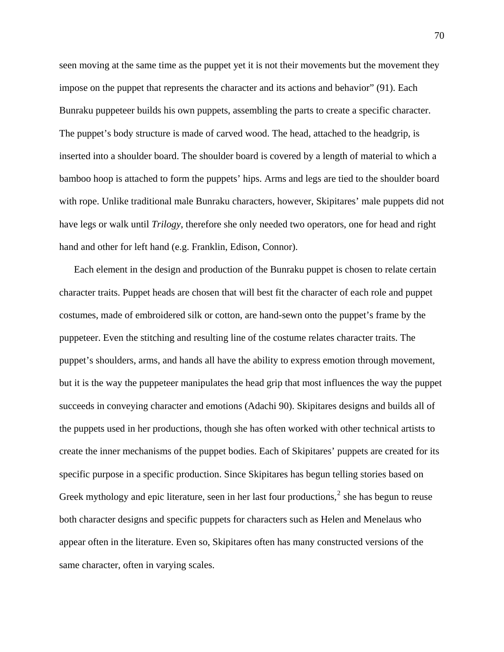seen moving at the same time as the puppet yet it is not their movements but the movement they impose on the puppet that represents the character and its actions and behavior" (91). Each Bunraku puppeteer builds his own puppets, assembling the parts to create a specific character. The puppet's body structure is made of carved wood. The head, attached to the headgrip, is inserted into a shoulder board. The shoulder board is covered by a length of material to which a bamboo hoop is attached to form the puppets' hips. Arms and legs are tied to the shoulder board with rope. Unlike traditional male Bunraku characters, however, Skipitares' male puppets did not have legs or walk until *Trilogy*, therefore she only needed two operators, one for head and right hand and other for left hand (e.g. Franklin, Edison, Connor).

Each element in the design and production of the Bunraku puppet is chosen to relate certain character traits. Puppet heads are chosen that will best fit the character of each role and puppet costumes, made of embroidered silk or cotton, are hand-sewn onto the puppet's frame by the puppeteer. Even the stitching and resulting line of the costume relates character traits. The puppet's shoulders, arms, and hands all have the ability to express emotion through movement, but it is the way the puppeteer manipulates the head grip that most influences the way the puppet succeeds in conveying character and emotions (Adachi 90). Skipitares designs and builds all of the puppets used in her productions, though she has often worked with other technical artists to create the inner mechanisms of the puppet bodies. Each of Skipitares' puppets are created for its specific purpose in a specific production. Since Skipitares has begun telling stories based on Greek mythology and epic literature, seen in her last four productions, $<sup>2</sup>$  $<sup>2</sup>$  $<sup>2</sup>$  she has begun to reuse</sup> both character designs and specific puppets for characters such as Helen and Menelaus who appear often in the literature. Even so, Skipitares often has many constructed versions of the same character, often in varying scales.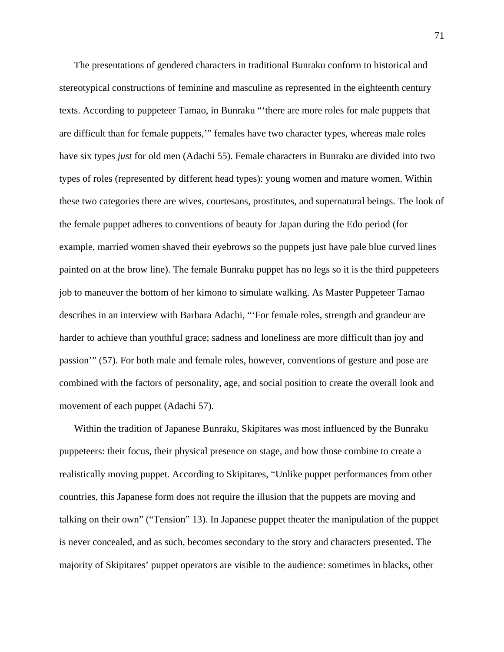The presentations of gendered characters in traditional Bunraku conform to historical and stereotypical constructions of feminine and masculine as represented in the eighteenth century texts. According to puppeteer Tamao, in Bunraku "'there are more roles for male puppets that are difficult than for female puppets,'" females have two character types, whereas male roles have six types *just* for old men (Adachi 55). Female characters in Bunraku are divided into two types of roles (represented by different head types): young women and mature women. Within these two categories there are wives, courtesans, prostitutes, and supernatural beings. The look of the female puppet adheres to conventions of beauty for Japan during the Edo period (for example, married women shaved their eyebrows so the puppets just have pale blue curved lines painted on at the brow line). The female Bunraku puppet has no legs so it is the third puppeteers job to maneuver the bottom of her kimono to simulate walking. As Master Puppeteer Tamao describes in an interview with Barbara Adachi, "'For female roles, strength and grandeur are harder to achieve than youthful grace; sadness and loneliness are more difficult than joy and passion'" (57). For both male and female roles, however, conventions of gesture and pose are combined with the factors of personality, age, and social position to create the overall look and movement of each puppet (Adachi 57).

Within the tradition of Japanese Bunraku, Skipitares was most influenced by the Bunraku puppeteers: their focus, their physical presence on stage, and how those combine to create a realistically moving puppet. According to Skipitares, "Unlike puppet performances from other countries, this Japanese form does not require the illusion that the puppets are moving and talking on their own" ("Tension" 13). In Japanese puppet theater the manipulation of the puppet is never concealed, and as such, becomes secondary to the story and characters presented. The majority of Skipitares' puppet operators are visible to the audience: sometimes in blacks, other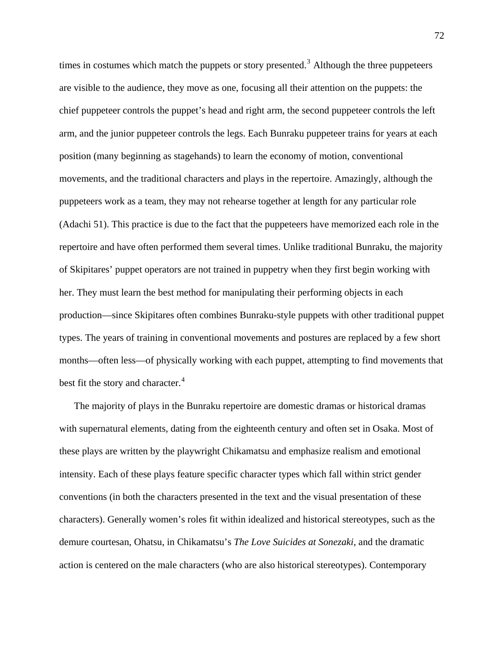times in costumes which match the puppets or story presented.<sup>[3](#page-197-0)</sup> Although the three puppeteers are visible to the audience, they move as one, focusing all their attention on the puppets: the chief puppeteer controls the puppet's head and right arm, the second puppeteer controls the left arm, and the junior puppeteer controls the legs. Each Bunraku puppeteer trains for years at each position (many beginning as stagehands) to learn the economy of motion, conventional movements, and the traditional characters and plays in the repertoire. Amazingly, although the puppeteers work as a team, they may not rehearse together at length for any particular role (Adachi 51). This practice is due to the fact that the puppeteers have memorized each role in the repertoire and have often performed them several times. Unlike traditional Bunraku, the majority of Skipitares' puppet operators are not trained in puppetry when they first begin working with her. They must learn the best method for manipulating their performing objects in each production—since Skipitares often combines Bunraku-style puppets with other traditional puppet types. The years of training in conventional movements and postures are replaced by a few short months—often less—of physically working with each puppet, attempting to find movements that best fit the story and character.<sup>[4](#page-197-0)</sup>

The majority of plays in the Bunraku repertoire are domestic dramas or historical dramas with supernatural elements, dating from the eighteenth century and often set in Osaka. Most of these plays are written by the playwright Chikamatsu and emphasize realism and emotional intensity. Each of these plays feature specific character types which fall within strict gender conventions (in both the characters presented in the text and the visual presentation of these characters). Generally women's roles fit within idealized and historical stereotypes, such as the demure courtesan, Ohatsu, in Chikamatsu's *The Love Suicides at Sonezaki*, and the dramatic action is centered on the male characters (who are also historical stereotypes). Contemporary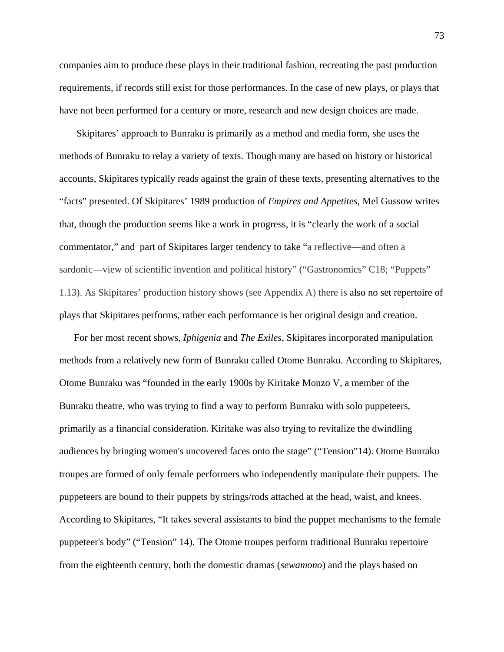companies aim to produce these plays in their traditional fashion, recreating the past production requirements, if records still exist for those performances. In the case of new plays, or plays that have not been performed for a century or more, research and new design choices are made.

 Skipitares' approach to Bunraku is primarily as a method and media form, she uses the methods of Bunraku to relay a variety of texts. Though many are based on history or historical accounts, Skipitares typically reads against the grain of these texts, presenting alternatives to the "facts" presented. Of Skipitares' 1989 production of *Empires and Appetites*, Mel Gussow writes that, though the production seems like a work in progress, it is "clearly the work of a social commentator," and part of Skipitares larger tendency to take "a reflective—and often a sardonic—view of scientific invention and political history" ("Gastronomics" C18; "Puppets" 1.13). As Skipitares' production history shows (see Appendix A) there is also no set repertoire of plays that Skipitares performs, rather each performance is her original design and creation.

For her most recent shows, *Iphigenia* and *The Exiles*, Skipitares incorporated manipulation methods from a relatively new form of Bunraku called Otome Bunraku. According to Skipitares, Otome Bunraku was "founded in the early 1900s by Kiritake Monzo V, a member of the Bunraku theatre, who was trying to find a way to perform Bunraku with solo puppeteers, primarily as a financial consideration. Kiritake was also trying to revitalize the dwindling audiences by bringing women's uncovered faces onto the stage" ("Tension"14). Otome Bunraku troupes are formed of only female performers who independently manipulate their puppets. The puppeteers are bound to their puppets by strings/rods attached at the head, waist, and knees. According to Skipitares, "It takes several assistants to bind the puppet mechanisms to the female puppeteer's body" ("Tension" 14). The Otome troupes perform traditional Bunraku repertoire from the eighteenth century, both the domestic dramas (*sewamono*) and the plays based on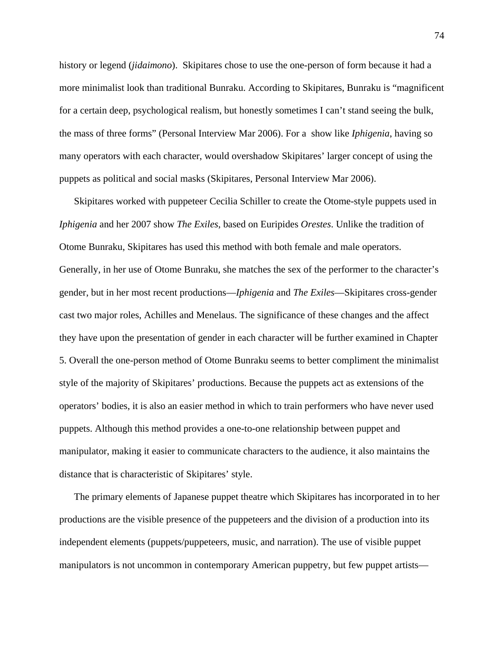history or legend (*jidaimono*). Skipitares chose to use the one-person of form because it had a more minimalist look than traditional Bunraku. According to Skipitares, Bunraku is "magnificent for a certain deep, psychological realism, but honestly sometimes I can't stand seeing the bulk, the mass of three forms" (Personal Interview Mar 2006). For a show like *Iphigenia*, having so many operators with each character, would overshadow Skipitares' larger concept of using the puppets as political and social masks (Skipitares, Personal Interview Mar 2006).

Skipitares worked with puppeteer Cecilia Schiller to create the Otome-style puppets used in *Iphigenia* and her 2007 show *The Exiles*, based on Euripides *Orestes*. Unlike the tradition of Otome Bunraku, Skipitares has used this method with both female and male operators. Generally, in her use of Otome Bunraku, she matches the sex of the performer to the character's gender, but in her most recent productions—*Iphigenia* and *The Exiles*—Skipitares cross-gender cast two major roles, Achilles and Menelaus. The significance of these changes and the affect they have upon the presentation of gender in each character will be further examined in Chapter 5. Overall the one-person method of Otome Bunraku seems to better compliment the minimalist style of the majority of Skipitares' productions. Because the puppets act as extensions of the operators' bodies, it is also an easier method in which to train performers who have never used puppets. Although this method provides a one-to-one relationship between puppet and manipulator, making it easier to communicate characters to the audience, it also maintains the distance that is characteristic of Skipitares' style.

The primary elements of Japanese puppet theatre which Skipitares has incorporated in to her productions are the visible presence of the puppeteers and the division of a production into its independent elements (puppets/puppeteers, music, and narration). The use of visible puppet manipulators is not uncommon in contemporary American puppetry, but few puppet artists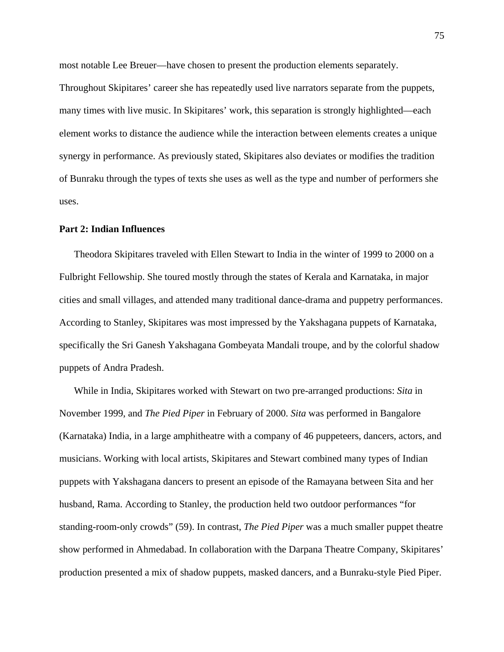most notable Lee Breuer—have chosen to present the production elements separately.

Throughout Skipitares' career she has repeatedly used live narrators separate from the puppets, many times with live music. In Skipitares' work, this separation is strongly highlighted—each element works to distance the audience while the interaction between elements creates a unique synergy in performance. As previously stated, Skipitares also deviates or modifies the tradition of Bunraku through the types of texts she uses as well as the type and number of performers she uses.

#### **Part 2: Indian Influences**

Theodora Skipitares traveled with Ellen Stewart to India in the winter of 1999 to 2000 on a Fulbright Fellowship. She toured mostly through the states of Kerala and Karnataka, in major cities and small villages, and attended many traditional dance-drama and puppetry performances. According to Stanley, Skipitares was most impressed by the Yakshagana puppets of Karnataka, specifically the Sri Ganesh Yakshagana Gombeyata Mandali troupe, and by the colorful shadow puppets of Andra Pradesh.

While in India, Skipitares worked with Stewart on two pre-arranged productions: *Sita* in November 1999, and *The Pied Piper* in February of 2000. *Sita* was performed in Bangalore (Karnataka) India, in a large amphitheatre with a company of 46 puppeteers, dancers, actors, and musicians. Working with local artists, Skipitares and Stewart combined many types of Indian puppets with Yakshagana dancers to present an episode of the Ramayana between Sita and her husband, Rama. According to Stanley, the production held two outdoor performances "for standing-room-only crowds" (59). In contrast, *The Pied Piper* was a much smaller puppet theatre show performed in Ahmedabad. In collaboration with the Darpana Theatre Company, Skipitares' production presented a mix of shadow puppets, masked dancers, and a Bunraku-style Pied Piper.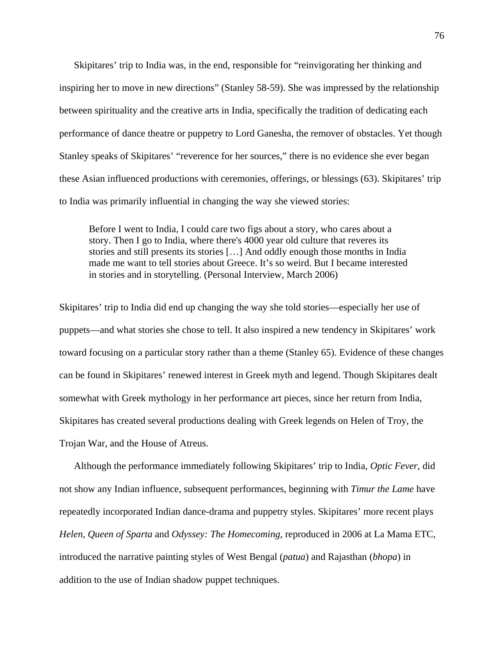Skipitares' trip to India was, in the end, responsible for "reinvigorating her thinking and inspiring her to move in new directions" (Stanley 58-59). She was impressed by the relationship between spirituality and the creative arts in India, specifically the tradition of dedicating each performance of dance theatre or puppetry to Lord Ganesha, the remover of obstacles. Yet though Stanley speaks of Skipitares' "reverence for her sources," there is no evidence she ever began these Asian influenced productions with ceremonies, offerings, or blessings (63). Skipitares' trip to India was primarily influential in changing the way she viewed stories:

Before I went to India, I could care two figs about a story, who cares about a story. Then I go to India, where there's 4000 year old culture that reveres its stories and still presents its stories […] And oddly enough those months in India made me want to tell stories about Greece. It's so weird. But I became interested in stories and in storytelling. (Personal Interview, March 2006)

Skipitares' trip to India did end up changing the way she told stories—especially her use of puppets—and what stories she chose to tell. It also inspired a new tendency in Skipitares' work toward focusing on a particular story rather than a theme (Stanley 65). Evidence of these changes can be found in Skipitares' renewed interest in Greek myth and legend. Though Skipitares dealt somewhat with Greek mythology in her performance art pieces, since her return from India, Skipitares has created several productions dealing with Greek legends on Helen of Troy, the Trojan War, and the House of Atreus.

Although the performance immediately following Skipitares' trip to India, *Optic Fever*, did not show any Indian influence, subsequent performances, beginning with *Timur the Lame* have repeatedly incorporated Indian dance-drama and puppetry styles. Skipitares' more recent plays *Helen, Queen of Sparta* and *Odyssey: The Homecoming*, reproduced in 2006 at La Mama ETC, introduced the narrative painting styles of West Bengal (*patua*) and Rajasthan (*bhopa*) in addition to the use of Indian shadow puppet techniques.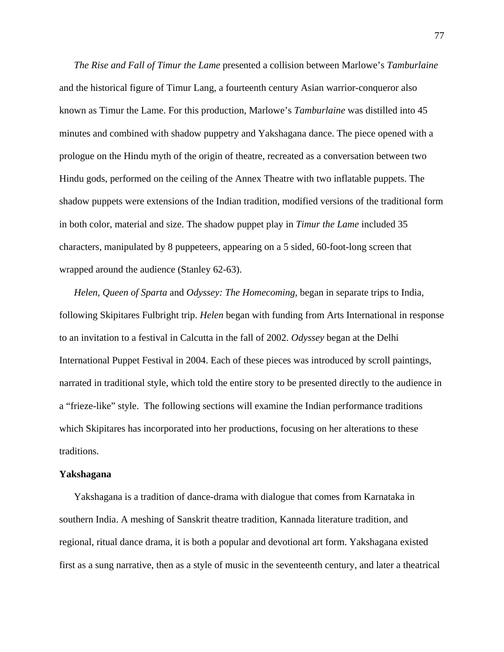*The Rise and Fall of Timur the Lame* presented a collision between Marlowe's *Tamburlaine* and the historical figure of Timur Lang, a fourteenth century Asian warrior-conqueror also known as Timur the Lame. For this production, Marlowe's *Tamburlaine* was distilled into 45 minutes and combined with shadow puppetry and Yakshagana dance. The piece opened with a prologue on the Hindu myth of the origin of theatre, recreated as a conversation between two Hindu gods, performed on the ceiling of the Annex Theatre with two inflatable puppets. The shadow puppets were extensions of the Indian tradition, modified versions of the traditional form in both color, material and size. The shadow puppet play in *Timur the Lame* included 35 characters, manipulated by 8 puppeteers, appearing on a 5 sided, 60-foot-long screen that wrapped around the audience (Stanley 62-63).

*Helen, Queen of Sparta* and *Odyssey: The Homecoming*, began in separate trips to India, following Skipitares Fulbright trip. *Helen* began with funding from Arts International in response to an invitation to a festival in Calcutta in the fall of 2002. *Odyssey* began at the Delhi International Puppet Festival in 2004. Each of these pieces was introduced by scroll paintings, narrated in traditional style, which told the entire story to be presented directly to the audience in a "frieze-like" style. The following sections will examine the Indian performance traditions which Skipitares has incorporated into her productions, focusing on her alterations to these traditions.

#### **Yakshagana**

Yakshagana is a tradition of dance-drama with dialogue that comes from Karnataka in southern India. A meshing of Sanskrit theatre tradition, Kannada literature tradition, and regional, ritual dance drama, it is both a popular and devotional art form. Yakshagana existed first as a sung narrative, then as a style of music in the seventeenth century, and later a theatrical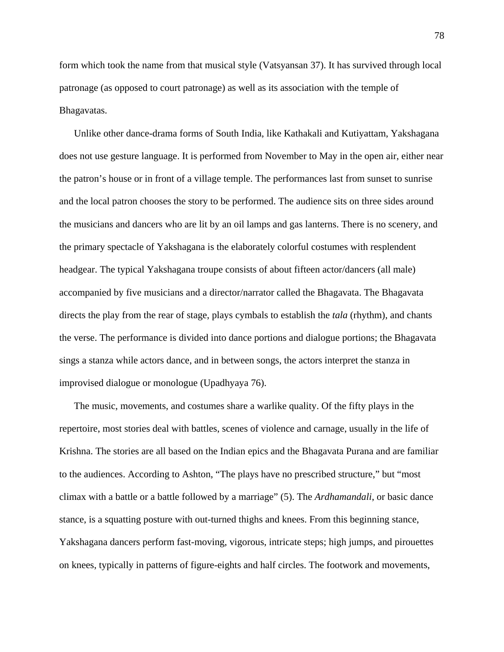form which took the name from that musical style (Vatsyansan 37). It has survived through local patronage (as opposed to court patronage) as well as its association with the temple of Bhagavatas.

Unlike other dance-drama forms of South India, like Kathakali and Kutiyattam, Yakshagana does not use gesture language. It is performed from November to May in the open air, either near the patron's house or in front of a village temple. The performances last from sunset to sunrise and the local patron chooses the story to be performed. The audience sits on three sides around the musicians and dancers who are lit by an oil lamps and gas lanterns. There is no scenery, and the primary spectacle of Yakshagana is the elaborately colorful costumes with resplendent headgear. The typical Yakshagana troupe consists of about fifteen actor/dancers (all male) accompanied by five musicians and a director/narrator called the Bhagavata. The Bhagavata directs the play from the rear of stage, plays cymbals to establish the *tala* (rhythm), and chants the verse. The performance is divided into dance portions and dialogue portions; the Bhagavata sings a stanza while actors dance, and in between songs, the actors interpret the stanza in improvised dialogue or monologue (Upadhyaya 76).

The music, movements, and costumes share a warlike quality. Of the fifty plays in the repertoire, most stories deal with battles, scenes of violence and carnage, usually in the life of Krishna. The stories are all based on the Indian epics and the Bhagavata Purana and are familiar to the audiences. According to Ashton, "The plays have no prescribed structure," but "most climax with a battle or a battle followed by a marriage" (5). The *Ardhamandali*, or basic dance stance, is a squatting posture with out-turned thighs and knees. From this beginning stance, Yakshagana dancers perform fast-moving, vigorous, intricate steps; high jumps, and pirouettes on knees, typically in patterns of figure-eights and half circles. The footwork and movements,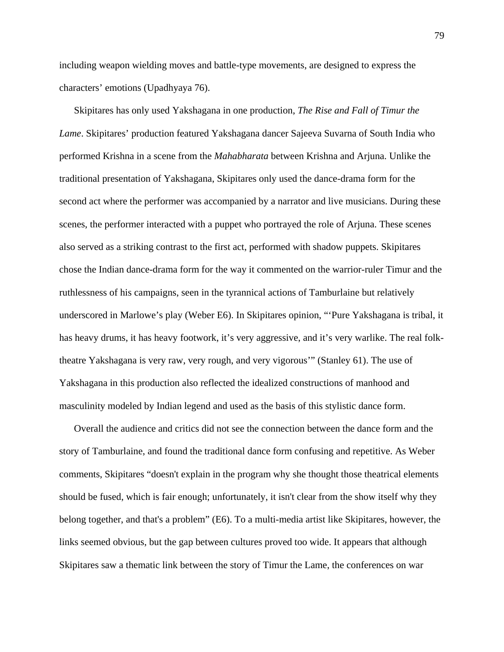including weapon wielding moves and battle-type movements, are designed to express the characters' emotions (Upadhyaya 76).

Skipitares has only used Yakshagana in one production, *The Rise and Fall of Timur the Lame*. Skipitares' production featured Yakshagana dancer Sajeeva Suvarna of South India who performed Krishna in a scene from the *Mahabharata* between Krishna and Arjuna. Unlike the traditional presentation of Yakshagana, Skipitares only used the dance-drama form for the second act where the performer was accompanied by a narrator and live musicians. During these scenes, the performer interacted with a puppet who portrayed the role of Arjuna. These scenes also served as a striking contrast to the first act, performed with shadow puppets. Skipitares chose the Indian dance-drama form for the way it commented on the warrior-ruler Timur and the ruthlessness of his campaigns, seen in the tyrannical actions of Tamburlaine but relatively underscored in Marlowe's play (Weber E6). In Skipitares opinion, "'Pure Yakshagana is tribal, it has heavy drums, it has heavy footwork, it's very aggressive, and it's very warlike. The real folktheatre Yakshagana is very raw, very rough, and very vigorous'" (Stanley 61). The use of Yakshagana in this production also reflected the idealized constructions of manhood and masculinity modeled by Indian legend and used as the basis of this stylistic dance form.

Overall the audience and critics did not see the connection between the dance form and the story of Tamburlaine, and found the traditional dance form confusing and repetitive. As Weber comments, Skipitares "doesn't explain in the program why she thought those theatrical elements should be fused, which is fair enough; unfortunately, it isn't clear from the show itself why they belong together, and that's a problem" (E6). To a multi-media artist like Skipitares, however, the links seemed obvious, but the gap between cultures proved too wide. It appears that although Skipitares saw a thematic link between the story of Timur the Lame, the conferences on war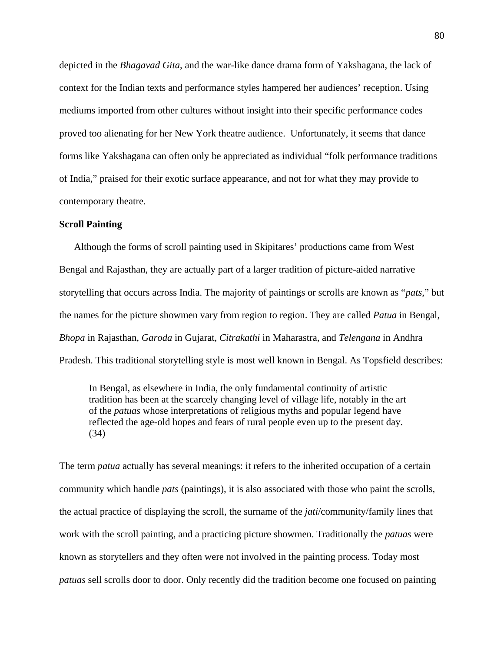depicted in the *Bhagavad Gita*, and the war-like dance drama form of Yakshagana, the lack of context for the Indian texts and performance styles hampered her audiences' reception. Using mediums imported from other cultures without insight into their specific performance codes proved too alienating for her New York theatre audience. Unfortunately, it seems that dance forms like Yakshagana can often only be appreciated as individual "folk performance traditions of India," praised for their exotic surface appearance, and not for what they may provide to contemporary theatre.

#### **Scroll Painting**

Although the forms of scroll painting used in Skipitares' productions came from West Bengal and Rajasthan, they are actually part of a larger tradition of picture-aided narrative storytelling that occurs across India. The majority of paintings or scrolls are known as "*pats*," but the names for the picture showmen vary from region to region. They are called *Patua* in Bengal, *Bhopa* in Rajasthan, *Garoda* in Gujarat, *Citrakathi* in Maharastra, and *Telengana* in Andhra Pradesh. This traditional storytelling style is most well known in Bengal. As Topsfield describes:

In Bengal, as elsewhere in India, the only fundamental continuity of artistic tradition has been at the scarcely changing level of village life, notably in the art of the *patuas* whose interpretations of religious myths and popular legend have reflected the age-old hopes and fears of rural people even up to the present day. (34)

The term *patua* actually has several meanings: it refers to the inherited occupation of a certain community which handle *pats* (paintings), it is also associated with those who paint the scrolls, the actual practice of displaying the scroll, the surname of the *jati*/community/family lines that work with the scroll painting, and a practicing picture showmen. Traditionally the *patuas* were known as storytellers and they often were not involved in the painting process. Today most *patuas* sell scrolls door to door. Only recently did the tradition become one focused on painting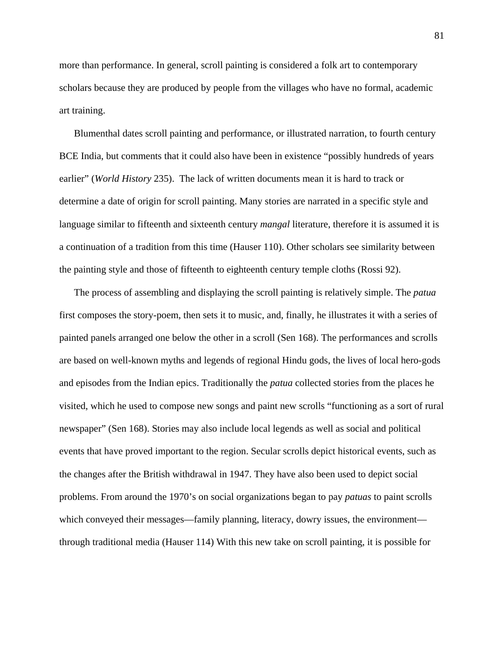more than performance. In general, scroll painting is considered a folk art to contemporary scholars because they are produced by people from the villages who have no formal, academic art training.

Blumenthal dates scroll painting and performance, or illustrated narration, to fourth century BCE India, but comments that it could also have been in existence "possibly hundreds of years earlier" (*World History* 235). The lack of written documents mean it is hard to track or determine a date of origin for scroll painting. Many stories are narrated in a specific style and language similar to fifteenth and sixteenth century *mangal* literature, therefore it is assumed it is a continuation of a tradition from this time (Hauser 110). Other scholars see similarity between the painting style and those of fifteenth to eighteenth century temple cloths (Rossi 92).

The process of assembling and displaying the scroll painting is relatively simple. The *patua* first composes the story-poem, then sets it to music, and, finally, he illustrates it with a series of painted panels arranged one below the other in a scroll (Sen 168). The performances and scrolls are based on well-known myths and legends of regional Hindu gods, the lives of local hero-gods and episodes from the Indian epics. Traditionally the *patua* collected stories from the places he visited, which he used to compose new songs and paint new scrolls "functioning as a sort of rural newspaper" (Sen 168). Stories may also include local legends as well as social and political events that have proved important to the region. Secular scrolls depict historical events, such as the changes after the British withdrawal in 1947. They have also been used to depict social problems. From around the 1970's on social organizations began to pay *patuas* to paint scrolls which conveyed their messages—family planning, literacy, dowry issues, the environment through traditional media (Hauser 114) With this new take on scroll painting, it is possible for

81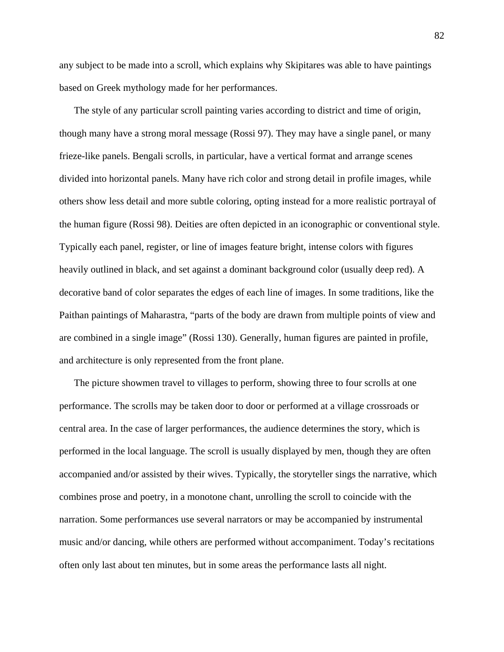any subject to be made into a scroll, which explains why Skipitares was able to have paintings based on Greek mythology made for her performances.

The style of any particular scroll painting varies according to district and time of origin, though many have a strong moral message (Rossi 97). They may have a single panel, or many frieze-like panels. Bengali scrolls, in particular, have a vertical format and arrange scenes divided into horizontal panels. Many have rich color and strong detail in profile images, while others show less detail and more subtle coloring, opting instead for a more realistic portrayal of the human figure (Rossi 98). Deities are often depicted in an iconographic or conventional style. Typically each panel, register, or line of images feature bright, intense colors with figures heavily outlined in black, and set against a dominant background color (usually deep red). A decorative band of color separates the edges of each line of images. In some traditions, like the Paithan paintings of Maharastra, "parts of the body are drawn from multiple points of view and are combined in a single image" (Rossi 130). Generally, human figures are painted in profile, and architecture is only represented from the front plane.

The picture showmen travel to villages to perform, showing three to four scrolls at one performance. The scrolls may be taken door to door or performed at a village crossroads or central area. In the case of larger performances, the audience determines the story, which is performed in the local language. The scroll is usually displayed by men, though they are often accompanied and/or assisted by their wives. Typically, the storyteller sings the narrative, which combines prose and poetry, in a monotone chant, unrolling the scroll to coincide with the narration. Some performances use several narrators or may be accompanied by instrumental music and/or dancing, while others are performed without accompaniment. Today's recitations often only last about ten minutes, but in some areas the performance lasts all night.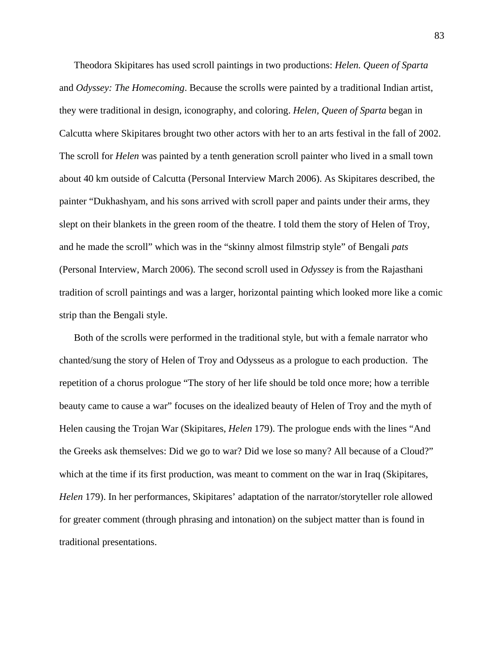Theodora Skipitares has used scroll paintings in two productions: *Helen. Queen of Sparta* and *Odyssey: The Homecoming*. Because the scrolls were painted by a traditional Indian artist, they were traditional in design, iconography, and coloring. *Helen, Queen of Sparta* began in Calcutta where Skipitares brought two other actors with her to an arts festival in the fall of 2002. The scroll for *Helen* was painted by a tenth generation scroll painter who lived in a small town about 40 km outside of Calcutta (Personal Interview March 2006). As Skipitares described, the painter "Dukhashyam, and his sons arrived with scroll paper and paints under their arms, they slept on their blankets in the green room of the theatre. I told them the story of Helen of Troy, and he made the scroll" which was in the "skinny almost filmstrip style" of Bengali *pats* (Personal Interview, March 2006). The second scroll used in *Odyssey* is from the Rajasthani tradition of scroll paintings and was a larger, horizontal painting which looked more like a comic strip than the Bengali style.

Both of the scrolls were performed in the traditional style, but with a female narrator who chanted/sung the story of Helen of Troy and Odysseus as a prologue to each production. The repetition of a chorus prologue "The story of her life should be told once more; how a terrible beauty came to cause a war" focuses on the idealized beauty of Helen of Troy and the myth of Helen causing the Trojan War (Skipitares, *Helen* 179). The prologue ends with the lines "And the Greeks ask themselves: Did we go to war? Did we lose so many? All because of a Cloud?" which at the time if its first production, was meant to comment on the war in Iraq (Skipitares, *Helen* 179). In her performances, Skipitares' adaptation of the narrator/storyteller role allowed for greater comment (through phrasing and intonation) on the subject matter than is found in traditional presentations.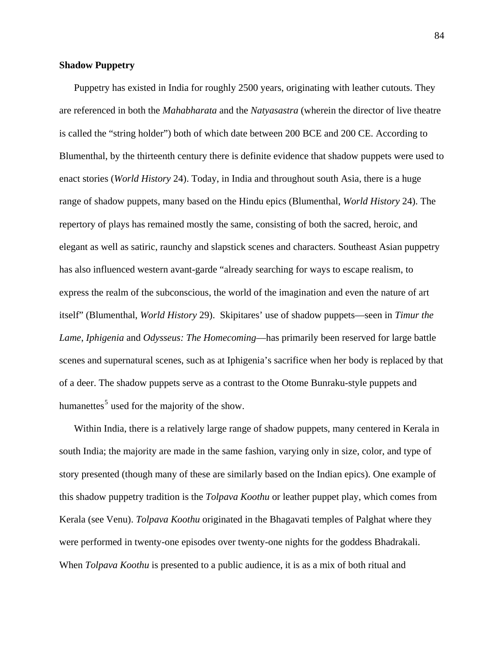# **Shadow Puppetry**

Puppetry has existed in India for roughly 2500 years, originating with leather cutouts. They are referenced in both the *Mahabharata* and the *Natyasastra* (wherein the director of live theatre is called the "string holder") both of which date between 200 BCE and 200 CE. According to Blumenthal, by the thirteenth century there is definite evidence that shadow puppets were used to enact stories (*World History* 24). Today, in India and throughout south Asia, there is a huge range of shadow puppets, many based on the Hindu epics (Blumenthal, *World History* 24). The repertory of plays has remained mostly the same, consisting of both the sacred, heroic, and elegant as well as satiric, raunchy and slapstick scenes and characters. Southeast Asian puppetry has also influenced western avant-garde "already searching for ways to escape realism, to express the realm of the subconscious, the world of the imagination and even the nature of art itself" (Blumenthal, *World History* 29). Skipitares' use of shadow puppets—seen in *Timur the Lame*, *Iphigenia* and *Odysseus: The Homecoming*—has primarily been reserved for large battle scenes and supernatural scenes, such as at Iphigenia's sacrifice when her body is replaced by that of a deer. The shadow puppets serve as a contrast to the Otome Bunraku-style puppets and humanettes<sup>[5](#page-197-0)</sup> used for the majority of the show.

Within India, there is a relatively large range of shadow puppets, many centered in Kerala in south India; the majority are made in the same fashion, varying only in size, color, and type of story presented (though many of these are similarly based on the Indian epics). One example of this shadow puppetry tradition is the *Tolpava Koothu* or leather puppet play, which comes from Kerala (see Venu). *Tolpava Koothu* originated in the Bhagavati temples of Palghat where they were performed in twenty-one episodes over twenty-one nights for the goddess Bhadrakali. When *Tolpava Koothu* is presented to a public audience, it is as a mix of both ritual and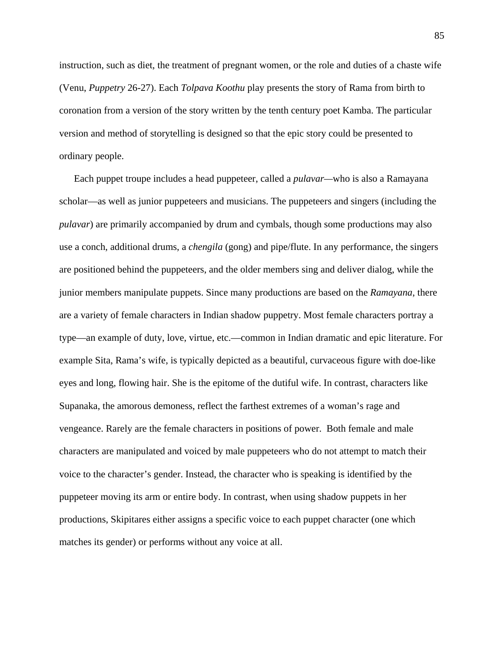instruction, such as diet, the treatment of pregnant women, or the role and duties of a chaste wife (Venu, *Puppetry* 26-27). Each *Tolpava Koothu* play presents the story of Rama from birth to coronation from a version of the story written by the tenth century poet Kamba. The particular version and method of storytelling is designed so that the epic story could be presented to ordinary people.

Each puppet troupe includes a head puppeteer, called a *pulavar—*who is also a Ramayana scholar—as well as junior puppeteers and musicians. The puppeteers and singers (including the *pulavar*) are primarily accompanied by drum and cymbals, though some productions may also use a conch, additional drums, a *chengila* (gong) and pipe/flute. In any performance, the singers are positioned behind the puppeteers, and the older members sing and deliver dialog, while the junior members manipulate puppets. Since many productions are based on the *Ramayana*, there are a variety of female characters in Indian shadow puppetry. Most female characters portray a type—an example of duty, love, virtue, etc.—common in Indian dramatic and epic literature. For example Sita, Rama's wife, is typically depicted as a beautiful, curvaceous figure with doe-like eyes and long, flowing hair. She is the epitome of the dutiful wife. In contrast, characters like Supanaka, the amorous demoness, reflect the farthest extremes of a woman's rage and vengeance. Rarely are the female characters in positions of power. Both female and male characters are manipulated and voiced by male puppeteers who do not attempt to match their voice to the character's gender. Instead, the character who is speaking is identified by the puppeteer moving its arm or entire body. In contrast, when using shadow puppets in her productions, Skipitares either assigns a specific voice to each puppet character (one which matches its gender) or performs without any voice at all.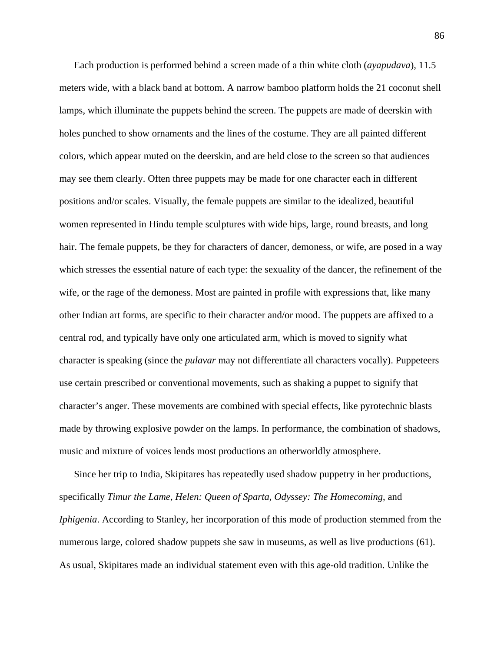Each production is performed behind a screen made of a thin white cloth (*ayapudava*), 11.5 meters wide, with a black band at bottom. A narrow bamboo platform holds the 21 coconut shell lamps, which illuminate the puppets behind the screen. The puppets are made of deerskin with holes punched to show ornaments and the lines of the costume. They are all painted different colors, which appear muted on the deerskin, and are held close to the screen so that audiences may see them clearly. Often three puppets may be made for one character each in different positions and/or scales. Visually, the female puppets are similar to the idealized, beautiful women represented in Hindu temple sculptures with wide hips, large, round breasts, and long hair. The female puppets, be they for characters of dancer, demoness, or wife, are posed in a way which stresses the essential nature of each type: the sexuality of the dancer, the refinement of the wife, or the rage of the demoness. Most are painted in profile with expressions that, like many other Indian art forms, are specific to their character and/or mood. The puppets are affixed to a central rod, and typically have only one articulated arm, which is moved to signify what character is speaking (since the *pulavar* may not differentiate all characters vocally). Puppeteers use certain prescribed or conventional movements, such as shaking a puppet to signify that character's anger. These movements are combined with special effects, like pyrotechnic blasts made by throwing explosive powder on the lamps. In performance, the combination of shadows, music and mixture of voices lends most productions an otherworldly atmosphere.

Since her trip to India, Skipitares has repeatedly used shadow puppetry in her productions, specifically *Timur the Lame*, *Helen: Queen of Sparta, Odyssey: The Homecoming*, and *Iphigenia*. According to Stanley, her incorporation of this mode of production stemmed from the numerous large, colored shadow puppets she saw in museums, as well as live productions (61). As usual, Skipitares made an individual statement even with this age-old tradition. Unlike the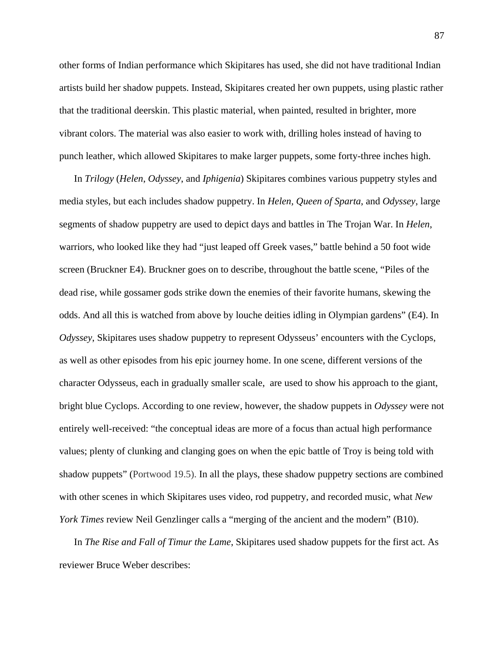other forms of Indian performance which Skipitares has used, she did not have traditional Indian artists build her shadow puppets. Instead, Skipitares created her own puppets, using plastic rather that the traditional deerskin. This plastic material, when painted, resulted in brighter, more vibrant colors. The material was also easier to work with, drilling holes instead of having to punch leather, which allowed Skipitares to make larger puppets, some forty-three inches high.

In *Trilogy* (*Helen*, *Odyssey*, and *Iphigenia*) Skipitares combines various puppetry styles and media styles, but each includes shadow puppetry. In *Helen, Queen of Sparta*, and *Odyssey*, large segments of shadow puppetry are used to depict days and battles in The Trojan War. In *Helen*, warriors, who looked like they had "just leaped off Greek vases," battle behind a 50 foot wide screen (Bruckner E4). Bruckner goes on to describe, throughout the battle scene, "Piles of the dead rise, while gossamer gods strike down the enemies of their favorite humans, skewing the odds. And all this is watched from above by louche deities idling in Olympian gardens" (E4). In *Odyssey*, Skipitares uses shadow puppetry to represent Odysseus' encounters with the Cyclops, as well as other episodes from his epic journey home. In one scene, different versions of the character Odysseus, each in gradually smaller scale, are used to show his approach to the giant, bright blue Cyclops. According to one review, however, the shadow puppets in *Odyssey* were not entirely well-received: "the conceptual ideas are more of a focus than actual high performance values; plenty of clunking and clanging goes on when the epic battle of Troy is being told with shadow puppets" (Portwood 19.5). In all the plays, these shadow puppetry sections are combined with other scenes in which Skipitares uses video, rod puppetry, and recorded music, what *New York Times* review Neil Genzlinger calls a "merging of the ancient and the modern" (B10).

In *The Rise and Fall of Timur the Lame*, Skipitares used shadow puppets for the first act. As reviewer Bruce Weber describes: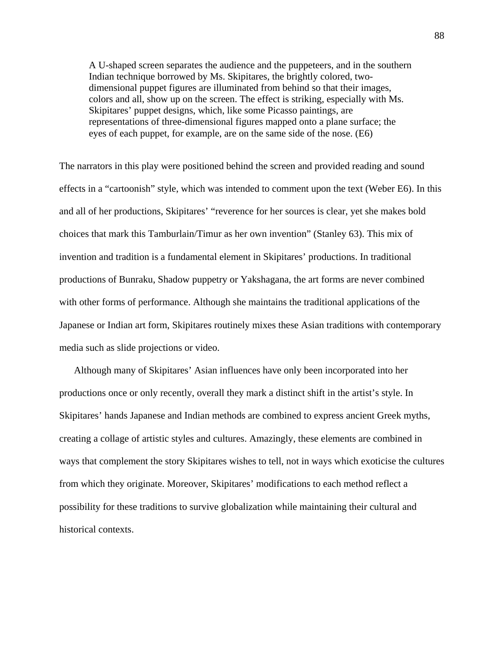A U-shaped screen separates the audience and the puppeteers, and in the southern Indian technique borrowed by Ms. Skipitares, the brightly colored, twodimensional puppet figures are illuminated from behind so that their images, colors and all, show up on the screen. The effect is striking, especially with Ms. Skipitares' puppet designs, which, like some Picasso paintings, are representations of three-dimensional figures mapped onto a plane surface; the eyes of each puppet, for example, are on the same side of the nose. (E6)

The narrators in this play were positioned behind the screen and provided reading and sound effects in a "cartoonish" style, which was intended to comment upon the text (Weber E6). In this and all of her productions, Skipitares' "reverence for her sources is clear, yet she makes bold choices that mark this Tamburlain/Timur as her own invention" (Stanley 63). This mix of invention and tradition is a fundamental element in Skipitares' productions. In traditional productions of Bunraku, Shadow puppetry or Yakshagana, the art forms are never combined with other forms of performance. Although she maintains the traditional applications of the Japanese or Indian art form, Skipitares routinely mixes these Asian traditions with contemporary media such as slide projections or video.

Although many of Skipitares' Asian influences have only been incorporated into her productions once or only recently, overall they mark a distinct shift in the artist's style. In Skipitares' hands Japanese and Indian methods are combined to express ancient Greek myths, creating a collage of artistic styles and cultures. Amazingly, these elements are combined in ways that complement the story Skipitares wishes to tell, not in ways which exoticise the cultures from which they originate. Moreover, Skipitares' modifications to each method reflect a possibility for these traditions to survive globalization while maintaining their cultural and historical contexts.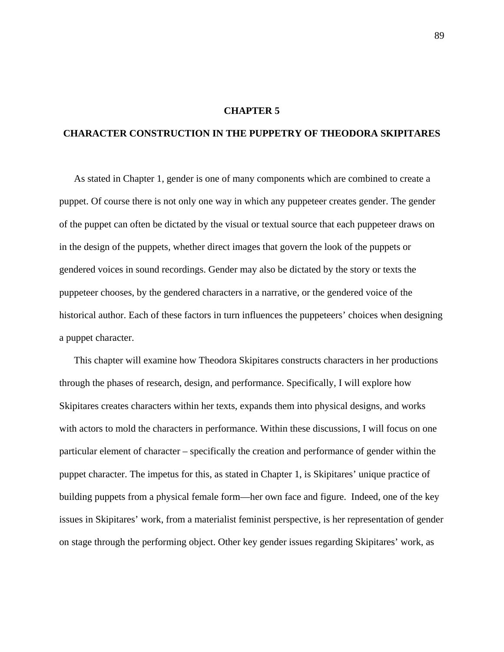# **CHAPTER 5**

# **CHARACTER CONSTRUCTION IN THE PUPPETRY OF THEODORA SKIPITARES**

As stated in Chapter 1, gender is one of many components which are combined to create a puppet. Of course there is not only one way in which any puppeteer creates gender. The gender of the puppet can often be dictated by the visual or textual source that each puppeteer draws on in the design of the puppets, whether direct images that govern the look of the puppets or gendered voices in sound recordings. Gender may also be dictated by the story or texts the puppeteer chooses, by the gendered characters in a narrative, or the gendered voice of the historical author. Each of these factors in turn influences the puppeteers' choices when designing a puppet character.

This chapter will examine how Theodora Skipitares constructs characters in her productions through the phases of research, design, and performance. Specifically, I will explore how Skipitares creates characters within her texts, expands them into physical designs, and works with actors to mold the characters in performance. Within these discussions, I will focus on one particular element of character – specifically the creation and performance of gender within the puppet character. The impetus for this, as stated in Chapter 1, is Skipitares' unique practice of building puppets from a physical female form—her own face and figure. Indeed, one of the key issues in Skipitares' work, from a materialist feminist perspective, is her representation of gender on stage through the performing object. Other key gender issues regarding Skipitares' work, as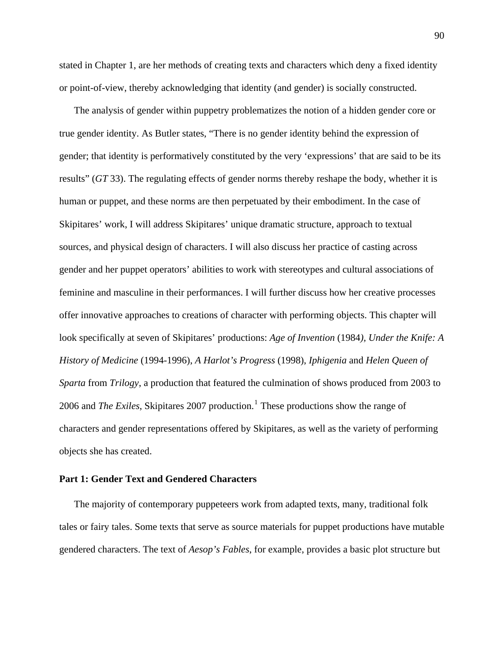stated in Chapter 1, are her methods of creating texts and characters which deny a fixed identity or point-of-view, thereby acknowledging that identity (and gender) is socially constructed.

The analysis of gender within puppetry problematizes the notion of a hidden gender core or true gender identity. As Butler states, "There is no gender identity behind the expression of gender; that identity is performatively constituted by the very 'expressions' that are said to be its results" (*GT* 33). The regulating effects of gender norms thereby reshape the body, whether it is human or puppet, and these norms are then perpetuated by their embodiment. In the case of Skipitares' work, I will address Skipitares' unique dramatic structure, approach to textual sources, and physical design of characters. I will also discuss her practice of casting across gender and her puppet operators' abilities to work with stereotypes and cultural associations of feminine and masculine in their performances. I will further discuss how her creative processes offer innovative approaches to creations of character with performing objects. This chapter will look specifically at seven of Skipitares' productions: *Age of Invention* (1984*), Under the Knife: A History of Medicine* (1994-1996), *A Harlot's Progress* (1998), *Iphigenia* and *Helen Queen of Sparta* from *Trilogy*, a production that featured the culmination of shows produced from 2003 to 2006 and *The Exiles*, Skipitares 2007 production.<sup>[1](#page-197-1)</sup> These productions show the range of characters and gender representations offered by Skipitares, as well as the variety of performing objects she has created.

# **Part 1: Gender Text and Gendered Characters**

The majority of contemporary puppeteers work from adapted texts, many, traditional folk tales or fairy tales. Some texts that serve as source materials for puppet productions have mutable gendered characters. The text of *Aesop's Fables*, for example, provides a basic plot structure but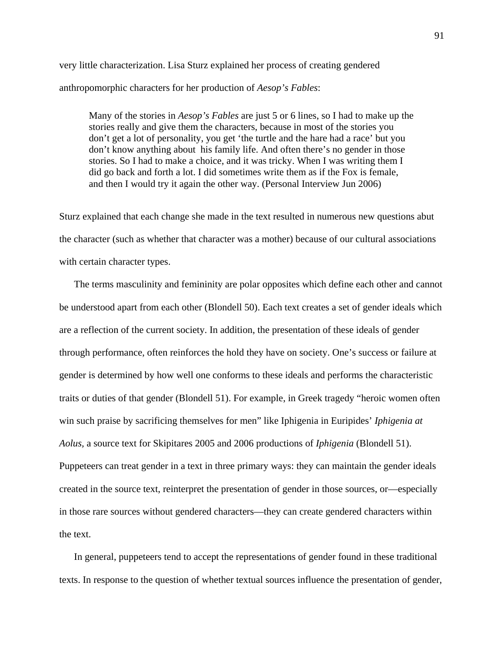very little characterization. Lisa Sturz explained her process of creating gendered anthropomorphic characters for her production of *Aesop's Fables*:

Many of the stories in *Aesop's Fables* are just 5 or 6 lines, so I had to make up the stories really and give them the characters, because in most of the stories you don't get a lot of personality, you get 'the turtle and the hare had a race' but you don't know anything about his family life. And often there's no gender in those stories. So I had to make a choice, and it was tricky. When I was writing them I did go back and forth a lot. I did sometimes write them as if the Fox is female, and then I would try it again the other way. (Personal Interview Jun 2006)

Sturz explained that each change she made in the text resulted in numerous new questions abut the character (such as whether that character was a mother) because of our cultural associations with certain character types.

The terms masculinity and femininity are polar opposites which define each other and cannot be understood apart from each other (Blondell 50). Each text creates a set of gender ideals which are a reflection of the current society. In addition, the presentation of these ideals of gender through performance, often reinforces the hold they have on society. One's success or failure at gender is determined by how well one conforms to these ideals and performs the characteristic traits or duties of that gender (Blondell 51). For example, in Greek tragedy "heroic women often win such praise by sacrificing themselves for men" like Iphigenia in Euripides' *Iphigenia at Aolus,* a source text for Skipitares 2005 and 2006 productions of *Iphigenia* (Blondell 51). Puppeteers can treat gender in a text in three primary ways: they can maintain the gender ideals created in the source text, reinterpret the presentation of gender in those sources, or—especially in those rare sources without gendered characters—they can create gendered characters within the text.

In general, puppeteers tend to accept the representations of gender found in these traditional texts. In response to the question of whether textual sources influence the presentation of gender,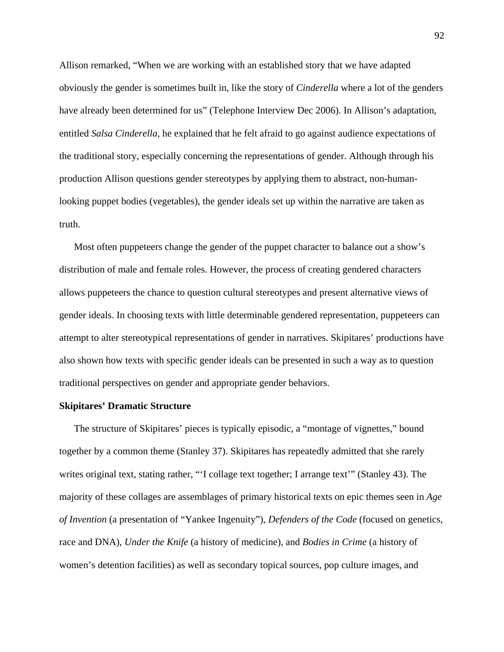Allison remarked, "When we are working with an established story that we have adapted obviously the gender is sometimes built in, like the story of *Cinderella* where a lot of the genders have already been determined for us" (Telephone Interview Dec 2006). In Allison's adaptation, entitled *Salsa Cinderella*, he explained that he felt afraid to go against audience expectations of the traditional story, especially concerning the representations of gender. Although through his production Allison questions gender stereotypes by applying them to abstract, non-humanlooking puppet bodies (vegetables), the gender ideals set up within the narrative are taken as truth.

Most often puppeteers change the gender of the puppet character to balance out a show's distribution of male and female roles. However, the process of creating gendered characters allows puppeteers the chance to question cultural stereotypes and present alternative views of gender ideals. In choosing texts with little determinable gendered representation, puppeteers can attempt to alter stereotypical representations of gender in narratives. Skipitares' productions have also shown how texts with specific gender ideals can be presented in such a way as to question traditional perspectives on gender and appropriate gender behaviors.

#### **Skipitares' Dramatic Structure**

The structure of Skipitares' pieces is typically episodic, a "montage of vignettes," bound together by a common theme (Stanley 37). Skipitares has repeatedly admitted that she rarely writes original text, stating rather, "'I collage text together; I arrange text'" (Stanley 43). The majority of these collages are assemblages of primary historical texts on epic themes seen in *Age of Invention* (a presentation of "Yankee Ingenuity"), *Defenders of the Code* (focused on genetics, race and DNA), *Under the Knife* (a history of medicine), and *Bodies in Crime* (a history of women's detention facilities) as well as secondary topical sources, pop culture images, and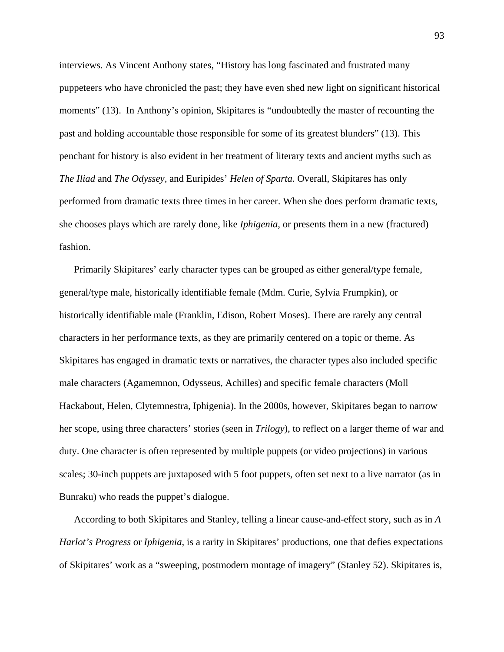interviews. As Vincent Anthony states, "History has long fascinated and frustrated many puppeteers who have chronicled the past; they have even shed new light on significant historical moments" (13). In Anthony's opinion, Skipitares is "undoubtedly the master of recounting the past and holding accountable those responsible for some of its greatest blunders" (13). This penchant for history is also evident in her treatment of literary texts and ancient myths such as *The Iliad* and *The Odyssey,* and Euripides' *Helen of Sparta*. Overall, Skipitares has only performed from dramatic texts three times in her career. When she does perform dramatic texts, she chooses plays which are rarely done, like *Iphigenia*, or presents them in a new (fractured) fashion.

Primarily Skipitares' early character types can be grouped as either general/type female, general/type male, historically identifiable female (Mdm. Curie, Sylvia Frumpkin), or historically identifiable male (Franklin, Edison, Robert Moses). There are rarely any central characters in her performance texts, as they are primarily centered on a topic or theme. As Skipitares has engaged in dramatic texts or narratives, the character types also included specific male characters (Agamemnon, Odysseus, Achilles) and specific female characters (Moll Hackabout, Helen, Clytemnestra, Iphigenia). In the 2000s, however, Skipitares began to narrow her scope, using three characters' stories (seen in *Trilogy*), to reflect on a larger theme of war and duty. One character is often represented by multiple puppets (or video projections) in various scales; 30-inch puppets are juxtaposed with 5 foot puppets, often set next to a live narrator (as in Bunraku) who reads the puppet's dialogue.

According to both Skipitares and Stanley, telling a linear cause-and-effect story, such as in *A Harlot's Progress* or *Iphigenia*, is a rarity in Skipitares' productions, one that defies expectations of Skipitares' work as a "sweeping, postmodern montage of imagery" (Stanley 52). Skipitares is,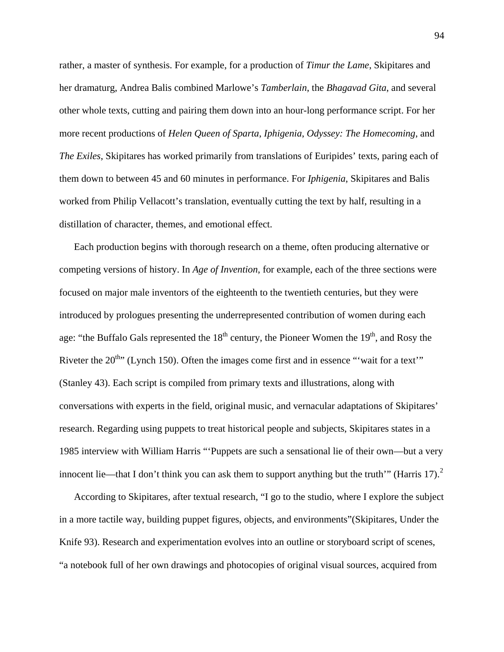rather, a master of synthesis. For example, for a production of *Timur the Lame*, Skipitares and her dramaturg, Andrea Balis combined Marlowe's *Tamberlain*, the *Bhagavad Gita*, and several other whole texts, cutting and pairing them down into an hour-long performance script. For her more recent productions of *Helen Queen of Sparta*, *Iphigenia*, *Odyssey: The Homecoming*, and *The Exiles*, Skipitares has worked primarily from translations of Euripides' texts, paring each of them down to between 45 and 60 minutes in performance. For *Iphigenia*, Skipitares and Balis worked from Philip Vellacott's translation, eventually cutting the text by half, resulting in a distillation of character, themes, and emotional effect.

Each production begins with thorough research on a theme, often producing alternative or competing versions of history. In *Age of Invention*, for example, each of the three sections were focused on major male inventors of the eighteenth to the twentieth centuries, but they were introduced by prologues presenting the underrepresented contribution of women during each age: "the Buffalo Gals represented the  $18<sup>th</sup>$  century, the Pioneer Women the  $19<sup>th</sup>$ , and Rosy the Riveter the  $20^{th}$  (Lynch 150). Often the images come first and in essence "'wait for a text'" (Stanley 43). Each script is compiled from primary texts and illustrations, along with conversations with experts in the field, original music, and vernacular adaptations of Skipitares' research. Regarding using puppets to treat historical people and subjects, Skipitares states in a 1985 interview with William Harris "'Puppets are such a sensational lie of their own—but a very innocent lie—that I don't think you can ask them to support anything but the truth'" (Harris 17).<sup>[2](#page-197-1)</sup>

According to Skipitares, after textual research, "I go to the studio, where I explore the subject in a more tactile way, building puppet figures, objects, and environments"(Skipitares, Under the Knife 93). Research and experimentation evolves into an outline or storyboard script of scenes, "a notebook full of her own drawings and photocopies of original visual sources, acquired from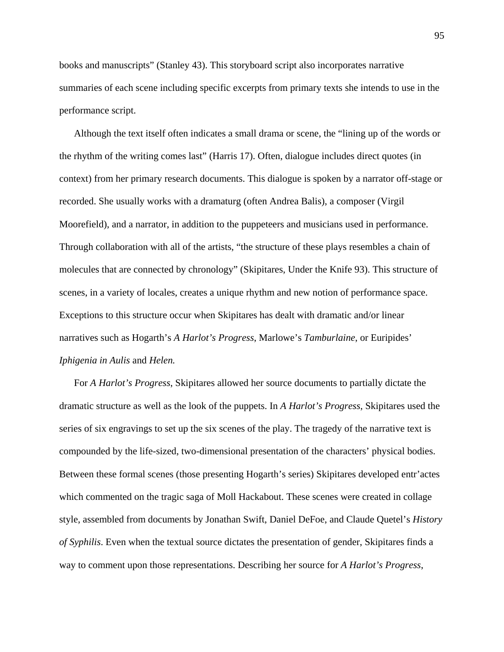books and manuscripts" (Stanley 43). This storyboard script also incorporates narrative summaries of each scene including specific excerpts from primary texts she intends to use in the performance script.

Although the text itself often indicates a small drama or scene, the "lining up of the words or the rhythm of the writing comes last" (Harris 17). Often, dialogue includes direct quotes (in context) from her primary research documents. This dialogue is spoken by a narrator off-stage or recorded. She usually works with a dramaturg (often Andrea Balis), a composer (Virgil Moorefield), and a narrator, in addition to the puppeteers and musicians used in performance. Through collaboration with all of the artists, "the structure of these plays resembles a chain of molecules that are connected by chronology" (Skipitares, Under the Knife 93). This structure of scenes, in a variety of locales, creates a unique rhythm and new notion of performance space. Exceptions to this structure occur when Skipitares has dealt with dramatic and/or linear narratives such as Hogarth's *A Harlot's Progress*, Marlowe's *Tamburlaine*, or Euripides' *Iphigenia in Aulis* and *Helen.*

For *A Harlot's Progress*, Skipitares allowed her source documents to partially dictate the dramatic structure as well as the look of the puppets. In *A Harlot's Progress*, Skipitares used the series of six engravings to set up the six scenes of the play. The tragedy of the narrative text is compounded by the life-sized, two-dimensional presentation of the characters' physical bodies. Between these formal scenes (those presenting Hogarth's series) Skipitares developed entr'actes which commented on the tragic saga of Moll Hackabout. These scenes were created in collage style, assembled from documents by Jonathan Swift, Daniel DeFoe, and Claude Quetel's *History of Syphilis*. Even when the textual source dictates the presentation of gender, Skipitares finds a way to comment upon those representations. Describing her source for *A Harlot's Progress*,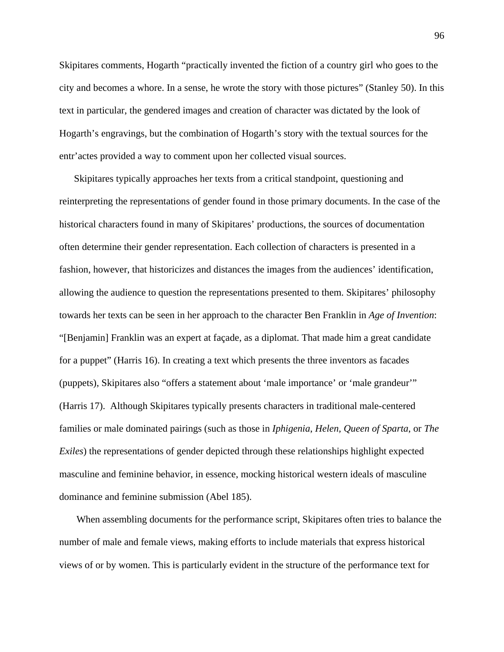Skipitares comments, Hogarth "practically invented the fiction of a country girl who goes to the city and becomes a whore. In a sense, he wrote the story with those pictures" (Stanley 50). In this text in particular, the gendered images and creation of character was dictated by the look of Hogarth's engravings, but the combination of Hogarth's story with the textual sources for the entr'actes provided a way to comment upon her collected visual sources.

Skipitares typically approaches her texts from a critical standpoint, questioning and reinterpreting the representations of gender found in those primary documents. In the case of the historical characters found in many of Skipitares' productions, the sources of documentation often determine their gender representation. Each collection of characters is presented in a fashion, however, that historicizes and distances the images from the audiences' identification, allowing the audience to question the representations presented to them. Skipitares' philosophy towards her texts can be seen in her approach to the character Ben Franklin in *Age of Invention*: "[Benjamin] Franklin was an expert at façade, as a diplomat. That made him a great candidate for a puppet" (Harris 16). In creating a text which presents the three inventors as facades (puppets), Skipitares also "offers a statement about 'male importance' or 'male grandeur'" (Harris 17). Although Skipitares typically presents characters in traditional male-centered families or male dominated pairings (such as those in *Iphigenia*, *Helen, Queen of Sparta*, or *The Exiles*) the representations of gender depicted through these relationships highlight expected masculine and feminine behavior, in essence, mocking historical western ideals of masculine dominance and feminine submission (Abel 185).

 When assembling documents for the performance script, Skipitares often tries to balance the number of male and female views, making efforts to include materials that express historical views of or by women. This is particularly evident in the structure of the performance text for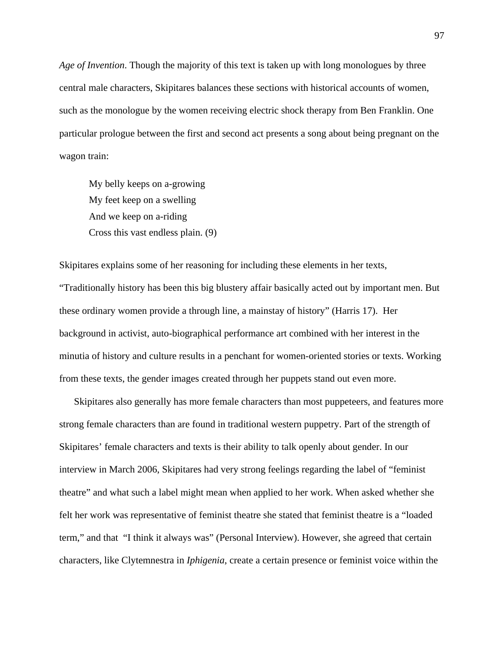*Age of Invention*. Though the majority of this text is taken up with long monologues by three central male characters, Skipitares balances these sections with historical accounts of women, such as the monologue by the women receiving electric shock therapy from Ben Franklin. One particular prologue between the first and second act presents a song about being pregnant on the wagon train:

My belly keeps on a-growing My feet keep on a swelling And we keep on a-riding Cross this vast endless plain. (9)

Skipitares explains some of her reasoning for including these elements in her texts, "Traditionally history has been this big blustery affair basically acted out by important men. But these ordinary women provide a through line, a mainstay of history" (Harris 17). Her background in activist, auto-biographical performance art combined with her interest in the minutia of history and culture results in a penchant for women-oriented stories or texts. Working from these texts, the gender images created through her puppets stand out even more.

Skipitares also generally has more female characters than most puppeteers, and features more strong female characters than are found in traditional western puppetry. Part of the strength of Skipitares' female characters and texts is their ability to talk openly about gender. In our interview in March 2006, Skipitares had very strong feelings regarding the label of "feminist theatre" and what such a label might mean when applied to her work. When asked whether she felt her work was representative of feminist theatre she stated that feminist theatre is a "loaded term," and that "I think it always was" (Personal Interview). However, she agreed that certain characters, like Clytemnestra in *Iphigenia*, create a certain presence or feminist voice within the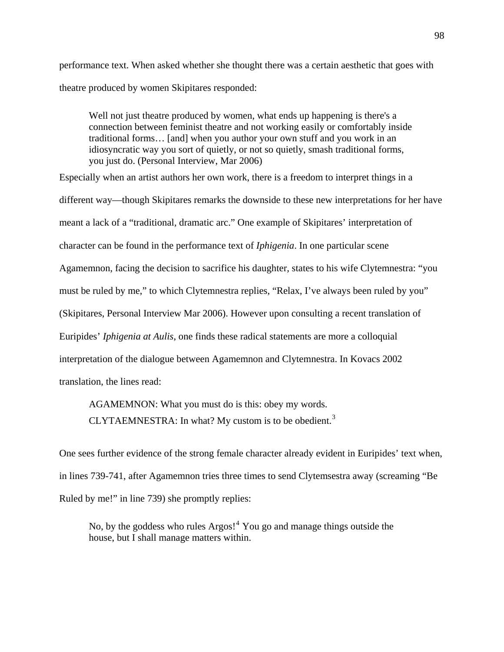performance text. When asked whether she thought there was a certain aesthetic that goes with theatre produced by women Skipitares responded:

Well not just theatre produced by women, what ends up happening is there's a connection between feminist theatre and not working easily or comfortably inside traditional forms… [and] when you author your own stuff and you work in an idiosyncratic way you sort of quietly, or not so quietly, smash traditional forms, you just do. (Personal Interview, Mar 2006)

Especially when an artist authors her own work, there is a freedom to interpret things in a different way—though Skipitares remarks the downside to these new interpretations for her have meant a lack of a "traditional, dramatic arc." One example of Skipitares' interpretation of character can be found in the performance text of *Iphigenia*. In one particular scene Agamemnon, facing the decision to sacrifice his daughter, states to his wife Clytemnestra: "you must be ruled by me," to which Clytemnestra replies, "Relax, I've always been ruled by you" (Skipitares, Personal Interview Mar 2006). However upon consulting a recent translation of Euripides' *Iphigenia at Aulis*, one finds these radical statements are more a colloquial interpretation of the dialogue between Agamemnon and Clytemnestra. In Kovacs 2002 translation, the lines read:

AGAMEMNON: What you must do is this: obey my words. CLYTAEMNESTRA: In what? My custom is to be obedient. $3$ 

One sees further evidence of the strong female character already evident in Euripides' text when, in lines 739-741, after Agamemnon tries three times to send Clytemsestra away (screaming "Be Ruled by me!" in line 739) she promptly replies:

No, by the goddess who rules  $Argos!^4$  $Argos!^4$  You go and manage things outside the house, but I shall manage matters within.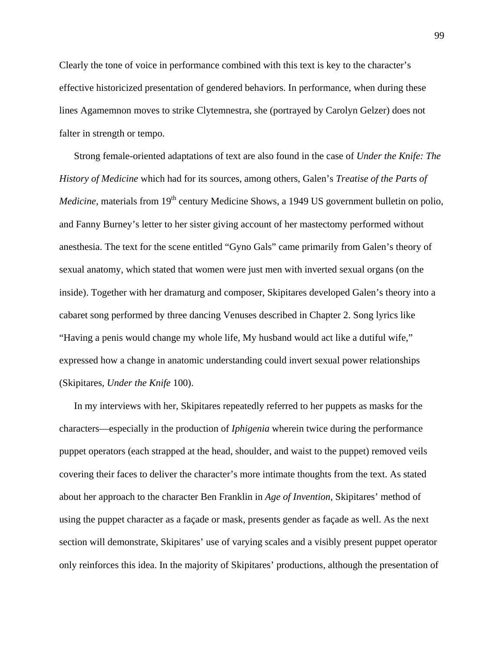Clearly the tone of voice in performance combined with this text is key to the character's effective historicized presentation of gendered behaviors. In performance, when during these lines Agamemnon moves to strike Clytemnestra, she (portrayed by Carolyn Gelzer) does not falter in strength or tempo.

Strong female-oriented adaptations of text are also found in the case of *Under the Knife: The History of Medicine* which had for its sources, among others, Galen's *Treatise of the Parts of Medicine*, materials from 19<sup>th</sup> century Medicine Shows, a 1949 US government bulletin on polio, and Fanny Burney's letter to her sister giving account of her mastectomy performed without anesthesia. The text for the scene entitled "Gyno Gals" came primarily from Galen's theory of sexual anatomy, which stated that women were just men with inverted sexual organs (on the inside). Together with her dramaturg and composer, Skipitares developed Galen's theory into a cabaret song performed by three dancing Venuses described in Chapter 2. Song lyrics like "Having a penis would change my whole life, My husband would act like a dutiful wife," expressed how a change in anatomic understanding could invert sexual power relationships (Skipitares, *Under the Knife* 100).

In my interviews with her, Skipitares repeatedly referred to her puppets as masks for the characters—especially in the production of *Iphigenia* wherein twice during the performance puppet operators (each strapped at the head, shoulder, and waist to the puppet) removed veils covering their faces to deliver the character's more intimate thoughts from the text. As stated about her approach to the character Ben Franklin in *Age of Invention*, Skipitares' method of using the puppet character as a façade or mask, presents gender as façade as well. As the next section will demonstrate, Skipitares' use of varying scales and a visibly present puppet operator only reinforces this idea. In the majority of Skipitares' productions, although the presentation of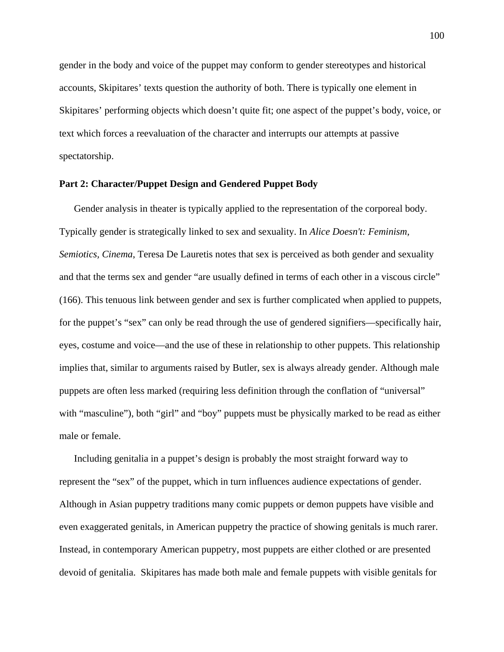gender in the body and voice of the puppet may conform to gender stereotypes and historical accounts, Skipitares' texts question the authority of both. There is typically one element in Skipitares' performing objects which doesn't quite fit; one aspect of the puppet's body, voice, or text which forces a reevaluation of the character and interrupts our attempts at passive spectatorship.

## **Part 2: Character/Puppet Design and Gendered Puppet Body**

Gender analysis in theater is typically applied to the representation of the corporeal body. Typically gender is strategically linked to sex and sexuality. In *Alice Doesn't: Feminism, Semiotics, Cinema*, Teresa De Lauretis notes that sex is perceived as both gender and sexuality and that the terms sex and gender "are usually defined in terms of each other in a viscous circle" (166). This tenuous link between gender and sex is further complicated when applied to puppets, for the puppet's "sex" can only be read through the use of gendered signifiers—specifically hair, eyes, costume and voice—and the use of these in relationship to other puppets. This relationship implies that, similar to arguments raised by Butler, sex is always already gender. Although male puppets are often less marked (requiring less definition through the conflation of "universal" with "masculine"), both "girl" and "boy" puppets must be physically marked to be read as either male or female.

Including genitalia in a puppet's design is probably the most straight forward way to represent the "sex" of the puppet, which in turn influences audience expectations of gender. Although in Asian puppetry traditions many comic puppets or demon puppets have visible and even exaggerated genitals, in American puppetry the practice of showing genitals is much rarer. Instead, in contemporary American puppetry, most puppets are either clothed or are presented devoid of genitalia. Skipitares has made both male and female puppets with visible genitals for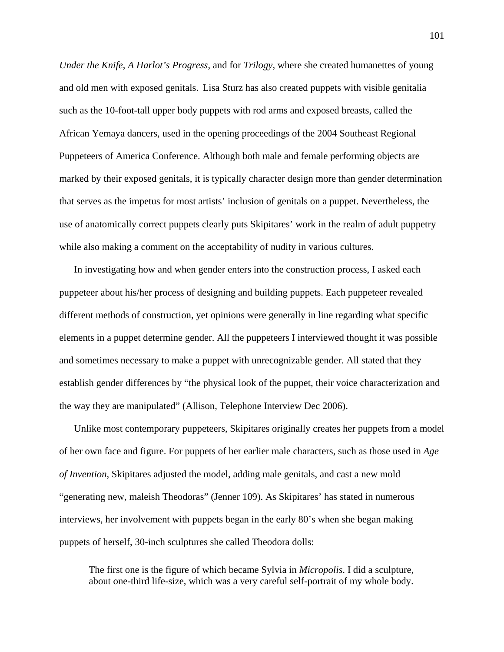*Under the Knife*, *A Harlot's Progress*, and for *Trilogy*, where she created humanettes of young and old men with exposed genitals. Lisa Sturz has also created puppets with visible genitalia such as the 10-foot-tall upper body puppets with rod arms and exposed breasts, called the African Yemaya dancers, used in the opening proceedings of the 2004 Southeast Regional Puppeteers of America Conference. Although both male and female performing objects are marked by their exposed genitals, it is typically character design more than gender determination that serves as the impetus for most artists' inclusion of genitals on a puppet. Nevertheless, the use of anatomically correct puppets clearly puts Skipitares' work in the realm of adult puppetry while also making a comment on the acceptability of nudity in various cultures.

In investigating how and when gender enters into the construction process, I asked each puppeteer about his/her process of designing and building puppets. Each puppeteer revealed different methods of construction, yet opinions were generally in line regarding what specific elements in a puppet determine gender. All the puppeteers I interviewed thought it was possible and sometimes necessary to make a puppet with unrecognizable gender. All stated that they establish gender differences by "the physical look of the puppet, their voice characterization and the way they are manipulated" (Allison, Telephone Interview Dec 2006).

Unlike most contemporary puppeteers, Skipitares originally creates her puppets from a model of her own face and figure. For puppets of her earlier male characters, such as those used in *Age of Invention*, Skipitares adjusted the model, adding male genitals, and cast a new mold "generating new, maleish Theodoras" (Jenner 109). As Skipitares' has stated in numerous interviews, her involvement with puppets began in the early 80's when she began making puppets of herself, 30-inch sculptures she called Theodora dolls:

The first one is the figure of which became Sylvia in *Micropolis*. I did a sculpture, about one-third life-size, which was a very careful self-portrait of my whole body.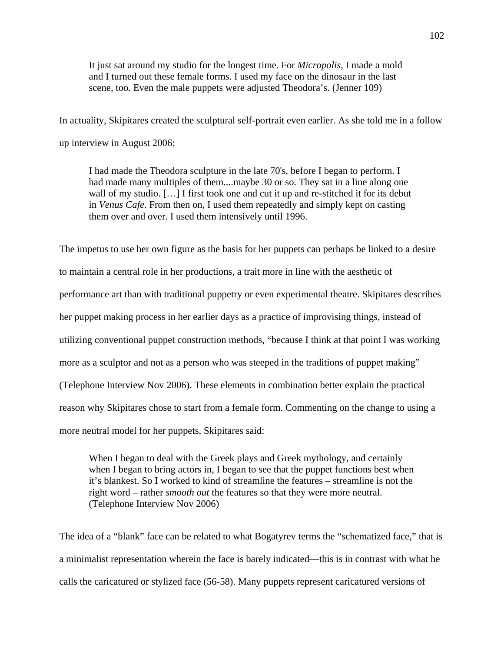It just sat around my studio for the longest time. For *Micropolis*, I made a mold and I turned out these female forms. I used my face on the dinosaur in the last scene, too. Even the male puppets were adjusted Theodora's. (Jenner 109)

In actuality, Skipitares created the sculptural self-portrait even earlier. As she told me in a follow up interview in August 2006:

I had made the Theodora sculpture in the late 70's, before I began to perform. I had made many multiples of them....maybe 30 or so. They sat in a line along one wall of my studio. [...] I first took one and cut it up and re-stitched it for its debut in *Venus Cafe*. From then on, I used them repeatedly and simply kept on casting them over and over. I used them intensively until 1996.

The impetus to use her own figure as the basis for her puppets can perhaps be linked to a desire to maintain a central role in her productions, a trait more in line with the aesthetic of performance art than with traditional puppetry or even experimental theatre. Skipitares describes her puppet making process in her earlier days as a practice of improvising things, instead of utilizing conventional puppet construction methods, "because I think at that point I was working more as a sculptor and not as a person who was steeped in the traditions of puppet making" (Telephone Interview Nov 2006). These elements in combination better explain the practical reason why Skipitares chose to start from a female form. Commenting on the change to using a more neutral model for her puppets, Skipitares said:

When I began to deal with the Greek plays and Greek mythology, and certainly when I began to bring actors in, I began to see that the puppet functions best when it's blankest. So I worked to kind of streamline the features – streamline is not the right word – rather *smooth out* the features so that they were more neutral. (Telephone Interview Nov 2006)

The idea of a "blank" face can be related to what Bogatyrev terms the "schematized face," that is a minimalist representation wherein the face is barely indicated—this is in contrast with what he calls the caricatured or stylized face (56-58). Many puppets represent caricatured versions of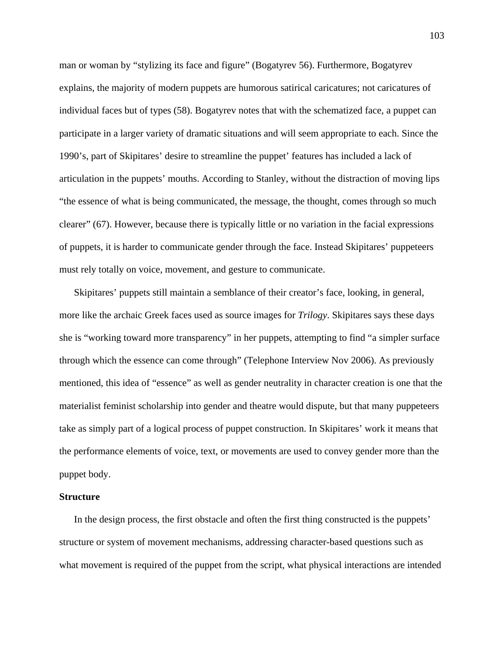man or woman by "stylizing its face and figure" (Bogatyrev 56). Furthermore, Bogatyrev explains, the majority of modern puppets are humorous satirical caricatures; not caricatures of individual faces but of types (58). Bogatyrev notes that with the schematized face, a puppet can participate in a larger variety of dramatic situations and will seem appropriate to each. Since the 1990's, part of Skipitares' desire to streamline the puppet' features has included a lack of articulation in the puppets' mouths. According to Stanley, without the distraction of moving lips "the essence of what is being communicated, the message, the thought, comes through so much clearer" (67). However, because there is typically little or no variation in the facial expressions of puppets, it is harder to communicate gender through the face. Instead Skipitares' puppeteers must rely totally on voice, movement, and gesture to communicate.

Skipitares' puppets still maintain a semblance of their creator's face, looking, in general, more like the archaic Greek faces used as source images for *Trilogy*. Skipitares says these days she is "working toward more transparency" in her puppets, attempting to find "a simpler surface through which the essence can come through" (Telephone Interview Nov 2006). As previously mentioned, this idea of "essence" as well as gender neutrality in character creation is one that the materialist feminist scholarship into gender and theatre would dispute, but that many puppeteers take as simply part of a logical process of puppet construction. In Skipitares' work it means that the performance elements of voice, text, or movements are used to convey gender more than the puppet body.

#### **Structure**

In the design process, the first obstacle and often the first thing constructed is the puppets' structure or system of movement mechanisms, addressing character-based questions such as what movement is required of the puppet from the script, what physical interactions are intended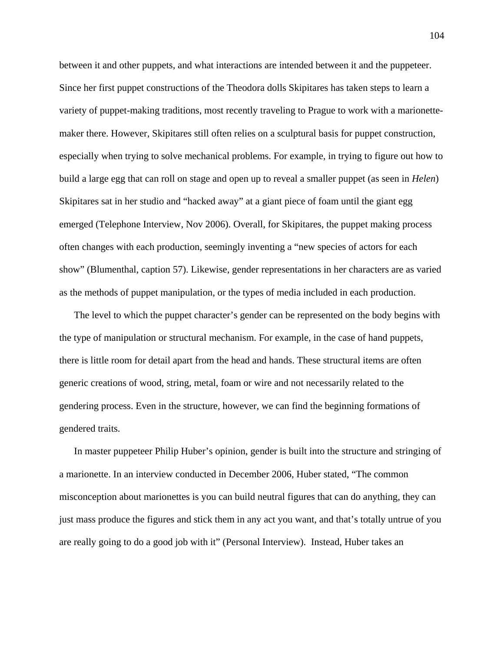between it and other puppets, and what interactions are intended between it and the puppeteer. Since her first puppet constructions of the Theodora dolls Skipitares has taken steps to learn a variety of puppet-making traditions, most recently traveling to Prague to work with a marionettemaker there. However, Skipitares still often relies on a sculptural basis for puppet construction, especially when trying to solve mechanical problems. For example, in trying to figure out how to build a large egg that can roll on stage and open up to reveal a smaller puppet (as seen in *Helen*) Skipitares sat in her studio and "hacked away" at a giant piece of foam until the giant egg emerged (Telephone Interview, Nov 2006). Overall, for Skipitares, the puppet making process often changes with each production, seemingly inventing a "new species of actors for each show" (Blumenthal, caption 57). Likewise, gender representations in her characters are as varied as the methods of puppet manipulation, or the types of media included in each production.

The level to which the puppet character's gender can be represented on the body begins with the type of manipulation or structural mechanism. For example, in the case of hand puppets, there is little room for detail apart from the head and hands. These structural items are often generic creations of wood, string, metal, foam or wire and not necessarily related to the gendering process. Even in the structure, however, we can find the beginning formations of gendered traits.

In master puppeteer Philip Huber's opinion, gender is built into the structure and stringing of a marionette. In an interview conducted in December 2006, Huber stated, "The common misconception about marionettes is you can build neutral figures that can do anything, they can just mass produce the figures and stick them in any act you want, and that's totally untrue of you are really going to do a good job with it" (Personal Interview). Instead, Huber takes an

104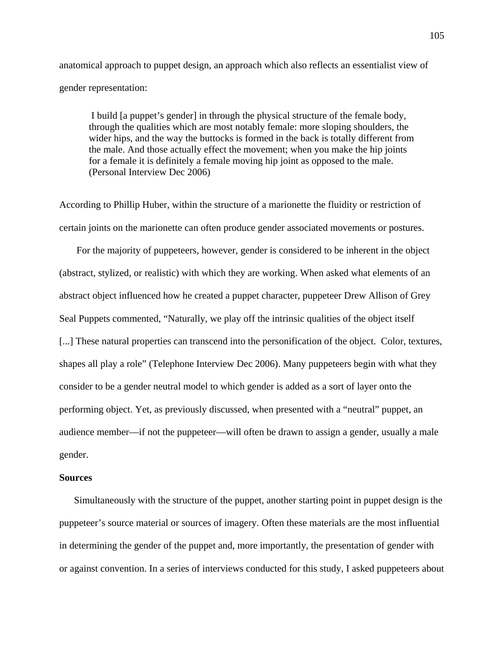anatomical approach to puppet design, an approach which also reflects an essentialist view of gender representation:

 I build [a puppet's gender] in through the physical structure of the female body, through the qualities which are most notably female: more sloping shoulders, the wider hips, and the way the buttocks is formed in the back is totally different from the male. And those actually effect the movement; when you make the hip joints for a female it is definitely a female moving hip joint as opposed to the male. (Personal Interview Dec 2006)

According to Phillip Huber, within the structure of a marionette the fluidity or restriction of certain joints on the marionette can often produce gender associated movements or postures.

 For the majority of puppeteers, however, gender is considered to be inherent in the object (abstract, stylized, or realistic) with which they are working. When asked what elements of an abstract object influenced how he created a puppet character, puppeteer Drew Allison of Grey Seal Puppets commented, "Naturally, we play off the intrinsic qualities of the object itself [...] These natural properties can transcend into the personification of the object. Color, textures, shapes all play a role" (Telephone Interview Dec 2006). Many puppeteers begin with what they consider to be a gender neutral model to which gender is added as a sort of layer onto the performing object. Yet, as previously discussed, when presented with a "neutral" puppet, an audience member—if not the puppeteer—will often be drawn to assign a gender, usually a male gender.

#### **Sources**

Simultaneously with the structure of the puppet, another starting point in puppet design is the puppeteer's source material or sources of imagery. Often these materials are the most influential in determining the gender of the puppet and, more importantly, the presentation of gender with or against convention. In a series of interviews conducted for this study, I asked puppeteers about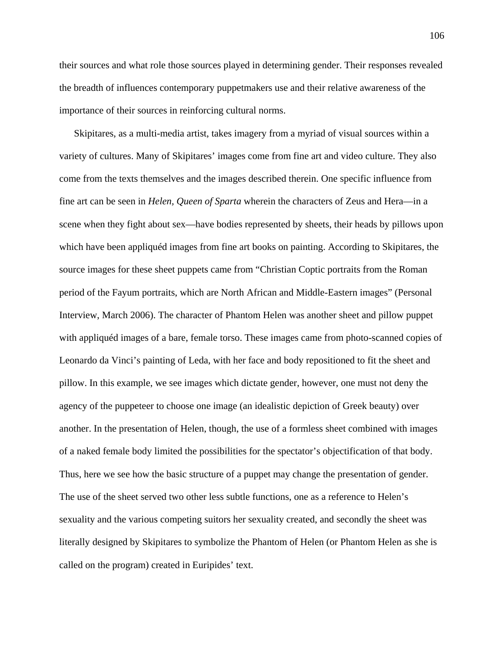their sources and what role those sources played in determining gender. Their responses revealed the breadth of influences contemporary puppetmakers use and their relative awareness of the importance of their sources in reinforcing cultural norms.

Skipitares, as a multi-media artist, takes imagery from a myriad of visual sources within a variety of cultures. Many of Skipitares' images come from fine art and video culture. They also come from the texts themselves and the images described therein. One specific influence from fine art can be seen in *Helen, Queen of Sparta* wherein the characters of Zeus and Hera—in a scene when they fight about sex—have bodies represented by sheets, their heads by pillows upon which have been appliquéd images from fine art books on painting. According to Skipitares, the source images for these sheet puppets came from "Christian Coptic portraits from the Roman period of the Fayum portraits, which are North African and Middle-Eastern images" (Personal Interview, March 2006). The character of Phantom Helen was another sheet and pillow puppet with appliquéd images of a bare, female torso. These images came from photo-scanned copies of Leonardo da Vinci's painting of Leda, with her face and body repositioned to fit the sheet and pillow. In this example, we see images which dictate gender, however, one must not deny the agency of the puppeteer to choose one image (an idealistic depiction of Greek beauty) over another. In the presentation of Helen, though, the use of a formless sheet combined with images of a naked female body limited the possibilities for the spectator's objectification of that body. Thus, here we see how the basic structure of a puppet may change the presentation of gender. The use of the sheet served two other less subtle functions, one as a reference to Helen's sexuality and the various competing suitors her sexuality created, and secondly the sheet was literally designed by Skipitares to symbolize the Phantom of Helen (or Phantom Helen as she is called on the program) created in Euripides' text.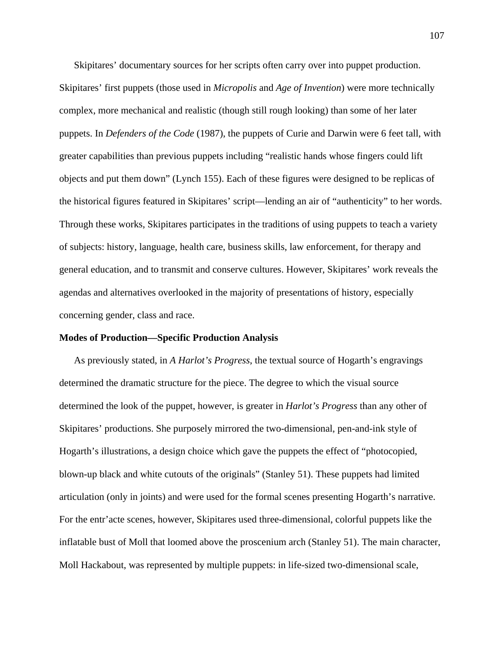Skipitares' documentary sources for her scripts often carry over into puppet production. Skipitares' first puppets (those used in *Micropolis* and *Age of Invention*) were more technically complex, more mechanical and realistic (though still rough looking) than some of her later puppets. In *Defenders of the Code* (1987), the puppets of Curie and Darwin were 6 feet tall, with greater capabilities than previous puppets including "realistic hands whose fingers could lift objects and put them down" (Lynch 155). Each of these figures were designed to be replicas of the historical figures featured in Skipitares' script—lending an air of "authenticity" to her words. Through these works, Skipitares participates in the traditions of using puppets to teach a variety of subjects: history, language, health care, business skills, law enforcement, for therapy and general education, and to transmit and conserve cultures. However, Skipitares' work reveals the agendas and alternatives overlooked in the majority of presentations of history, especially concerning gender, class and race.

#### **Modes of Production—Specific Production Analysis**

As previously stated, in *A Harlot's Progress*, the textual source of Hogarth's engravings determined the dramatic structure for the piece. The degree to which the visual source determined the look of the puppet, however, is greater in *Harlot's Progress* than any other of Skipitares' productions. She purposely mirrored the two-dimensional, pen-and-ink style of Hogarth's illustrations, a design choice which gave the puppets the effect of "photocopied, blown-up black and white cutouts of the originals" (Stanley 51). These puppets had limited articulation (only in joints) and were used for the formal scenes presenting Hogarth's narrative. For the entr'acte scenes, however, Skipitares used three-dimensional, colorful puppets like the inflatable bust of Moll that loomed above the proscenium arch (Stanley 51). The main character, Moll Hackabout, was represented by multiple puppets: in life-sized two-dimensional scale,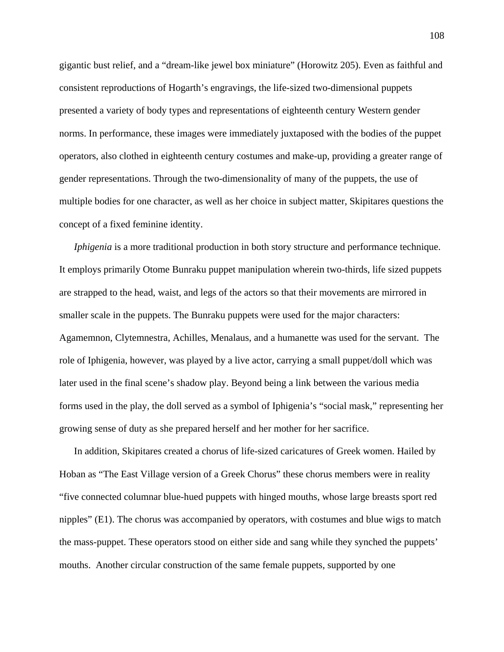gigantic bust relief, and a "dream-like jewel box miniature" (Horowitz 205). Even as faithful and consistent reproductions of Hogarth's engravings, the life-sized two-dimensional puppets presented a variety of body types and representations of eighteenth century Western gender norms. In performance, these images were immediately juxtaposed with the bodies of the puppet operators, also clothed in eighteenth century costumes and make-up, providing a greater range of gender representations. Through the two-dimensionality of many of the puppets, the use of multiple bodies for one character, as well as her choice in subject matter, Skipitares questions the concept of a fixed feminine identity.

*Iphigenia* is a more traditional production in both story structure and performance technique. It employs primarily Otome Bunraku puppet manipulation wherein two-thirds, life sized puppets are strapped to the head, waist, and legs of the actors so that their movements are mirrored in smaller scale in the puppets. The Bunraku puppets were used for the major characters: Agamemnon, Clytemnestra, Achilles, Menalaus, and a humanette was used for the servant. The role of Iphigenia, however, was played by a live actor, carrying a small puppet/doll which was later used in the final scene's shadow play. Beyond being a link between the various media forms used in the play, the doll served as a symbol of Iphigenia's "social mask," representing her growing sense of duty as she prepared herself and her mother for her sacrifice.

In addition, Skipitares created a chorus of life-sized caricatures of Greek women. Hailed by Hoban as "The East Village version of a Greek Chorus" these chorus members were in reality "five connected columnar blue-hued puppets with hinged mouths, whose large breasts sport red nipples" (E1). The chorus was accompanied by operators, with costumes and blue wigs to match the mass-puppet. These operators stood on either side and sang while they synched the puppets' mouths. Another circular construction of the same female puppets, supported by one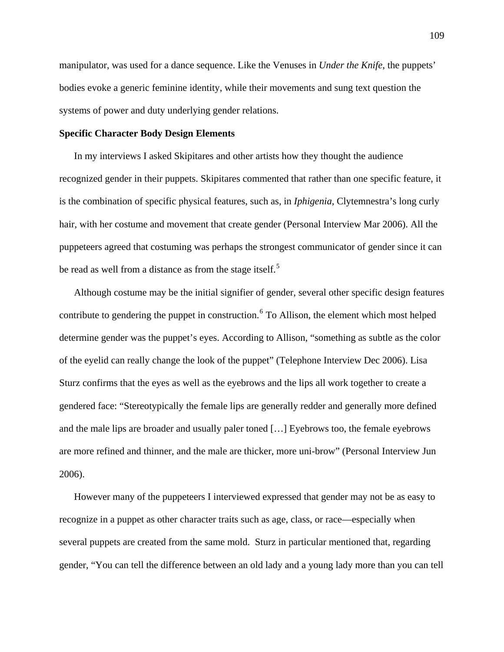manipulator, was used for a dance sequence. Like the Venuses in *Under the Knife*, the puppets' bodies evoke a generic feminine identity, while their movements and sung text question the systems of power and duty underlying gender relations.

## **Specific Character Body Design Elements**

In my interviews I asked Skipitares and other artists how they thought the audience recognized gender in their puppets. Skipitares commented that rather than one specific feature, it is the combination of specific physical features, such as, in *Iphigenia*, Clytemnestra's long curly hair, with her costume and movement that create gender (Personal Interview Mar 2006). All the puppeteers agreed that costuming was perhaps the strongest communicator of gender since it can be read as well from a distance as from the stage itself.<sup>[5](#page-197-0)</sup>

Although costume may be the initial signifier of gender, several other specific design features contribute to gendering the puppet in construction. <sup>[6](#page-197-0)</sup> To Allison, the element which most helped determine gender was the puppet's eyes. According to Allison, "something as subtle as the color of the eyelid can really change the look of the puppet" (Telephone Interview Dec 2006). Lisa Sturz confirms that the eyes as well as the eyebrows and the lips all work together to create a gendered face: "Stereotypically the female lips are generally redder and generally more defined and the male lips are broader and usually paler toned […] Eyebrows too, the female eyebrows are more refined and thinner, and the male are thicker, more uni-brow" (Personal Interview Jun 2006).

However many of the puppeteers I interviewed expressed that gender may not be as easy to recognize in a puppet as other character traits such as age, class, or race—especially when several puppets are created from the same mold. Sturz in particular mentioned that, regarding gender, "You can tell the difference between an old lady and a young lady more than you can tell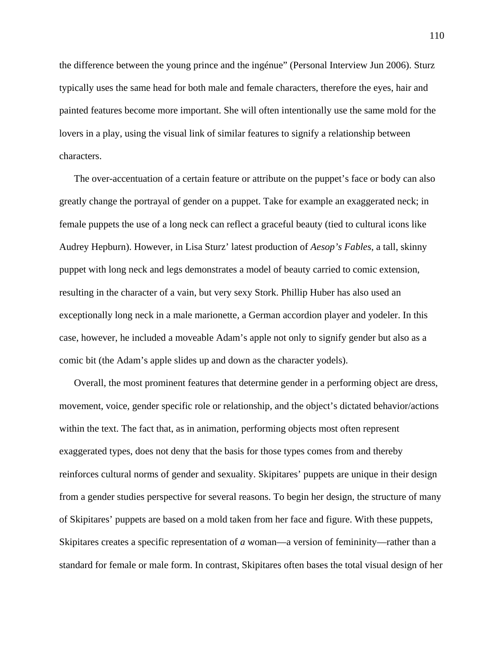the difference between the young prince and the ingénue" (Personal Interview Jun 2006). Sturz typically uses the same head for both male and female characters, therefore the eyes, hair and painted features become more important. She will often intentionally use the same mold for the lovers in a play, using the visual link of similar features to signify a relationship between characters.

The over-accentuation of a certain feature or attribute on the puppet's face or body can also greatly change the portrayal of gender on a puppet. Take for example an exaggerated neck; in female puppets the use of a long neck can reflect a graceful beauty (tied to cultural icons like Audrey Hepburn). However, in Lisa Sturz' latest production of *Aesop's Fables*, a tall, skinny puppet with long neck and legs demonstrates a model of beauty carried to comic extension, resulting in the character of a vain, but very sexy Stork. Phillip Huber has also used an exceptionally long neck in a male marionette, a German accordion player and yodeler. In this case, however, he included a moveable Adam's apple not only to signify gender but also as a comic bit (the Adam's apple slides up and down as the character yodels).

Overall, the most prominent features that determine gender in a performing object are dress, movement, voice, gender specific role or relationship, and the object's dictated behavior/actions within the text. The fact that, as in animation, performing objects most often represent exaggerated types, does not deny that the basis for those types comes from and thereby reinforces cultural norms of gender and sexuality. Skipitares' puppets are unique in their design from a gender studies perspective for several reasons. To begin her design, the structure of many of Skipitares' puppets are based on a mold taken from her face and figure. With these puppets, Skipitares creates a specific representation of *a* woman—a version of femininity—rather than a standard for female or male form. In contrast, Skipitares often bases the total visual design of her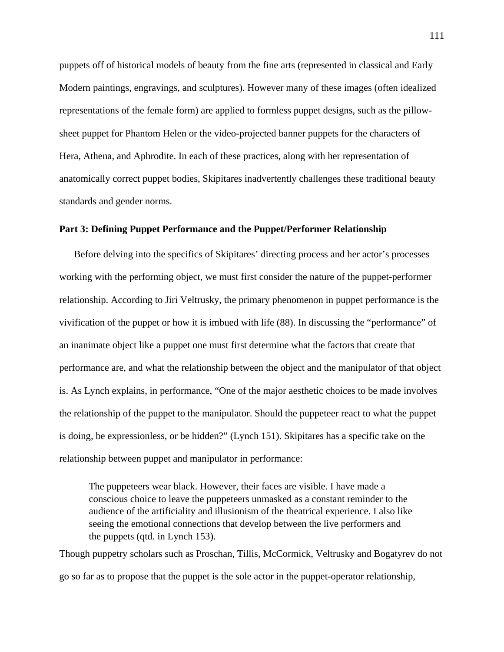puppets off of historical models of beauty from the fine arts (represented in classical and Early Modern paintings, engravings, and sculptures). However many of these images (often idealized representations of the female form) are applied to formless puppet designs, such as the pillowsheet puppet for Phantom Helen or the video-projected banner puppets for the characters of Hera, Athena, and Aphrodite. In each of these practices, along with her representation of anatomically correct puppet bodies, Skipitares inadvertently challenges these traditional beauty standards and gender norms.

# **Part 3: Defining Puppet Performance and the Puppet/Performer Relationship**

Before delving into the specifics of Skipitares' directing process and her actor's processes working with the performing object, we must first consider the nature of the puppet-performer relationship. According to Jiri Veltrusky, the primary phenomenon in puppet performance is the vivification of the puppet or how it is imbued with life (88). In discussing the "performance" of an inanimate object like a puppet one must first determine what the factors that create that performance are, and what the relationship between the object and the manipulator of that object is. As Lynch explains, in performance, "One of the major aesthetic choices to be made involves the relationship of the puppet to the manipulator. Should the puppeteer react to what the puppet is doing, be expressionless, or be hidden?" (Lynch 151). Skipitares has a specific take on the relationship between puppet and manipulator in performance:

The puppeteers wear black. However, their faces are visible. I have made a conscious choice to leave the puppeteers unmasked as a constant reminder to the audience of the artificiality and illusionism of the theatrical experience. I also like seeing the emotional connections that develop between the live performers and the puppets (qtd. in Lynch 153).

Though puppetry scholars such as Proschan, Tillis, McCormick, Veltrusky and Bogatyrev do not go so far as to propose that the puppet is the sole actor in the puppet-operator relationship,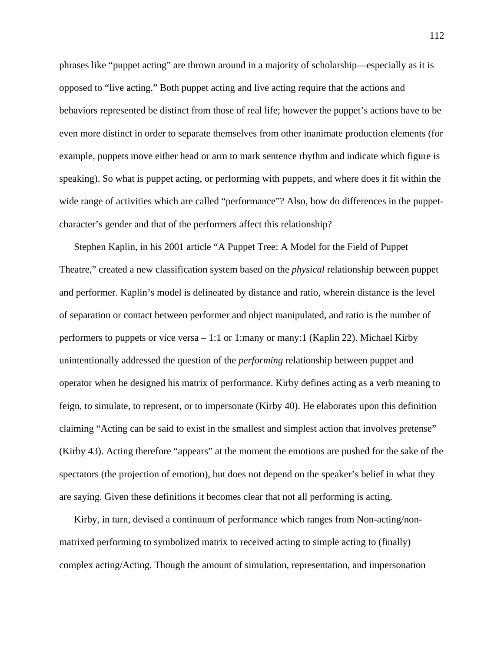phrases like "puppet acting" are thrown around in a majority of scholarship—especially as it is opposed to "live acting." Both puppet acting and live acting require that the actions and behaviors represented be distinct from those of real life; however the puppet's actions have to be even more distinct in order to separate themselves from other inanimate production elements (for example, puppets move either head or arm to mark sentence rhythm and indicate which figure is speaking). So what is puppet acting, or performing with puppets, and where does it fit within the wide range of activities which are called "performance"? Also, how do differences in the puppetcharacter's gender and that of the performers affect this relationship?

Stephen Kaplin, in his 2001 article "A Puppet Tree: A Model for the Field of Puppet Theatre," created a new classification system based on the *physical* relationship between puppet and performer. Kaplin's model is delineated by distance and ratio, wherein distance is the level of separation or contact between performer and object manipulated, and ratio is the number of performers to puppets or vice versa – 1:1 or 1:many or many:1 (Kaplin 22). Michael Kirby unintentionally addressed the question of the *performing* relationship between puppet and operator when he designed his matrix of performance. Kirby defines acting as a verb meaning to feign, to simulate, to represent, or to impersonate (Kirby 40). He elaborates upon this definition claiming "Acting can be said to exist in the smallest and simplest action that involves pretense" (Kirby 43). Acting therefore "appears" at the moment the emotions are pushed for the sake of the spectators (the projection of emotion), but does not depend on the speaker's belief in what they are saying. Given these definitions it becomes clear that not all performing is acting.

Kirby, in turn, devised a continuum of performance which ranges from Non-acting/nonmatrixed performing to symbolized matrix to received acting to simple acting to (finally) complex acting/Acting. Though the amount of simulation, representation, and impersonation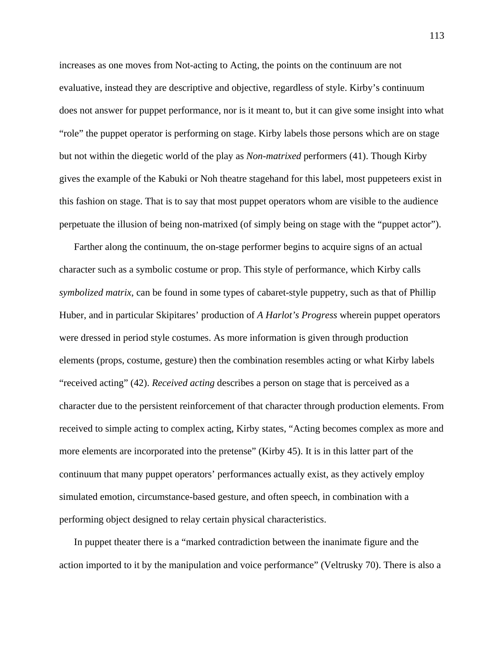increases as one moves from Not-acting to Acting, the points on the continuum are not evaluative, instead they are descriptive and objective, regardless of style. Kirby's continuum does not answer for puppet performance, nor is it meant to, but it can give some insight into what "role" the puppet operator is performing on stage. Kirby labels those persons which are on stage but not within the diegetic world of the play as *Non-matrixed* performers (41). Though Kirby gives the example of the Kabuki or Noh theatre stagehand for this label, most puppeteers exist in this fashion on stage. That is to say that most puppet operators whom are visible to the audience perpetuate the illusion of being non-matrixed (of simply being on stage with the "puppet actor").

Farther along the continuum, the on-stage performer begins to acquire signs of an actual character such as a symbolic costume or prop. This style of performance, which Kirby calls *symbolized matrix*, can be found in some types of cabaret-style puppetry, such as that of Phillip Huber, and in particular Skipitares' production of *A Harlot's Progress* wherein puppet operators were dressed in period style costumes. As more information is given through production elements (props, costume, gesture) then the combination resembles acting or what Kirby labels "received acting" (42). *Received acting* describes a person on stage that is perceived as a character due to the persistent reinforcement of that character through production elements. From received to simple acting to complex acting, Kirby states, "Acting becomes complex as more and more elements are incorporated into the pretense" (Kirby 45). It is in this latter part of the continuum that many puppet operators' performances actually exist, as they actively employ simulated emotion, circumstance-based gesture, and often speech, in combination with a performing object designed to relay certain physical characteristics.

In puppet theater there is a "marked contradiction between the inanimate figure and the action imported to it by the manipulation and voice performance" (Veltrusky 70). There is also a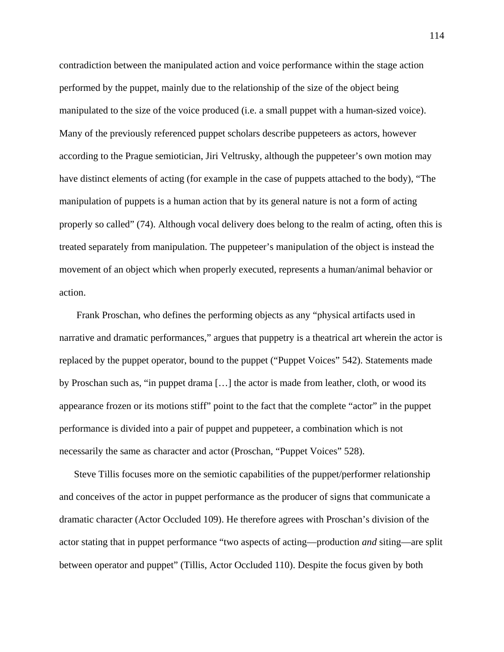contradiction between the manipulated action and voice performance within the stage action performed by the puppet, mainly due to the relationship of the size of the object being manipulated to the size of the voice produced (i.e. a small puppet with a human-sized voice). Many of the previously referenced puppet scholars describe puppeteers as actors, however according to the Prague semiotician, Jiri Veltrusky, although the puppeteer's own motion may have distinct elements of acting (for example in the case of puppets attached to the body), "The manipulation of puppets is a human action that by its general nature is not a form of acting properly so called" (74). Although vocal delivery does belong to the realm of acting, often this is treated separately from manipulation. The puppeteer's manipulation of the object is instead the movement of an object which when properly executed, represents a human/animal behavior or action.

 Frank Proschan, who defines the performing objects as any "physical artifacts used in narrative and dramatic performances," argues that puppetry is a theatrical art wherein the actor is replaced by the puppet operator, bound to the puppet ("Puppet Voices" 542). Statements made by Proschan such as, "in puppet drama […] the actor is made from leather, cloth, or wood its appearance frozen or its motions stiff" point to the fact that the complete "actor" in the puppet performance is divided into a pair of puppet and puppeteer, a combination which is not necessarily the same as character and actor (Proschan, "Puppet Voices" 528).

Steve Tillis focuses more on the semiotic capabilities of the puppet/performer relationship and conceives of the actor in puppet performance as the producer of signs that communicate a dramatic character (Actor Occluded 109). He therefore agrees with Proschan's division of the actor stating that in puppet performance "two aspects of acting—production *and* siting—are split between operator and puppet" (Tillis, Actor Occluded 110). Despite the focus given by both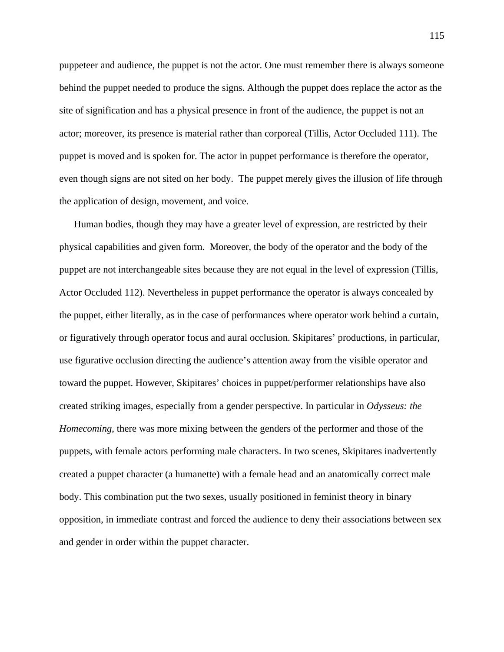puppeteer and audience, the puppet is not the actor. One must remember there is always someone behind the puppet needed to produce the signs. Although the puppet does replace the actor as the site of signification and has a physical presence in front of the audience, the puppet is not an actor; moreover, its presence is material rather than corporeal (Tillis, Actor Occluded 111). The puppet is moved and is spoken for. The actor in puppet performance is therefore the operator, even though signs are not sited on her body. The puppet merely gives the illusion of life through the application of design, movement, and voice.

Human bodies, though they may have a greater level of expression, are restricted by their physical capabilities and given form. Moreover, the body of the operator and the body of the puppet are not interchangeable sites because they are not equal in the level of expression (Tillis, Actor Occluded 112). Nevertheless in puppet performance the operator is always concealed by the puppet, either literally, as in the case of performances where operator work behind a curtain, or figuratively through operator focus and aural occlusion. Skipitares' productions, in particular, use figurative occlusion directing the audience's attention away from the visible operator and toward the puppet. However, Skipitares' choices in puppet/performer relationships have also created striking images, especially from a gender perspective. In particular in *Odysseus: the Homecoming*, there was more mixing between the genders of the performer and those of the puppets, with female actors performing male characters. In two scenes, Skipitares inadvertently created a puppet character (a humanette) with a female head and an anatomically correct male body. This combination put the two sexes, usually positioned in feminist theory in binary opposition, in immediate contrast and forced the audience to deny their associations between sex and gender in order within the puppet character.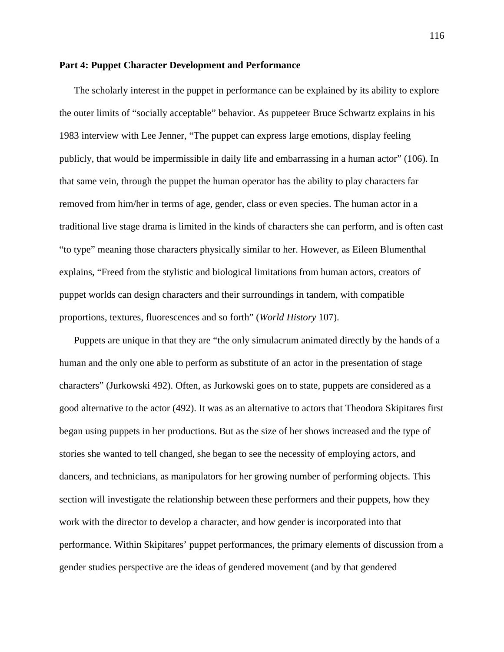## **Part 4: Puppet Character Development and Performance**

The scholarly interest in the puppet in performance can be explained by its ability to explore the outer limits of "socially acceptable" behavior. As puppeteer Bruce Schwartz explains in his 1983 interview with Lee Jenner, "The puppet can express large emotions, display feeling publicly, that would be impermissible in daily life and embarrassing in a human actor" (106). In that same vein, through the puppet the human operator has the ability to play characters far removed from him/her in terms of age, gender, class or even species. The human actor in a traditional live stage drama is limited in the kinds of characters she can perform, and is often cast "to type" meaning those characters physically similar to her. However, as Eileen Blumenthal explains, "Freed from the stylistic and biological limitations from human actors, creators of puppet worlds can design characters and their surroundings in tandem, with compatible proportions, textures, fluorescences and so forth" (*World History* 107).

Puppets are unique in that they are "the only simulacrum animated directly by the hands of a human and the only one able to perform as substitute of an actor in the presentation of stage characters" (Jurkowski 492). Often, as Jurkowski goes on to state, puppets are considered as a good alternative to the actor (492). It was as an alternative to actors that Theodora Skipitares first began using puppets in her productions. But as the size of her shows increased and the type of stories she wanted to tell changed, she began to see the necessity of employing actors, and dancers, and technicians, as manipulators for her growing number of performing objects. This section will investigate the relationship between these performers and their puppets, how they work with the director to develop a character, and how gender is incorporated into that performance. Within Skipitares' puppet performances, the primary elements of discussion from a gender studies perspective are the ideas of gendered movement (and by that gendered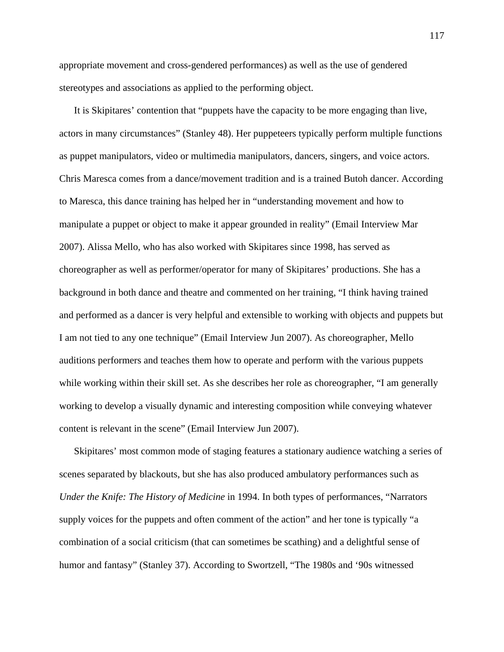appropriate movement and cross-gendered performances) as well as the use of gendered stereotypes and associations as applied to the performing object.

It is Skipitares' contention that "puppets have the capacity to be more engaging than live, actors in many circumstances" (Stanley 48). Her puppeteers typically perform multiple functions as puppet manipulators, video or multimedia manipulators, dancers, singers, and voice actors. Chris Maresca comes from a dance/movement tradition and is a trained Butoh dancer. According to Maresca, this dance training has helped her in "understanding movement and how to manipulate a puppet or object to make it appear grounded in reality" (Email Interview Mar 2007). Alissa Mello, who has also worked with Skipitares since 1998, has served as choreographer as well as performer/operator for many of Skipitares' productions. She has a background in both dance and theatre and commented on her training, "I think having trained and performed as a dancer is very helpful and extensible to working with objects and puppets but I am not tied to any one technique" (Email Interview Jun 2007). As choreographer, Mello auditions performers and teaches them how to operate and perform with the various puppets while working within their skill set. As she describes her role as choreographer, "I am generally working to develop a visually dynamic and interesting composition while conveying whatever content is relevant in the scene" (Email Interview Jun 2007).

Skipitares' most common mode of staging features a stationary audience watching a series of scenes separated by blackouts, but she has also produced ambulatory performances such as *Under the Knife: The History of Medicine* in 1994. In both types of performances, "Narrators supply voices for the puppets and often comment of the action" and her tone is typically "a combination of a social criticism (that can sometimes be scathing) and a delightful sense of humor and fantasy" (Stanley 37). According to Swortzell, "The 1980s and '90s witnessed

117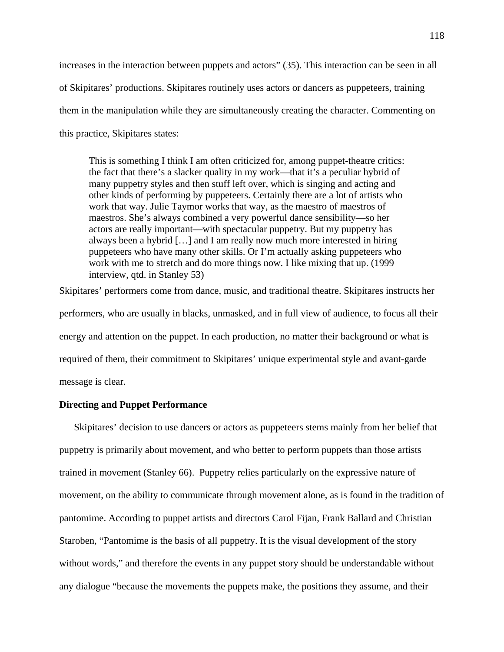increases in the interaction between puppets and actors" (35). This interaction can be seen in all of Skipitares' productions. Skipitares routinely uses actors or dancers as puppeteers, training them in the manipulation while they are simultaneously creating the character. Commenting on this practice, Skipitares states:

This is something I think I am often criticized for, among puppet-theatre critics: the fact that there's a slacker quality in my work—that it's a peculiar hybrid of many puppetry styles and then stuff left over, which is singing and acting and other kinds of performing by puppeteers. Certainly there are a lot of artists who work that way. Julie Taymor works that way, as the maestro of maestros of maestros. She's always combined a very powerful dance sensibility—so her actors are really important—with spectacular puppetry. But my puppetry has always been a hybrid […] and I am really now much more interested in hiring puppeteers who have many other skills. Or I'm actually asking puppeteers who work with me to stretch and do more things now. I like mixing that up. (1999 interview, qtd. in Stanley 53)

Skipitares' performers come from dance, music, and traditional theatre. Skipitares instructs her performers, who are usually in blacks, unmasked, and in full view of audience, to focus all their energy and attention on the puppet. In each production, no matter their background or what is required of them, their commitment to Skipitares' unique experimental style and avant-garde message is clear.

# **Directing and Puppet Performance**

Skipitares' decision to use dancers or actors as puppeteers stems mainly from her belief that puppetry is primarily about movement, and who better to perform puppets than those artists trained in movement (Stanley 66). Puppetry relies particularly on the expressive nature of movement, on the ability to communicate through movement alone, as is found in the tradition of pantomime. According to puppet artists and directors Carol Fijan, Frank Ballard and Christian Staroben, "Pantomime is the basis of all puppetry. It is the visual development of the story without words," and therefore the events in any puppet story should be understandable without any dialogue "because the movements the puppets make, the positions they assume, and their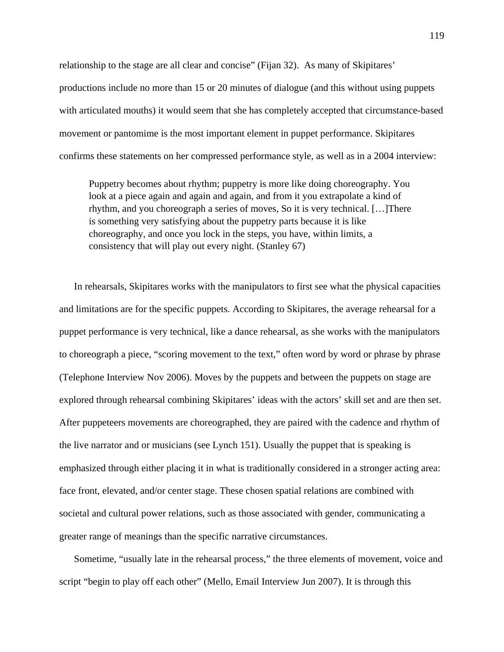relationship to the stage are all clear and concise" (Fijan 32). As many of Skipitares' productions include no more than 15 or 20 minutes of dialogue (and this without using puppets with articulated mouths) it would seem that she has completely accepted that circumstance-based movement or pantomime is the most important element in puppet performance. Skipitares confirms these statements on her compressed performance style, as well as in a 2004 interview:

Puppetry becomes about rhythm; puppetry is more like doing choreography. You look at a piece again and again and again, and from it you extrapolate a kind of rhythm, and you choreograph a series of moves, So it is very technical. […]There is something very satisfying about the puppetry parts because it is like choreography, and once you lock in the steps, you have, within limits, a consistency that will play out every night. (Stanley 67)

In rehearsals, Skipitares works with the manipulators to first see what the physical capacities and limitations are for the specific puppets. According to Skipitares, the average rehearsal for a puppet performance is very technical, like a dance rehearsal, as she works with the manipulators to choreograph a piece, "scoring movement to the text," often word by word or phrase by phrase (Telephone Interview Nov 2006). Moves by the puppets and between the puppets on stage are explored through rehearsal combining Skipitares' ideas with the actors' skill set and are then set. After puppeteers movements are choreographed, they are paired with the cadence and rhythm of the live narrator and or musicians (see Lynch 151). Usually the puppet that is speaking is emphasized through either placing it in what is traditionally considered in a stronger acting area: face front, elevated, and/or center stage. These chosen spatial relations are combined with societal and cultural power relations, such as those associated with gender, communicating a greater range of meanings than the specific narrative circumstances.

Sometime, "usually late in the rehearsal process," the three elements of movement, voice and script "begin to play off each other" (Mello, Email Interview Jun 2007). It is through this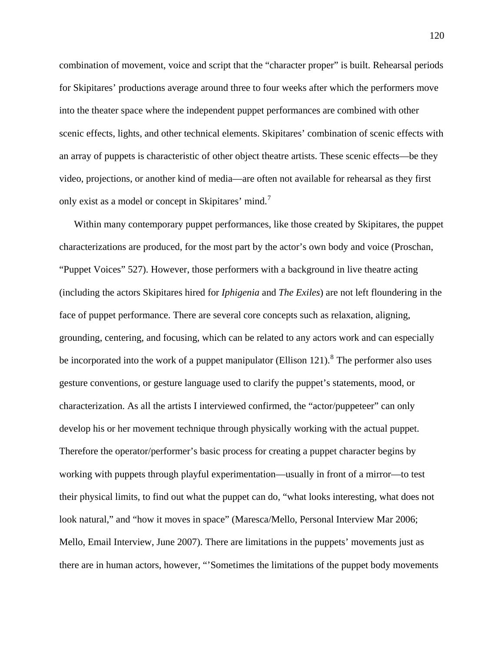combination of movement, voice and script that the "character proper" is built. Rehearsal periods for Skipitares' productions average around three to four weeks after which the performers move into the theater space where the independent puppet performances are combined with other scenic effects, lights, and other technical elements. Skipitares' combination of scenic effects with an array of puppets is characteristic of other object theatre artists. These scenic effects—be they video, projections, or another kind of media—are often not available for rehearsal as they first only exist as a model or concept in Skipitares' mind.<sup>[7](#page-197-0)</sup>

Within many contemporary puppet performances, like those created by Skipitares, the puppet characterizations are produced, for the most part by the actor's own body and voice (Proschan, "Puppet Voices" 527). However, those performers with a background in live theatre acting (including the actors Skipitares hired for *Iphigenia* and *The Exiles*) are not left floundering in the face of puppet performance. There are several core concepts such as relaxation, aligning, grounding, centering, and focusing, which can be related to any actors work and can especially be incorporated into the work of a puppet manipulator (Ellison 121). <sup>[8](#page-197-0)</sup> The performer also uses gesture conventions, or gesture language used to clarify the puppet's statements, mood, or characterization. As all the artists I interviewed confirmed, the "actor/puppeteer" can only develop his or her movement technique through physically working with the actual puppet. Therefore the operator/performer's basic process for creating a puppet character begins by working with puppets through playful experimentation—usually in front of a mirror—to test their physical limits, to find out what the puppet can do, "what looks interesting, what does not look natural," and "how it moves in space" (Maresca/Mello, Personal Interview Mar 2006; Mello, Email Interview, June 2007). There are limitations in the puppets' movements just as there are in human actors, however, "'Sometimes the limitations of the puppet body movements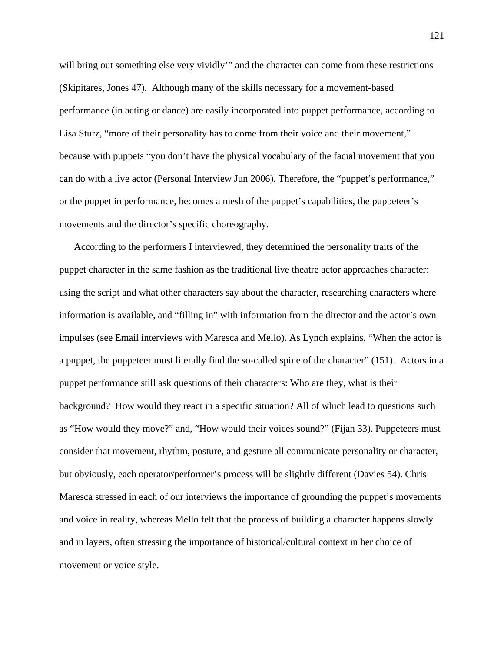will bring out something else very vividly" and the character can come from these restrictions (Skipitares, Jones 47). Although many of the skills necessary for a movement-based performance (in acting or dance) are easily incorporated into puppet performance, according to Lisa Sturz, "more of their personality has to come from their voice and their movement," because with puppets "you don't have the physical vocabulary of the facial movement that you can do with a live actor (Personal Interview Jun 2006). Therefore, the "puppet's performance," or the puppet in performance, becomes a mesh of the puppet's capabilities, the puppeteer's movements and the director's specific choreography.

According to the performers I interviewed, they determined the personality traits of the puppet character in the same fashion as the traditional live theatre actor approaches character: using the script and what other characters say about the character, researching characters where information is available, and "filling in" with information from the director and the actor's own impulses (see Email interviews with Maresca and Mello). As Lynch explains, "When the actor is a puppet, the puppeteer must literally find the so-called spine of the character" (151). Actors in a puppet performance still ask questions of their characters: Who are they, what is their background? How would they react in a specific situation? All of which lead to questions such as "How would they move?" and, "How would their voices sound?" (Fijan 33). Puppeteers must consider that movement, rhythm, posture, and gesture all communicate personality or character, but obviously, each operator/performer's process will be slightly different (Davies 54). Chris Maresca stressed in each of our interviews the importance of grounding the puppet's movements and voice in reality, whereas Mello felt that the process of building a character happens slowly and in layers, often stressing the importance of historical/cultural context in her choice of movement or voice style.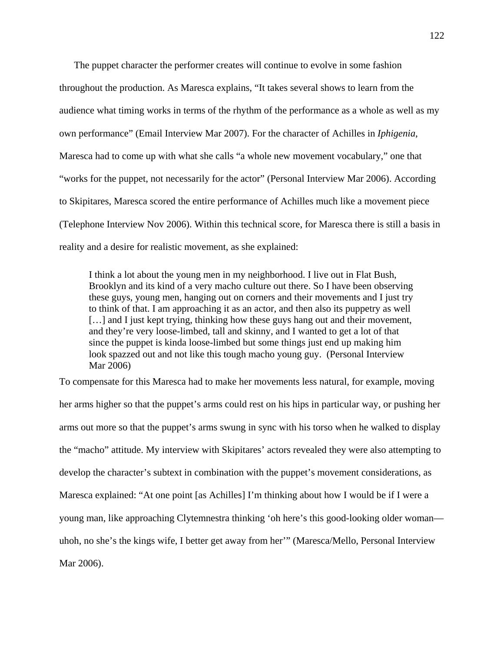The puppet character the performer creates will continue to evolve in some fashion throughout the production. As Maresca explains, "It takes several shows to learn from the audience what timing works in terms of the rhythm of the performance as a whole as well as my own performance" (Email Interview Mar 2007). For the character of Achilles in *Iphigenia*, Maresca had to come up with what she calls "a whole new movement vocabulary," one that "works for the puppet, not necessarily for the actor" (Personal Interview Mar 2006). According to Skipitares, Maresca scored the entire performance of Achilles much like a movement piece (Telephone Interview Nov 2006). Within this technical score, for Maresca there is still a basis in reality and a desire for realistic movement, as she explained:

I think a lot about the young men in my neighborhood. I live out in Flat Bush, Brooklyn and its kind of a very macho culture out there. So I have been observing these guys, young men, hanging out on corners and their movements and I just try to think of that. I am approaching it as an actor, and then also its puppetry as well [...] and I just kept trying, thinking how these guys hang out and their movement, and they're very loose-limbed, tall and skinny, and I wanted to get a lot of that since the puppet is kinda loose-limbed but some things just end up making him look spazzed out and not like this tough macho young guy. (Personal Interview Mar 2006)

To compensate for this Maresca had to make her movements less natural, for example, moving her arms higher so that the puppet's arms could rest on his hips in particular way, or pushing her arms out more so that the puppet's arms swung in sync with his torso when he walked to display the "macho" attitude. My interview with Skipitares' actors revealed they were also attempting to develop the character's subtext in combination with the puppet's movement considerations, as Maresca explained: "At one point [as Achilles] I'm thinking about how I would be if I were a young man, like approaching Clytemnestra thinking 'oh here's this good-looking older woman uhoh, no she's the kings wife, I better get away from her'" (Maresca/Mello, Personal Interview Mar 2006).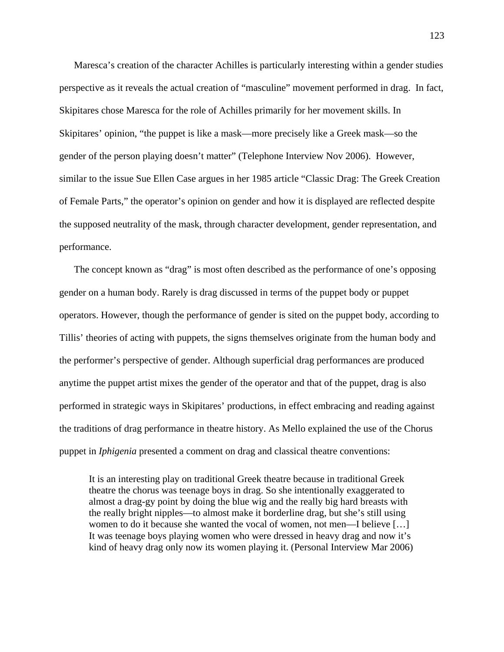Maresca's creation of the character Achilles is particularly interesting within a gender studies perspective as it reveals the actual creation of "masculine" movement performed in drag. In fact, Skipitares chose Maresca for the role of Achilles primarily for her movement skills. In Skipitares' opinion, "the puppet is like a mask—more precisely like a Greek mask—so the gender of the person playing doesn't matter" (Telephone Interview Nov 2006). However, similar to the issue Sue Ellen Case argues in her 1985 article "Classic Drag: The Greek Creation of Female Parts," the operator's opinion on gender and how it is displayed are reflected despite the supposed neutrality of the mask, through character development, gender representation, and performance.

The concept known as "drag" is most often described as the performance of one's opposing gender on a human body. Rarely is drag discussed in terms of the puppet body or puppet operators. However, though the performance of gender is sited on the puppet body, according to Tillis' theories of acting with puppets, the signs themselves originate from the human body and the performer's perspective of gender. Although superficial drag performances are produced anytime the puppet artist mixes the gender of the operator and that of the puppet, drag is also performed in strategic ways in Skipitares' productions, in effect embracing and reading against the traditions of drag performance in theatre history. As Mello explained the use of the Chorus puppet in *Iphigenia* presented a comment on drag and classical theatre conventions:

It is an interesting play on traditional Greek theatre because in traditional Greek theatre the chorus was teenage boys in drag. So she intentionally exaggerated to almost a drag-gy point by doing the blue wig and the really big hard breasts with the really bright nipples—to almost make it borderline drag, but she's still using women to do it because she wanted the vocal of women, not men—I believe […] It was teenage boys playing women who were dressed in heavy drag and now it's kind of heavy drag only now its women playing it. (Personal Interview Mar 2006)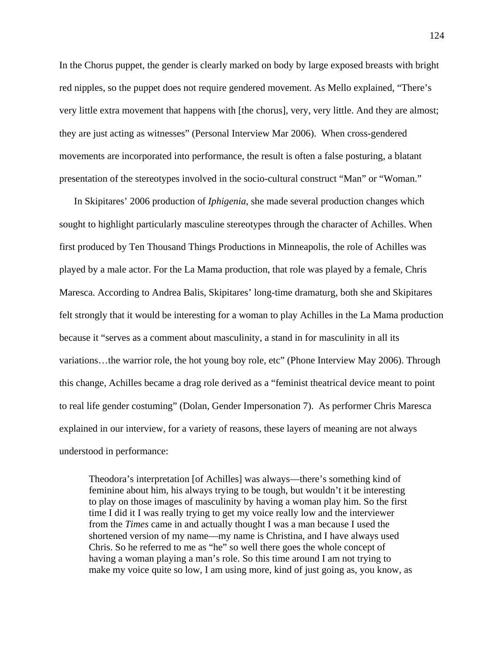In the Chorus puppet, the gender is clearly marked on body by large exposed breasts with bright red nipples, so the puppet does not require gendered movement. As Mello explained, "There's very little extra movement that happens with [the chorus], very, very little. And they are almost; they are just acting as witnesses" (Personal Interview Mar 2006). When cross-gendered movements are incorporated into performance, the result is often a false posturing, a blatant presentation of the stereotypes involved in the socio-cultural construct "Man" or "Woman."

In Skipitares' 2006 production of *Iphigenia*, she made several production changes which sought to highlight particularly masculine stereotypes through the character of Achilles. When first produced by Ten Thousand Things Productions in Minneapolis, the role of Achilles was played by a male actor. For the La Mama production, that role was played by a female, Chris Maresca. According to Andrea Balis, Skipitares' long-time dramaturg, both she and Skipitares felt strongly that it would be interesting for a woman to play Achilles in the La Mama production because it "serves as a comment about masculinity, a stand in for masculinity in all its variations…the warrior role, the hot young boy role, etc" (Phone Interview May 2006). Through this change, Achilles became a drag role derived as a "feminist theatrical device meant to point to real life gender costuming" (Dolan, Gender Impersonation 7). As performer Chris Maresca explained in our interview, for a variety of reasons, these layers of meaning are not always understood in performance:

Theodora's interpretation [of Achilles] was always—there's something kind of feminine about him, his always trying to be tough, but wouldn't it be interesting to play on those images of masculinity by having a woman play him. So the first time I did it I was really trying to get my voice really low and the interviewer from the *Times* came in and actually thought I was a man because I used the shortened version of my name—my name is Christina, and I have always used Chris. So he referred to me as "he" so well there goes the whole concept of having a woman playing a man's role. So this time around I am not trying to make my voice quite so low, I am using more, kind of just going as, you know, as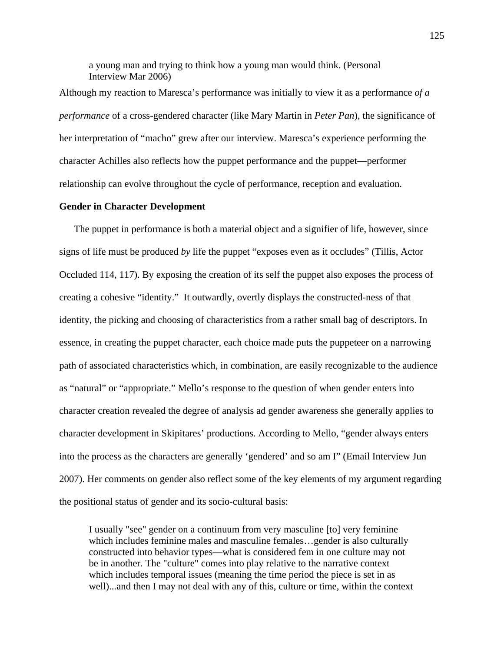a young man and trying to think how a young man would think. (Personal Interview Mar 2006)

Although my reaction to Maresca's performance was initially to view it as a performance *of a performance* of a cross-gendered character (like Mary Martin in *Peter Pan*), the significance of her interpretation of "macho" grew after our interview. Maresca's experience performing the character Achilles also reflects how the puppet performance and the puppet—performer relationship can evolve throughout the cycle of performance, reception and evaluation.

### **Gender in Character Development**

The puppet in performance is both a material object and a signifier of life, however, since signs of life must be produced *by* life the puppet "exposes even as it occludes" (Tillis, Actor Occluded 114, 117). By exposing the creation of its self the puppet also exposes the process of creating a cohesive "identity." It outwardly, overtly displays the constructed-ness of that identity, the picking and choosing of characteristics from a rather small bag of descriptors. In essence, in creating the puppet character, each choice made puts the puppeteer on a narrowing path of associated characteristics which, in combination, are easily recognizable to the audience as "natural" or "appropriate." Mello's response to the question of when gender enters into character creation revealed the degree of analysis ad gender awareness she generally applies to character development in Skipitares' productions. According to Mello, "gender always enters into the process as the characters are generally 'gendered' and so am I" (Email Interview Jun 2007). Her comments on gender also reflect some of the key elements of my argument regarding the positional status of gender and its socio-cultural basis:

I usually "see" gender on a continuum from very masculine [to] very feminine which includes feminine males and masculine females...gender is also culturally constructed into behavior types—what is considered fem in one culture may not be in another. The "culture" comes into play relative to the narrative context which includes temporal issues (meaning the time period the piece is set in as well)...and then I may not deal with any of this, culture or time, within the context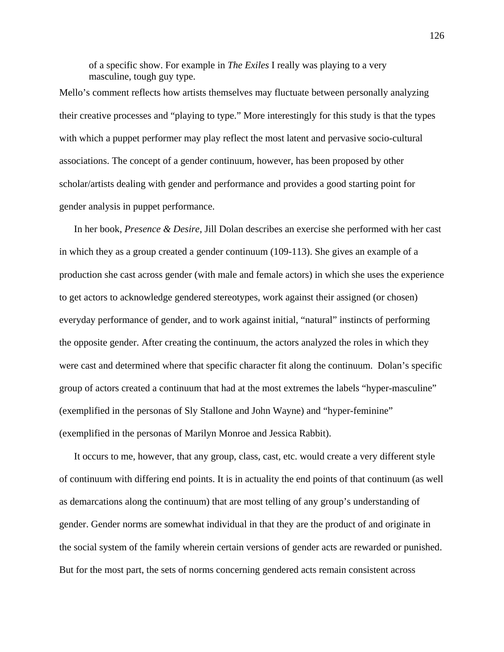of a specific show. For example in *The Exiles* I really was playing to a very masculine, tough guy type.

Mello's comment reflects how artists themselves may fluctuate between personally analyzing their creative processes and "playing to type." More interestingly for this study is that the types with which a puppet performer may play reflect the most latent and pervasive socio-cultural associations. The concept of a gender continuum, however, has been proposed by other scholar/artists dealing with gender and performance and provides a good starting point for gender analysis in puppet performance.

In her book, *Presence & Desire*, Jill Dolan describes an exercise she performed with her cast in which they as a group created a gender continuum (109-113). She gives an example of a production she cast across gender (with male and female actors) in which she uses the experience to get actors to acknowledge gendered stereotypes, work against their assigned (or chosen) everyday performance of gender, and to work against initial, "natural" instincts of performing the opposite gender. After creating the continuum, the actors analyzed the roles in which they were cast and determined where that specific character fit along the continuum. Dolan's specific group of actors created a continuum that had at the most extremes the labels "hyper-masculine" (exemplified in the personas of Sly Stallone and John Wayne) and "hyper-feminine" (exemplified in the personas of Marilyn Monroe and Jessica Rabbit).

It occurs to me, however, that any group, class, cast, etc. would create a very different style of continuum with differing end points. It is in actuality the end points of that continuum (as well as demarcations along the continuum) that are most telling of any group's understanding of gender. Gender norms are somewhat individual in that they are the product of and originate in the social system of the family wherein certain versions of gender acts are rewarded or punished. But for the most part, the sets of norms concerning gendered acts remain consistent across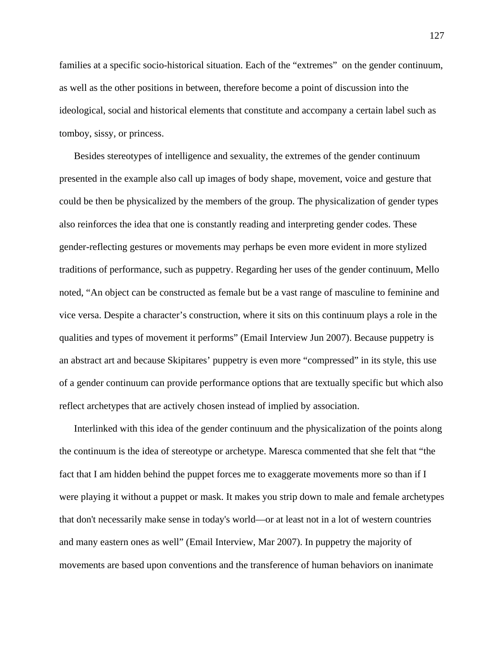families at a specific socio-historical situation. Each of the "extremes" on the gender continuum, as well as the other positions in between, therefore become a point of discussion into the ideological, social and historical elements that constitute and accompany a certain label such as tomboy, sissy, or princess.

Besides stereotypes of intelligence and sexuality, the extremes of the gender continuum presented in the example also call up images of body shape, movement, voice and gesture that could be then be physicalized by the members of the group. The physicalization of gender types also reinforces the idea that one is constantly reading and interpreting gender codes. These gender-reflecting gestures or movements may perhaps be even more evident in more stylized traditions of performance, such as puppetry. Regarding her uses of the gender continuum, Mello noted, "An object can be constructed as female but be a vast range of masculine to feminine and vice versa. Despite a character's construction, where it sits on this continuum plays a role in the qualities and types of movement it performs" (Email Interview Jun 2007). Because puppetry is an abstract art and because Skipitares' puppetry is even more "compressed" in its style, this use of a gender continuum can provide performance options that are textually specific but which also reflect archetypes that are actively chosen instead of implied by association.

Interlinked with this idea of the gender continuum and the physicalization of the points along the continuum is the idea of stereotype or archetype. Maresca commented that she felt that "the fact that I am hidden behind the puppet forces me to exaggerate movements more so than if I were playing it without a puppet or mask. It makes you strip down to male and female archetypes that don't necessarily make sense in today's world—or at least not in a lot of western countries and many eastern ones as well" (Email Interview, Mar 2007). In puppetry the majority of movements are based upon conventions and the transference of human behaviors on inanimate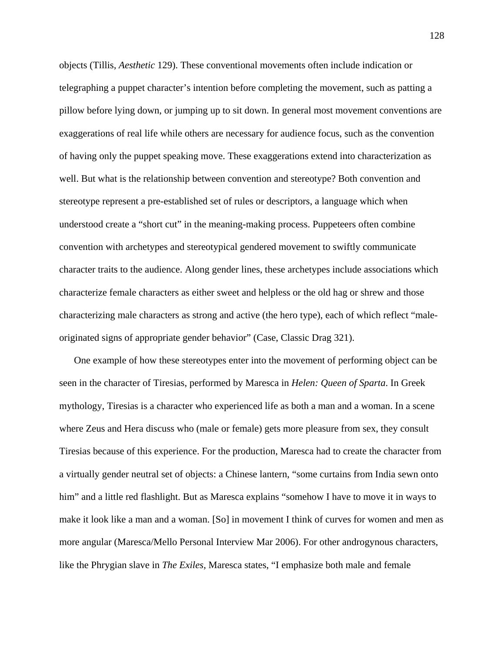objects (Tillis, *Aesthetic* 129). These conventional movements often include indication or telegraphing a puppet character's intention before completing the movement, such as patting a pillow before lying down, or jumping up to sit down. In general most movement conventions are exaggerations of real life while others are necessary for audience focus, such as the convention of having only the puppet speaking move. These exaggerations extend into characterization as well. But what is the relationship between convention and stereotype? Both convention and stereotype represent a pre-established set of rules or descriptors, a language which when understood create a "short cut" in the meaning-making process. Puppeteers often combine convention with archetypes and stereotypical gendered movement to swiftly communicate character traits to the audience. Along gender lines, these archetypes include associations which characterize female characters as either sweet and helpless or the old hag or shrew and those characterizing male characters as strong and active (the hero type), each of which reflect "maleoriginated signs of appropriate gender behavior" (Case, Classic Drag 321).

One example of how these stereotypes enter into the movement of performing object can be seen in the character of Tiresias, performed by Maresca in *Helen: Queen of Sparta*. In Greek mythology, Tiresias is a character who experienced life as both a man and a woman. In a scene where Zeus and Hera discuss who (male or female) gets more pleasure from sex, they consult Tiresias because of this experience. For the production, Maresca had to create the character from a virtually gender neutral set of objects: a Chinese lantern, "some curtains from India sewn onto him" and a little red flashlight. But as Maresca explains "somehow I have to move it in ways to make it look like a man and a woman. [So] in movement I think of curves for women and men as more angular (Maresca/Mello Personal Interview Mar 2006). For other androgynous characters, like the Phrygian slave in *The Exiles*, Maresca states, "I emphasize both male and female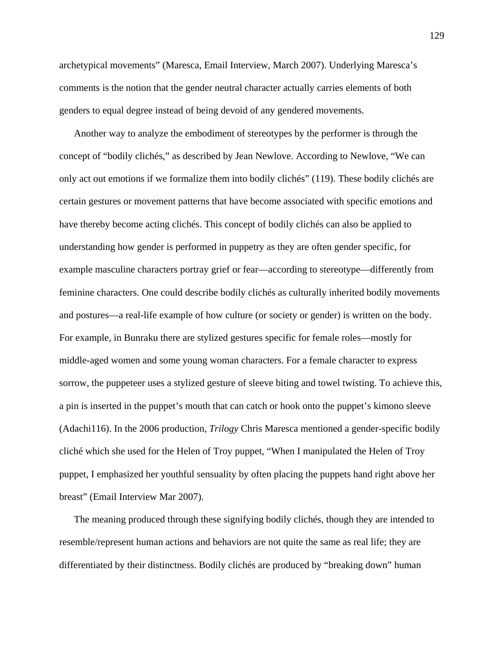archetypical movements" (Maresca, Email Interview, March 2007). Underlying Maresca's comments is the notion that the gender neutral character actually carries elements of both genders to equal degree instead of being devoid of any gendered movements.

Another way to analyze the embodiment of stereotypes by the performer is through the concept of "bodily clichés," as described by Jean Newlove. According to Newlove, "We can only act out emotions if we formalize them into bodily clichés" (119). These bodily clichés are certain gestures or movement patterns that have become associated with specific emotions and have thereby become acting clichés. This concept of bodily clichés can also be applied to understanding how gender is performed in puppetry as they are often gender specific, for example masculine characters portray grief or fear—according to stereotype—differently from feminine characters. One could describe bodily clichés as culturally inherited bodily movements and postures—a real-life example of how culture (or society or gender) is written on the body. For example, in Bunraku there are stylized gestures specific for female roles—mostly for middle-aged women and some young woman characters. For a female character to express sorrow, the puppeteer uses a stylized gesture of sleeve biting and towel twisting. To achieve this, a pin is inserted in the puppet's mouth that can catch or hook onto the puppet's kimono sleeve (Adachi116). In the 2006 production, *Trilogy* Chris Maresca mentioned a gender-specific bodily cliché which she used for the Helen of Troy puppet, "When I manipulated the Helen of Troy puppet, I emphasized her youthful sensuality by often placing the puppets hand right above her breast" (Email Interview Mar 2007).

The meaning produced through these signifying bodily clichés, though they are intended to resemble/represent human actions and behaviors are not quite the same as real life; they are differentiated by their distinctness. Bodily clichés are produced by "breaking down" human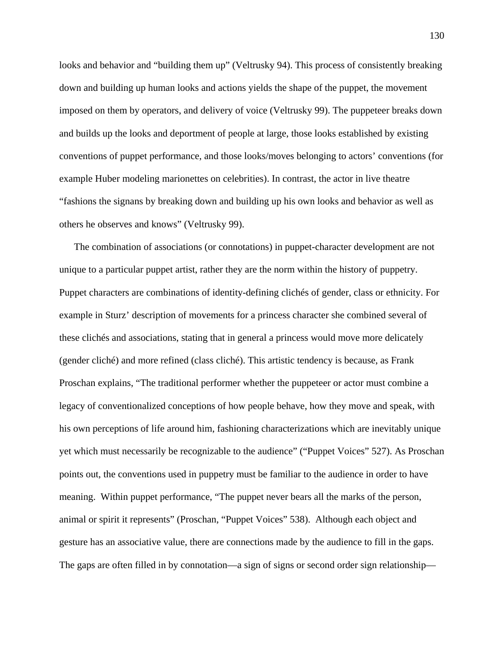looks and behavior and "building them up" (Veltrusky 94). This process of consistently breaking down and building up human looks and actions yields the shape of the puppet, the movement imposed on them by operators, and delivery of voice (Veltrusky 99). The puppeteer breaks down and builds up the looks and deportment of people at large, those looks established by existing conventions of puppet performance, and those looks/moves belonging to actors' conventions (for example Huber modeling marionettes on celebrities). In contrast, the actor in live theatre "fashions the signans by breaking down and building up his own looks and behavior as well as others he observes and knows" (Veltrusky 99).

The combination of associations (or connotations) in puppet-character development are not unique to a particular puppet artist, rather they are the norm within the history of puppetry. Puppet characters are combinations of identity-defining clichés of gender, class or ethnicity. For example in Sturz' description of movements for a princess character she combined several of these clichés and associations, stating that in general a princess would move more delicately (gender cliché) and more refined (class cliché). This artistic tendency is because, as Frank Proschan explains, "The traditional performer whether the puppeteer or actor must combine a legacy of conventionalized conceptions of how people behave, how they move and speak, with his own perceptions of life around him, fashioning characterizations which are inevitably unique yet which must necessarily be recognizable to the audience" ("Puppet Voices" 527). As Proschan points out, the conventions used in puppetry must be familiar to the audience in order to have meaning. Within puppet performance, "The puppet never bears all the marks of the person, animal or spirit it represents" (Proschan, "Puppet Voices" 538). Although each object and gesture has an associative value, there are connections made by the audience to fill in the gaps. The gaps are often filled in by connotation—a sign of signs or second order sign relationship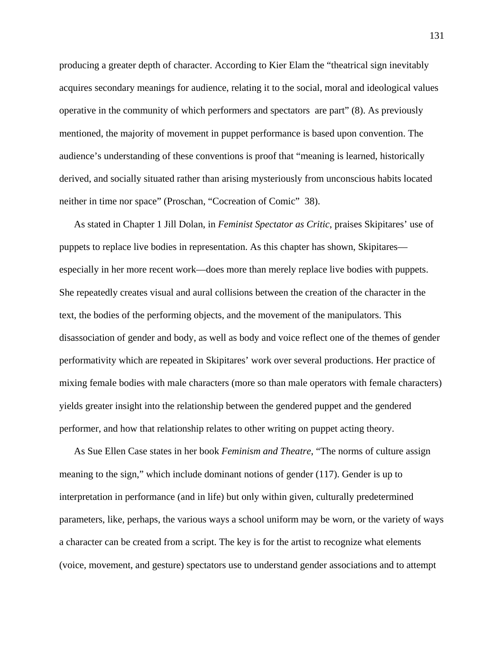producing a greater depth of character. According to Kier Elam the "theatrical sign inevitably acquires secondary meanings for audience, relating it to the social, moral and ideological values operative in the community of which performers and spectators are part" (8). As previously mentioned, the majority of movement in puppet performance is based upon convention. The audience's understanding of these conventions is proof that "meaning is learned, historically derived, and socially situated rather than arising mysteriously from unconscious habits located neither in time nor space" (Proschan, "Cocreation of Comic" 38).

As stated in Chapter 1 Jill Dolan, in *Feminist Spectator as Critic*, praises Skipitares' use of puppets to replace live bodies in representation. As this chapter has shown, Skipitares especially in her more recent work—does more than merely replace live bodies with puppets. She repeatedly creates visual and aural collisions between the creation of the character in the text, the bodies of the performing objects, and the movement of the manipulators. This disassociation of gender and body, as well as body and voice reflect one of the themes of gender performativity which are repeated in Skipitares' work over several productions. Her practice of mixing female bodies with male characters (more so than male operators with female characters) yields greater insight into the relationship between the gendered puppet and the gendered performer, and how that relationship relates to other writing on puppet acting theory.

As Sue Ellen Case states in her book *Feminism and Theatre*, "The norms of culture assign meaning to the sign," which include dominant notions of gender (117). Gender is up to interpretation in performance (and in life) but only within given, culturally predetermined parameters, like, perhaps, the various ways a school uniform may be worn, or the variety of ways a character can be created from a script. The key is for the artist to recognize what elements (voice, movement, and gesture) spectators use to understand gender associations and to attempt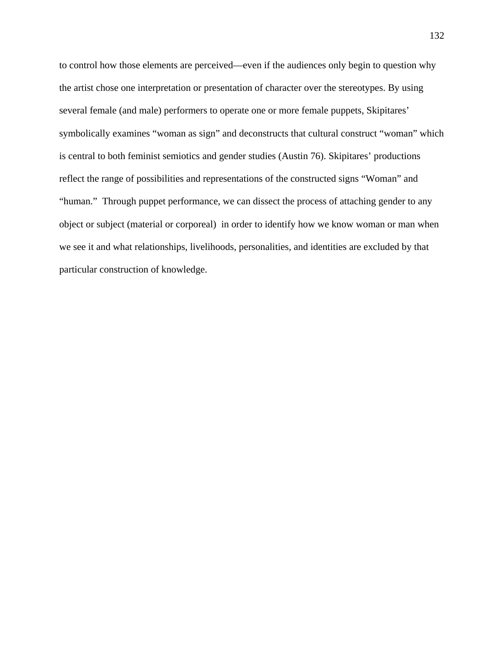to control how those elements are perceived—even if the audiences only begin to question why the artist chose one interpretation or presentation of character over the stereotypes. By using several female (and male) performers to operate one or more female puppets, Skipitares' symbolically examines "woman as sign" and deconstructs that cultural construct "woman" which is central to both feminist semiotics and gender studies (Austin 76). Skipitares' productions reflect the range of possibilities and representations of the constructed signs "Woman" and "human." Through puppet performance, we can dissect the process of attaching gender to any object or subject (material or corporeal) in order to identify how we know woman or man when we see it and what relationships, livelihoods, personalities, and identities are excluded by that particular construction of knowledge.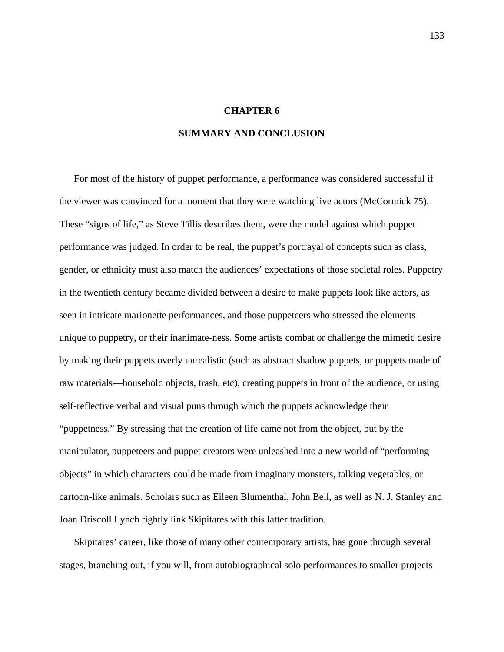# **CHAPTER 6**

## **SUMMARY AND CONCLUSION**

For most of the history of puppet performance, a performance was considered successful if the viewer was convinced for a moment that they were watching live actors (McCormick 75). These "signs of life," as Steve Tillis describes them, were the model against which puppet performance was judged. In order to be real, the puppet's portrayal of concepts such as class, gender, or ethnicity must also match the audiences' expectations of those societal roles. Puppetry in the twentieth century became divided between a desire to make puppets look like actors, as seen in intricate marionette performances, and those puppeteers who stressed the elements unique to puppetry, or their inanimate-ness. Some artists combat or challenge the mimetic desire by making their puppets overly unrealistic (such as abstract shadow puppets, or puppets made of raw materials—household objects, trash, etc), creating puppets in front of the audience, or using self-reflective verbal and visual puns through which the puppets acknowledge their "puppetness." By stressing that the creation of life came not from the object, but by the manipulator, puppeteers and puppet creators were unleashed into a new world of "performing objects" in which characters could be made from imaginary monsters, talking vegetables, or cartoon-like animals. Scholars such as Eileen Blumenthal, John Bell, as well as N. J. Stanley and Joan Driscoll Lynch rightly link Skipitares with this latter tradition.

Skipitares' career, like those of many other contemporary artists, has gone through several stages, branching out, if you will, from autobiographical solo performances to smaller projects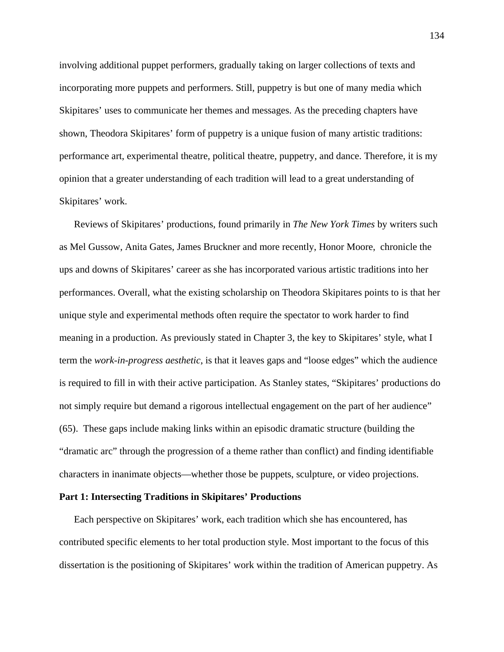involving additional puppet performers, gradually taking on larger collections of texts and incorporating more puppets and performers. Still, puppetry is but one of many media which Skipitares' uses to communicate her themes and messages. As the preceding chapters have shown, Theodora Skipitares' form of puppetry is a unique fusion of many artistic traditions: performance art, experimental theatre, political theatre, puppetry, and dance. Therefore, it is my opinion that a greater understanding of each tradition will lead to a great understanding of Skipitares' work.

Reviews of Skipitares' productions, found primarily in *The New York Times* by writers such as Mel Gussow, Anita Gates, James Bruckner and more recently, Honor Moore, chronicle the ups and downs of Skipitares' career as she has incorporated various artistic traditions into her performances. Overall, what the existing scholarship on Theodora Skipitares points to is that her unique style and experimental methods often require the spectator to work harder to find meaning in a production. As previously stated in Chapter 3, the key to Skipitares' style, what I term the *work-in-progress aesthetic*, is that it leaves gaps and "loose edges" which the audience is required to fill in with their active participation. As Stanley states, "Skipitares' productions do not simply require but demand a rigorous intellectual engagement on the part of her audience" (65). These gaps include making links within an episodic dramatic structure (building the "dramatic arc" through the progression of a theme rather than conflict) and finding identifiable characters in inanimate objects—whether those be puppets, sculpture, or video projections.

## **Part 1: Intersecting Traditions in Skipitares' Productions**

Each perspective on Skipitares' work, each tradition which she has encountered, has contributed specific elements to her total production style. Most important to the focus of this dissertation is the positioning of Skipitares' work within the tradition of American puppetry. As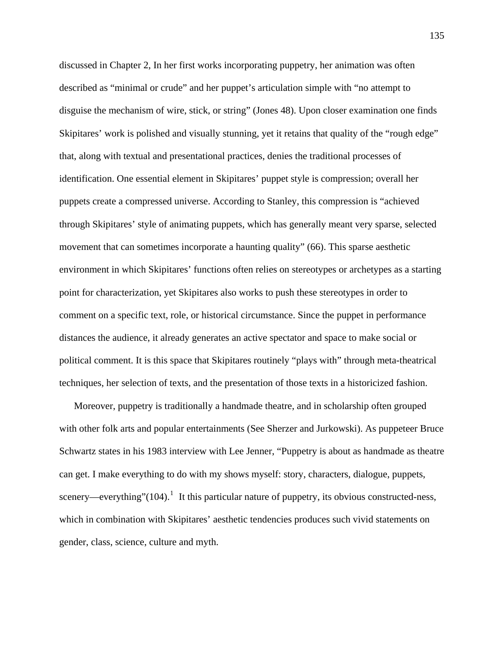discussed in Chapter 2, In her first works incorporating puppetry, her animation was often described as "minimal or crude" and her puppet's articulation simple with "no attempt to disguise the mechanism of wire, stick, or string" (Jones 48). Upon closer examination one finds Skipitares' work is polished and visually stunning, yet it retains that quality of the "rough edge" that, along with textual and presentational practices, denies the traditional processes of identification. One essential element in Skipitares' puppet style is compression; overall her puppets create a compressed universe. According to Stanley, this compression is "achieved through Skipitares' style of animating puppets, which has generally meant very sparse, selected movement that can sometimes incorporate a haunting quality" (66). This sparse aesthetic environment in which Skipitares' functions often relies on stereotypes or archetypes as a starting point for characterization, yet Skipitares also works to push these stereotypes in order to comment on a specific text, role, or historical circumstance. Since the puppet in performance distances the audience, it already generates an active spectator and space to make social or political comment. It is this space that Skipitares routinely "plays with" through meta-theatrical techniques, her selection of texts, and the presentation of those texts in a historicized fashion.

Moreover, puppetry is traditionally a handmade theatre, and in scholarship often grouped with other folk arts and popular entertainments (See Sherzer and Jurkowski). As puppeteer Bruce Schwartz states in his 1983 interview with Lee Jenner, "Puppetry is about as handmade as theatre can get. I make everything to do with my shows myself: story, characters, dialogue, puppets, scenery—everything"([1](#page-197-0)04).<sup>1</sup> It this particular nature of puppetry, its obvious constructed-ness, which in combination with Skipitares' aesthetic tendencies produces such vivid statements on gender, class, science, culture and myth.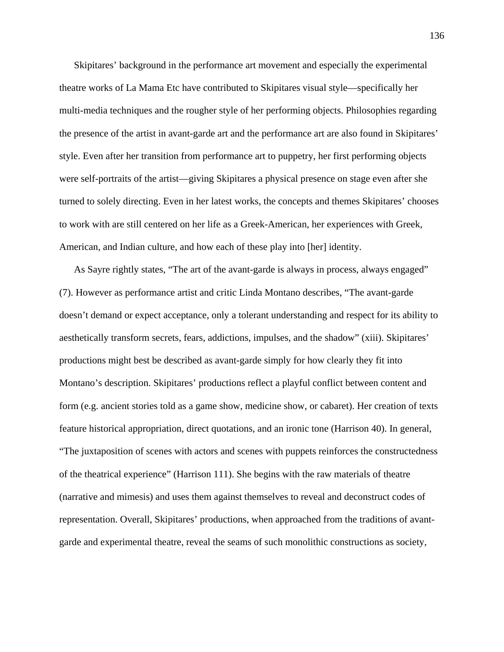Skipitares' background in the performance art movement and especially the experimental theatre works of La Mama Etc have contributed to Skipitares visual style—specifically her multi-media techniques and the rougher style of her performing objects. Philosophies regarding the presence of the artist in avant-garde art and the performance art are also found in Skipitares' style. Even after her transition from performance art to puppetry, her first performing objects were self-portraits of the artist—giving Skipitares a physical presence on stage even after she turned to solely directing. Even in her latest works, the concepts and themes Skipitares' chooses to work with are still centered on her life as a Greek-American, her experiences with Greek, American, and Indian culture, and how each of these play into [her] identity.

As Sayre rightly states, "The art of the avant-garde is always in process, always engaged" (7). However as performance artist and critic Linda Montano describes, "The avant-garde doesn't demand or expect acceptance, only a tolerant understanding and respect for its ability to aesthetically transform secrets, fears, addictions, impulses, and the shadow" (xiii). Skipitares' productions might best be described as avant-garde simply for how clearly they fit into Montano's description. Skipitares' productions reflect a playful conflict between content and form (e.g. ancient stories told as a game show, medicine show, or cabaret). Her creation of texts feature historical appropriation, direct quotations, and an ironic tone (Harrison 40). In general, "The juxtaposition of scenes with actors and scenes with puppets reinforces the constructedness of the theatrical experience" (Harrison 111). She begins with the raw materials of theatre (narrative and mimesis) and uses them against themselves to reveal and deconstruct codes of representation. Overall, Skipitares' productions, when approached from the traditions of avantgarde and experimental theatre, reveal the seams of such monolithic constructions as society,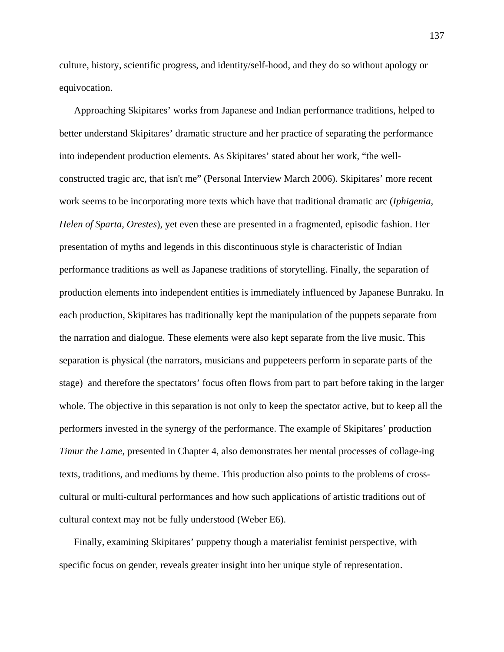culture, history, scientific progress, and identity/self-hood, and they do so without apology or equivocation.

Approaching Skipitares' works from Japanese and Indian performance traditions, helped to better understand Skipitares' dramatic structure and her practice of separating the performance into independent production elements. As Skipitares' stated about her work, "the wellconstructed tragic arc, that isn't me" (Personal Interview March 2006). Skipitares' more recent work seems to be incorporating more texts which have that traditional dramatic arc (*Iphigenia*, *Helen of Sparta*, *Orestes*), yet even these are presented in a fragmented, episodic fashion. Her presentation of myths and legends in this discontinuous style is characteristic of Indian performance traditions as well as Japanese traditions of storytelling. Finally, the separation of production elements into independent entities is immediately influenced by Japanese Bunraku. In each production, Skipitares has traditionally kept the manipulation of the puppets separate from the narration and dialogue. These elements were also kept separate from the live music. This separation is physical (the narrators, musicians and puppeteers perform in separate parts of the stage) and therefore the spectators' focus often flows from part to part before taking in the larger whole. The objective in this separation is not only to keep the spectator active, but to keep all the performers invested in the synergy of the performance. The example of Skipitares' production *Timur the Lame*, presented in Chapter 4, also demonstrates her mental processes of collage-ing texts, traditions, and mediums by theme. This production also points to the problems of crosscultural or multi-cultural performances and how such applications of artistic traditions out of cultural context may not be fully understood (Weber E6).

Finally, examining Skipitares' puppetry though a materialist feminist perspective, with specific focus on gender, reveals greater insight into her unique style of representation.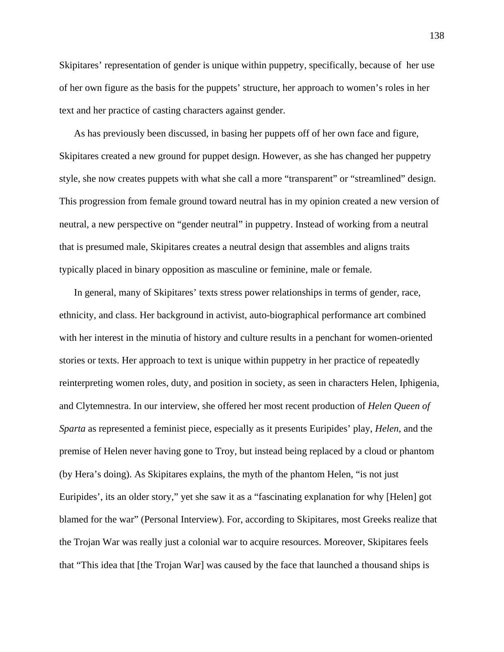Skipitares' representation of gender is unique within puppetry, specifically, because of her use of her own figure as the basis for the puppets' structure, her approach to women's roles in her text and her practice of casting characters against gender.

As has previously been discussed, in basing her puppets off of her own face and figure, Skipitares created a new ground for puppet design. However, as she has changed her puppetry style, she now creates puppets with what she call a more "transparent" or "streamlined" design. This progression from female ground toward neutral has in my opinion created a new version of neutral, a new perspective on "gender neutral" in puppetry. Instead of working from a neutral that is presumed male, Skipitares creates a neutral design that assembles and aligns traits typically placed in binary opposition as masculine or feminine, male or female.

In general, many of Skipitares' texts stress power relationships in terms of gender, race, ethnicity, and class. Her background in activist, auto-biographical performance art combined with her interest in the minutia of history and culture results in a penchant for women-oriented stories or texts. Her approach to text is unique within puppetry in her practice of repeatedly reinterpreting women roles, duty, and position in society, as seen in characters Helen, Iphigenia, and Clytemnestra. In our interview, she offered her most recent production of *Helen Queen of Sparta* as represented a feminist piece, especially as it presents Euripides' play, *Helen*, and the premise of Helen never having gone to Troy, but instead being replaced by a cloud or phantom (by Hera's doing). As Skipitares explains, the myth of the phantom Helen, "is not just Euripides', its an older story," yet she saw it as a "fascinating explanation for why [Helen] got blamed for the war" (Personal Interview). For, according to Skipitares, most Greeks realize that the Trojan War was really just a colonial war to acquire resources. Moreover, Skipitares feels that "This idea that [the Trojan War] was caused by the face that launched a thousand ships is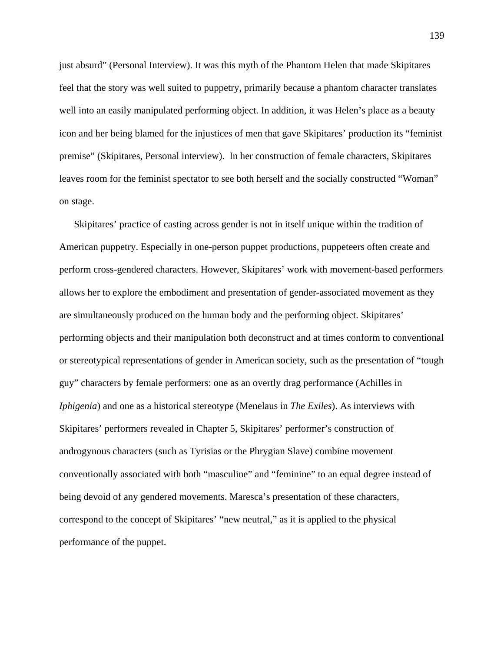just absurd" (Personal Interview). It was this myth of the Phantom Helen that made Skipitares feel that the story was well suited to puppetry, primarily because a phantom character translates well into an easily manipulated performing object. In addition, it was Helen's place as a beauty icon and her being blamed for the injustices of men that gave Skipitares' production its "feminist premise" (Skipitares, Personal interview). In her construction of female characters, Skipitares leaves room for the feminist spectator to see both herself and the socially constructed "Woman" on stage.

Skipitares' practice of casting across gender is not in itself unique within the tradition of American puppetry. Especially in one-person puppet productions, puppeteers often create and perform cross-gendered characters. However, Skipitares' work with movement-based performers allows her to explore the embodiment and presentation of gender-associated movement as they are simultaneously produced on the human body and the performing object. Skipitares' performing objects and their manipulation both deconstruct and at times conform to conventional or stereotypical representations of gender in American society, such as the presentation of "tough guy" characters by female performers: one as an overtly drag performance (Achilles in *Iphigenia*) and one as a historical stereotype (Menelaus in *The Exiles*). As interviews with Skipitares' performers revealed in Chapter 5, Skipitares' performer's construction of androgynous characters (such as Tyrisias or the Phrygian Slave) combine movement conventionally associated with both "masculine" and "feminine" to an equal degree instead of being devoid of any gendered movements. Maresca's presentation of these characters, correspond to the concept of Skipitares' "new neutral," as it is applied to the physical performance of the puppet.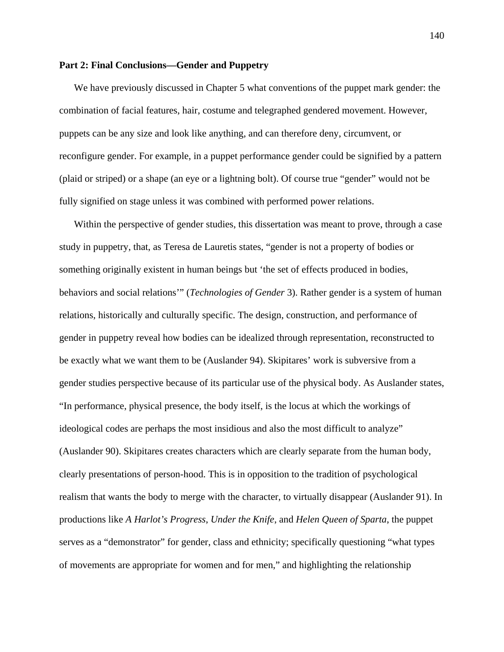## **Part 2: Final Conclusions—Gender and Puppetry**

We have previously discussed in Chapter 5 what conventions of the puppet mark gender: the combination of facial features, hair, costume and telegraphed gendered movement. However, puppets can be any size and look like anything, and can therefore deny, circumvent, or reconfigure gender. For example, in a puppet performance gender could be signified by a pattern (plaid or striped) or a shape (an eye or a lightning bolt). Of course true "gender" would not be fully signified on stage unless it was combined with performed power relations.

Within the perspective of gender studies, this dissertation was meant to prove, through a case study in puppetry, that, as Teresa de Lauretis states, "gender is not a property of bodies or something originally existent in human beings but 'the set of effects produced in bodies, behaviors and social relations'" (*Technologies of Gender* 3). Rather gender is a system of human relations, historically and culturally specific. The design, construction, and performance of gender in puppetry reveal how bodies can be idealized through representation, reconstructed to be exactly what we want them to be (Auslander 94). Skipitares' work is subversive from a gender studies perspective because of its particular use of the physical body. As Auslander states, "In performance, physical presence, the body itself, is the locus at which the workings of ideological codes are perhaps the most insidious and also the most difficult to analyze" (Auslander 90). Skipitares creates characters which are clearly separate from the human body, clearly presentations of person-hood. This is in opposition to the tradition of psychological realism that wants the body to merge with the character, to virtually disappear (Auslander 91). In productions like *A Harlot's Progress*, *Under the Knife*, and *Helen Queen of Sparta*, the puppet serves as a "demonstrator" for gender, class and ethnicity; specifically questioning "what types of movements are appropriate for women and for men," and highlighting the relationship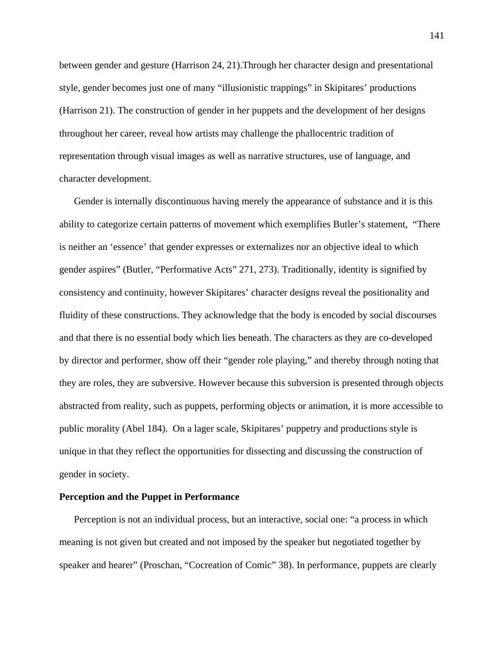between gender and gesture (Harrison 24, 21).Through her character design and presentational style, gender becomes just one of many "illusionistic trappings" in Skipitares' productions (Harrison 21). The construction of gender in her puppets and the development of her designs throughout her career, reveal how artists may challenge the phallocentric tradition of representation through visual images as well as narrative structures, use of language, and character development.

Gender is internally discontinuous having merely the appearance of substance and it is this ability to categorize certain patterns of movement which exemplifies Butler's statement, "There is neither an 'essence' that gender expresses or externalizes nor an objective ideal to which gender aspires" (Butler, "Performative Acts" 271, 273). Traditionally, identity is signified by consistency and continuity, however Skipitares' character designs reveal the positionality and fluidity of these constructions. They acknowledge that the body is encoded by social discourses and that there is no essential body which lies beneath. The characters as they are co-developed by director and performer, show off their "gender role playing," and thereby through noting that they are roles, they are subversive. However because this subversion is presented through objects abstracted from reality, such as puppets, performing objects or animation, it is more accessible to public morality (Abel 184). On a lager scale, Skipitares' puppetry and productions style is unique in that they reflect the opportunities for dissecting and discussing the construction of gender in society.

## **Perception and the Puppet in Performance**

Perception is not an individual process, but an interactive, social one: "a process in which meaning is not given but created and not imposed by the speaker but negotiated together by speaker and hearer" (Proschan, "Cocreation of Comic" 38). In performance, puppets are clearly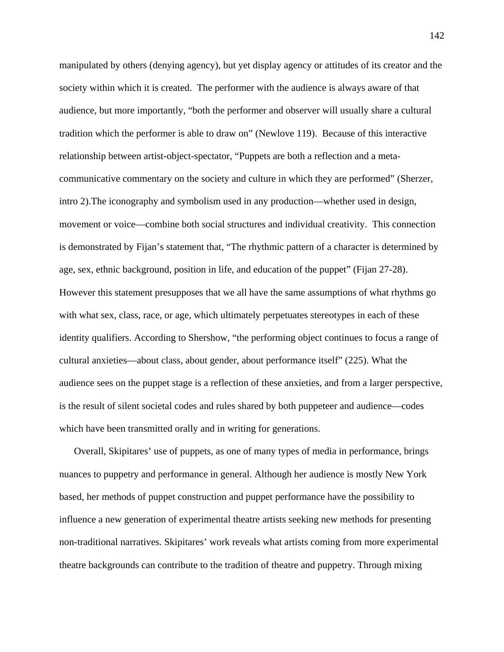manipulated by others (denying agency), but yet display agency or attitudes of its creator and the society within which it is created. The performer with the audience is always aware of that audience, but more importantly, "both the performer and observer will usually share a cultural tradition which the performer is able to draw on" (Newlove 119). Because of this interactive relationship between artist-object-spectator, "Puppets are both a reflection and a metacommunicative commentary on the society and culture in which they are performed" (Sherzer, intro 2).The iconography and symbolism used in any production—whether used in design, movement or voice—combine both social structures and individual creativity. This connection is demonstrated by Fijan's statement that, "The rhythmic pattern of a character is determined by age, sex, ethnic background, position in life, and education of the puppet" (Fijan 27-28). However this statement presupposes that we all have the same assumptions of what rhythms go with what sex, class, race, or age, which ultimately perpetuates stereotypes in each of these identity qualifiers. According to Shershow, "the performing object continues to focus a range of cultural anxieties—about class, about gender, about performance itself" (225). What the audience sees on the puppet stage is a reflection of these anxieties, and from a larger perspective, is the result of silent societal codes and rules shared by both puppeteer and audience—codes which have been transmitted orally and in writing for generations.

Overall, Skipitares' use of puppets, as one of many types of media in performance, brings nuances to puppetry and performance in general. Although her audience is mostly New York based, her methods of puppet construction and puppet performance have the possibility to influence a new generation of experimental theatre artists seeking new methods for presenting non-traditional narratives. Skipitares' work reveals what artists coming from more experimental theatre backgrounds can contribute to the tradition of theatre and puppetry. Through mixing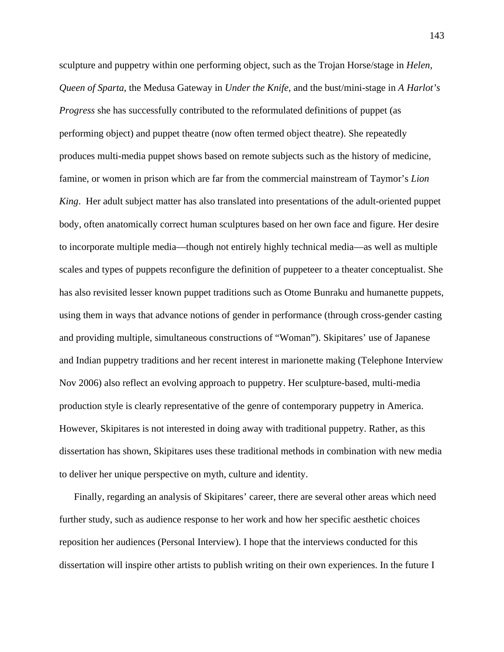sculpture and puppetry within one performing object, such as the Trojan Horse/stage in *Helen, Queen of Sparta*, the Medusa Gateway in *Under the Knife*, and the bust/mini-stage in *A Harlot's Progress* she has successfully contributed to the reformulated definitions of puppet (as performing object) and puppet theatre (now often termed object theatre). She repeatedly produces multi-media puppet shows based on remote subjects such as the history of medicine, famine, or women in prison which are far from the commercial mainstream of Taymor's *Lion King*. Her adult subject matter has also translated into presentations of the adult-oriented puppet body, often anatomically correct human sculptures based on her own face and figure. Her desire to incorporate multiple media—though not entirely highly technical media—as well as multiple scales and types of puppets reconfigure the definition of puppeteer to a theater conceptualist. She has also revisited lesser known puppet traditions such as Otome Bunraku and humanette puppets, using them in ways that advance notions of gender in performance (through cross-gender casting and providing multiple, simultaneous constructions of "Woman"). Skipitares' use of Japanese and Indian puppetry traditions and her recent interest in marionette making (Telephone Interview Nov 2006) also reflect an evolving approach to puppetry. Her sculpture-based, multi-media production style is clearly representative of the genre of contemporary puppetry in America. However, Skipitares is not interested in doing away with traditional puppetry. Rather, as this dissertation has shown, Skipitares uses these traditional methods in combination with new media to deliver her unique perspective on myth, culture and identity.

Finally, regarding an analysis of Skipitares' career, there are several other areas which need further study, such as audience response to her work and how her specific aesthetic choices reposition her audiences (Personal Interview). I hope that the interviews conducted for this dissertation will inspire other artists to publish writing on their own experiences. In the future I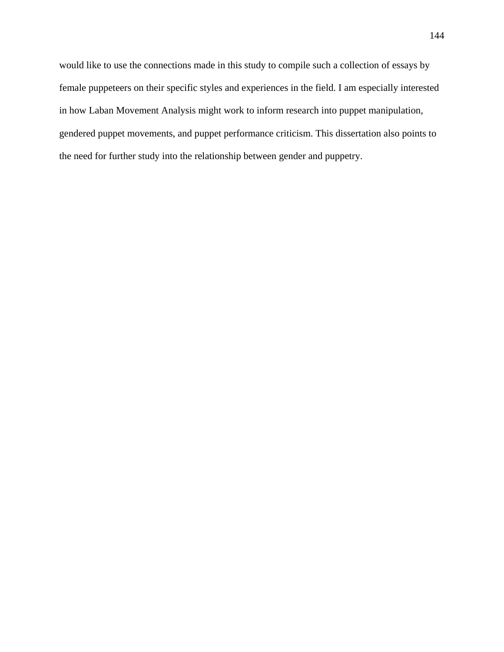would like to use the connections made in this study to compile such a collection of essays by female puppeteers on their specific styles and experiences in the field. I am especially interested in how Laban Movement Analysis might work to inform research into puppet manipulation, gendered puppet movements, and puppet performance criticism. This dissertation also points to the need for further study into the relationship between gender and puppetry.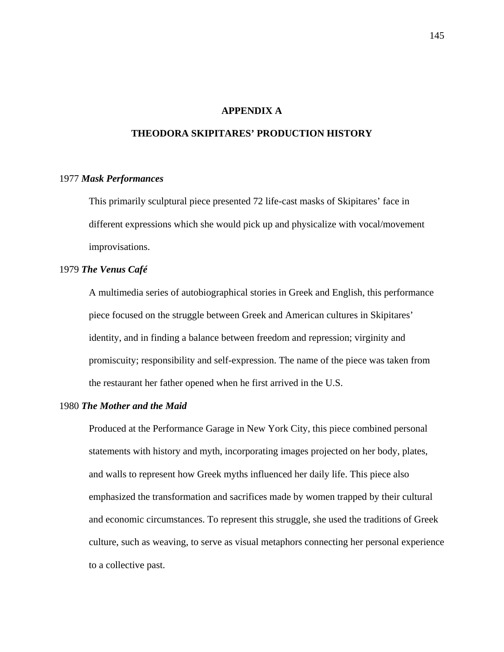# **APPENDIX A**

# **THEODORA SKIPITARES' PRODUCTION HISTORY**

#### 1977 *Mask Performances*

This primarily sculptural piece presented 72 life-cast masks of Skipitares' face in different expressions which she would pick up and physicalize with vocal/movement improvisations.

## 1979 *The Venus Café*

 A multimedia series of autobiographical stories in Greek and English, this performance piece focused on the struggle between Greek and American cultures in Skipitares' identity, and in finding a balance between freedom and repression; virginity and promiscuity; responsibility and self-expression. The name of the piece was taken from the restaurant her father opened when he first arrived in the U.S.

# 1980 *The Mother and the Maid*

 Produced at the Performance Garage in New York City, this piece combined personal statements with history and myth, incorporating images projected on her body, plates, and walls to represent how Greek myths influenced her daily life. This piece also emphasized the transformation and sacrifices made by women trapped by their cultural and economic circumstances. To represent this struggle, she used the traditions of Greek culture, such as weaving, to serve as visual metaphors connecting her personal experience to a collective past.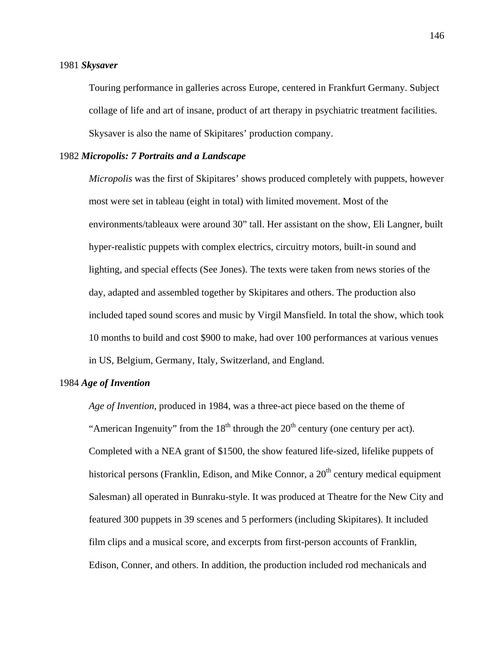#### 1981 *Skysaver*

 Touring performance in galleries across Europe, centered in Frankfurt Germany. Subject collage of life and art of insane, product of art therapy in psychiatric treatment facilities. Skysaver is also the name of Skipitares' production company.

## 1982 *Micropolis: 7 Portraits and a Landscape*

*Micropolis* was the first of Skipitares' shows produced completely with puppets, however most were set in tableau (eight in total) with limited movement. Most of the environments/tableaux were around 30" tall. Her assistant on the show, Eli Langner, built hyper-realistic puppets with complex electrics, circuitry motors, built-in sound and lighting, and special effects (See Jones). The texts were taken from news stories of the day, adapted and assembled together by Skipitares and others. The production also included taped sound scores and music by Virgil Mansfield. In total the show, which took 10 months to build and cost \$900 to make, had over 100 performances at various venues in US, Belgium, Germany, Italy, Switzerland, and England.

## 1984 *Age of Invention*

*Age of Invention*, produced in 1984, was a three-act piece based on the theme of "American Ingenuity" from the  $18<sup>th</sup>$  through the  $20<sup>th</sup>$  century (one century per act). Completed with a NEA grant of \$1500, the show featured life-sized, lifelike puppets of historical persons (Franklin, Edison, and Mike Connor, a  $20<sup>th</sup>$  century medical equipment Salesman) all operated in Bunraku-style. It was produced at Theatre for the New City and featured 300 puppets in 39 scenes and 5 performers (including Skipitares). It included film clips and a musical score, and excerpts from first-person accounts of Franklin, Edison, Conner, and others. In addition, the production included rod mechanicals and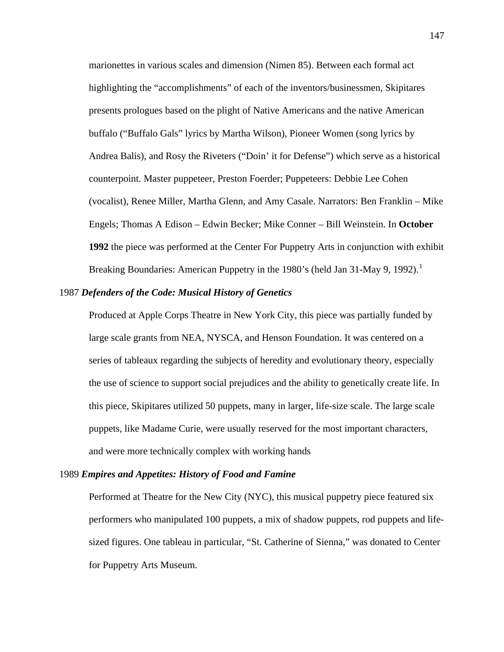marionettes in various scales and dimension (Nimen 85). Between each formal act highlighting the "accomplishments" of each of the inventors/businessmen, Skipitares presents prologues based on the plight of Native Americans and the native American buffalo ("Buffalo Gals" lyrics by Martha Wilson), Pioneer Women (song lyrics by Andrea Balis), and Rosy the Riveters ("Doin' it for Defense") which serve as a historical counterpoint. Master puppeteer, Preston Foerder; Puppeteers: Debbie Lee Cohen (vocalist), Renee Miller, Martha Glenn, and Amy Casale. Narrators: Ben Franklin – Mike Engels; Thomas A Edison – Edwin Becker; Mike Conner – Bill Weinstein. In **October 1992** the piece was performed at the Center For Puppetry Arts in conjunction with exhibit Breaking Boundaries: American Puppetry in the [1](#page-197-0)980's (held Jan 31-May 9, 1992).<sup>1</sup>

## 1987 *Defenders of the Code: Musical History of Genetics*

 Produced at Apple Corps Theatre in New York City, this piece was partially funded by large scale grants from NEA, NYSCA, and Henson Foundation. It was centered on a series of tableaux regarding the subjects of heredity and evolutionary theory, especially the use of science to support social prejudices and the ability to genetically create life. In this piece, Skipitares utilized 50 puppets, many in larger, life-size scale. The large scale puppets, like Madame Curie, were usually reserved for the most important characters, and were more technically complex with working hands

#### 1989 *Empires and Appetites: History of Food and Famine*

 Performed at Theatre for the New City (NYC), this musical puppetry piece featured six performers who manipulated 100 puppets, a mix of shadow puppets, rod puppets and lifesized figures. One tableau in particular, "St. Catherine of Sienna," was donated to Center for Puppetry Arts Museum.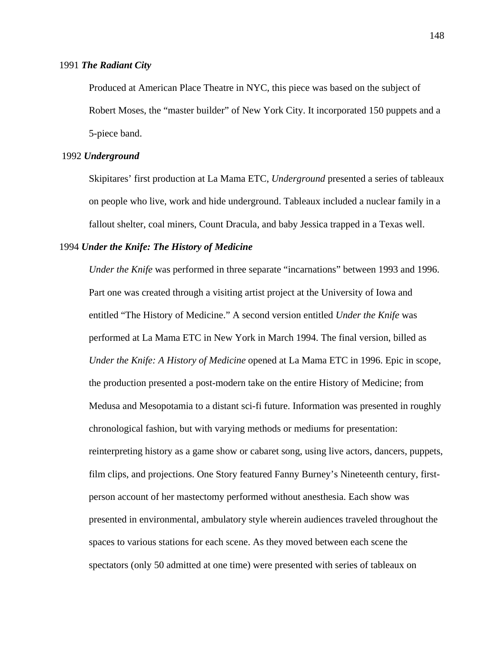#### 1991 *The Radiant City*

Produced at American Place Theatre in NYC, this piece was based on the subject of Robert Moses, the "master builder" of New York City. It incorporated 150 puppets and a 5-piece band.

#### 1992 *Underground*

 Skipitares' first production at La Mama ETC, *Underground* presented a series of tableaux on people who live, work and hide underground. Tableaux included a nuclear family in a fallout shelter, coal miners, Count Dracula, and baby Jessica trapped in a Texas well.

#### 1994 *Under the Knife: The History of Medicine*

*Under the Knife* was performed in three separate "incarnations" between 1993 and 1996. Part one was created through a visiting artist project at the University of Iowa and entitled "The History of Medicine." A second version entitled *Under the Knife* was performed at La Mama ETC in New York in March 1994. The final version, billed as *Under the Knife: A History of Medicine* opened at La Mama ETC in 1996. Epic in scope, the production presented a post-modern take on the entire History of Medicine; from Medusa and Mesopotamia to a distant sci-fi future. Information was presented in roughly chronological fashion, but with varying methods or mediums for presentation: reinterpreting history as a game show or cabaret song, using live actors, dancers, puppets, film clips, and projections. One Story featured Fanny Burney's Nineteenth century, firstperson account of her mastectomy performed without anesthesia. Each show was presented in environmental, ambulatory style wherein audiences traveled throughout the spaces to various stations for each scene. As they moved between each scene the spectators (only 50 admitted at one time) were presented with series of tableaux on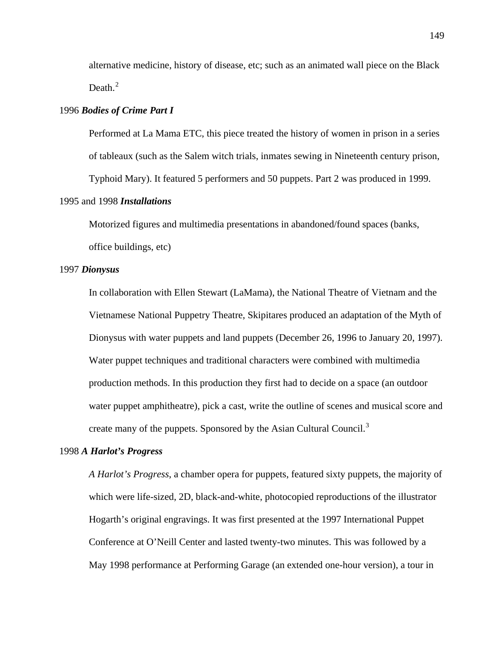alternative medicine, history of disease, etc; such as an animated wall piece on the Black Death. $2$ 

## 1996 *Bodies of Crime Part I*

 Performed at La Mama ETC, this piece treated the history of women in prison in a series of tableaux (such as the Salem witch trials, inmates sewing in Nineteenth century prison, Typhoid Mary). It featured 5 performers and 50 puppets. Part 2 was produced in 1999.

# 1995 and 1998 *Installations*

 Motorized figures and multimedia presentations in abandoned/found spaces (banks, office buildings, etc)

#### 1997 *Dionysus*

 In collaboration with Ellen Stewart (LaMama), the National Theatre of Vietnam and the Vietnamese National Puppetry Theatre, Skipitares produced an adaptation of the Myth of Dionysus with water puppets and land puppets (December 26, 1996 to January 20, 1997). Water puppet techniques and traditional characters were combined with multimedia production methods. In this production they first had to decide on a space (an outdoor water puppet amphitheatre), pick a cast, write the outline of scenes and musical score and create many of the puppets. Sponsored by the Asian Cultural Council.<sup>[3](#page-197-0)</sup>

#### 1998 *A Harlot's Progress*

*A Harlot's Progress*, a chamber opera for puppets, featured sixty puppets, the majority of which were life-sized, 2D, black-and-white, photocopied reproductions of the illustrator Hogarth's original engravings. It was first presented at the 1997 International Puppet Conference at O'Neill Center and lasted twenty-two minutes. This was followed by a May 1998 performance at Performing Garage (an extended one-hour version), a tour in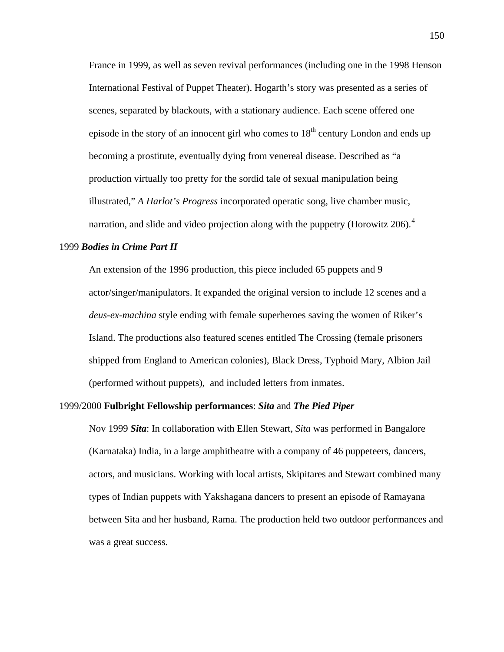France in 1999, as well as seven revival performances (including one in the 1998 Henson International Festival of Puppet Theater). Hogarth's story was presented as a series of scenes, separated by blackouts, with a stationary audience. Each scene offered one episode in the story of an innocent girl who comes to  $18<sup>th</sup>$  century London and ends up becoming a prostitute, eventually dying from venereal disease. Described as "a production virtually too pretty for the sordid tale of sexual manipulation being illustrated," *A Harlot's Progress* incorporated operatic song, live chamber music, narration, and slide and video projection along with the puppetry (Horowitz  $206$ ).<sup>[4](#page-198-0)</sup>

#### 1999 *Bodies in Crime Part II*

 An extension of the 1996 production, this piece included 65 puppets and 9 actor/singer/manipulators. It expanded the original version to include 12 scenes and a *deus-ex-machina* style ending with female superheroes saving the women of Riker's Island. The productions also featured scenes entitled The Crossing (female prisoners shipped from England to American colonies), Black Dress, Typhoid Mary, Albion Jail (performed without puppets), and included letters from inmates.

# 1999/2000 **Fulbright Fellowship performances**: *Sita* and *The Pied Piper*

 Nov 1999 *Sita*: In collaboration with Ellen Stewart, *Sita* was performed in Bangalore (Karnataka) India, in a large amphitheatre with a company of 46 puppeteers, dancers, actors, and musicians. Working with local artists, Skipitares and Stewart combined many types of Indian puppets with Yakshagana dancers to present an episode of Ramayana between Sita and her husband, Rama. The production held two outdoor performances and was a great success.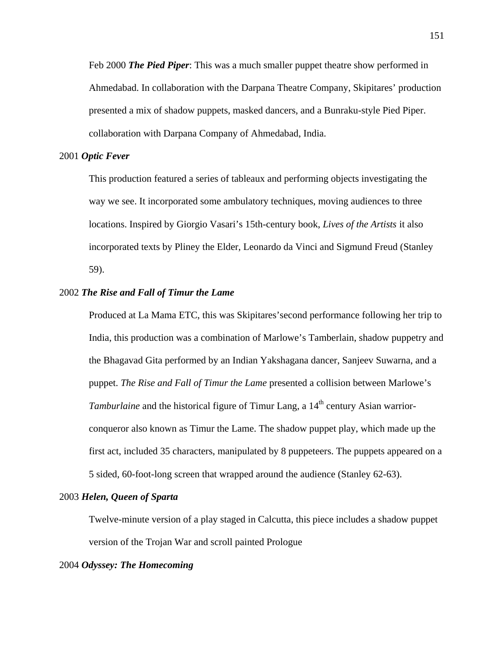Feb 2000 *The Pied Piper*: This was a much smaller puppet theatre show performed in Ahmedabad. In collaboration with the Darpana Theatre Company, Skipitares' production presented a mix of shadow puppets, masked dancers, and a Bunraku-style Pied Piper. collaboration with Darpana Company of Ahmedabad, India.

## 2001 *Optic Fever*

 This production featured a series of tableaux and performing objects investigating the way we see. It incorporated some ambulatory techniques, moving audiences to three locations. Inspired by Giorgio Vasari's 15th-century book, *Lives of the Artists* it also incorporated texts by Pliney the Elder, Leonardo da Vinci and Sigmund Freud (Stanley 59).

## 2002 *The Rise and Fall of Timur the Lame*

Produced at La Mama ETC, this was Skipitares'second performance following her trip to India, this production was a combination of Marlowe's Tamberlain, shadow puppetry and the Bhagavad Gita performed by an Indian Yakshagana dancer, Sanjeev Suwarna, and a puppet. *The Rise and Fall of Timur the Lame* presented a collision between Marlowe's *Tamburlaine* and the historical figure of Timur Lang, a 14<sup>th</sup> century Asian warriorconqueror also known as Timur the Lame. The shadow puppet play, which made up the first act, included 35 characters, manipulated by 8 puppeteers. The puppets appeared on a 5 sided, 60-foot-long screen that wrapped around the audience (Stanley 62-63).

# 2003 *Helen, Queen of Sparta*

 Twelve-minute version of a play staged in Calcutta, this piece includes a shadow puppet version of the Trojan War and scroll painted Prologue

# 2004 *Odyssey: The Homecoming*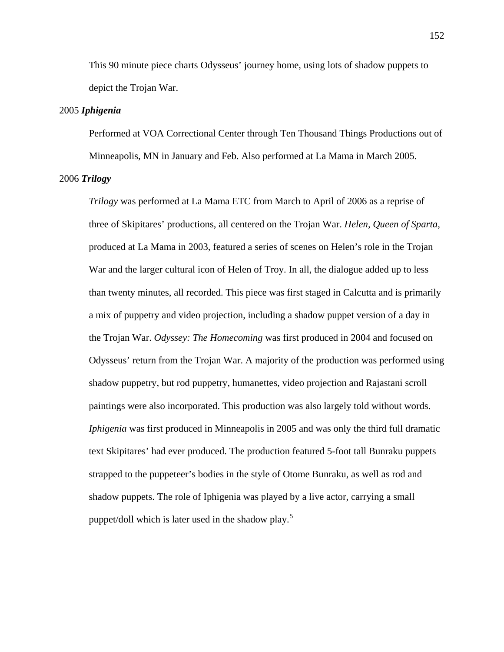This 90 minute piece charts Odysseus' journey home, using lots of shadow puppets to depict the Trojan War.

## 2005 *Iphigenia*

 Performed at VOA Correctional Center through Ten Thousand Things Productions out of Minneapolis, MN in January and Feb. Also performed at La Mama in March 2005.

# 2006 *Trilogy*

*Trilogy* was performed at La Mama ETC from March to April of 2006 as a reprise of three of Skipitares' productions, all centered on the Trojan War. *Helen, Queen of Sparta*, produced at La Mama in 2003, featured a series of scenes on Helen's role in the Trojan War and the larger cultural icon of Helen of Troy. In all, the dialogue added up to less than twenty minutes, all recorded. This piece was first staged in Calcutta and is primarily a mix of puppetry and video projection, including a shadow puppet version of a day in the Trojan War. *Odyssey: The Homecoming* was first produced in 2004 and focused on Odysseus' return from the Trojan War. A majority of the production was performed using shadow puppetry, but rod puppetry, humanettes, video projection and Rajastani scroll paintings were also incorporated. This production was also largely told without words. *Iphigenia* was first produced in Minneapolis in 2005 and was only the third full dramatic text Skipitares' had ever produced. The production featured 5-foot tall Bunraku puppets strapped to the puppeteer's bodies in the style of Otome Bunraku, as well as rod and shadow puppets. The role of Iphigenia was played by a live actor, carrying a small puppet/doll which is later used in the shadow play.<sup>[5](#page-198-0)</sup>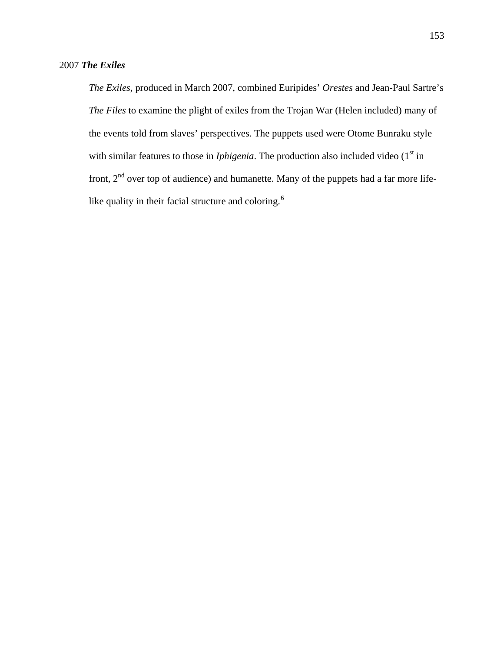*The Exiles*, produced in March 2007, combined Euripides' *Orestes* and Jean-Paul Sartre's *The Files* to examine the plight of exiles from the Trojan War (Helen included) many of the events told from slaves' perspectives. The puppets used were Otome Bunraku style with similar features to those in *Iphigenia*. The production also included video  $(1<sup>st</sup>$  in front,  $2<sup>nd</sup>$  over top of audience) and humanette. Many of the puppets had a far more life-like quality in their facial structure and coloring.<sup>[6](#page-198-0)</sup>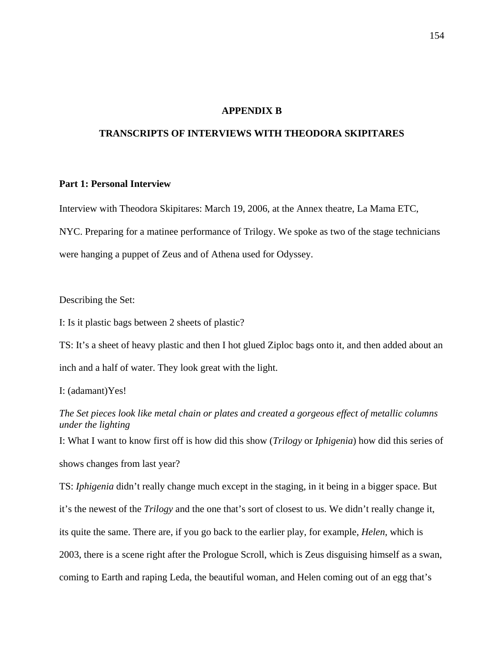# **APPENDIX B**

# **TRANSCRIPTS OF INTERVIEWS WITH THEODORA SKIPITARES**

## **Part 1: Personal Interview**

Interview with Theodora Skipitares: March 19, 2006, at the Annex theatre, La Mama ETC, NYC. Preparing for a matinee performance of Trilogy. We spoke as two of the stage technicians were hanging a puppet of Zeus and of Athena used for Odyssey.

Describing the Set:

I: Is it plastic bags between 2 sheets of plastic?

TS: It's a sheet of heavy plastic and then I hot glued Ziploc bags onto it, and then added about an inch and a half of water. They look great with the light.

I: (adamant)Yes!

*The Set pieces look like metal chain or plates and created a gorgeous effect of metallic columns under the lighting* 

I: What I want to know first off is how did this show (*Trilogy* or *Iphigenia*) how did this series of

shows changes from last year?

TS: *Iphigenia* didn't really change much except in the staging, in it being in a bigger space. But it's the newest of the *Trilogy* and the one that's sort of closest to us. We didn't really change it, its quite the same. There are, if you go back to the earlier play, for example, *Helen*, which is 2003, there is a scene right after the Prologue Scroll, which is Zeus disguising himself as a swan, coming to Earth and raping Leda, the beautiful woman, and Helen coming out of an egg that's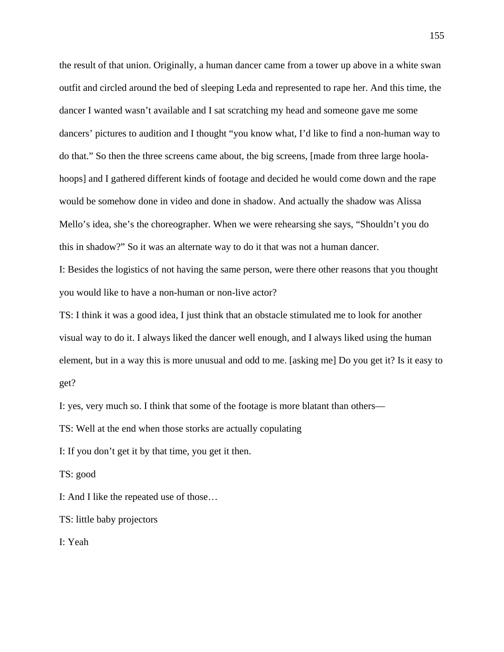the result of that union. Originally, a human dancer came from a tower up above in a white swan outfit and circled around the bed of sleeping Leda and represented to rape her. And this time, the dancer I wanted wasn't available and I sat scratching my head and someone gave me some dancers' pictures to audition and I thought "you know what, I'd like to find a non-human way to do that." So then the three screens came about, the big screens, [made from three large hoolahoops] and I gathered different kinds of footage and decided he would come down and the rape would be somehow done in video and done in shadow. And actually the shadow was Alissa Mello's idea, she's the choreographer. When we were rehearsing she says, "Shouldn't you do this in shadow?" So it was an alternate way to do it that was not a human dancer.

I: Besides the logistics of not having the same person, were there other reasons that you thought you would like to have a non-human or non-live actor?

TS: I think it was a good idea, I just think that an obstacle stimulated me to look for another visual way to do it. I always liked the dancer well enough, and I always liked using the human element, but in a way this is more unusual and odd to me. [asking me] Do you get it? Is it easy to get?

I: yes, very much so. I think that some of the footage is more blatant than others—

TS: Well at the end when those storks are actually copulating

I: If you don't get it by that time, you get it then.

TS: good

I: And I like the repeated use of those…

TS: little baby projectors

I: Yeah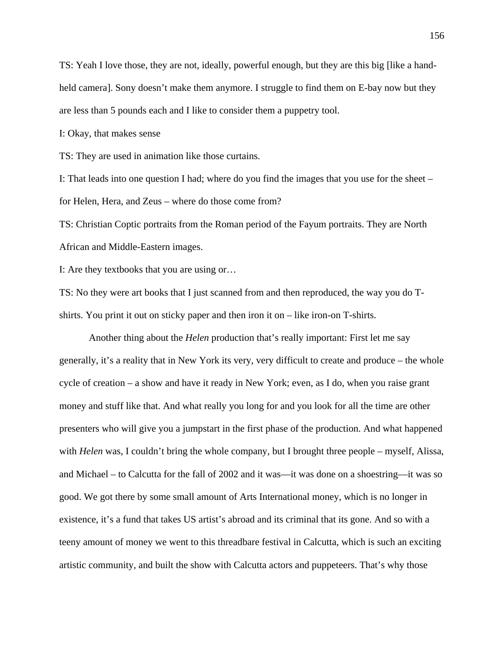TS: Yeah I love those, they are not, ideally, powerful enough, but they are this big [like a handheld camera]. Sony doesn't make them anymore. I struggle to find them on E-bay now but they are less than 5 pounds each and I like to consider them a puppetry tool.

I: Okay, that makes sense

TS: They are used in animation like those curtains.

I: That leads into one question I had; where do you find the images that you use for the sheet – for Helen, Hera, and Zeus – where do those come from?

TS: Christian Coptic portraits from the Roman period of the Fayum portraits. They are North African and Middle-Eastern images.

I: Are they textbooks that you are using or…

TS: No they were art books that I just scanned from and then reproduced, the way you do Tshirts. You print it out on sticky paper and then iron it on – like iron-on T-shirts.

Another thing about the *Helen* production that's really important: First let me say generally, it's a reality that in New York its very, very difficult to create and produce – the whole cycle of creation – a show and have it ready in New York; even, as I do, when you raise grant money and stuff like that. And what really you long for and you look for all the time are other presenters who will give you a jumpstart in the first phase of the production. And what happened with *Helen* was, I couldn't bring the whole company, but I brought three people – myself, Alissa, and Michael – to Calcutta for the fall of 2002 and it was—it was done on a shoestring—it was so good. We got there by some small amount of Arts International money, which is no longer in existence, it's a fund that takes US artist's abroad and its criminal that its gone. And so with a teeny amount of money we went to this threadbare festival in Calcutta, which is such an exciting artistic community, and built the show with Calcutta actors and puppeteers. That's why those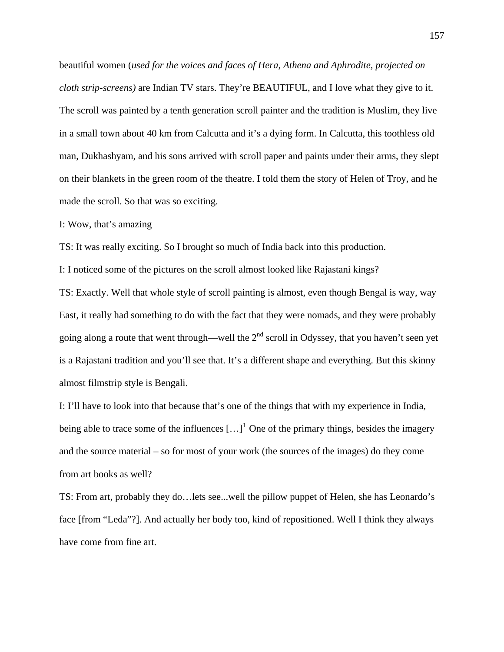beautiful women (*used for the voices and faces of Hera, Athena and Aphrodite, projected on cloth strip-screens)* are Indian TV stars. They're BEAUTIFUL, and I love what they give to it. The scroll was painted by a tenth generation scroll painter and the tradition is Muslim, they live in a small town about 40 km from Calcutta and it's a dying form. In Calcutta, this toothless old man, Dukhashyam, and his sons arrived with scroll paper and paints under their arms, they slept on their blankets in the green room of the theatre. I told them the story of Helen of Troy, and he made the scroll. So that was so exciting.

#### I: Wow, that's amazing

TS: It was really exciting. So I brought so much of India back into this production.

I: I noticed some of the pictures on the scroll almost looked like Rajastani kings?

TS: Exactly. Well that whole style of scroll painting is almost, even though Bengal is way, way East, it really had something to do with the fact that they were nomads, and they were probably going along a route that went through—well the  $2<sup>nd</sup>$  scroll in Odyssey, that you haven't seen yet is a Rajastani tradition and you'll see that. It's a different shape and everything. But this skinny almost filmstrip style is Bengali.

I: I'll have to look into that because that's one of the things that with my experience in India, being able to trace some of the influences  $\left[\ldots\right]^1$  $\left[\ldots\right]^1$  One of the primary things, besides the imagery and the source material – so for most of your work (the sources of the images) do they come from art books as well?

TS: From art, probably they do…lets see...well the pillow puppet of Helen, she has Leonardo's face [from "Leda"?]. And actually her body too, kind of repositioned. Well I think they always have come from fine art.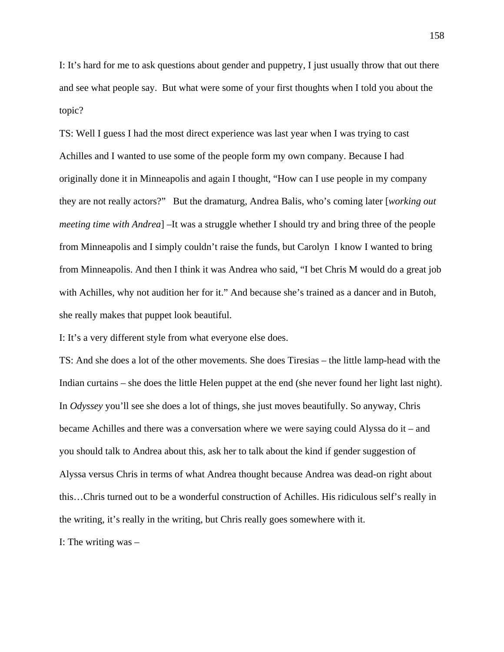I: It's hard for me to ask questions about gender and puppetry, I just usually throw that out there and see what people say. But what were some of your first thoughts when I told you about the topic?

TS: Well I guess I had the most direct experience was last year when I was trying to cast Achilles and I wanted to use some of the people form my own company. Because I had originally done it in Minneapolis and again I thought, "How can I use people in my company they are not really actors?" But the dramaturg, Andrea Balis, who's coming later [*working out meeting time with Andrea*] –It was a struggle whether I should try and bring three of the people from Minneapolis and I simply couldn't raise the funds, but Carolyn I know I wanted to bring from Minneapolis. And then I think it was Andrea who said, "I bet Chris M would do a great job with Achilles, why not audition her for it." And because she's trained as a dancer and in Butoh, she really makes that puppet look beautiful.

I: It's a very different style from what everyone else does.

TS: And she does a lot of the other movements. She does Tiresias – the little lamp-head with the Indian curtains – she does the little Helen puppet at the end (she never found her light last night). In *Odyssey* you'll see she does a lot of things, she just moves beautifully. So anyway, Chris became Achilles and there was a conversation where we were saying could Alyssa do it – and you should talk to Andrea about this, ask her to talk about the kind if gender suggestion of Alyssa versus Chris in terms of what Andrea thought because Andrea was dead-on right about this…Chris turned out to be a wonderful construction of Achilles. His ridiculous self's really in the writing, it's really in the writing, but Chris really goes somewhere with it.

I: The writing was –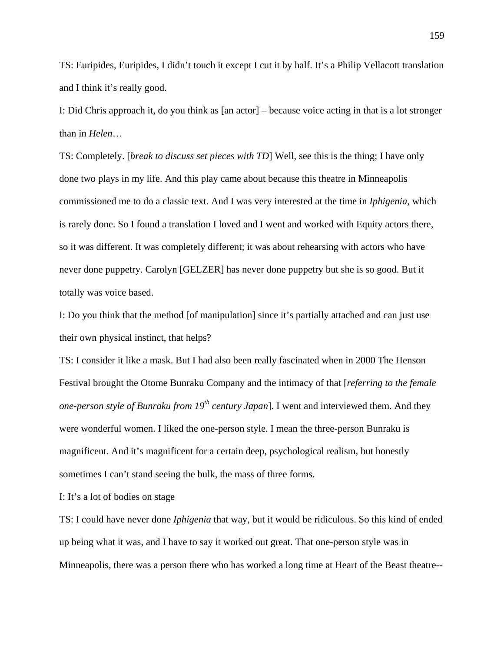TS: Euripides, Euripides, I didn't touch it except I cut it by half. It's a Philip Vellacott translation and I think it's really good.

I: Did Chris approach it, do you think as [an actor] – because voice acting in that is a lot stronger than in *Helen*…

TS: Completely. [*break to discuss set pieces with TD*] Well, see this is the thing; I have only done two plays in my life. And this play came about because this theatre in Minneapolis commissioned me to do a classic text. And I was very interested at the time in *Iphigenia*, which is rarely done. So I found a translation I loved and I went and worked with Equity actors there, so it was different. It was completely different; it was about rehearsing with actors who have never done puppetry. Carolyn [GELZER] has never done puppetry but she is so good. But it totally was voice based.

I: Do you think that the method [of manipulation] since it's partially attached and can just use their own physical instinct, that helps?

TS: I consider it like a mask. But I had also been really fascinated when in 2000 The Henson Festival brought the Otome Bunraku Company and the intimacy of that [*referring to the female one-person style of Bunraku from 19<sup>th</sup> century Japan*]. I went and interviewed them. And they were wonderful women. I liked the one-person style. I mean the three-person Bunraku is magnificent. And it's magnificent for a certain deep, psychological realism, but honestly sometimes I can't stand seeing the bulk, the mass of three forms.

I: It's a lot of bodies on stage

TS: I could have never done *Iphigenia* that way, but it would be ridiculous. So this kind of ended up being what it was, and I have to say it worked out great. That one-person style was in Minneapolis, there was a person there who has worked a long time at Heart of the Beast theatre--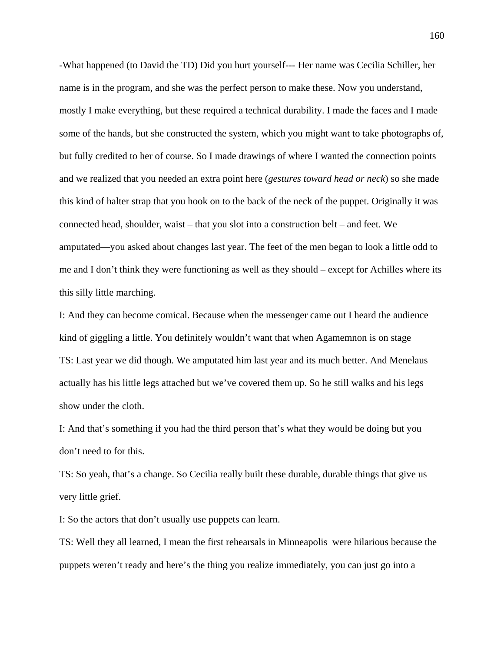-What happened (to David the TD) Did you hurt yourself--- Her name was Cecilia Schiller, her name is in the program, and she was the perfect person to make these. Now you understand, mostly I make everything, but these required a technical durability. I made the faces and I made some of the hands, but she constructed the system, which you might want to take photographs of, but fully credited to her of course. So I made drawings of where I wanted the connection points and we realized that you needed an extra point here (*gestures toward head or neck*) so she made this kind of halter strap that you hook on to the back of the neck of the puppet. Originally it was connected head, shoulder, waist – that you slot into a construction belt – and feet. We amputated—you asked about changes last year. The feet of the men began to look a little odd to me and I don't think they were functioning as well as they should – except for Achilles where its this silly little marching.

I: And they can become comical. Because when the messenger came out I heard the audience kind of giggling a little. You definitely wouldn't want that when Agamemnon is on stage TS: Last year we did though. We amputated him last year and its much better. And Menelaus actually has his little legs attached but we've covered them up. So he still walks and his legs show under the cloth.

I: And that's something if you had the third person that's what they would be doing but you don't need to for this.

TS: So yeah, that's a change. So Cecilia really built these durable, durable things that give us very little grief.

I: So the actors that don't usually use puppets can learn.

TS: Well they all learned, I mean the first rehearsals in Minneapolis were hilarious because the puppets weren't ready and here's the thing you realize immediately, you can just go into a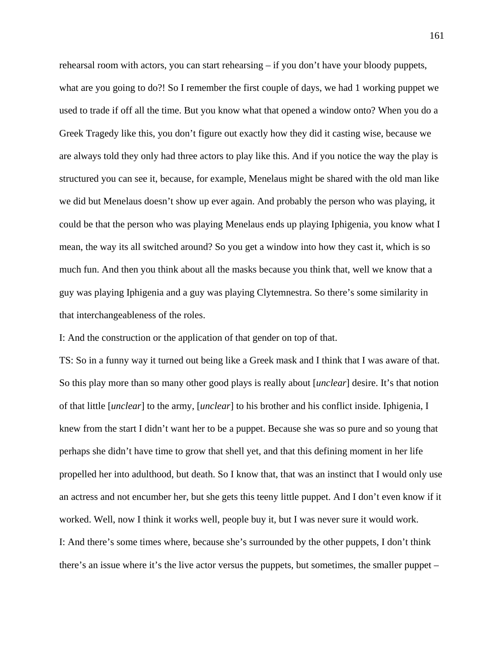rehearsal room with actors, you can start rehearsing – if you don't have your bloody puppets, what are you going to do?! So I remember the first couple of days, we had 1 working puppet we used to trade if off all the time. But you know what that opened a window onto? When you do a Greek Tragedy like this, you don't figure out exactly how they did it casting wise, because we are always told they only had three actors to play like this. And if you notice the way the play is structured you can see it, because, for example, Menelaus might be shared with the old man like we did but Menelaus doesn't show up ever again. And probably the person who was playing, it could be that the person who was playing Menelaus ends up playing Iphigenia, you know what I mean, the way its all switched around? So you get a window into how they cast it, which is so much fun. And then you think about all the masks because you think that, well we know that a guy was playing Iphigenia and a guy was playing Clytemnestra. So there's some similarity in that interchangeableness of the roles.

I: And the construction or the application of that gender on top of that.

TS: So in a funny way it turned out being like a Greek mask and I think that I was aware of that. So this play more than so many other good plays is really about [*unclear*] desire. It's that notion of that little [*unclear*] to the army, [*unclear*] to his brother and his conflict inside. Iphigenia, I knew from the start I didn't want her to be a puppet. Because she was so pure and so young that perhaps she didn't have time to grow that shell yet, and that this defining moment in her life propelled her into adulthood, but death. So I know that, that was an instinct that I would only use an actress and not encumber her, but she gets this teeny little puppet. And I don't even know if it worked. Well, now I think it works well, people buy it, but I was never sure it would work. I: And there's some times where, because she's surrounded by the other puppets, I don't think there's an issue where it's the live actor versus the puppets, but sometimes, the smaller puppet –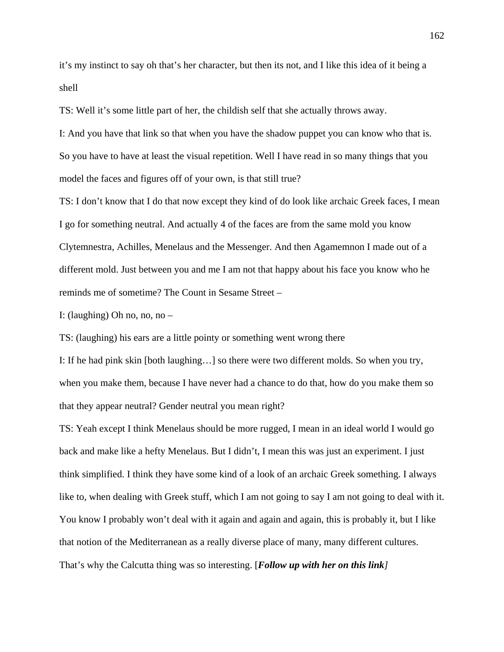it's my instinct to say oh that's her character, but then its not, and I like this idea of it being a shell

TS: Well it's some little part of her, the childish self that she actually throws away.

I: And you have that link so that when you have the shadow puppet you can know who that is. So you have to have at least the visual repetition. Well I have read in so many things that you model the faces and figures off of your own, is that still true?

TS: I don't know that I do that now except they kind of do look like archaic Greek faces, I mean I go for something neutral. And actually 4 of the faces are from the same mold you know Clytemnestra, Achilles, Menelaus and the Messenger. And then Agamemnon I made out of a different mold. Just between you and me I am not that happy about his face you know who he reminds me of sometime? The Count in Sesame Street –

I: (laughing) Oh no, no, no –

TS: (laughing) his ears are a little pointy or something went wrong there

I: If he had pink skin [both laughing…] so there were two different molds. So when you try, when you make them, because I have never had a chance to do that, how do you make them so that they appear neutral? Gender neutral you mean right?

TS: Yeah except I think Menelaus should be more rugged, I mean in an ideal world I would go back and make like a hefty Menelaus. But I didn't, I mean this was just an experiment. I just think simplified. I think they have some kind of a look of an archaic Greek something. I always like to, when dealing with Greek stuff, which I am not going to say I am not going to deal with it. You know I probably won't deal with it again and again and again, this is probably it, but I like that notion of the Mediterranean as a really diverse place of many, many different cultures. That's why the Calcutta thing was so interesting. [*Follow up with her on this link]*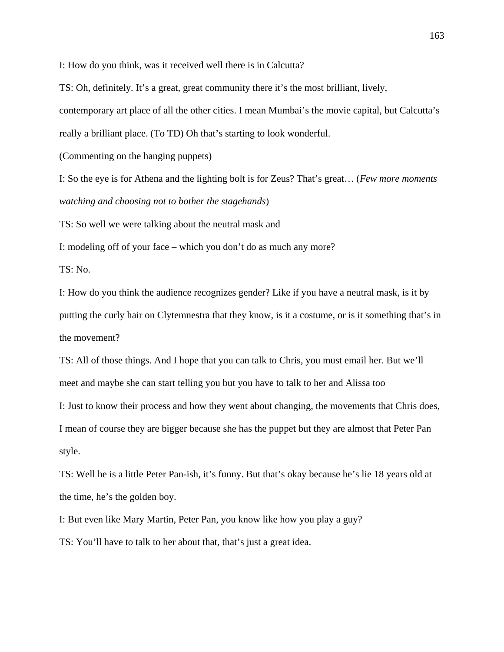I: How do you think, was it received well there is in Calcutta?

TS: Oh, definitely. It's a great, great community there it's the most brilliant, lively, contemporary art place of all the other cities. I mean Mumbai's the movie capital, but Calcutta's really a brilliant place. (To TD) Oh that's starting to look wonderful.

(Commenting on the hanging puppets)

I: So the eye is for Athena and the lighting bolt is for Zeus? That's great… (*Few more moments watching and choosing not to bother the stagehands*)

TS: So well we were talking about the neutral mask and

I: modeling off of your face – which you don't do as much any more?

TS: No.

style.

I: How do you think the audience recognizes gender? Like if you have a neutral mask, is it by putting the curly hair on Clytemnestra that they know, is it a costume, or is it something that's in the movement?

TS: All of those things. And I hope that you can talk to Chris, you must email her. But we'll meet and maybe she can start telling you but you have to talk to her and Alissa too

I: Just to know their process and how they went about changing, the movements that Chris does, I mean of course they are bigger because she has the puppet but they are almost that Peter Pan

TS: Well he is a little Peter Pan-ish, it's funny. But that's okay because he's lie 18 years old at the time, he's the golden boy.

I: But even like Mary Martin, Peter Pan, you know like how you play a guy? TS: You'll have to talk to her about that, that's just a great idea.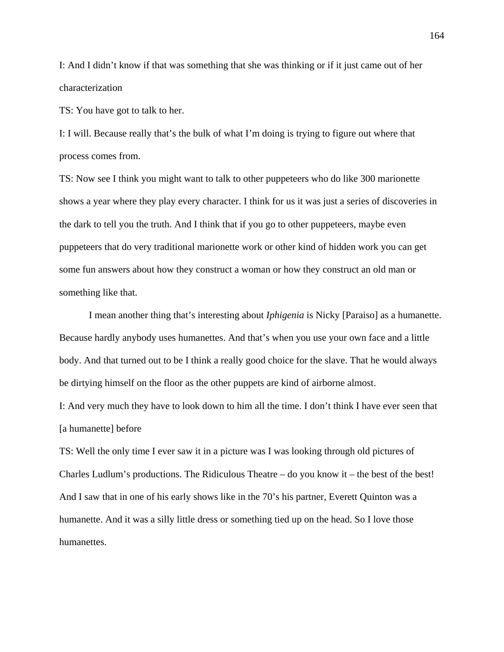I: And I didn't know if that was something that she was thinking or if it just came out of her characterization

TS: You have got to talk to her.

I: I will. Because really that's the bulk of what I'm doing is trying to figure out where that process comes from.

TS: Now see I think you might want to talk to other puppeteers who do like 300 marionette shows a year where they play every character. I think for us it was just a series of discoveries in the dark to tell you the truth. And I think that if you go to other puppeteers, maybe even puppeteers that do very traditional marionette work or other kind of hidden work you can get some fun answers about how they construct a woman or how they construct an old man or something like that.

I mean another thing that's interesting about *Iphigenia* is Nicky [Paraiso] as a humanette. Because hardly anybody uses humanettes. And that's when you use your own face and a little body. And that turned out to be I think a really good choice for the slave. That he would always be dirtying himself on the floor as the other puppets are kind of airborne almost.

I: And very much they have to look down to him all the time. I don't think I have ever seen that [a humanette] before

TS: Well the only time I ever saw it in a picture was I was looking through old pictures of Charles Ludlum's productions. The Ridiculous Theatre  $-$  do you know it  $-$  the best of the best! And I saw that in one of his early shows like in the 70's his partner, Everett Quinton was a humanette. And it was a silly little dress or something tied up on the head. So I love those humanettes.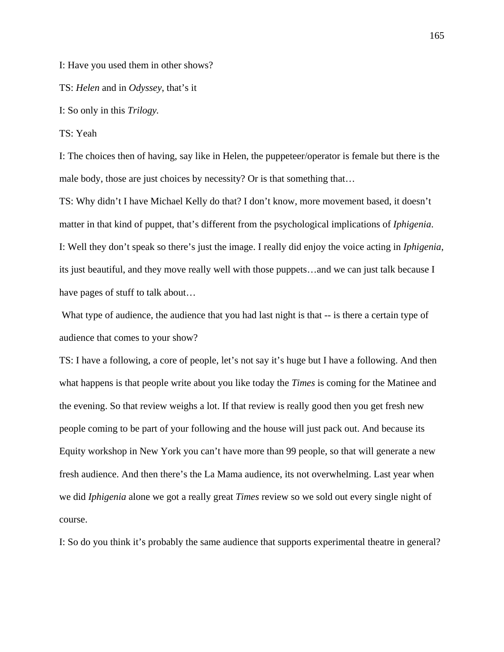I: Have you used them in other shows?

TS: *Helen* and in *Odyssey*, that's it

I: So only in this *Trilogy.*

TS: Yeah

I: The choices then of having, say like in Helen, the puppeteer/operator is female but there is the male body, those are just choices by necessity? Or is that something that…

TS: Why didn't I have Michael Kelly do that? I don't know, more movement based, it doesn't matter in that kind of puppet, that's different from the psychological implications of *Iphigenia*. I: Well they don't speak so there's just the image. I really did enjoy the voice acting in *Iphigenia*, its just beautiful, and they move really well with those puppets…and we can just talk because I have pages of stuff to talk about…

What type of audience, the audience that you had last night is that -- is there a certain type of audience that comes to your show?

TS: I have a following, a core of people, let's not say it's huge but I have a following. And then what happens is that people write about you like today the *Times* is coming for the Matinee and the evening. So that review weighs a lot. If that review is really good then you get fresh new people coming to be part of your following and the house will just pack out. And because its Equity workshop in New York you can't have more than 99 people, so that will generate a new fresh audience. And then there's the La Mama audience, its not overwhelming. Last year when we did *Iphigenia* alone we got a really great *Times* review so we sold out every single night of course.

I: So do you think it's probably the same audience that supports experimental theatre in general?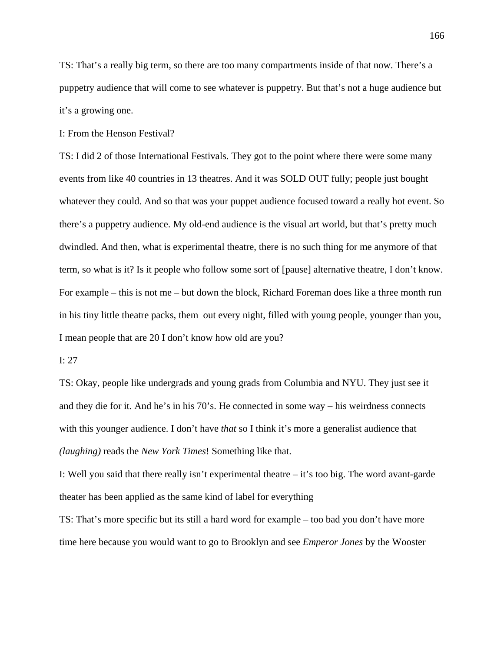TS: That's a really big term, so there are too many compartments inside of that now. There's a puppetry audience that will come to see whatever is puppetry. But that's not a huge audience but it's a growing one.

I: From the Henson Festival?

TS: I did 2 of those International Festivals. They got to the point where there were some many events from like 40 countries in 13 theatres. And it was SOLD OUT fully; people just bought whatever they could. And so that was your puppet audience focused toward a really hot event. So there's a puppetry audience. My old-end audience is the visual art world, but that's pretty much dwindled. And then, what is experimental theatre, there is no such thing for me anymore of that term, so what is it? Is it people who follow some sort of [pause] alternative theatre, I don't know. For example – this is not me – but down the block, Richard Foreman does like a three month run in his tiny little theatre packs, them out every night, filled with young people, younger than you, I mean people that are 20 I don't know how old are you?

## I: 27

TS: Okay, people like undergrads and young grads from Columbia and NYU. They just see it and they die for it. And he's in his 70's. He connected in some way – his weirdness connects with this younger audience. I don't have *that* so I think it's more a generalist audience that *(laughing)* reads the *New York Times*! Something like that.

I: Well you said that there really isn't experimental theatre – it's too big. The word avant-garde theater has been applied as the same kind of label for everything

TS: That's more specific but its still a hard word for example – too bad you don't have more time here because you would want to go to Brooklyn and see *Emperor Jones* by the Wooster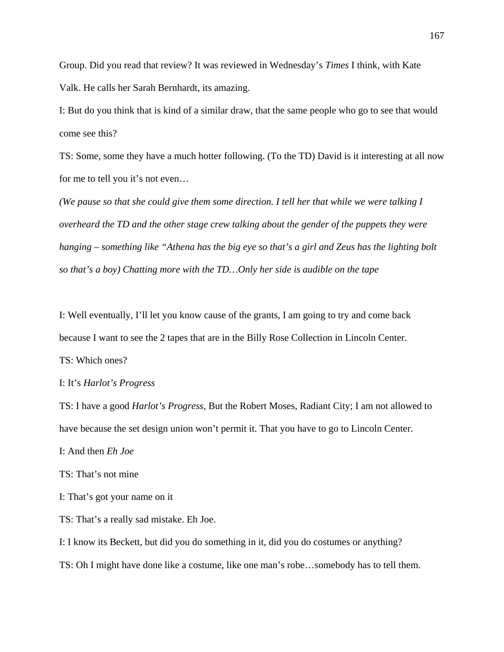Group. Did you read that review? It was reviewed in Wednesday's *Times* I think, with Kate Valk. He calls her Sarah Bernhardt, its amazing.

I: But do you think that is kind of a similar draw, that the same people who go to see that would come see this?

TS: Some, some they have a much hotter following. (To the TD) David is it interesting at all now for me to tell you it's not even…

*(We pause so that she could give them some direction. I tell her that while we were talking I overheard the TD and the other stage crew talking about the gender of the puppets they were hanging – something like "Athena has the big eye so that's a girl and Zeus has the lighting bolt so that's a boy) Chatting more with the TD…Only her side is audible on the tape*

I: Well eventually, I'll let you know cause of the grants, I am going to try and come back because I want to see the 2 tapes that are in the Billy Rose Collection in Lincoln Center. TS: Which ones?

# I: It's *Harlot's Progress*

TS: I have a good *Harlot's Progress*, But the Robert Moses, Radiant City; I am not allowed to have because the set design union won't permit it. That you have to go to Lincoln Center.

I: And then *Eh Joe*

TS: That's not mine

I: That's got your name on it

TS: That's a really sad mistake. Eh Joe.

I: I know its Beckett, but did you do something in it, did you do costumes or anything?

TS: Oh I might have done like a costume, like one man's robe…somebody has to tell them.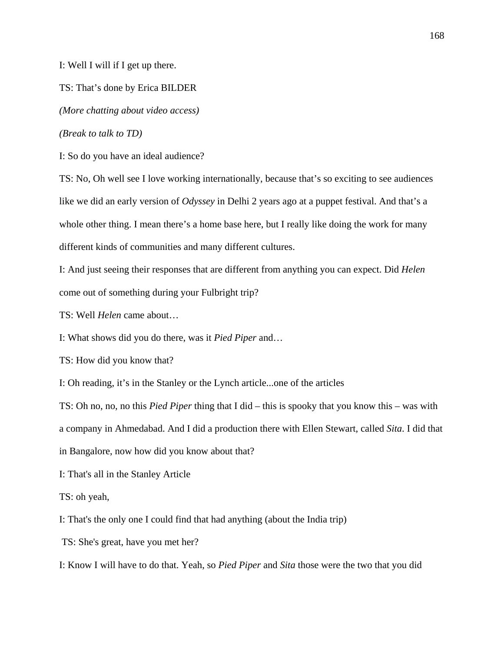I: Well I will if I get up there.

TS: That's done by Erica BILDER

*(More chatting about video access)* 

*(Break to talk to TD)* 

I: So do you have an ideal audience?

TS: No, Oh well see I love working internationally, because that's so exciting to see audiences like we did an early version of *Odyssey* in Delhi 2 years ago at a puppet festival. And that's a whole other thing. I mean there's a home base here, but I really like doing the work for many different kinds of communities and many different cultures.

I: And just seeing their responses that are different from anything you can expect. Did *Helen* come out of something during your Fulbright trip?

TS: Well *Helen* came about…

I: What shows did you do there, was it *Pied Piper* and…

TS: How did you know that?

I: Oh reading, it's in the Stanley or the Lynch article...one of the articles

TS: Oh no, no, no this *Pied Piper* thing that I did – this is spooky that you know this – was with a company in Ahmedabad. And I did a production there with Ellen Stewart, called *Sita*. I did that

in Bangalore, now how did you know about that?

I: That's all in the Stanley Article

TS: oh yeah,

I: That's the only one I could find that had anything (about the India trip)

TS: She's great, have you met her?

I: Know I will have to do that. Yeah, so *Pied Piper* and *Sita* those were the two that you did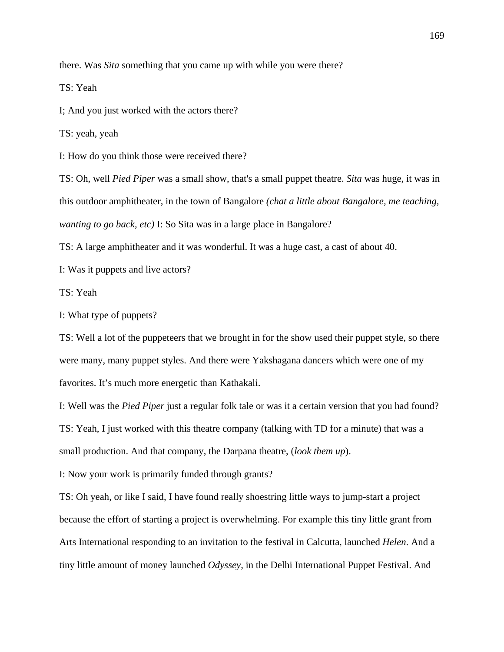there. Was *Sita* something that you came up with while you were there?

TS: Yeah

I; And you just worked with the actors there?

TS: yeah, yeah

I: How do you think those were received there?

TS: Oh, well *Pied Piper* was a small show, that's a small puppet theatre. *Sita* was huge, it was in this outdoor amphitheater, in the town of Bangalore *(chat a little about Bangalore, me teaching, wanting to go back, etc)* I: So Sita was in a large place in Bangalore?

TS: A large amphitheater and it was wonderful. It was a huge cast, a cast of about 40.

I: Was it puppets and live actors?

TS: Yeah

I: What type of puppets?

TS: Well a lot of the puppeteers that we brought in for the show used their puppet style, so there were many, many puppet styles. And there were Yakshagana dancers which were one of my favorites. It's much more energetic than Kathakali.

I: Well was the *Pied Piper* just a regular folk tale or was it a certain version that you had found? TS: Yeah, I just worked with this theatre company (talking with TD for a minute) that was a small production. And that company, the Darpana theatre, (*look them up*).

I: Now your work is primarily funded through grants?

TS: Oh yeah, or like I said, I have found really shoestring little ways to jump-start a project because the effort of starting a project is overwhelming. For example this tiny little grant from Arts International responding to an invitation to the festival in Calcutta, launched *Helen*. And a tiny little amount of money launched *Odyssey,* in the Delhi International Puppet Festival. And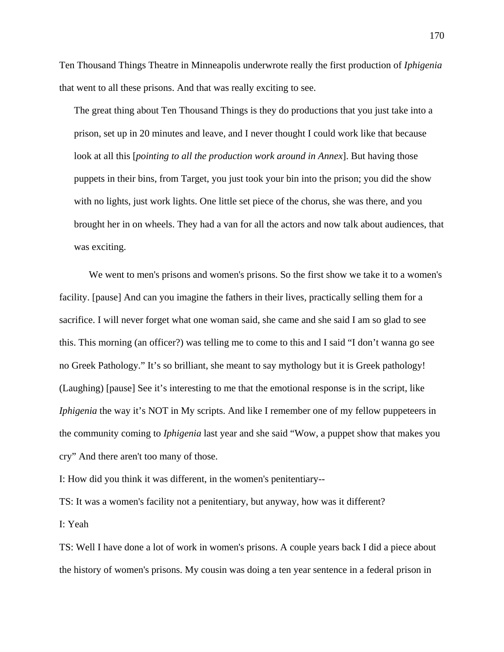Ten Thousand Things Theatre in Minneapolis underwrote really the first production of *Iphigenia* that went to all these prisons. And that was really exciting to see.

The great thing about Ten Thousand Things is they do productions that you just take into a prison, set up in 20 minutes and leave, and I never thought I could work like that because look at all this [*pointing to all the production work around in Annex*]. But having those puppets in their bins, from Target, you just took your bin into the prison; you did the show with no lights, just work lights. One little set piece of the chorus, she was there, and you brought her in on wheels. They had a van for all the actors and now talk about audiences, that was exciting.

We went to men's prisons and women's prisons. So the first show we take it to a women's facility. [pause] And can you imagine the fathers in their lives, practically selling them for a sacrifice. I will never forget what one woman said, she came and she said I am so glad to see this. This morning (an officer?) was telling me to come to this and I said "I don't wanna go see no Greek Pathology." It's so brilliant, she meant to say mythology but it is Greek pathology! (Laughing) [pause] See it's interesting to me that the emotional response is in the script, like *Iphigenia* the way it's NOT in My scripts. And like I remember one of my fellow puppeteers in the community coming to *Iphigenia* last year and she said "Wow, a puppet show that makes you cry" And there aren't too many of those.

I: How did you think it was different, in the women's penitentiary--

TS: It was a women's facility not a penitentiary, but anyway, how was it different?

I: Yeah

TS: Well I have done a lot of work in women's prisons. A couple years back I did a piece about the history of women's prisons. My cousin was doing a ten year sentence in a federal prison in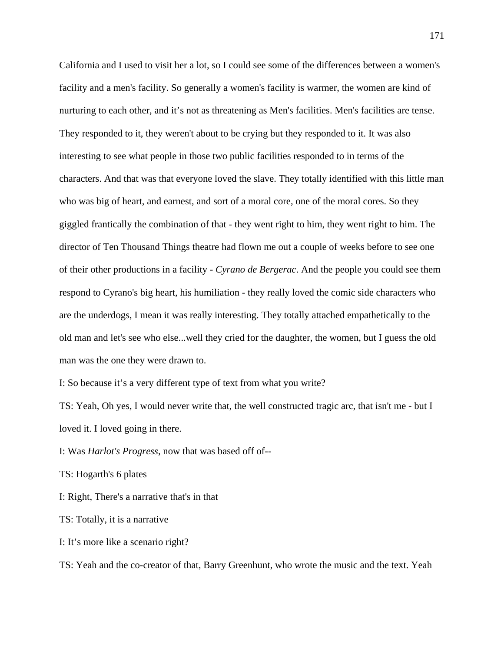California and I used to visit her a lot, so I could see some of the differences between a women's facility and a men's facility. So generally a women's facility is warmer, the women are kind of nurturing to each other, and it's not as threatening as Men's facilities. Men's facilities are tense. They responded to it, they weren't about to be crying but they responded to it. It was also interesting to see what people in those two public facilities responded to in terms of the characters. And that was that everyone loved the slave. They totally identified with this little man who was big of heart, and earnest, and sort of a moral core, one of the moral cores. So they giggled frantically the combination of that - they went right to him, they went right to him. The director of Ten Thousand Things theatre had flown me out a couple of weeks before to see one of their other productions in a facility - *Cyrano de Bergerac*. And the people you could see them respond to Cyrano's big heart, his humiliation - they really loved the comic side characters who are the underdogs, I mean it was really interesting. They totally attached empathetically to the old man and let's see who else...well they cried for the daughter, the women, but I guess the old man was the one they were drawn to.

I: So because it's a very different type of text from what you write?

TS: Yeah, Oh yes, I would never write that, the well constructed tragic arc, that isn't me - but I loved it. I loved going in there.

I: Was *Harlot's Progress*, now that was based off of--

TS: Hogarth's 6 plates

I: Right, There's a narrative that's in that

TS: Totally, it is a narrative

I: It's more like a scenario right?

TS: Yeah and the co-creator of that, Barry Greenhunt, who wrote the music and the text. Yeah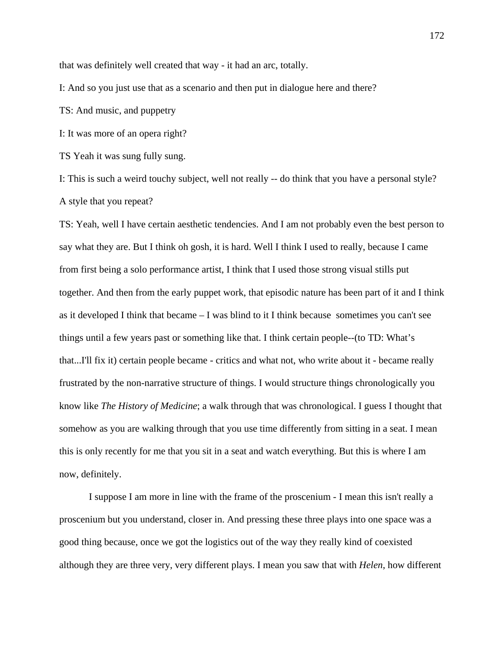that was definitely well created that way - it had an arc, totally.

I: And so you just use that as a scenario and then put in dialogue here and there?

TS: And music, and puppetry

I: It was more of an opera right?

TS Yeah it was sung fully sung.

I: This is such a weird touchy subject, well not really -- do think that you have a personal style? A style that you repeat?

TS: Yeah, well I have certain aesthetic tendencies. And I am not probably even the best person to say what they are. But I think oh gosh, it is hard. Well I think I used to really, because I came from first being a solo performance artist, I think that I used those strong visual stills put together. And then from the early puppet work, that episodic nature has been part of it and I think as it developed I think that became – I was blind to it I think because sometimes you can't see things until a few years past or something like that. I think certain people--(to TD: What's that...I'll fix it) certain people became - critics and what not, who write about it - became really frustrated by the non-narrative structure of things. I would structure things chronologically you know like *The History of Medicine*; a walk through that was chronological. I guess I thought that somehow as you are walking through that you use time differently from sitting in a seat. I mean this is only recently for me that you sit in a seat and watch everything. But this is where I am now, definitely.

I suppose I am more in line with the frame of the proscenium - I mean this isn't really a proscenium but you understand, closer in. And pressing these three plays into one space was a good thing because, once we got the logistics out of the way they really kind of coexisted although they are three very, very different plays. I mean you saw that with *Helen*, how different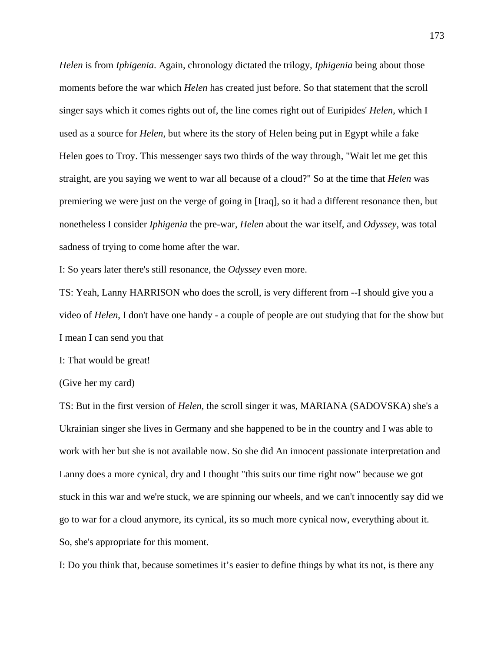*Helen* is from *Iphigenia*. Again, chronology dictated the trilogy, *Iphigenia* being about those moments before the war which *Helen* has created just before. So that statement that the scroll singer says which it comes rights out of, the line comes right out of Euripides' *Helen*, which I used as a source for *Helen*, but where its the story of Helen being put in Egypt while a fake Helen goes to Troy. This messenger says two thirds of the way through, "Wait let me get this straight, are you saying we went to war all because of a cloud?" So at the time that *Helen* was premiering we were just on the verge of going in [Iraq], so it had a different resonance then, but nonetheless I consider *Iphigenia* the pre-war, *Helen* about the war itself, and *Odyssey*, was total sadness of trying to come home after the war.

I: So years later there's still resonance, the *Odyssey* even more.

TS: Yeah, Lanny HARRISON who does the scroll, is very different from --I should give you a video of *Helen*, I don't have one handy - a couple of people are out studying that for the show but I mean I can send you that

I: That would be great!

(Give her my card)

TS: But in the first version of *Helen,* the scroll singer it was, MARIANA (SADOVSKA) she's a Ukrainian singer she lives in Germany and she happened to be in the country and I was able to work with her but she is not available now. So she did An innocent passionate interpretation and Lanny does a more cynical, dry and I thought "this suits our time right now" because we got stuck in this war and we're stuck, we are spinning our wheels, and we can't innocently say did we go to war for a cloud anymore, its cynical, its so much more cynical now, everything about it. So, she's appropriate for this moment.

I: Do you think that, because sometimes it's easier to define things by what its not, is there any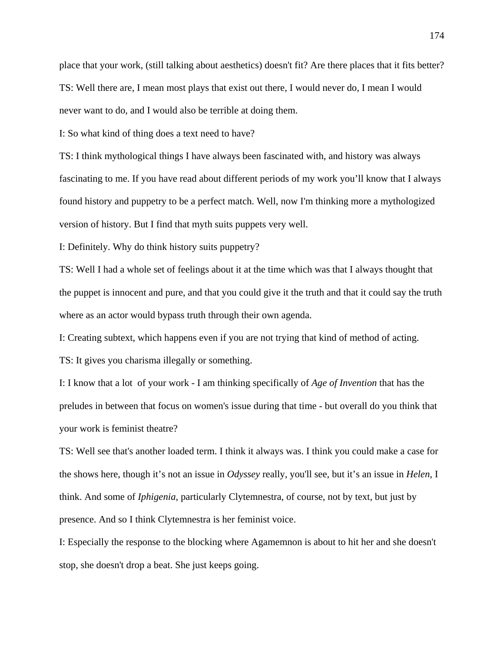place that your work, (still talking about aesthetics) doesn't fit? Are there places that it fits better? TS: Well there are, I mean most plays that exist out there, I would never do, I mean I would never want to do, and I would also be terrible at doing them.

I: So what kind of thing does a text need to have?

TS: I think mythological things I have always been fascinated with, and history was always fascinating to me. If you have read about different periods of my work you'll know that I always found history and puppetry to be a perfect match. Well, now I'm thinking more a mythologized version of history. But I find that myth suits puppets very well.

I: Definitely. Why do think history suits puppetry?

TS: Well I had a whole set of feelings about it at the time which was that I always thought that the puppet is innocent and pure, and that you could give it the truth and that it could say the truth where as an actor would bypass truth through their own agenda.

I: Creating subtext, which happens even if you are not trying that kind of method of acting.

TS: It gives you charisma illegally or something.

I: I know that a lot of your work - I am thinking specifically of *Age of Invention* that has the preludes in between that focus on women's issue during that time - but overall do you think that your work is feminist theatre?

TS: Well see that's another loaded term. I think it always was. I think you could make a case for the shows here, though it's not an issue in *Odyssey* really, you'll see, but it's an issue in *Helen*, I think. And some of *Iphigenia*, particularly Clytemnestra, of course, not by text, but just by presence. And so I think Clytemnestra is her feminist voice.

I: Especially the response to the blocking where Agamemnon is about to hit her and she doesn't stop, she doesn't drop a beat. She just keeps going.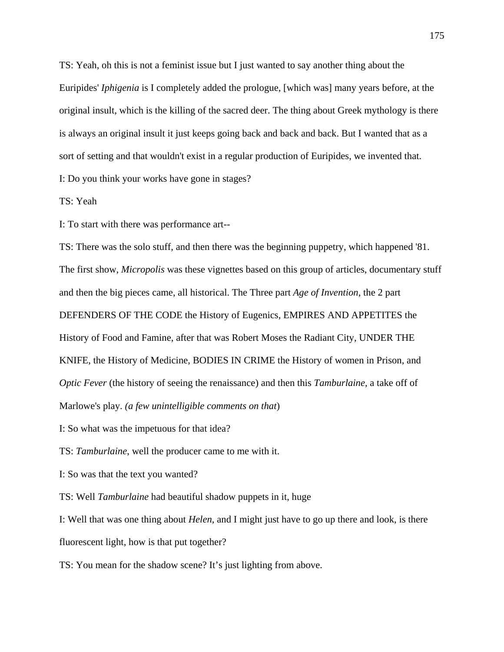TS: Yeah, oh this is not a feminist issue but I just wanted to say another thing about the Euripides' *Iphigenia* is I completely added the prologue, [which was] many years before, at the original insult, which is the killing of the sacred deer. The thing about Greek mythology is there is always an original insult it just keeps going back and back and back. But I wanted that as a sort of setting and that wouldn't exist in a regular production of Euripides, we invented that. I: Do you think your works have gone in stages?

TS: Yeah

I: To start with there was performance art--

TS: There was the solo stuff, and then there was the beginning puppetry, which happened '81. The first show, *Micropolis* was these vignettes based on this group of articles, documentary stuff and then the big pieces came, all historical. The Three part *Age of Invention*, the 2 part DEFENDERS OF THE CODE the History of Eugenics, EMPIRES AND APPETITES the History of Food and Famine, after that was Robert Moses the Radiant City, UNDER THE KNIFE, the History of Medicine, BODIES IN CRIME the History of women in Prison, and *Optic Fever* (the history of seeing the renaissance) and then this *Tamburlaine*, a take off of Marlowe's play. *(a few unintelligible comments on that*)

I: So what was the impetuous for that idea?

TS: *Tamburlaine*, well the producer came to me with it.

I: So was that the text you wanted?

TS: Well *Tamburlaine* had beautiful shadow puppets in it, huge

I: Well that was one thing about *Helen*, and I might just have to go up there and look, is there fluorescent light, how is that put together?

TS: You mean for the shadow scene? It's just lighting from above.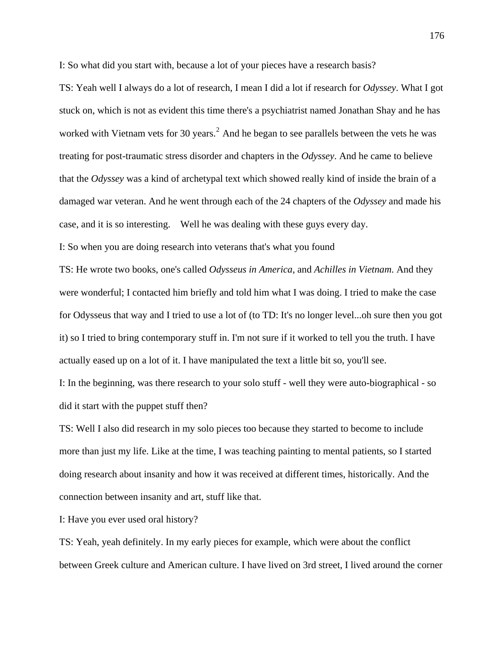I: So what did you start with, because a lot of your pieces have a research basis?

TS: Yeah well I always do a lot of research, I mean I did a lot if research for *Odyssey*. What I got stuck on, which is not as evident this time there's a psychiatrist named Jonathan Shay and he has worked with Vietnam vets for 30 years.<sup>[2](#page-198-0)</sup> And he began to see parallels between the vets he was treating for post-traumatic stress disorder and chapters in the *Odyssey*. And he came to believe that the *Odyssey* was a kind of archetypal text which showed really kind of inside the brain of a damaged war veteran. And he went through each of the 24 chapters of the *Odyssey* and made his case, and it is so interesting. Well he was dealing with these guys every day.

I: So when you are doing research into veterans that's what you found

TS: He wrote two books, one's called *Odysseus in America*, and *Achilles in Vietnam*. And they were wonderful; I contacted him briefly and told him what I was doing. I tried to make the case for Odysseus that way and I tried to use a lot of (to TD: It's no longer level...oh sure then you got it) so I tried to bring contemporary stuff in. I'm not sure if it worked to tell you the truth. I have actually eased up on a lot of it. I have manipulated the text a little bit so, you'll see.

I: In the beginning, was there research to your solo stuff - well they were auto-biographical - so did it start with the puppet stuff then?

TS: Well I also did research in my solo pieces too because they started to become to include more than just my life. Like at the time, I was teaching painting to mental patients, so I started doing research about insanity and how it was received at different times, historically. And the connection between insanity and art, stuff like that.

I: Have you ever used oral history?

TS: Yeah, yeah definitely. In my early pieces for example, which were about the conflict between Greek culture and American culture. I have lived on 3rd street, I lived around the corner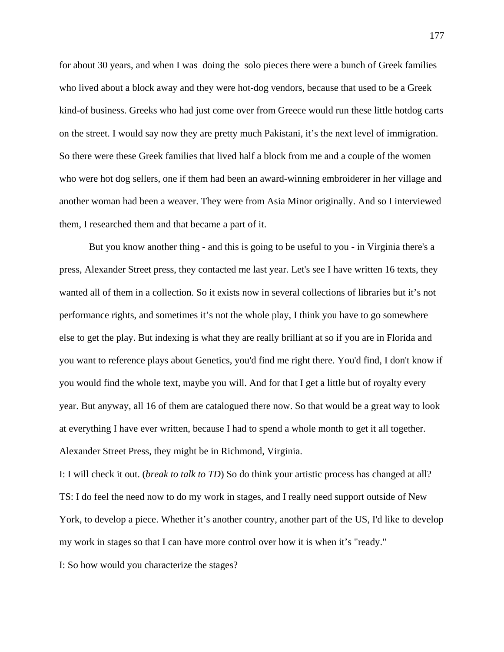for about 30 years, and when I was doing the solo pieces there were a bunch of Greek families who lived about a block away and they were hot-dog vendors, because that used to be a Greek kind-of business. Greeks who had just come over from Greece would run these little hotdog carts on the street. I would say now they are pretty much Pakistani, it's the next level of immigration. So there were these Greek families that lived half a block from me and a couple of the women who were hot dog sellers, one if them had been an award-winning embroiderer in her village and another woman had been a weaver. They were from Asia Minor originally. And so I interviewed them, I researched them and that became a part of it.

But you know another thing - and this is going to be useful to you - in Virginia there's a press, Alexander Street press, they contacted me last year. Let's see I have written 16 texts, they wanted all of them in a collection. So it exists now in several collections of libraries but it's not performance rights, and sometimes it's not the whole play, I think you have to go somewhere else to get the play. But indexing is what they are really brilliant at so if you are in Florida and you want to reference plays about Genetics, you'd find me right there. You'd find, I don't know if you would find the whole text, maybe you will. And for that I get a little but of royalty every year. But anyway, all 16 of them are catalogued there now. So that would be a great way to look at everything I have ever written, because I had to spend a whole month to get it all together. Alexander Street Press, they might be in Richmond, Virginia.

I: I will check it out. (*break to talk to TD*) So do think your artistic process has changed at all? TS: I do feel the need now to do my work in stages, and I really need support outside of New York, to develop a piece. Whether it's another country, another part of the US, I'd like to develop my work in stages so that I can have more control over how it is when it's "ready."

I: So how would you characterize the stages?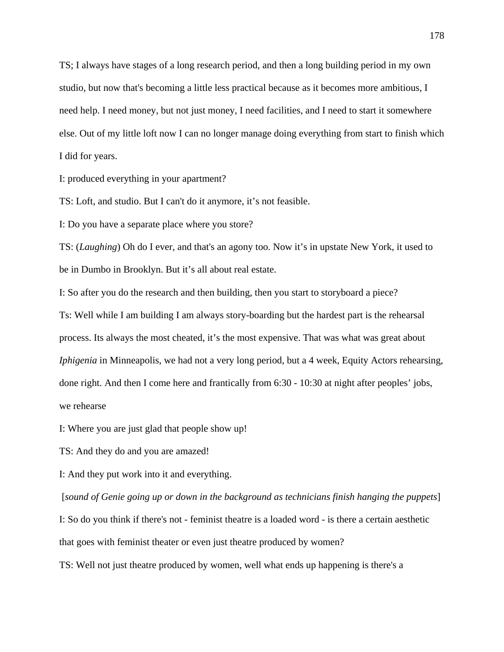TS; I always have stages of a long research period, and then a long building period in my own studio, but now that's becoming a little less practical because as it becomes more ambitious, I need help. I need money, but not just money, I need facilities, and I need to start it somewhere else. Out of my little loft now I can no longer manage doing everything from start to finish which I did for years.

I: produced everything in your apartment?

TS: Loft, and studio. But I can't do it anymore, it's not feasible.

I: Do you have a separate place where you store?

TS: (*Laughing*) Oh do I ever, and that's an agony too. Now it's in upstate New York, it used to be in Dumbo in Brooklyn. But it's all about real estate.

I: So after you do the research and then building, then you start to storyboard a piece?

Ts: Well while I am building I am always story-boarding but the hardest part is the rehearsal process. Its always the most cheated, it's the most expensive. That was what was great about *Iphigenia* in Minneapolis, we had not a very long period, but a 4 week, Equity Actors rehearsing, done right. And then I come here and frantically from 6:30 - 10:30 at night after peoples' jobs, we rehearse

I: Where you are just glad that people show up!

TS: And they do and you are amazed!

I: And they put work into it and everything.

[*sound of Genie going up or down in the background as technicians finish hanging the puppets*]

I: So do you think if there's not - feminist theatre is a loaded word - is there a certain aesthetic that goes with feminist theater or even just theatre produced by women?

TS: Well not just theatre produced by women, well what ends up happening is there's a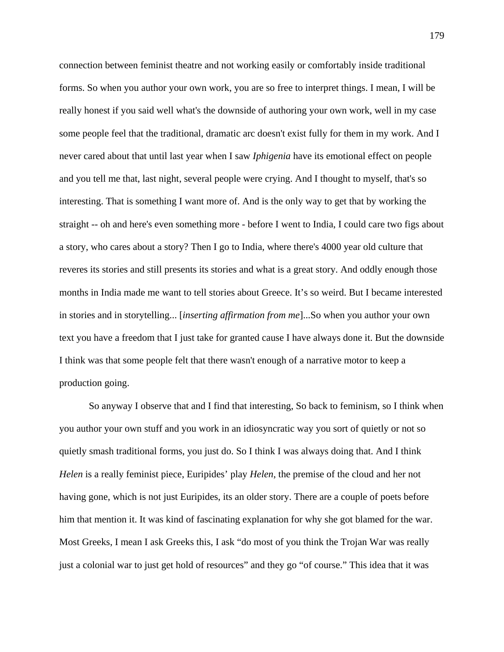connection between feminist theatre and not working easily or comfortably inside traditional forms. So when you author your own work, you are so free to interpret things. I mean, I will be really honest if you said well what's the downside of authoring your own work, well in my case some people feel that the traditional, dramatic arc doesn't exist fully for them in my work. And I never cared about that until last year when I saw *Iphigenia* have its emotional effect on people and you tell me that, last night, several people were crying. And I thought to myself, that's so interesting. That is something I want more of. And is the only way to get that by working the straight -- oh and here's even something more - before I went to India, I could care two figs about a story, who cares about a story? Then I go to India, where there's 4000 year old culture that reveres its stories and still presents its stories and what is a great story. And oddly enough those months in India made me want to tell stories about Greece. It's so weird. But I became interested in stories and in storytelling... [*inserting affirmation from me*]...So when you author your own text you have a freedom that I just take for granted cause I have always done it. But the downside I think was that some people felt that there wasn't enough of a narrative motor to keep a production going.

So anyway I observe that and I find that interesting, So back to feminism, so I think when you author your own stuff and you work in an idiosyncratic way you sort of quietly or not so quietly smash traditional forms, you just do. So I think I was always doing that. And I think *Helen* is a really feminist piece, Euripides' play *Helen*, the premise of the cloud and her not having gone, which is not just Euripides, its an older story. There are a couple of poets before him that mention it. It was kind of fascinating explanation for why she got blamed for the war. Most Greeks, I mean I ask Greeks this, I ask "do most of you think the Trojan War was really just a colonial war to just get hold of resources" and they go "of course." This idea that it was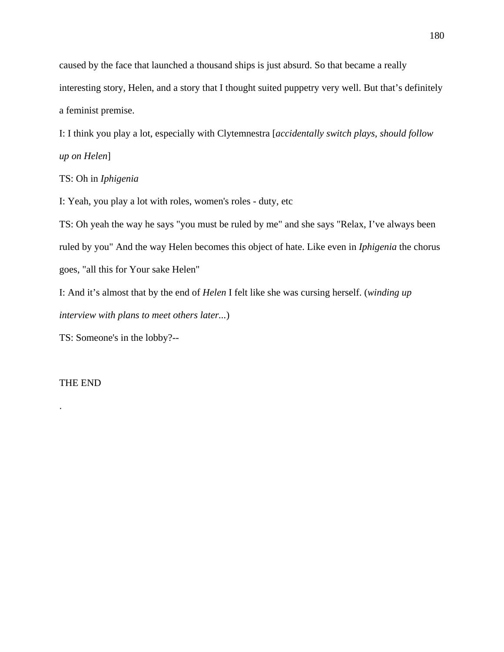caused by the face that launched a thousand ships is just absurd. So that became a really interesting story, Helen, and a story that I thought suited puppetry very well. But that's definitely a feminist premise.

I: I think you play a lot, especially with Clytemnestra [*accidentally switch plays, should follow up on Helen*]

TS: Oh in *Iphigenia*

I: Yeah, you play a lot with roles, women's roles - duty, etc

TS: Oh yeah the way he says "you must be ruled by me" and she says "Relax, I've always been ruled by you" And the way Helen becomes this object of hate. Like even in *Iphigenia* the chorus goes, "all this for Your sake Helen"

I: And it's almost that by the end of *Helen* I felt like she was cursing herself. (*winding up interview with plans to meet others later...*)

TS: Someone's in the lobby?--

THE END

.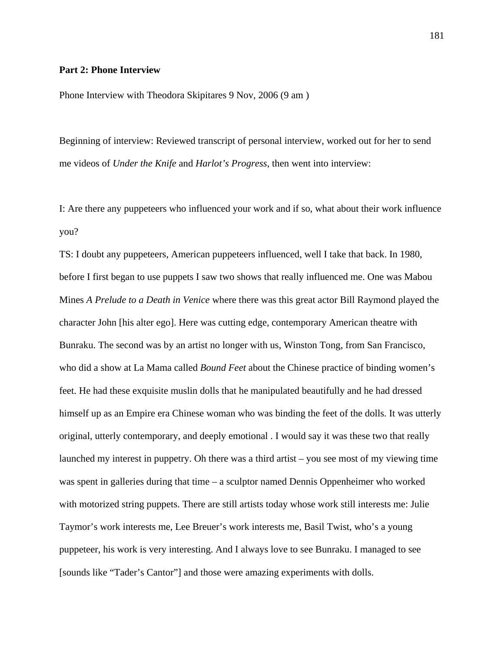# **Part 2: Phone Interview**

Phone Interview with Theodora Skipitares 9 Nov, 2006 (9 am )

Beginning of interview: Reviewed transcript of personal interview, worked out for her to send me videos of *Under the Knife* and *Harlot's Progress*, then went into interview:

I: Are there any puppeteers who influenced your work and if so, what about their work influence you?

TS: I doubt any puppeteers, American puppeteers influenced, well I take that back. In 1980, before I first began to use puppets I saw two shows that really influenced me. One was Mabou Mines *A Prelude to a Death in Venice* where there was this great actor Bill Raymond played the character John [his alter ego]. Here was cutting edge, contemporary American theatre with Bunraku. The second was by an artist no longer with us, Winston Tong, from San Francisco, who did a show at La Mama called *Bound Feet* about the Chinese practice of binding women's feet. He had these exquisite muslin dolls that he manipulated beautifully and he had dressed himself up as an Empire era Chinese woman who was binding the feet of the dolls. It was utterly original, utterly contemporary, and deeply emotional . I would say it was these two that really launched my interest in puppetry. Oh there was a third artist – you see most of my viewing time was spent in galleries during that time – a sculptor named Dennis Oppenheimer who worked with motorized string puppets. There are still artists today whose work still interests me: Julie Taymor's work interests me, Lee Breuer's work interests me, Basil Twist, who's a young puppeteer, his work is very interesting. And I always love to see Bunraku. I managed to see [sounds like "Tader's Cantor"] and those were amazing experiments with dolls.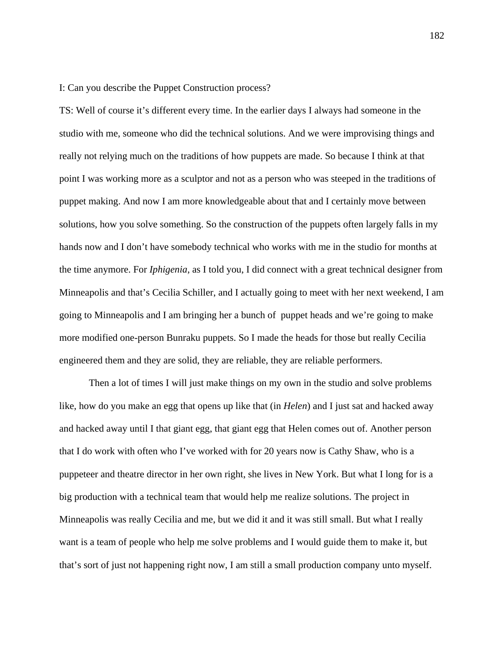I: Can you describe the Puppet Construction process?

TS: Well of course it's different every time. In the earlier days I always had someone in the studio with me, someone who did the technical solutions. And we were improvising things and really not relying much on the traditions of how puppets are made. So because I think at that point I was working more as a sculptor and not as a person who was steeped in the traditions of puppet making. And now I am more knowledgeable about that and I certainly move between solutions, how you solve something. So the construction of the puppets often largely falls in my hands now and I don't have somebody technical who works with me in the studio for months at the time anymore. For *Iphigenia*, as I told you, I did connect with a great technical designer from Minneapolis and that's Cecilia Schiller, and I actually going to meet with her next weekend, I am going to Minneapolis and I am bringing her a bunch of puppet heads and we're going to make more modified one-person Bunraku puppets. So I made the heads for those but really Cecilia engineered them and they are solid, they are reliable, they are reliable performers.

Then a lot of times I will just make things on my own in the studio and solve problems like, how do you make an egg that opens up like that (in *Helen*) and I just sat and hacked away and hacked away until I that giant egg, that giant egg that Helen comes out of. Another person that I do work with often who I've worked with for 20 years now is Cathy Shaw, who is a puppeteer and theatre director in her own right, she lives in New York. But what I long for is a big production with a technical team that would help me realize solutions. The project in Minneapolis was really Cecilia and me, but we did it and it was still small. But what I really want is a team of people who help me solve problems and I would guide them to make it, but that's sort of just not happening right now, I am still a small production company unto myself.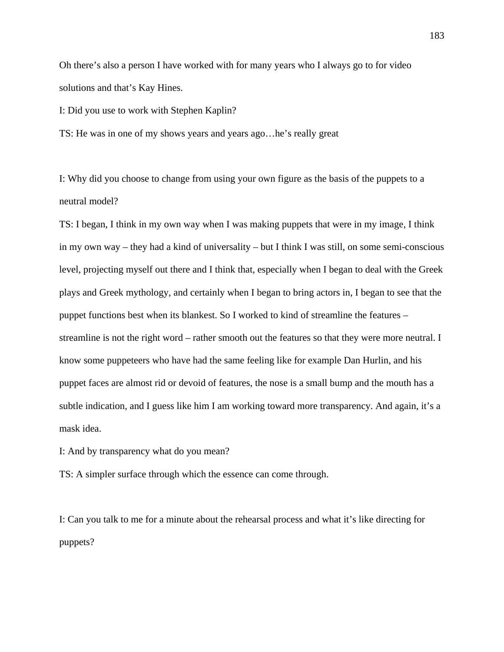Oh there's also a person I have worked with for many years who I always go to for video solutions and that's Kay Hines.

I: Did you use to work with Stephen Kaplin?

TS: He was in one of my shows years and years ago…he's really great

I: Why did you choose to change from using your own figure as the basis of the puppets to a neutral model?

TS: I began, I think in my own way when I was making puppets that were in my image, I think in my own way – they had a kind of universality – but I think I was still, on some semi-conscious level, projecting myself out there and I think that, especially when I began to deal with the Greek plays and Greek mythology, and certainly when I began to bring actors in, I began to see that the puppet functions best when its blankest. So I worked to kind of streamline the features – streamline is not the right word – rather smooth out the features so that they were more neutral. I know some puppeteers who have had the same feeling like for example Dan Hurlin, and his puppet faces are almost rid or devoid of features, the nose is a small bump and the mouth has a subtle indication, and I guess like him I am working toward more transparency. And again, it's a mask idea.

I: And by transparency what do you mean?

TS: A simpler surface through which the essence can come through.

I: Can you talk to me for a minute about the rehearsal process and what it's like directing for puppets?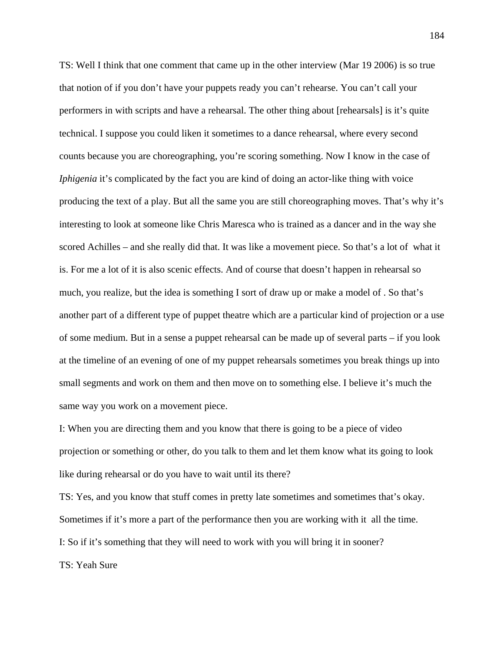TS: Well I think that one comment that came up in the other interview (Mar 19 2006) is so true that notion of if you don't have your puppets ready you can't rehearse. You can't call your performers in with scripts and have a rehearsal. The other thing about [rehearsals] is it's quite technical. I suppose you could liken it sometimes to a dance rehearsal, where every second counts because you are choreographing, you're scoring something. Now I know in the case of *Iphigenia* it's complicated by the fact you are kind of doing an actor-like thing with voice producing the text of a play. But all the same you are still choreographing moves. That's why it's interesting to look at someone like Chris Maresca who is trained as a dancer and in the way she scored Achilles – and she really did that. It was like a movement piece. So that's a lot of what it is. For me a lot of it is also scenic effects. And of course that doesn't happen in rehearsal so much, you realize, but the idea is something I sort of draw up or make a model of . So that's another part of a different type of puppet theatre which are a particular kind of projection or a use of some medium. But in a sense a puppet rehearsal can be made up of several parts – if you look at the timeline of an evening of one of my puppet rehearsals sometimes you break things up into small segments and work on them and then move on to something else. I believe it's much the same way you work on a movement piece.

I: When you are directing them and you know that there is going to be a piece of video projection or something or other, do you talk to them and let them know what its going to look like during rehearsal or do you have to wait until its there?

TS: Yes, and you know that stuff comes in pretty late sometimes and sometimes that's okay. Sometimes if it's more a part of the performance then you are working with it all the time. I: So if it's something that they will need to work with you will bring it in sooner? TS: Yeah Sure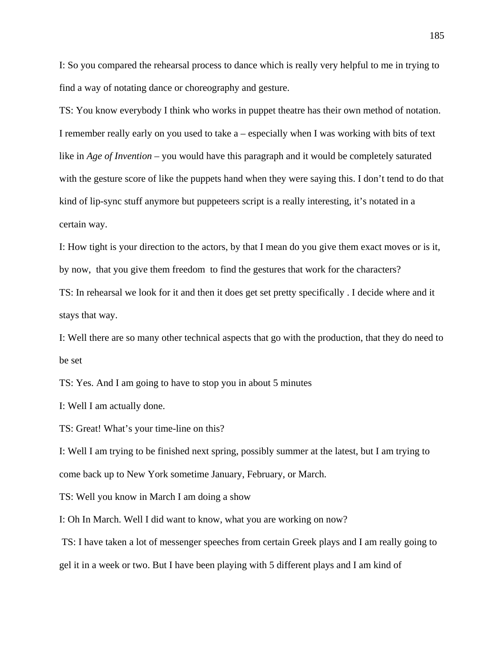I: So you compared the rehearsal process to dance which is really very helpful to me in trying to find a way of notating dance or choreography and gesture.

TS: You know everybody I think who works in puppet theatre has their own method of notation. I remember really early on you used to take a – especially when I was working with bits of text like in *Age of Invention* – you would have this paragraph and it would be completely saturated with the gesture score of like the puppets hand when they were saying this. I don't tend to do that kind of lip-sync stuff anymore but puppeteers script is a really interesting, it's notated in a certain way.

I: How tight is your direction to the actors, by that I mean do you give them exact moves or is it, by now, that you give them freedom to find the gestures that work for the characters?

TS: In rehearsal we look for it and then it does get set pretty specifically . I decide where and it stays that way.

I: Well there are so many other technical aspects that go with the production, that they do need to be set

TS: Yes. And I am going to have to stop you in about 5 minutes

I: Well I am actually done.

TS: Great! What's your time-line on this?

I: Well I am trying to be finished next spring, possibly summer at the latest, but I am trying to come back up to New York sometime January, February, or March.

TS: Well you know in March I am doing a show

I: Oh In March. Well I did want to know, what you are working on now?

 TS: I have taken a lot of messenger speeches from certain Greek plays and I am really going to gel it in a week or two. But I have been playing with 5 different plays and I am kind of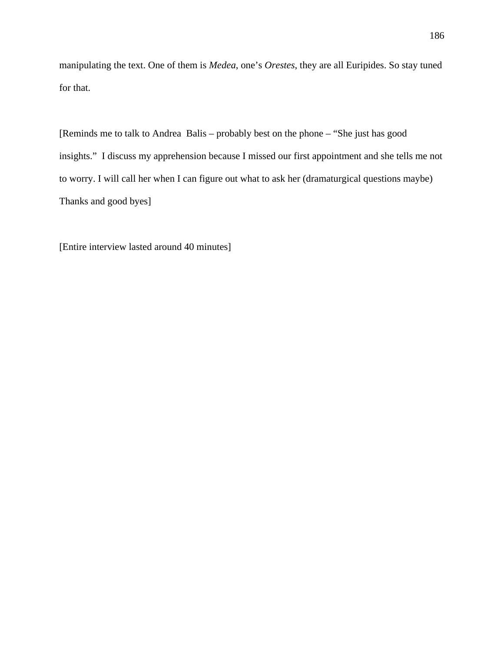manipulating the text. One of them is *Medea*, one's *Orestes*, they are all Euripides. So stay tuned for that.

[Reminds me to talk to Andrea Balis – probably best on the phone – "She just has good insights." I discuss my apprehension because I missed our first appointment and she tells me not to worry. I will call her when I can figure out what to ask her (dramaturgical questions maybe) Thanks and good byes]

[Entire interview lasted around 40 minutes]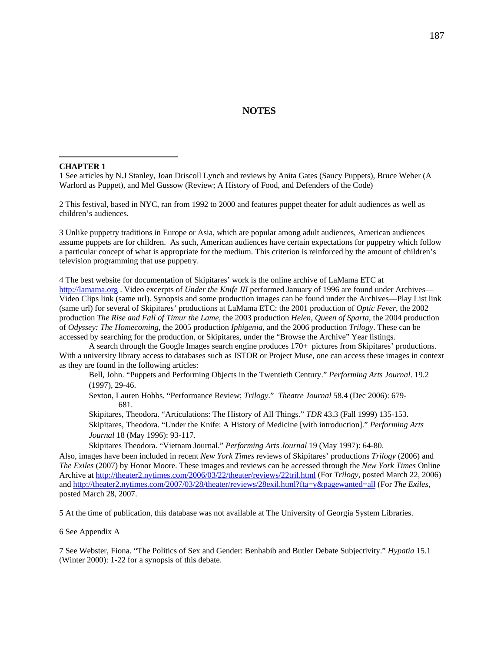## **NOTES**

#### **CHAPTER 1**

 $\overline{a}$ 

1 See articles by N.J Stanley, Joan Driscoll Lynch and reviews by Anita Gates (Saucy Puppets), Bruce Weber (A Warlord as Puppet), and Mel Gussow (Review; A History of Food, and Defenders of the Code)

2 This festival, based in NYC, ran from 1992 to 2000 and features puppet theater for adult audiences as well as children's audiences.

3 Unlike puppetry traditions in Europe or Asia, which are popular among adult audiences, American audiences assume puppets are for children. As such, American audiences have certain expectations for puppetry which follow a particular concept of what is appropriate for the medium. This criterion is reinforced by the amount of children's television programming that use puppetry.

4 The best website for documentation of Skipitares' work is the online archive of LaMama ETC at [http://lamama.org](http://lamama.org/) . Video excerpts of *Under the Knife III* performed January of 1996 are found under Archives— Video Clips link (same url). Synopsis and some production images can be found under the Archives—Play List link (same url) for several of Skipitares' productions at LaMama ETC: the 2001 production of *Optic Fever*, the 2002 production *The Rise and Fall of Timur the Lame*, the 2003 production *Helen, Queen of Sparta*, the 2004 production of *Odyssey: The Homecoming*, the 2005 production *Iphigenia*, and the 2006 production *Trilogy*. These can be accessed by searching for the production, or Skipitares, under the "Browse the Archive" Year listings.

 A search through the Google Images search engine produces 170+ pictures from Skipitares' productions. With a university library access to databases such as JSTOR or Project Muse, one can access these images in context as they are found in the following articles:

Bell, John. "Puppets and Performing Objects in the Twentieth Century." *Performing Arts Journal*. 19.2 (1997), 29-46.

Sexton, Lauren Hobbs. "Performance Review; *Trilogy*." *Theatre Journal* 58.4 (Dec 2006): 679- 681.

Skipitares, Theodora. "Articulations: The History of All Things." *TDR* 43.3 (Fall 1999) 135-153. Skipitares, Theodora. "Under the Knife: A History of Medicine [with introduction]." *Performing Arts Journal* 18 (May 1996): 93-117.

Skipitares Theodora. "Vietnam Journal." *Performing Arts Journal* 19 (May 1997): 64-80.

Also, images have been included in recent *New York Times* reviews of Skipitares' productions *Trilogy* (2006) and *The Exiles* (2007) by Honor Moore. These images and reviews can be accessed through the *New York Times* Online Archive at<http://theater2.nytimes.com/2006/03/22/theater/reviews/22tril.html>(For *Trilogy*, posted March 22, 2006) and <http://theater2.nytimes.com/2007/03/28/theater/reviews/28exil.html?fta=y&pagewanted=all> (For *The Exiles*, posted March 28, 2007.

5 At the time of publication, this database was not available at The University of Georgia System Libraries.

#### 6 See Appendix A

7 See Webster, Fiona. "The Politics of Sex and Gender: Benhabib and Butler Debate Subjectivity." *Hypatia* 15.1 (Winter 2000): 1-22 for a synopsis of this debate.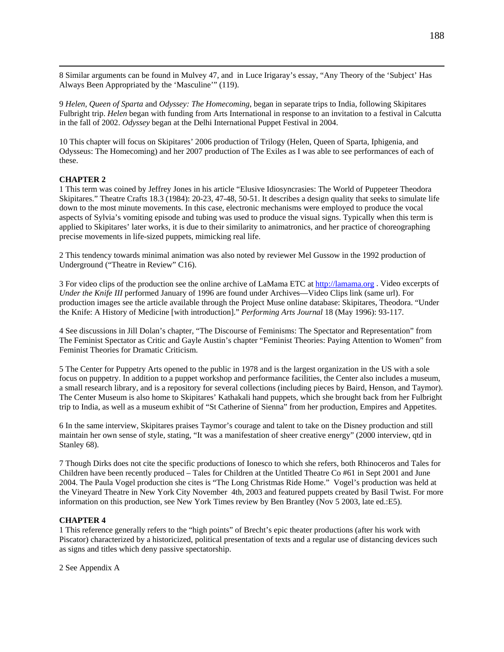8 Similar arguments can be found in Mulvey 47, and in Luce Irigaray's essay, "Any Theory of the 'Subject' Has Always Been Appropriated by the 'Masculine'" (119).

9 *Helen, Queen of Sparta* and *Odyssey: The Homecoming*, began in separate trips to India, following Skipitares Fulbright trip. *Helen* began with funding from Arts International in response to an invitation to a festival in Calcutta in the fall of 2002. *Odyssey* began at the Delhi International Puppet Festival in 2004.

10 This chapter will focus on Skipitares' 2006 production of Trilogy (Helen, Queen of Sparta, Iphigenia, and Odysseus: The Homecoming) and her 2007 production of The Exiles as I was able to see performances of each of these.

#### **CHAPTER 2**

1 This term was coined by Jeffrey Jones in his article "Elusive Idiosyncrasies: The World of Puppeteer Theodora Skipitares." Theatre Crafts 18.3 (1984): 20-23, 47-48, 50-51. It describes a design quality that seeks to simulate life down to the most minute movements. In this case, electronic mechanisms were employed to produce the vocal aspects of Sylvia's vomiting episode and tubing was used to produce the visual signs. Typically when this term is applied to Skipitares' later works, it is due to their similarity to animatronics, and her practice of choreographing precise movements in life-sized puppets, mimicking real life.

2 This tendency towards minimal animation was also noted by reviewer Mel Gussow in the 1992 production of Underground ("Theatre in Review" C16).

3 For video clips of the production see the online archive of LaMama ETC at [http://lamama.org](http://lamama.org/) . Video excerpts of *Under the Knife III* performed January of 1996 are found under Archives—Video Clips link (same url). For production images see the article available through the Project Muse online database: Skipitares, Theodora. "Under the Knife: A History of Medicine [with introduction]." *Performing Arts Journal* 18 (May 1996): 93-117.

4 See discussions in Jill Dolan's chapter, "The Discourse of Feminisms: The Spectator and Representation" from The Feminist Spectator as Critic and Gayle Austin's chapter "Feminist Theories: Paying Attention to Women" from Feminist Theories for Dramatic Criticism.

5 The Center for Puppetry Arts opened to the public in 1978 and is the largest organization in the US with a sole focus on puppetry. In addition to a puppet workshop and performance facilities, the Center also includes a museum, a small research library, and is a repository for several collections (including pieces by Baird, Henson, and Taymor). The Center Museum is also home to Skipitares' Kathakali hand puppets, which she brought back from her Fulbright trip to India, as well as a museum exhibit of "St Catherine of Sienna" from her production, Empires and Appetites.

6 In the same interview, Skipitares praises Taymor's courage and talent to take on the Disney production and still maintain her own sense of style, stating, "It was a manifestation of sheer creative energy" (2000 interview, qtd in Stanley 68).

7 Though Dirks does not cite the specific productions of Ionesco to which she refers, both Rhinoceros and Tales for Children have been recently produced – Tales for Children at the Untitled Theatre Co #61 in Sept 2001 and June 2004. The Paula Vogel production she cites is "The Long Christmas Ride Home." Vogel's production was held at the Vineyard Theatre in New York City November 4th, 2003 and featured puppets created by Basil Twist. For more information on this production, see New York Times review by Ben Brantley (Nov 5 2003, late ed.:E5).

#### **CHAPTER 4**

1 This reference generally refers to the "high points" of Brecht's epic theater productions (after his work with Piscator) characterized by a historicized, political presentation of texts and a regular use of distancing devices such as signs and titles which deny passive spectatorship.

2 See Appendix A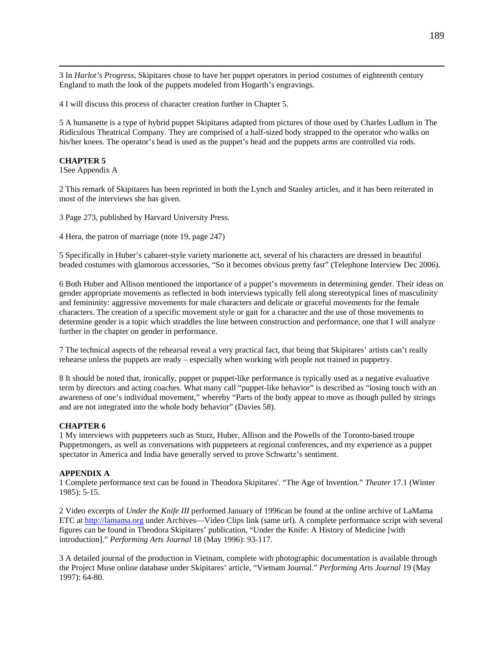3 In *Harlot's Progress*, Skipitares chose to have her puppet operators in period costumes of eighteenth century England to math the look of the puppets modeled from Hogarth's engravings.

4 I will discuss this process of character creation further in Chapter 5.

5 A humanette is a type of hybrid puppet Skipitares adapted from pictures of those used by Charles Ludlum in The Ridiculous Theatrical Company. They are comprised of a half-sized body strapped to the operator who walks on his/her knees. The operator's head is used as the puppet's head and the puppets arms are controlled via rods.

### **CHAPTER 5**

1See Appendix A

2 This remark of Skipitares has been reprinted in both the Lynch and Stanley articles, and it has been reiterated in most of the interviews she has given.

3 Page 273, published by Harvard University Press.

4 Hera, the patron of marriage (note 19, page 247)

5 Specifically in Huber's cabaret-style variety marionette act, several of his characters are dressed in beautiful beaded costumes with glamorous accessories, "So it becomes obvious pretty fast" (Telephone Interview Dec 2006).

6 Both Huber and Allison mentioned the importance of a puppet's movements in determining gender. Their ideas on gender appropriate movements as reflected in both interviews typically fell along stereotypical lines of masculinity and femininity: aggressive movements for male characters and delicate or graceful movements for the female characters. The creation of a specific movement style or gait for a character and the use of those movements to determine gender is a topic which straddles the line between construction and performance, one that I will analyze further in the chapter on gender in performance.

7 The technical aspects of the rehearsal reveal a very practical fact, that being that Skipitares' artists can't really rehearse unless the puppets are ready – especially when working with people not trained in puppetry.

8 It should be noted that, ironically, puppet or puppet-like performance is typically used as a negative evaluative term by directors and acting coaches. What many call "puppet-like behavior" is described as "losing touch with an awareness of one's individual movement," whereby "Parts of the body appear to move as though pulled by strings and are not integrated into the whole body behavior" (Davies 58).

### **CHAPTER 6**

1 My interviews with puppeteers such as Sturz, Huber, Allison and the Powells of the Toronto-based troupe Puppetmongers, as well as conversations with puppeteers at regional conferences, and my experience as a puppet spectator in America and India have generally served to prove Schwartz's sentiment.

#### **APPENDIX A**

1 Complete performance text can be found in Theodora Skipitares'. "The Age of Invention." *Theater* 17.1 (Winter 1985): 5-15.

2 Video excerpts of *Under the Knife III* performed January of 1996can be found at the online archive of LaMama ETC at [http://lamama.org](http://lamama.org/) under Archives—Video Clips link (same url). A complete performance script with several figures can be found in Theodora Skipitares' publication, "Under the Knife: A History of Medicine [with introduction]." *Performing Arts Journal* 18 (May 1996): 93-117.

3 A detailed journal of the production in Vietnam, complete with photographic documentation is available through the Project Muse online database under Skipitares' article, "Vietnam Journal." *Performing Arts Journal* 19 (May 1997): 64-80.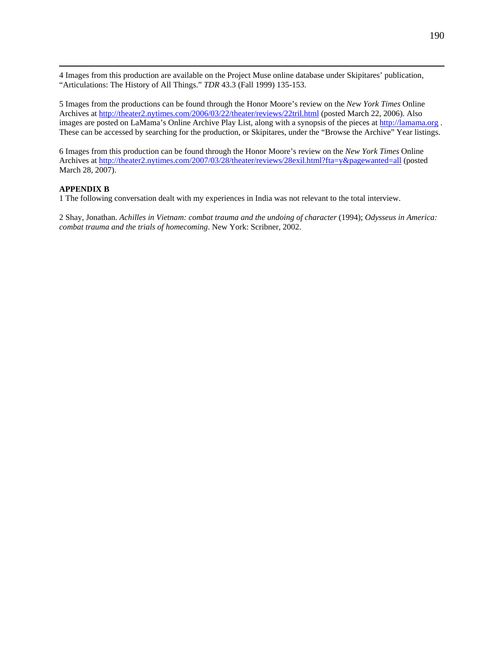<span id="page-198-0"></span> 4 Images from this production are available on the Project Muse online database under Skipitares' publication, "Articulations: The History of All Things." *TDR* 43.3 (Fall 1999) 135-153.

5 Images from the productions can be found through the Honor Moore's review on the *New York Times* Online Archives at<http://theater2.nytimes.com/2006/03/22/theater/reviews/22tril.html>(posted March 22, 2006). Also images are posted on LaMama's Online Archive Play List, along with a synopsis of the pieces at [http://lamama.org](http://lamama.org/) . These can be accessed by searching for the production, or Skipitares, under the "Browse the Archive" Year listings.

6 Images from this production can be found through the Honor Moore's review on the *New York Times* Online Archives at<http://theater2.nytimes.com/2007/03/28/theater/reviews/28exil.html?fta=y&pagewanted=all>(posted March 28, 2007).

# **APPENDIX B**

1 The following conversation dealt with my experiences in India was not relevant to the total interview.

2 Shay, Jonathan. *Achilles in Vietnam: combat trauma and the undoing of character* (1994); *Odysseus in America: combat trauma and the trials of homecoming*. New York: Scribner, 2002.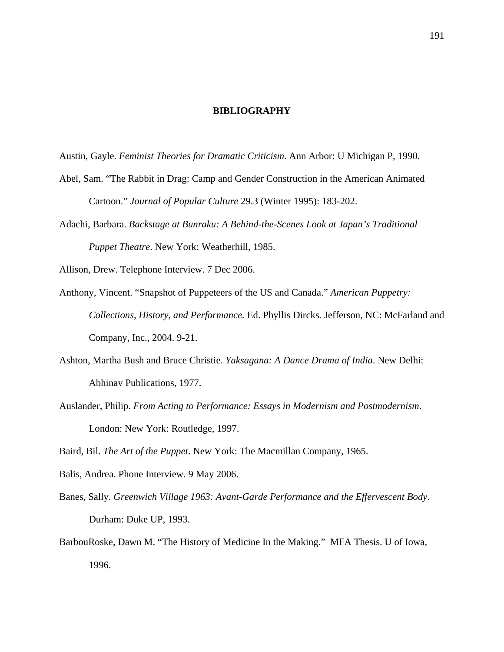## **BIBLIOGRAPHY**

Austin, Gayle. *Feminist Theories for Dramatic Criticism*. Ann Arbor: U Michigan P, 1990.

- Abel, Sam. "The Rabbit in Drag: Camp and Gender Construction in the American Animated Cartoon." *Journal of Popular Culture* 29.3 (Winter 1995): 183-202.
- Adachi, Barbara. *Backstage at Bunraku: A Behind-the-Scenes Look at Japan's Traditional Puppet Theatre*. New York: Weatherhill, 1985.

Allison, Drew. Telephone Interview. 7 Dec 2006.

- Anthony, Vincent. "Snapshot of Puppeteers of the US and Canada." *American Puppetry: Collections, History, and Performance.* Ed. Phyllis Dircks*.* Jefferson, NC: McFarland and Company, Inc., 2004. 9-21.
- Ashton, Martha Bush and Bruce Christie. *Yaksagana: A Dance Drama of India*. New Delhi: Abhinav Publications, 1977.
- Auslander, Philip. *From Acting to Performance: Essays in Modernism and Postmodernism*. London: New York: Routledge, 1997.

Baird, Bil. *The Art of the Puppet*. New York: The Macmillan Company, 1965.

Balis, Andrea. Phone Interview. 9 May 2006.

- Banes, Sally. *Greenwich Village 1963: Avant-Garde Performance and the Effervescent Body*. Durham: Duke UP, 1993.
- BarbouRoske, Dawn M. "The History of Medicine In the Making*.*" MFA Thesis. U of Iowa, 1996.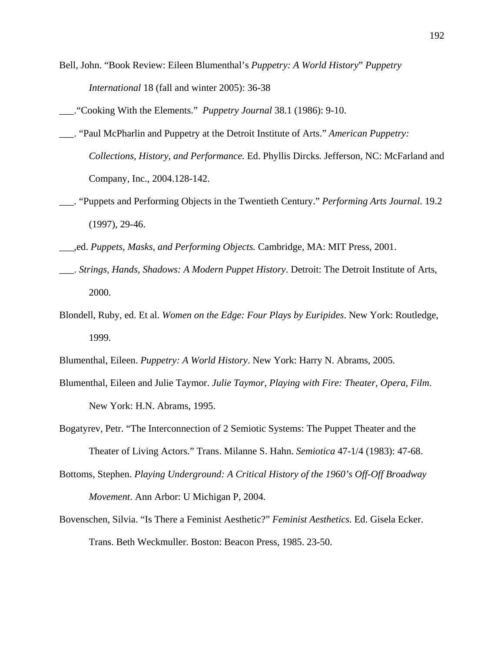Bell, John. "Book Review: Eileen Blumenthal's *Puppetry: A World History*" *Puppetry International* 18 (fall and winter 2005): 36-38

- \_\_\_. "Paul McPharlin and Puppetry at the Detroit Institute of Arts." *American Puppetry: Collections, History, and Performance.* Ed. Phyllis Dircks*.* Jefferson, NC: McFarland and Company, Inc., 2004.128-142.
- \_\_\_. "Puppets and Performing Objects in the Twentieth Century." *Performing Arts Journal*. 19.2 (1997), 29-46.
- \_\_\_,ed. *Puppets, Masks, and Performing Objects.* Cambridge, MA: MIT Press, 2001.
- \_\_\_. *Strings, Hands, Shadows: A Modern Puppet History*. Detroit: The Detroit Institute of Arts, 2000.
- Blondell, Ruby, ed. Et al. *Women on the Edge: Four Plays by Euripides*. New York: Routledge, 1999.
- Blumenthal, Eileen. *Puppetry: A World History*. New York: Harry N. Abrams, 2005.
- Blumenthal, Eileen and Julie Taymor. *Julie Taymor, Playing with Fire: Theater, Opera, Film*. New York: H.N. Abrams, 1995.
- Bogatyrev, Petr. "The Interconnection of 2 Semiotic Systems: The Puppet Theater and the Theater of Living Actors." Trans. Milanne S. Hahn. *Semiotica* 47-1/4 (1983): 47-68.
- Bottoms, Stephen. *Playing Underground: A Critical History of the 1960's Off-Off Broadway Movement*. Ann Arbor: U Michigan P, 2004.
- Bovenschen, Silvia. "Is There a Feminist Aesthetic?" *Feminist Aesthetics*. Ed. Gisela Ecker. Trans. Beth Weckmuller. Boston: Beacon Press, 1985. 23-50.

\_\_\_."Cooking With the Elements." *Puppetry Journal* 38.1 (1986): 9-10.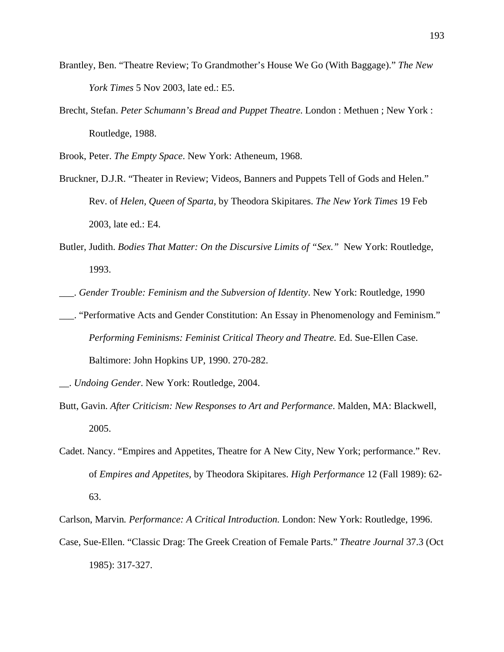- Brantley, Ben. "Theatre Review; To Grandmother's House We Go (With Baggage)." *The New York Times* 5 Nov 2003, late ed.: E5.
- Brecht, Stefan. *Peter Schumann's Bread and Puppet Theatre*. London : Methuen ; New York : Routledge, 1988.

Brook, Peter. *The Empty Space*. New York: Atheneum, 1968.

- Bruckner, D.J.R. "Theater in Review; Videos, Banners and Puppets Tell of Gods and Helen." Rev. of *Helen, Queen of Sparta,* by Theodora Skipitares. *The New York Times* 19 Feb 2003, late ed.: E4.
- Butler, Judith. *Bodies That Matter: On the Discursive Limits of "Sex."* New York: Routledge, 1993.
- \_\_\_. *Gender Trouble: Feminism and the Subversion of Identity*. New York: Routledge, 1990
- \_\_\_. "Performative Acts and Gender Constitution: An Essay in Phenomenology and Feminism." *Performing Feminisms: Feminist Critical Theory and Theatre.* Ed. Sue-Ellen Case. Baltimore: John Hopkins UP, 1990. 270-282.

- Butt, Gavin. *After Criticism: New Responses to Art and Performance*. Malden, MA: Blackwell, 2005.
- Cadet. Nancy. "Empires and Appetites, Theatre for A New City, New York; performance." Rev. of *Empires and Appetites,* by Theodora Skipitares. *High Performance* 12 (Fall 1989): 62- 63.

Carlson, Marvin*. Performance: A Critical Introduction.* London: New York: Routledge, 1996. Case, Sue-Ellen. "Classic Drag: The Greek Creation of Female Parts." *Theatre Journal* 37.3 (Oct 1985): 317-327.

\_\_. *Undoing Gender*. New York: Routledge, 2004.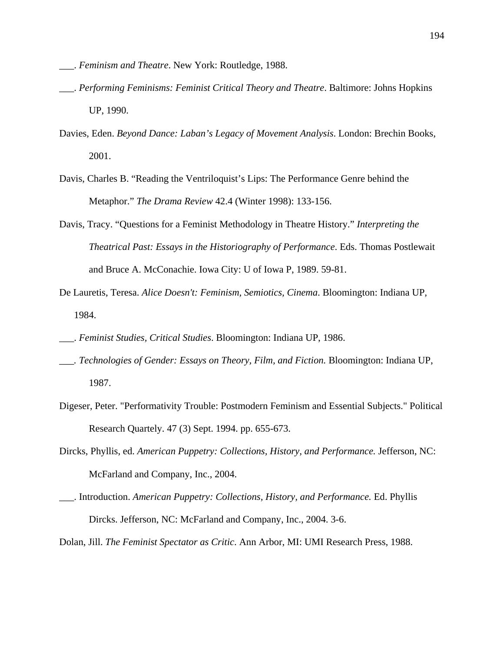- \_\_\_. *Feminism and Theatre*. New York: Routledge, 1988.
- \_\_\_. *Performing Feminisms: Feminist Critical Theory and Theatre*. Baltimore: Johns Hopkins UP, 1990.
- Davies, Eden. *Beyond Dance: Laban's Legacy of Movement Analysis*. London: Brechin Books, 2001.
- Davis, Charles B. "Reading the Ventriloquist's Lips: The Performance Genre behind the Metaphor." *The Drama Review* 42.4 (Winter 1998): 133-156.
- Davis, Tracy. "Questions for a Feminist Methodology in Theatre History." *Interpreting the Theatrical Past: Essays in the Historiography of Performance*. Eds. Thomas Postlewait and Bruce A. McConachie. Iowa City: U of Iowa P, 1989. 59-81.
- De Lauretis, Teresa. *Alice Doesn't: Feminism, Semiotics, Cinema*. Bloomington: Indiana UP, 1984.
- \_\_\_. *Feminist Studies, Critical Studies*. Bloomington: Indiana UP, 1986.
- *\_\_\_. Technologies of Gender: Essays on Theory, Film, and Fiction.* Bloomington: Indiana UP, 1987.
- Digeser, Peter. "Performativity Trouble: Postmodern Feminism and Essential Subjects." Political Research Quartely. 47 (3) Sept. 1994. pp. 655-673.
- Dircks, Phyllis, ed. *American Puppetry: Collections, History, and Performance.* Jefferson, NC: McFarland and Company, Inc., 2004.
- \_\_\_. Introduction. *American Puppetry: Collections, History, and Performance.* Ed. Phyllis Dircks. Jefferson, NC: McFarland and Company, Inc., 2004. 3-6.
- Dolan, Jill. *The Feminist Spectator as Critic*. Ann Arbor, MI: UMI Research Press, 1988.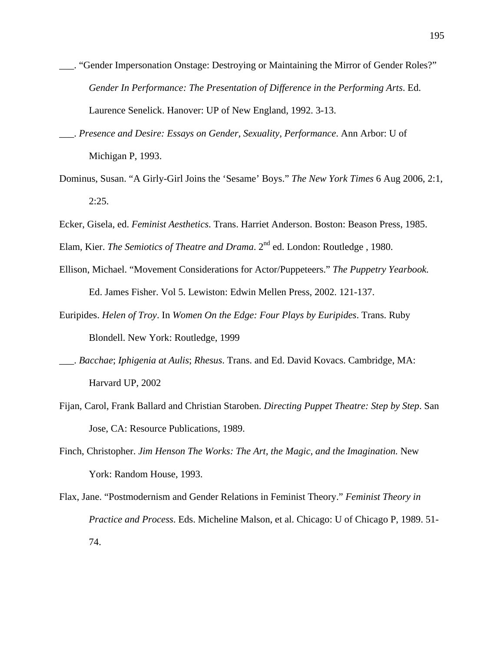- \_\_\_. "Gender Impersonation Onstage: Destroying or Maintaining the Mirror of Gender Roles?" *Gender In Performance: The Presentation of Difference in the Performing Arts*. Ed. Laurence Senelick. Hanover: UP of New England, 1992. 3-13.
- \_\_\_. *Presence and Desire: Essays on Gender, Sexuality, Performance*. Ann Arbor: U of Michigan P, 1993.
- Dominus, Susan. "A Girly-Girl Joins the 'Sesame' Boys." *The New York Times* 6 Aug 2006, 2:1, 2:25.
- Ecker, Gisela, ed. *Feminist Aesthetics*. Trans. Harriet Anderson. Boston: Beason Press, 1985.

Elam, Kier. *The Semiotics of Theatre and Drama*. 2<sup>nd</sup> ed. London: Routledge, 1980.

- Ellison, Michael. "Movement Considerations for Actor/Puppeteers." *The Puppetry Yearbook.* Ed. James Fisher. Vol 5. Lewiston: Edwin Mellen Press, 2002. 121-137.
- Euripides. *Helen of Troy*. In *Women On the Edge: Four Plays by Euripides*. Trans. Ruby Blondell. New York: Routledge, 1999
- \_\_\_. *Bacchae*; *Iphigenia at Aulis*; *Rhesus*. Trans. and Ed. David Kovacs. Cambridge, MA: Harvard UP, 2002
- Fijan, Carol, Frank Ballard and Christian Staroben. *Directing Puppet Theatre: Step by Step*. San Jose, CA: Resource Publications, 1989.
- Finch, Christopher. *Jim Henson The Works: The Art, the Magic, and the Imagination.* New York: Random House, 1993.
- Flax, Jane. "Postmodernism and Gender Relations in Feminist Theory." *Feminist Theory in Practice and Process*. Eds. Micheline Malson, et al. Chicago: U of Chicago P, 1989. 51- 74.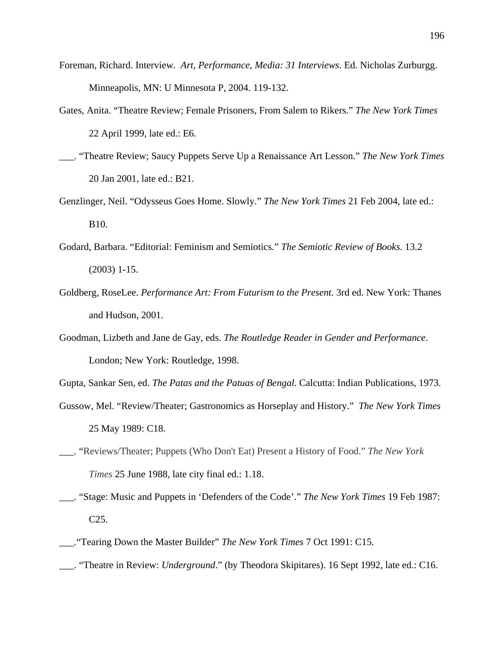- Foreman, Richard. Interview*. Art, Performance, Media: 31 Interviews*. Ed. Nicholas Zurburgg. Minneapolis, MN: U Minnesota P, 2004. 119-132.
- Gates, Anita. "Theatre Review; Female Prisoners, From Salem to Rikers." *The New York Times* 22 April 1999, late ed.: E6.
- \_\_\_. "Theatre Review; Saucy Puppets Serve Up a Renaissance Art Lesson." *The New York Times* 20 Jan 2001, late ed.: B21.
- Genzlinger, Neil. "Odysseus Goes Home. Slowly." *The New York Times* 21 Feb 2004, late ed.: B10.
- Godard, Barbara. "Editorial: Feminism and Semiotics." *The Semiotic Review of Books.* 13.2 (2003) 1-15.
- Goldberg, RoseLee. *Performance Art: From Futurism to the Present.* 3rd ed. New York: Thanes and Hudson, 2001.
- Goodman, Lizbeth and Jane de Gay, eds. *The Routledge Reader in Gender and Performance*. London; New York: Routledge, 1998.

Gupta, Sankar Sen, ed. *The Patas and the Patuas of Bengal*. Calcutta: Indian Publications, 1973.

- Gussow, Mel. "Review/Theater; Gastronomics as Horseplay and History." *The New York Times*  25 May 1989: C18.
- \_\_\_. "Reviews/Theater; Puppets (Who Don't Eat) Present a History of Food." *The New York Times* 25 June 1988, late city final ed.: 1.18.
- \_\_\_. "Stage: Music and Puppets in 'Defenders of the Code'." *The New York Times* 19 Feb 1987: C25.
- \_\_\_."Tearing Down the Master Builder" *The New York Times* 7 Oct 1991: C15.
- \_\_\_. "Theatre in Review: *Underground*." (by Theodora Skipitares). 16 Sept 1992, late ed.: C16.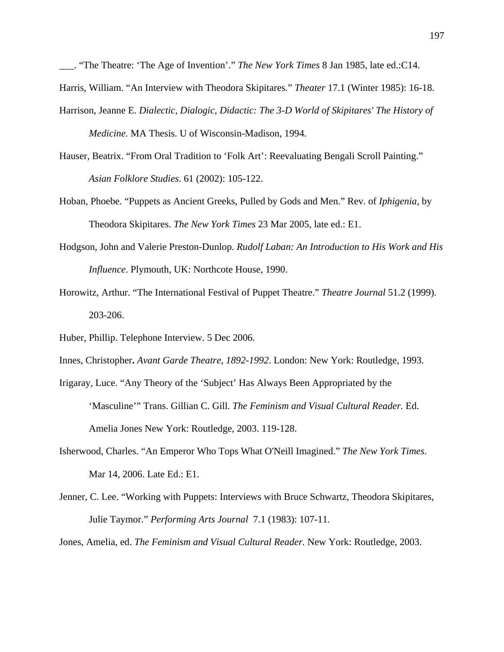\_\_\_. "The Theatre: 'The Age of Invention'." *The New York Times* 8 Jan 1985, late ed.:C14.

Harris, William. "An Interview with Theodora Skipitares." *Theater* 17.1 (Winter 1985): 16-18.

Harrison, Jeanne E. *Dialectic, Dialogic, Didactic: The 3-D World of Skipitares' The History of* 

*Medicine.* MA Thesis. U of Wisconsin-Madison, 1994.

- Hauser, Beatrix. "From Oral Tradition to 'Folk Art': Reevaluating Bengali Scroll Painting." *Asian Folklore Studies*. 61 (2002): 105-122.
- Hoban, Phoebe. "Puppets as Ancient Greeks, Pulled by Gods and Men." Rev. of *Iphigenia,* by Theodora Skipitares. *The New York Times* 23 Mar 2005, late ed.: E1.
- Hodgson, John and Valerie Preston-Dunlop. *Rudolf Laban: An Introduction to His Work and His Influence*. Plymouth, UK: Northcote House, 1990.
- Horowitz, Arthur. "The International Festival of Puppet Theatre." *Theatre Journal* 51.2 (1999). 203-206.
- Huber, Phillip. Telephone Interview. 5 Dec 2006.
- Innes, Christopher**.** *Avant Garde Theatre, 1892-1992*. London: New York: Routledge, 1993.
- Irigaray, Luce. "Any Theory of the 'Subject' Has Always Been Appropriated by the 'Masculine'" Trans. Gillian C. Gill. *The Feminism and Visual Cultural Reader.* Ed. Amelia Jones New York: Routledge, 2003. 119-128.
- Isherwood, Charles. "An Emperor Who Tops What O'Neill Imagined." *The New York Times*. Mar 14, 2006. Late Ed.: E1.
- Jenner, C. Lee. "Working with Puppets: Interviews with Bruce Schwartz, Theodora Skipitares, Julie Taymor." *Performing Arts Journal* 7.1 (1983): 107-11.

Jones, Amelia, ed. *The Feminism and Visual Cultural Reader.* New York: Routledge, 2003.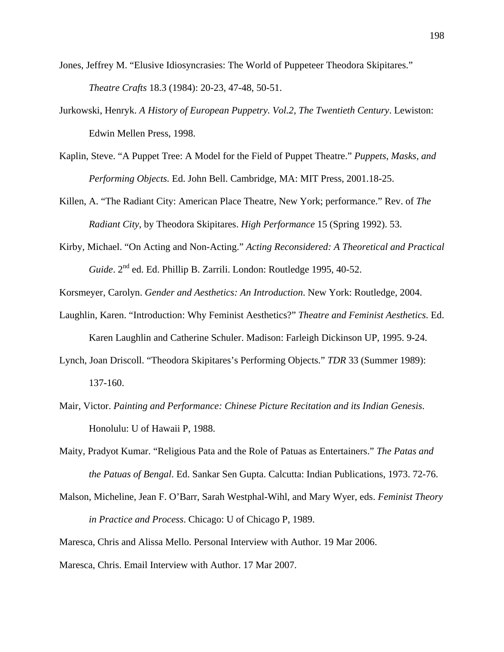- Jones, Jeffrey M. "Elusive Idiosyncrasies: The World of Puppeteer Theodora Skipitares." *Theatre Crafts* 18.3 (1984): 20-23, 47-48, 50-51.
- Jurkowski, Henryk. *A History of European Puppetry. Vol.2, The Twentieth Century*. Lewiston: Edwin Mellen Press, 1998.
- Kaplin, Steve. "A Puppet Tree: A Model for the Field of Puppet Theatre." *Puppets, Masks, and Performing Objects.* Ed. John Bell. Cambridge, MA: MIT Press, 2001.18-25.
- Killen, A. "The Radiant City: American Place Theatre, New York; performance." Rev. of *The Radiant City*, by Theodora Skipitares. *High Performance* 15 (Spring 1992). 53.
- Kirby, Michael. "On Acting and Non-Acting." *Acting Reconsidered: A Theoretical and Practical Guide*. 2nd ed. Ed. Phillip B. Zarrili. London: Routledge 1995, 40-52.

Korsmeyer, Carolyn. *Gender and Aesthetics: An Introduction*. New York: Routledge, 2004.

- Laughlin, Karen. "Introduction: Why Feminist Aesthetics?" *Theatre and Feminist Aesthetics*. Ed. Karen Laughlin and Catherine Schuler. Madison: Farleigh Dickinson UP, 1995. 9-24.
- Lynch, Joan Driscoll. "Theodora Skipitares's Performing Objects." *TDR* 33 (Summer 1989): 137-160.
- Mair, Victor. *Painting and Performance: Chinese Picture Recitation and its Indian Genesis*. Honolulu: U of Hawaii P, 1988.
- Maity, Pradyot Kumar. "Religious Pata and the Role of Patuas as Entertainers." *The Patas and the Patuas of Bengal*. Ed. Sankar Sen Gupta. Calcutta: Indian Publications, 1973. 72-76.
- Malson, Micheline, Jean F. O'Barr, Sarah Westphal-Wihl, and Mary Wyer, eds. *Feminist Theory in Practice and Process*. Chicago: U of Chicago P, 1989.

Maresca, Chris and Alissa Mello. Personal Interview with Author. 19 Mar 2006.

Maresca, Chris. Email Interview with Author. 17 Mar 2007.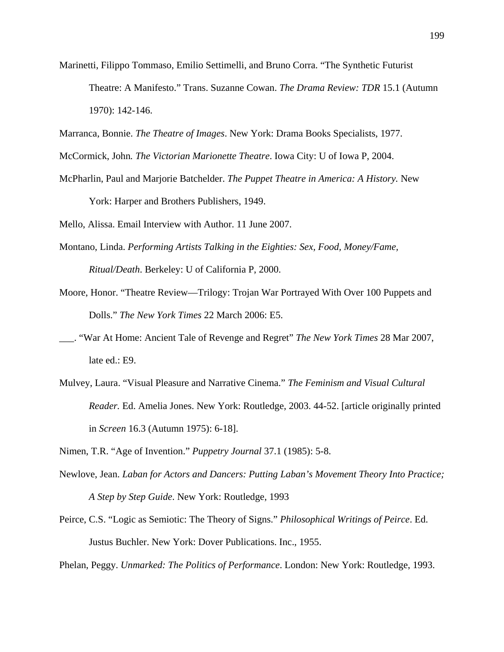- Marinetti, Filippo Tommaso, Emilio Settimelli, and Bruno Corra. "The Synthetic Futurist Theatre: A Manifesto." Trans. Suzanne Cowan. *The Drama Review: TDR* 15.1 (Autumn 1970): 142-146.
- Marranca, Bonnie. *The Theatre of Images*. New York: Drama Books Specialists, 1977.
- McCormick, John*. The Victorian Marionette Theatre*. Iowa City: U of Iowa P, 2004.
- McPharlin, Paul and Marjorie Batchelder. *The Puppet Theatre in America: A History.* New York: Harper and Brothers Publishers, 1949.
- Mello, Alissa. Email Interview with Author. 11 June 2007.
- Montano, Linda. *Performing Artists Talking in the Eighties: Sex, Food, Money/Fame, Ritual/Death*. Berkeley: U of California P, 2000.
- Moore, Honor. "Theatre Review—Trilogy: Trojan War Portrayed With Over 100 Puppets and Dolls." *The New York Times* 22 March 2006: E5.
- \_\_\_. "War At Home: Ancient Tale of Revenge and Regret" *The New York Times* 28 Mar 2007, late ed.: E9.
- Mulvey, Laura. "Visual Pleasure and Narrative Cinema." *The Feminism and Visual Cultural Reader.* Ed. Amelia Jones. New York: Routledge, 2003. 44-52. [article originally printed in *Screen* 16.3 (Autumn 1975): 6-18].
- Nimen, T.R. "Age of Invention." *Puppetry Journal* 37.1 (1985): 5-8.
- Newlove, Jean. *Laban for Actors and Dancers: Putting Laban's Movement Theory Into Practice; A Step by Step Guide*. New York: Routledge, 1993
- Peirce, C.S. "Logic as Semiotic: The Theory of Signs." *Philosophical Writings of Peirce*. Ed. Justus Buchler. New York: Dover Publications. Inc., 1955.

Phelan, Peggy. *Unmarked: The Politics of Performance*. London: New York: Routledge, 1993.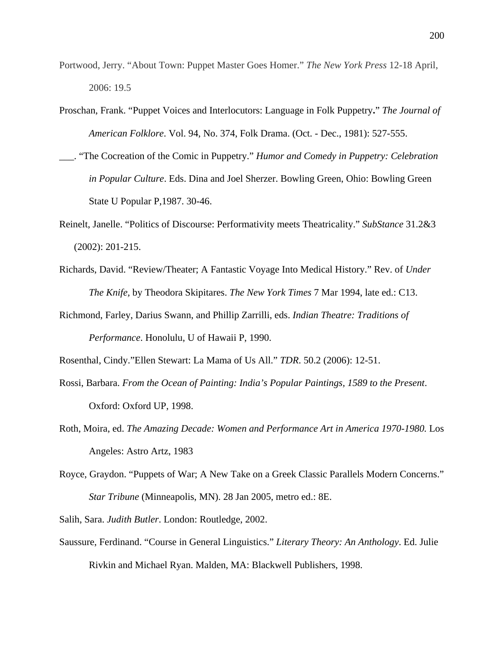- Portwood, Jerry. "About Town: Puppet Master Goes Homer." *The New York Press* 12-18 April, 2006: 19.5
- Proschan, Frank. "Puppet Voices and Interlocutors: Language in Folk Puppetry**.**" *The Journal of American Folklore*. Vol. 94, No. 374, Folk Drama. (Oct. - Dec., 1981): 527-555.
- \_\_\_. "The Cocreation of the Comic in Puppetry." *Humor and Comedy in Puppetry: Celebration in Popular Culture*. Eds. Dina and Joel Sherzer. Bowling Green, Ohio: Bowling Green State U Popular P,1987. 30-46.
- Reinelt, Janelle. "Politics of Discourse: Performativity meets Theatricality." *SubStance* 31.2&3 (2002): 201-215.
- Richards, David. "Review/Theater; A Fantastic Voyage Into Medical History." Rev. of *Under The Knife,* by Theodora Skipitares. *The New York Times* 7 Mar 1994, late ed.: C13.
- Richmond, Farley, Darius Swann, and Phillip Zarrilli, eds. *Indian Theatre: Traditions of Performance*. Honolulu, U of Hawaii P, 1990.
- Rosenthal, Cindy."Ellen Stewart: La Mama of Us All." *TDR*. 50.2 (2006): 12-51.
- Rossi, Barbara. *From the Ocean of Painting: India's Popular Paintings, 1589 to the Present*. Oxford: Oxford UP, 1998.
- Roth, Moira, ed. *The Amazing Decade: Women and Performance Art in America 1970-1980.* Los Angeles: Astro Artz, 1983
- Royce, Graydon. "Puppets of War; A New Take on a Greek Classic Parallels Modern Concerns." *Star Tribune* (Minneapolis, MN). 28 Jan 2005, metro ed.: 8E.

Salih, Sara. *Judith Butler*. London: Routledge, 2002.

Saussure, Ferdinand. "Course in General Linguistics." *Literary Theory: An Anthology*. Ed. Julie Rivkin and Michael Ryan. Malden, MA: Blackwell Publishers, 1998.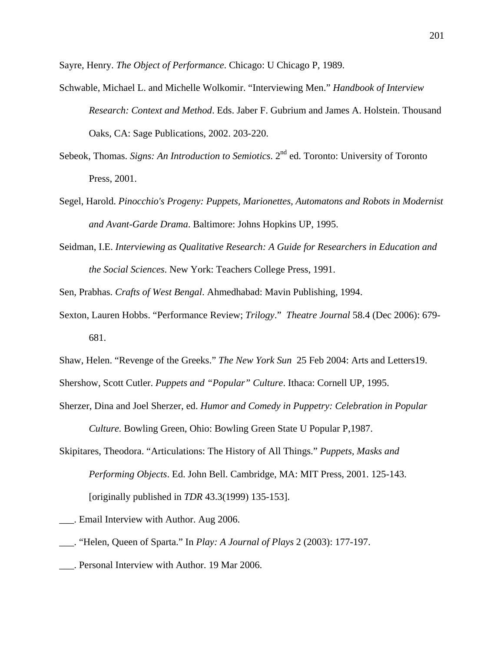Sayre, Henry. *The Object of Performance*. Chicago: U Chicago P, 1989.

- Schwable, Michael L. and Michelle Wolkomir. "Interviewing Men." *Handbook of Interview Research: Context and Method*. Eds. Jaber F. Gubrium and James A. Holstein. Thousand Oaks, CA: Sage Publications, 2002. 203-220.
- Sebeok, Thomas. *Signs: An Introduction to Semiotics*. 2<sup>nd</sup> ed. Toronto: University of Toronto Press, 2001.
- Segel, Harold. *Pinocchio's Progeny: Puppets, Marionettes, Automatons and Robots in Modernist and Avant-Garde Drama*. Baltimore: Johns Hopkins UP, 1995.
- Seidman, I.E. *Interviewing as Qualitative Research: A Guide for Researchers in Education and the Social Sciences*. New York: Teachers College Press, 1991.

Sen, Prabhas. *Crafts of West Bengal*. Ahmedhabad: Mavin Publishing, 1994.

Sexton, Lauren Hobbs. "Performance Review; *Trilogy*." *Theatre Journal* 58.4 (Dec 2006): 679- 681.

Shaw, Helen. "Revenge of the Greeks." *The New York Sun* 25 Feb 2004: Arts and Letters19.

Shershow, Scott Cutler. *Puppets and "Popular" Culture*. Ithaca: Cornell UP, 1995.

- Sherzer, Dina and Joel Sherzer, ed. *Humor and Comedy in Puppetry: Celebration in Popular Culture.* Bowling Green, Ohio: Bowling Green State U Popular P,1987.
- Skipitares, Theodora. "Articulations: The History of All Things." *Puppets, Masks and Performing Objects*. Ed. John Bell. Cambridge, MA: MIT Press, 2001. 125-143. [originally published in *TDR* 43.3(1999) 135-153].
- \_\_\_. Email Interview with Author. Aug 2006.
- \_\_\_. "Helen, Queen of Sparta." In *Play: A Journal of Plays* 2 (2003): 177-197.
- \_\_\_. Personal Interview with Author. 19 Mar 2006.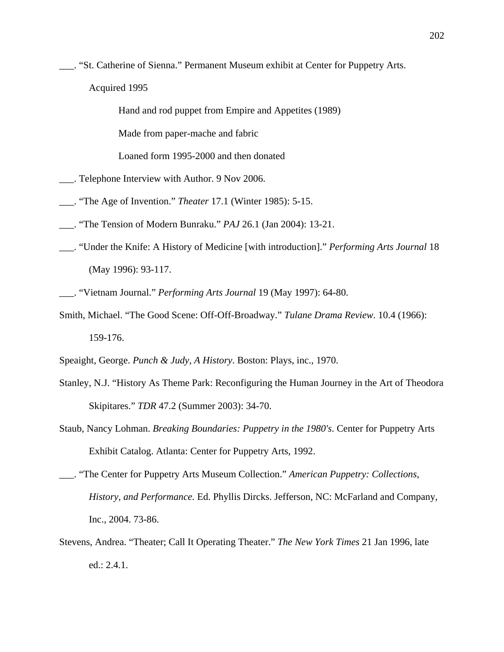\_\_\_. "St. Catherine of Sienna." Permanent Museum exhibit at Center for Puppetry Arts. Acquired 1995

Hand and rod puppet from Empire and Appetites (1989)

Made from paper-mache and fabric

Loaned form 1995-2000 and then donated

- \_\_\_. Telephone Interview with Author. 9 Nov 2006.
- \_\_\_. "The Age of Invention." *Theater* 17.1 (Winter 1985): 5-15.
- \_\_\_. "The Tension of Modern Bunraku." *PAJ* 26.1 (Jan 2004): 13-21.
- \_\_\_. "Under the Knife: A History of Medicine [with introduction]." *Performing Arts Journal* 18 (May 1996): 93-117.
- \_\_\_. "Vietnam Journal." *Performing Arts Journal* 19 (May 1997): 64-80.
- Smith, Michael. "The Good Scene: Off-Off-Broadway." *Tulane Drama Review*. 10.4 (1966): 159-176.
- Speaight, George. *Punch & Judy, A History*. Boston: Plays, inc., 1970.
- Stanley, N.J. "History As Theme Park: Reconfiguring the Human Journey in the Art of Theodora Skipitares." *TDR* 47.2 (Summer 2003): 34-70.
- Staub, Nancy Lohman. *Breaking Boundaries: Puppetry in the 1980's*. Center for Puppetry Arts Exhibit Catalog. Atlanta: Center for Puppetry Arts, 1992.
- \_\_\_. "The Center for Puppetry Arts Museum Collection." *American Puppetry: Collections, History, and Performance.* Ed. Phyllis Dircks. Jefferson, NC: McFarland and Company, Inc., 2004. 73-86.
- Stevens, Andrea. "Theater; Call It Operating Theater." *The New York Times* 21 Jan 1996, late ed.: 2.4.1.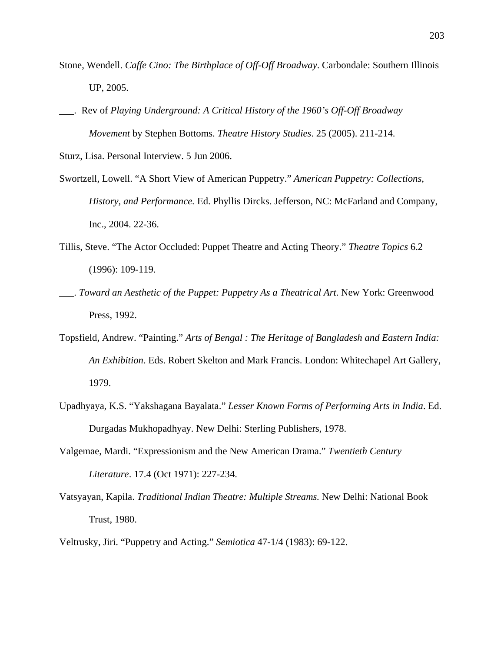- Stone, Wendell. *Caffe Cino: The Birthplace of Off-Off Broadway*. Carbondale: Southern Illinois UP, 2005.
- \_\_\_. Rev of *Playing Underground: A Critical History of the 1960's Off-Off Broadway Movement* by Stephen Bottoms. *Theatre History Studies*. 25 (2005). 211-214.

Sturz, Lisa. Personal Interview. 5 Jun 2006.

- Swortzell, Lowell. "A Short View of American Puppetry." *American Puppetry: Collections, History, and Performance.* Ed. Phyllis Dircks. Jefferson, NC: McFarland and Company, Inc., 2004. 22-36.
- Tillis, Steve. "The Actor Occluded: Puppet Theatre and Acting Theory." *Theatre Topics* 6.2 (1996): 109-119.
- \_\_\_. *Toward an Aesthetic of the Puppet: Puppetry As a Theatrical Art*. New York: Greenwood Press, 1992.
- Topsfield, Andrew. "Painting." *Arts of Bengal : The Heritage of Bangladesh and Eastern India: An Exhibition*. Eds. Robert Skelton and Mark Francis. London: Whitechapel Art Gallery, 1979.
- Upadhyaya, K.S. "Yakshagana Bayalata." *Lesser Known Forms of Performing Arts in India*. Ed. Durgadas Mukhopadhyay. New Delhi: Sterling Publishers, 1978.
- Valgemae, Mardi. "Expressionism and the New American Drama." *Twentieth Century Literature*. 17.4 (Oct 1971): 227-234.
- Vatsyayan, Kapila. *Traditional Indian Theatre: Multiple Streams.* New Delhi: National Book Trust, 1980.
- Veltrusky, Jiri. "Puppetry and Acting." *Semiotica* 47-1/4 (1983): 69-122.